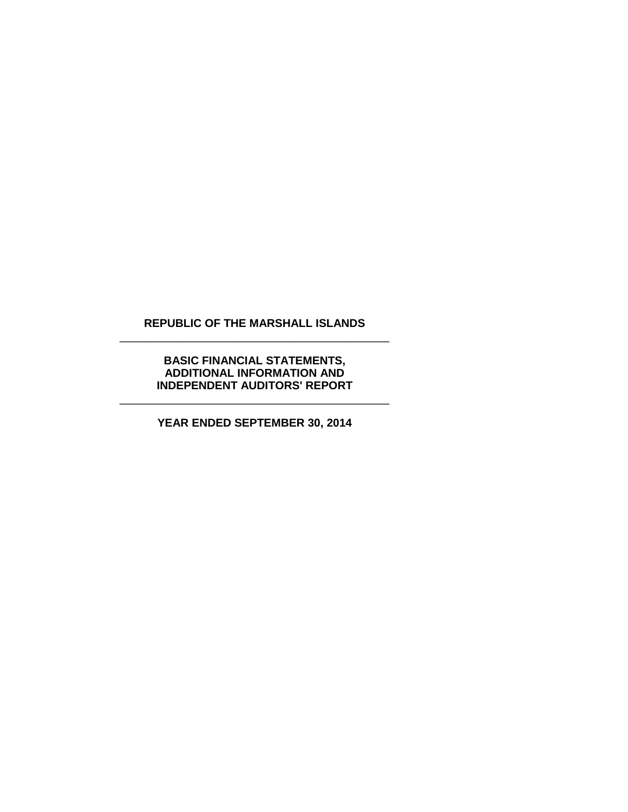# **REPUBLIC OF THE MARSHALL ISLANDS** \_\_\_\_\_\_\_\_\_\_\_\_\_\_\_\_\_\_\_\_\_\_\_\_\_\_\_\_\_\_\_\_\_\_\_\_\_\_\_\_\_\_\_

# **BASIC FINANCIAL STATEMENTS, ADDITIONAL INFORMATION AND INDEPENDENT AUDITORS' REPORT**

**YEAR ENDED SEPTEMBER 30, 2014**

\_\_\_\_\_\_\_\_\_\_\_\_\_\_\_\_\_\_\_\_\_\_\_\_\_\_\_\_\_\_\_\_\_\_\_\_\_\_\_\_\_\_\_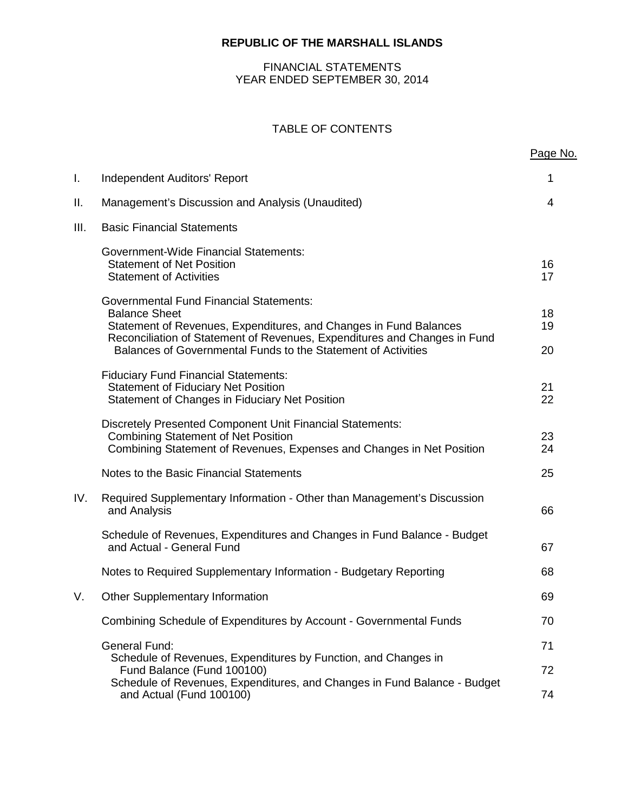# FINANCIAL STATEMENTS YEAR ENDED SEPTEMBER 30, 2014

# TABLE OF CONTENTS

|      |                                                                                                                                                                                                                                                                                           | Page No.       |
|------|-------------------------------------------------------------------------------------------------------------------------------------------------------------------------------------------------------------------------------------------------------------------------------------------|----------------|
| Ι.   | <b>Independent Auditors' Report</b>                                                                                                                                                                                                                                                       | 1              |
| Ш.   | Management's Discussion and Analysis (Unaudited)                                                                                                                                                                                                                                          | 4              |
| III. | <b>Basic Financial Statements</b>                                                                                                                                                                                                                                                         |                |
|      | <b>Government-Wide Financial Statements:</b><br><b>Statement of Net Position</b><br><b>Statement of Activities</b>                                                                                                                                                                        | 16<br>17       |
|      | <b>Governmental Fund Financial Statements:</b><br><b>Balance Sheet</b><br>Statement of Revenues, Expenditures, and Changes in Fund Balances<br>Reconciliation of Statement of Revenues, Expenditures and Changes in Fund<br>Balances of Governmental Funds to the Statement of Activities | 18<br>19<br>20 |
|      | <b>Fiduciary Fund Financial Statements:</b><br><b>Statement of Fiduciary Net Position</b><br>Statement of Changes in Fiduciary Net Position                                                                                                                                               | 21<br>22       |
|      | <b>Discretely Presented Component Unit Financial Statements:</b><br><b>Combining Statement of Net Position</b><br>Combining Statement of Revenues, Expenses and Changes in Net Position                                                                                                   | 23<br>24       |
|      | Notes to the Basic Financial Statements                                                                                                                                                                                                                                                   | 25             |
| IV.  | Required Supplementary Information - Other than Management's Discussion<br>and Analysis                                                                                                                                                                                                   | 66             |
|      | Schedule of Revenues, Expenditures and Changes in Fund Balance - Budget<br>and Actual - General Fund                                                                                                                                                                                      | 67             |
|      | Notes to Required Supplementary Information - Budgetary Reporting                                                                                                                                                                                                                         | 68             |
| V.   | Other Supplementary Information                                                                                                                                                                                                                                                           | 69             |
|      | Combining Schedule of Expenditures by Account - Governmental Funds                                                                                                                                                                                                                        | 70             |
|      | <b>General Fund:</b><br>Schedule of Revenues, Expenditures by Function, and Changes in<br>Fund Balance (Fund 100100)<br>Schedule of Revenues, Expenditures, and Changes in Fund Balance - Budget                                                                                          | 71<br>72       |
|      | and Actual (Fund 100100)                                                                                                                                                                                                                                                                  | 74             |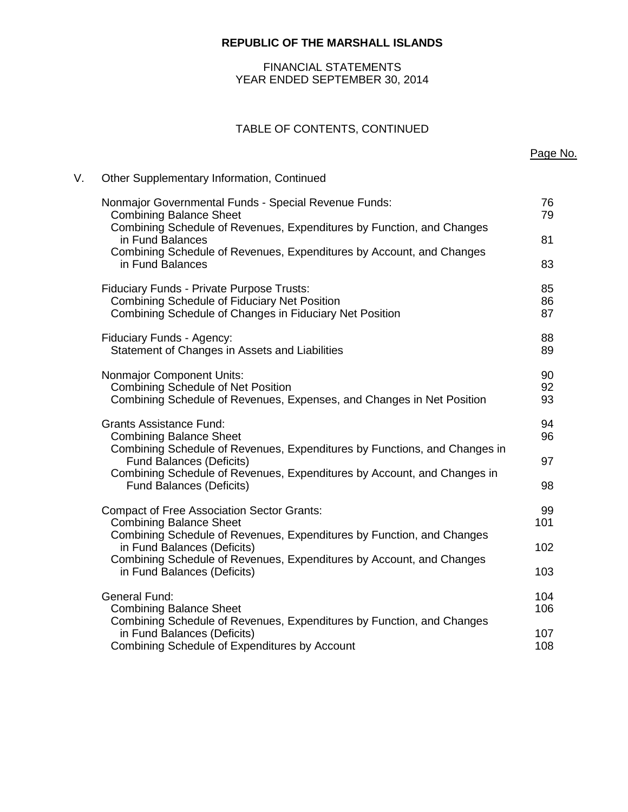# FINANCIAL STATEMENTS YEAR ENDED SEPTEMBER 30, 2014

# TABLE OF CONTENTS, CONTINUED

# V. Other Supplementary Information, Continued

| Nonmajor Governmental Funds - Special Revenue Funds:<br><b>Combining Balance Sheet</b>                                                                      | 76<br>79       |
|-------------------------------------------------------------------------------------------------------------------------------------------------------------|----------------|
| Combining Schedule of Revenues, Expenditures by Function, and Changes<br>in Fund Balances                                                                   | 81             |
| Combining Schedule of Revenues, Expenditures by Account, and Changes<br>in Fund Balances                                                                    | 83             |
| <b>Fiduciary Funds - Private Purpose Trusts:</b><br>Combining Schedule of Fiduciary Net Position<br>Combining Schedule of Changes in Fiduciary Net Position | 85<br>86<br>87 |
| Fiduciary Funds - Agency:<br>Statement of Changes in Assets and Liabilities                                                                                 | 88<br>89       |
| <b>Nonmajor Component Units:</b><br><b>Combining Schedule of Net Position</b><br>Combining Schedule of Revenues, Expenses, and Changes in Net Position      | 90<br>92<br>93 |
| <b>Grants Assistance Fund:</b><br><b>Combining Balance Sheet</b><br>Combining Schedule of Revenues, Expenditures by Functions, and Changes in               | 94<br>96       |
| <b>Fund Balances (Deficits)</b><br>Combining Schedule of Revenues, Expenditures by Account, and Changes in                                                  | 97             |
| <b>Fund Balances (Deficits)</b>                                                                                                                             | 98             |
| <b>Compact of Free Association Sector Grants:</b><br><b>Combining Balance Sheet</b>                                                                         | 99<br>101      |
| Combining Schedule of Revenues, Expenditures by Function, and Changes<br>in Fund Balances (Deficits)                                                        | 102            |
| Combining Schedule of Revenues, Expenditures by Account, and Changes<br>in Fund Balances (Deficits)                                                         | 103            |
| <b>General Fund:</b><br><b>Combining Balance Sheet</b><br>Combining Schedule of Revenues, Expenditures by Function, and Changes                             | 104<br>106     |
| in Fund Balances (Deficits)<br>Combining Schedule of Expenditures by Account                                                                                | 107<br>108     |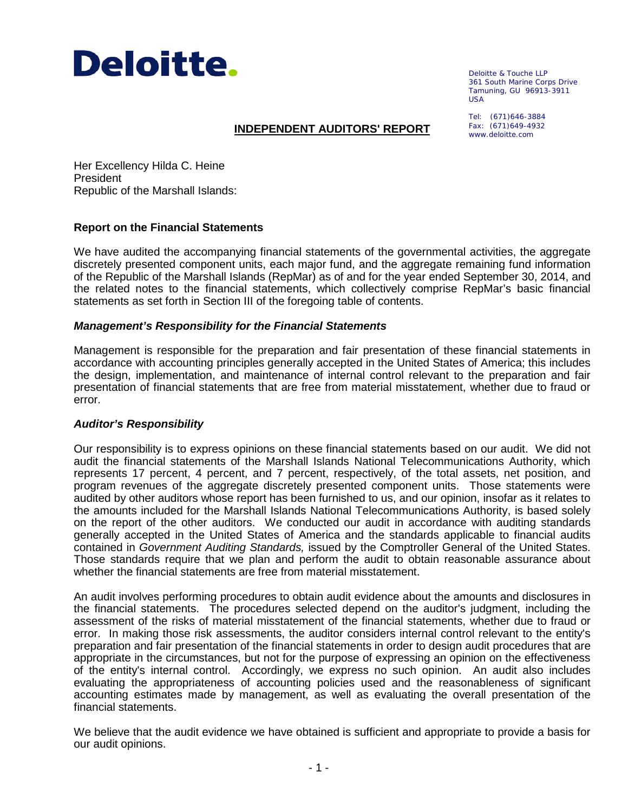

Deloitte & Touche LLP 361 South Marine Corps Drive Tamuning, GU 96913-3911 USA

# **INDEPENDENT AUDITORS' REPORT**

Tel: (671)646-3884 Fax: (671)649-4932 www.deloitte.com

Her Excellency Hilda C. Heine President Republic of the Marshall Islands:

# **Report on the Financial Statements**

We have audited the accompanying financial statements of the governmental activities, the aggregate discretely presented component units, each major fund, and the aggregate remaining fund information of the Republic of the Marshall Islands (RepMar) as of and for the year ended September 30, 2014, and the related notes to the financial statements, which collectively comprise RepMar's basic financial statements as set forth in Section III of the foregoing table of contents.

# *Management's Responsibility for the Financial Statements*

Management is responsible for the preparation and fair presentation of these financial statements in accordance with accounting principles generally accepted in the United States of America; this includes the design, implementation, and maintenance of internal control relevant to the preparation and fair presentation of financial statements that are free from material misstatement, whether due to fraud or error.

### *Auditor's Responsibility*

Our responsibility is to express opinions on these financial statements based on our audit. We did not audit the financial statements of the Marshall Islands National Telecommunications Authority, which represents 17 percent, 4 percent, and 7 percent, respectively, of the total assets, net position, and program revenues of the aggregate discretely presented component units. Those statements were audited by other auditors whose report has been furnished to us, and our opinion, insofar as it relates to the amounts included for the Marshall Islands National Telecommunications Authority, is based solely on the report of the other auditors. We conducted our audit in accordance with auditing standards generally accepted in the United States of America and the standards applicable to financial audits contained in *Government Auditing Standards,* issued by the Comptroller General of the United States. Those standards require that we plan and perform the audit to obtain reasonable assurance about whether the financial statements are free from material misstatement.

An audit involves performing procedures to obtain audit evidence about the amounts and disclosures in the financial statements. The procedures selected depend on the auditor's judgment, including the assessment of the risks of material misstatement of the financial statements, whether due to fraud or error. In making those risk assessments, the auditor considers internal control relevant to the entity's preparation and fair presentation of the financial statements in order to design audit procedures that are appropriate in the circumstances, but not for the purpose of expressing an opinion on the effectiveness of the entity's internal control. Accordingly, we express no such opinion. An audit also includes evaluating the appropriateness of accounting policies used and the reasonableness of significant accounting estimates made by management, as well as evaluating the overall presentation of the financial statements.

We believe that the audit evidence we have obtained is sufficient and appropriate to provide a basis for our audit opinions.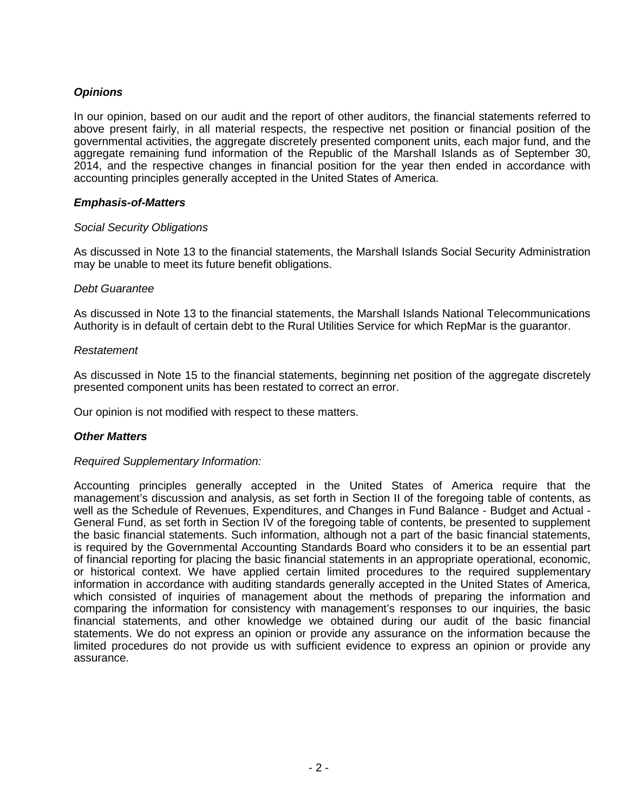# *Opinions*

In our opinion, based on our audit and the report of other auditors, the financial statements referred to above present fairly, in all material respects, the respective net position or financial position of the governmental activities, the aggregate discretely presented component units, each major fund, and the aggregate remaining fund information of the Republic of the Marshall Islands as of September 30, 2014, and the respective changes in financial position for the year then ended in accordance with accounting principles generally accepted in the United States of America.

# *Emphasis-of-Matters*

# *Social Security Obligations*

As discussed in Note 13 to the financial statements, the Marshall Islands Social Security Administration may be unable to meet its future benefit obligations.

# *Debt Guarantee*

As discussed in Note 13 to the financial statements, the Marshall Islands National Telecommunications Authority is in default of certain debt to the Rural Utilities Service for which RepMar is the guarantor.

# *Restatement*

As discussed in Note 15 to the financial statements, beginning net position of the aggregate discretely presented component units has been restated to correct an error.

Our opinion is not modified with respect to these matters.

# *Other Matters*

# *Required Supplementary Information:*

Accounting principles generally accepted in the United States of America require that the management's discussion and analysis, as set forth in Section II of the foregoing table of contents, as well as the Schedule of Revenues, Expenditures, and Changes in Fund Balance - Budget and Actual - General Fund, as set forth in Section IV of the foregoing table of contents, be presented to supplement the basic financial statements. Such information, although not a part of the basic financial statements, is required by the Governmental Accounting Standards Board who considers it to be an essential part of financial reporting for placing the basic financial statements in an appropriate operational, economic, or historical context. We have applied certain limited procedures to the required supplementary information in accordance with auditing standards generally accepted in the United States of America, which consisted of inquiries of management about the methods of preparing the information and comparing the information for consistency with management's responses to our inquiries, the basic financial statements, and other knowledge we obtained during our audit of the basic financial statements. We do not express an opinion or provide any assurance on the information because the limited procedures do not provide us with sufficient evidence to express an opinion or provide any assurance.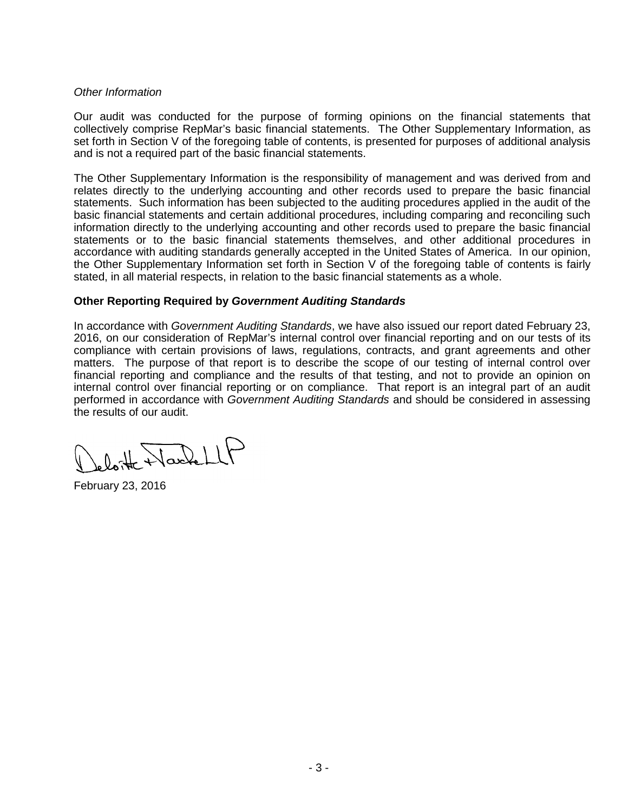### *Other Information*

Our audit was conducted for the purpose of forming opinions on the financial statements that collectively comprise RepMar's basic financial statements. The Other Supplementary Information, as set forth in Section V of the foregoing table of contents, is presented for purposes of additional analysis and is not a required part of the basic financial statements.

The Other Supplementary Information is the responsibility of management and was derived from and relates directly to the underlying accounting and other records used to prepare the basic financial statements. Such information has been subjected to the auditing procedures applied in the audit of the basic financial statements and certain additional procedures, including comparing and reconciling such information directly to the underlying accounting and other records used to prepare the basic financial statements or to the basic financial statements themselves, and other additional procedures in accordance with auditing standards generally accepted in the United States of America. In our opinion, the Other Supplementary Information set forth in Section V of the foregoing table of contents is fairly stated, in all material respects, in relation to the basic financial statements as a whole.

# **Other Reporting Required by** *Government Auditing Standards*

In accordance with *Government Auditing Standards*, we have also issued our report dated February 23, 2016, on our consideration of RepMar's internal control over financial reporting and on our tests of its compliance with certain provisions of laws, regulations, contracts, and grant agreements and other matters. The purpose of that report is to describe the scope of our testing of internal control over financial reporting and compliance and the results of that testing, and not to provide an opinion on internal control over financial reporting or on compliance. That report is an integral part of an audit performed in accordance with *Government Auditing Standards* and should be considered in assessing the results of our audit.

Daily Harlell

February 23, 2016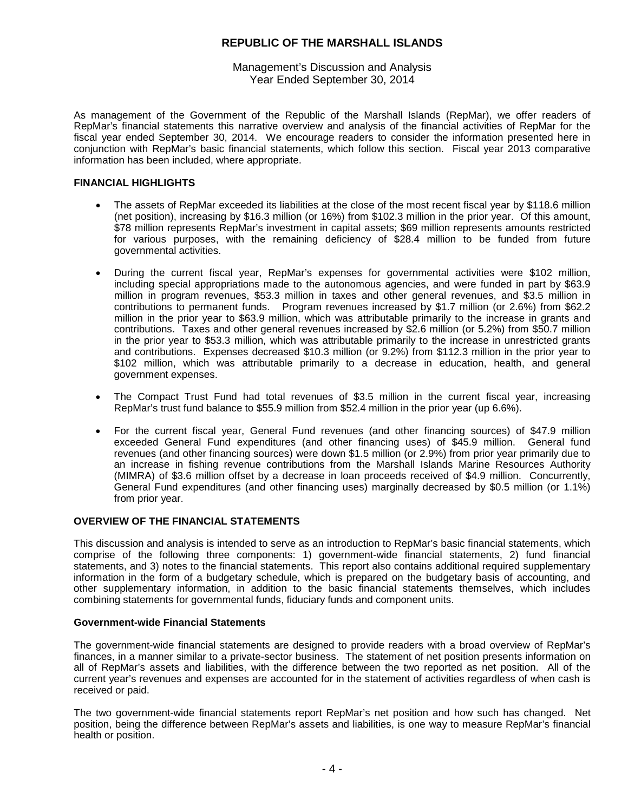### Management's Discussion and Analysis Year Ended September 30, 2014

As management of the Government of the Republic of the Marshall Islands (RepMar), we offer readers of RepMar's financial statements this narrative overview and analysis of the financial activities of RepMar for the fiscal year ended September 30, 2014. We encourage readers to consider the information presented here in conjunction with RepMar's basic financial statements, which follow this section. Fiscal year 2013 comparative information has been included, where appropriate.

### **FINANCIAL HIGHLIGHTS**

- The assets of RepMar exceeded its liabilities at the close of the most recent fiscal year by \$118.6 million (net position), increasing by \$16.3 million (or 16%) from \$102.3 million in the prior year. Of this amount, \$78 million represents RepMar's investment in capital assets; \$69 million represents amounts restricted for various purposes, with the remaining deficiency of \$28.4 million to be funded from future governmental activities.
- During the current fiscal year, RepMar's expenses for governmental activities were \$102 million, including special appropriations made to the autonomous agencies, and were funded in part by \$63.9 million in program revenues, \$53.3 million in taxes and other general revenues, and \$3.5 million in contributions to permanent funds. Program revenues increased by \$1.7 million (or 2.6%) from \$62.2 million in the prior year to \$63.9 million, which was attributable primarily to the increase in grants and contributions. Taxes and other general revenues increased by \$2.6 million (or 5.2%) from \$50.7 million in the prior year to \$53.3 million, which was attributable primarily to the increase in unrestricted grants and contributions. Expenses decreased \$10.3 million (or 9.2%) from \$112.3 million in the prior year to \$102 million, which was attributable primarily to a decrease in education, health, and general government expenses.
- The Compact Trust Fund had total revenues of \$3.5 million in the current fiscal year, increasing RepMar's trust fund balance to \$55.9 million from \$52.4 million in the prior year (up 6.6%).
- For the current fiscal year, General Fund revenues (and other financing sources) of \$47.9 million exceeded General Fund expenditures (and other financing uses) of \$45.9 million. General fund revenues (and other financing sources) were down \$1.5 million (or 2.9%) from prior year primarily due to an increase in fishing revenue contributions from the Marshall Islands Marine Resources Authority (MIMRA) of \$3.6 million offset by a decrease in loan proceeds received of \$4.9 million. Concurrently, General Fund expenditures (and other financing uses) marginally decreased by \$0.5 million (or 1.1%) from prior year.

### **OVERVIEW OF THE FINANCIAL STATEMENTS**

This discussion and analysis is intended to serve as an introduction to RepMar's basic financial statements, which comprise of the following three components: 1) government-wide financial statements, 2) fund financial statements, and 3) notes to the financial statements. This report also contains additional required supplementary information in the form of a budgetary schedule, which is prepared on the budgetary basis of accounting, and other supplementary information, in addition to the basic financial statements themselves, which includes combining statements for governmental funds, fiduciary funds and component units.

### **Government-wide Financial Statements**

The government-wide financial statements are designed to provide readers with a broad overview of RepMar's finances, in a manner similar to a private-sector business. The statement of net position presents information on all of RepMar's assets and liabilities, with the difference between the two reported as net position. All of the current year's revenues and expenses are accounted for in the statement of activities regardless of when cash is received or paid.

The two government-wide financial statements report RepMar's net position and how such has changed. Net position, being the difference between RepMar's assets and liabilities, is one way to measure RepMar's financial health or position.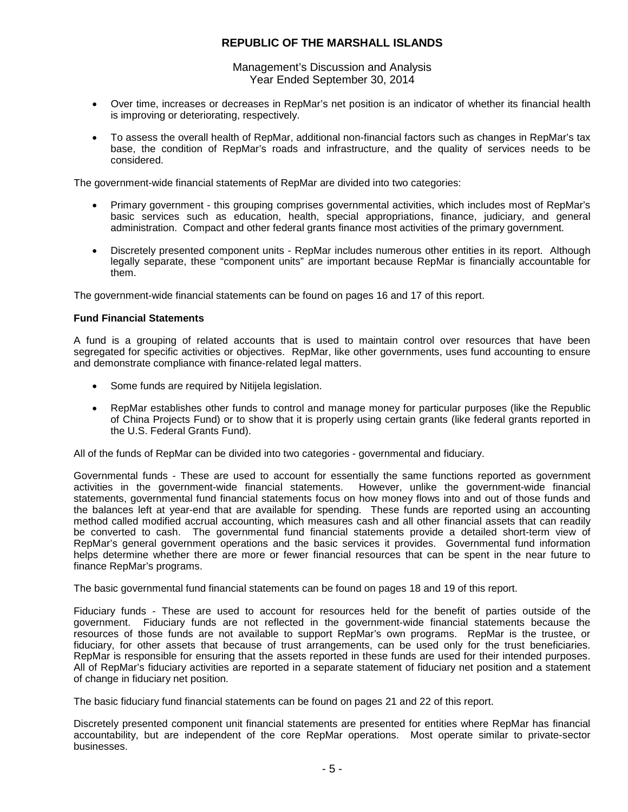Management's Discussion and Analysis Year Ended September 30, 2014

- Over time, increases or decreases in RepMar's net position is an indicator of whether its financial health is improving or deteriorating, respectively.
- To assess the overall health of RepMar, additional non-financial factors such as changes in RepMar's tax base, the condition of RepMar's roads and infrastructure, and the quality of services needs to be considered.

The government-wide financial statements of RepMar are divided into two categories:

- Primary government this grouping comprises governmental activities, which includes most of RepMar's basic services such as education, health, special appropriations, finance, judiciary, and general administration. Compact and other federal grants finance most activities of the primary government.
- Discretely presented component units RepMar includes numerous other entities in its report. Although legally separate, these "component units" are important because RepMar is financially accountable for them.

The government-wide financial statements can be found on pages 16 and 17 of this report.

### **Fund Financial Statements**

A fund is a grouping of related accounts that is used to maintain control over resources that have been segregated for specific activities or objectives. RepMar, like other governments, uses fund accounting to ensure and demonstrate compliance with finance-related legal matters.

- Some funds are required by Nitijela legislation.
- RepMar establishes other funds to control and manage money for particular purposes (like the Republic of China Projects Fund) or to show that it is properly using certain grants (like federal grants reported in the U.S. Federal Grants Fund).

All of the funds of RepMar can be divided into two categories - governmental and fiduciary.

Governmental funds - These are used to account for essentially the same functions reported as government activities in the government-wide financial statements. However, unlike the government-wide financial statements, governmental fund financial statements focus on how money flows into and out of those funds and the balances left at year-end that are available for spending. These funds are reported using an accounting method called modified accrual accounting, which measures cash and all other financial assets that can readily be converted to cash. The governmental fund financial statements provide a detailed short-term view of RepMar's general government operations and the basic services it provides. Governmental fund information helps determine whether there are more or fewer financial resources that can be spent in the near future to finance RepMar's programs.

The basic governmental fund financial statements can be found on pages 18 and 19 of this report.

Fiduciary funds - These are used to account for resources held for the benefit of parties outside of the government. Fiduciary funds are not reflected in the government-wide financial statements because the resources of those funds are not available to support RepMar's own programs. RepMar is the trustee, or fiduciary, for other assets that because of trust arrangements, can be used only for the trust beneficiaries. RepMar is responsible for ensuring that the assets reported in these funds are used for their intended purposes. All of RepMar's fiduciary activities are reported in a separate statement of fiduciary net position and a statement of change in fiduciary net position.

The basic fiduciary fund financial statements can be found on pages 21 and 22 of this report.

Discretely presented component unit financial statements are presented for entities where RepMar has financial accountability, but are independent of the core RepMar operations. Most operate similar to private-sector businesses.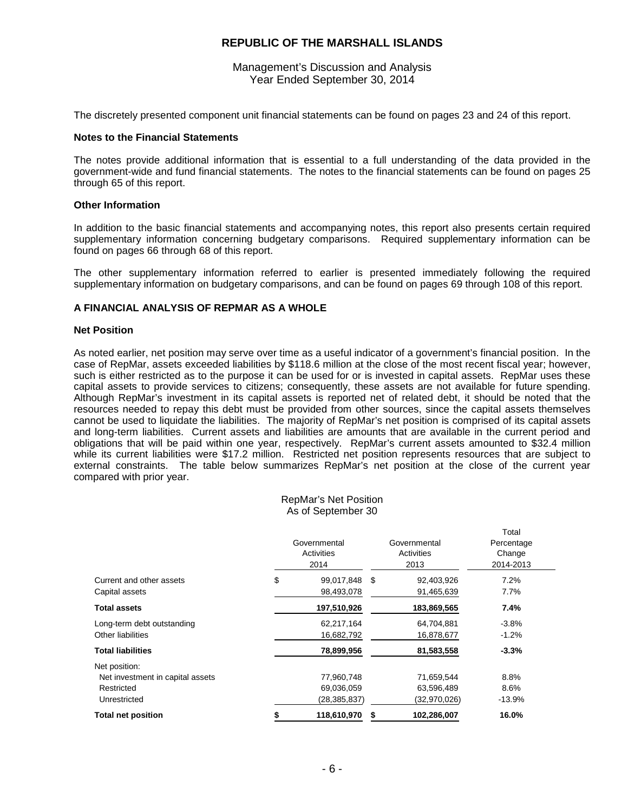Management's Discussion and Analysis Year Ended September 30, 2014

The discretely presented component unit financial statements can be found on pages 23 and 24 of this report.

#### **Notes to the Financial Statements**

The notes provide additional information that is essential to a full understanding of the data provided in the government-wide and fund financial statements. The notes to the financial statements can be found on pages 25 through 65 of this report.

#### **Other Information**

In addition to the basic financial statements and accompanying notes, this report also presents certain required supplementary information concerning budgetary comparisons. Required supplementary information can be found on pages 66 through 68 of this report.

The other supplementary information referred to earlier is presented immediately following the required supplementary information on budgetary comparisons, and can be found on pages 69 through 108 of this report.

### **A FINANCIAL ANALYSIS OF REPMAR AS A WHOLE**

#### **Net Position**

As noted earlier, net position may serve over time as a useful indicator of a government's financial position. In the case of RepMar, assets exceeded liabilities by \$118.6 million at the close of the most recent fiscal year; however, such is either restricted as to the purpose it can be used for or is invested in capital assets. RepMar uses these capital assets to provide services to citizens; consequently, these assets are not available for future spending. Although RepMar's investment in its capital assets is reported net of related debt, it should be noted that the resources needed to repay this debt must be provided from other sources, since the capital assets themselves cannot be used to liquidate the liabilities. The majority of RepMar's net position is comprised of its capital assets and long-term liabilities. Current assets and liabilities are amounts that are available in the current period and obligations that will be paid within one year, respectively. RepMar's current assets amounted to \$32.4 million while its current liabilities were \$17.2 million. Restricted net position represents resources that are subject to external constraints. The table below summarizes RepMar's net position at the close of the current year compared with prior year.

#### RepMar's Net Position As of September 30

|                                  | Governmental<br>Activities<br>2014 |    | Governmental<br>Activities<br>2013 | Total<br>Percentage<br>Change<br>2014-2013 |
|----------------------------------|------------------------------------|----|------------------------------------|--------------------------------------------|
| Current and other assets         | \$<br>99,017,848                   | S  | 92,403,926                         | 7.2%                                       |
| Capital assets                   | 98,493,078                         |    | 91,465,639                         | 7.7%                                       |
| <b>Total assets</b>              | 197,510,926                        |    | 183,869,565                        | 7.4%                                       |
| Long-term debt outstanding       | 62,217,164                         |    | 64,704,881                         | $-3.8\%$                                   |
| Other liabilities                | 16,682,792                         |    | 16,878,677                         | $-1.2%$                                    |
| <b>Total liabilities</b>         | 78,899,956                         |    | 81,583,558                         | $-3.3%$                                    |
| Net position:                    |                                    |    |                                    |                                            |
| Net investment in capital assets | 77,960,748                         |    | 71,659,544                         | 8.8%                                       |
| Restricted                       | 69,036,059                         |    | 63,596,489                         | 8.6%                                       |
| Unrestricted                     | (28, 385, 837)                     |    | (32,970,026)                       | $-13.9%$                                   |
| <b>Total net position</b>        | \$<br>118,610,970                  | \$ | 102,286,007                        | 16.0%                                      |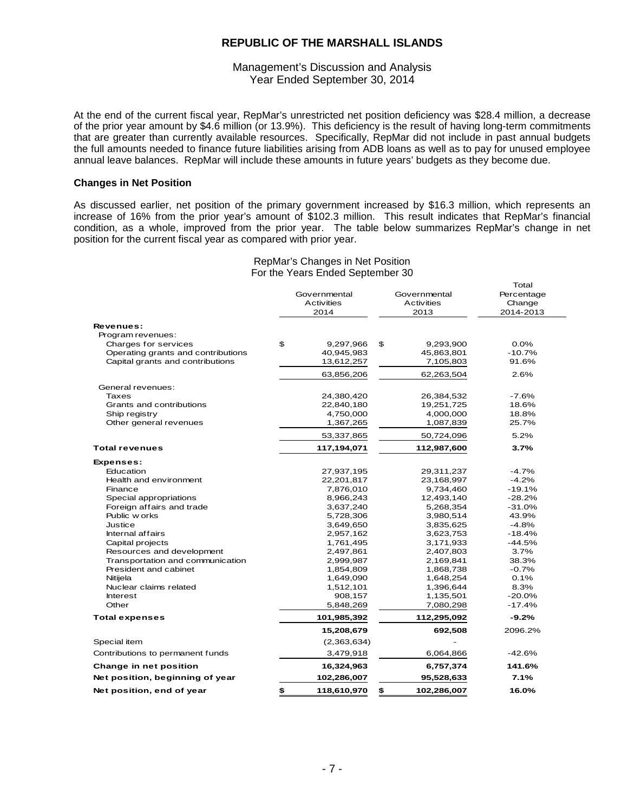### Management's Discussion and Analysis Year Ended September 30, 2014

At the end of the current fiscal year, RepMar's unrestricted net position deficiency was \$28.4 million, a decrease of the prior year amount by \$4.6 million (or 13.9%). This deficiency is the result of having long-term commitments that are greater than currently available resources. Specifically, RepMar did not include in past annual budgets the full amounts needed to finance future liabilities arising from ADB loans as well as to pay for unused employee annual leave balances. RepMar will include these amounts in future years' budgets as they become due.

#### **Changes in Net Position**

As discussed earlier, net position of the primary government increased by \$16.3 million, which represents an increase of 16% from the prior year's amount of \$102.3 million. This result indicates that RepMar's financial condition, as a whole, improved from the prior year. The table below summarizes RepMar's change in net position for the current fiscal year as compared with prior year.

### RepMar's Changes in Net Position For the Years Ended September 30

Total

|                                                                        | Governmental<br>Activities<br>2014 | Governmental<br><b>Activities</b><br>2013 | TULCH<br>Percentage<br>Change<br>2014-2013 |  |  |
|------------------------------------------------------------------------|------------------------------------|-------------------------------------------|--------------------------------------------|--|--|
| Revenues:                                                              |                                    |                                           |                                            |  |  |
| Program revenues:                                                      |                                    |                                           |                                            |  |  |
| Charges for services                                                   | \$<br>9,297,966                    | \$<br>9,293,900                           | 0.0%                                       |  |  |
| Operating grants and contributions<br>Capital grants and contributions | 40,945,983<br>13,612,257           | 45,863,801<br>7,105,803                   | -10.7%<br>91.6%                            |  |  |
|                                                                        |                                    |                                           |                                            |  |  |
|                                                                        | 63,856,206                         | 62,263,504                                | 2.6%                                       |  |  |
| General revenues:                                                      |                                    |                                           |                                            |  |  |
| Taxes                                                                  | 24,380,420                         | 26,384,532                                | $-7.6%$                                    |  |  |
| Grants and contributions                                               | 22,840,180                         | 19,251,725                                | 18.6%                                      |  |  |
| Ship registry                                                          | 4,750,000                          | 4,000,000                                 | 18.8%                                      |  |  |
| Other general revenues                                                 | 1,367,265                          | 1,087,839                                 | 25.7%                                      |  |  |
|                                                                        | 53,337,865                         | 50,724,096                                | 5.2%                                       |  |  |
| <b>Total revenues</b>                                                  | 117,194,071                        | 112,987,600                               | 3.7%                                       |  |  |
| Expenses:                                                              |                                    |                                           |                                            |  |  |
| Education                                                              | 27,937,195                         | 29,311,237                                | $-4.7%$                                    |  |  |
| Health and environment                                                 | 22,201,817                         | 23,168,997                                | $-4.2%$                                    |  |  |
| Finance                                                                | 7,876,010                          | 9,734,460                                 | $-19.1%$                                   |  |  |
| Special appropriations                                                 | 8,966,243                          | 12,493,140                                | $-28.2%$                                   |  |  |
| Foreign affairs and trade                                              | 3,637,240                          | 5,268,354                                 | $-31.0%$                                   |  |  |
| Public w orks                                                          | 5,728,306                          | 3,980,514                                 | 43.9%                                      |  |  |
| Justice                                                                | 3,649,650                          | 3,835,625                                 | $-4.8%$                                    |  |  |
| Internal affairs                                                       | 2,957,162                          | 3,623,753                                 | $-18.4%$                                   |  |  |
| Capital projects                                                       | 1,761,495                          | 3,171,933                                 | $-44.5%$                                   |  |  |
| Resources and development                                              | 2,497,861                          | 2,407,803                                 | 3.7%                                       |  |  |
| Transportation and communication                                       | 2,999,987                          | 2,169,841                                 | 38.3%                                      |  |  |
| President and cabinet                                                  | 1,854,809                          | 1,868,738                                 | $-0.7%$                                    |  |  |
| Nitijela                                                               | 1,649,090                          | 1,648,254                                 | 0.1%                                       |  |  |
| Nuclear claims related                                                 | 1,512,101                          | 1,396,644                                 | 8.3%                                       |  |  |
| <b>Interest</b><br>Other                                               | 908,157<br>5,848,269               | 1,135,501<br>7,080,298                    | $-20.0%$<br>$-17.4%$                       |  |  |
| Total expenses                                                         | 101,985,392                        | 112,295,092                               | $-9.2%$                                    |  |  |
|                                                                        | 15,208,679                         | 692,508                                   | 2096.2%                                    |  |  |
| Special item                                                           | (2,363,634)                        |                                           |                                            |  |  |
|                                                                        |                                    |                                           | $-42.6%$                                   |  |  |
| Contributions to permanent funds                                       | 3,479,918                          | 6,064,866                                 |                                            |  |  |
| Change in net position                                                 | 16,324,963                         | 6,757,374                                 | 141.6%                                     |  |  |
| Net position, beginning of year                                        | 102,286,007                        | 95,528,633                                | 7.1%                                       |  |  |
| Net position, end of year                                              | \$<br>118,610,970                  | \$<br>102,286,007                         | 16.0%                                      |  |  |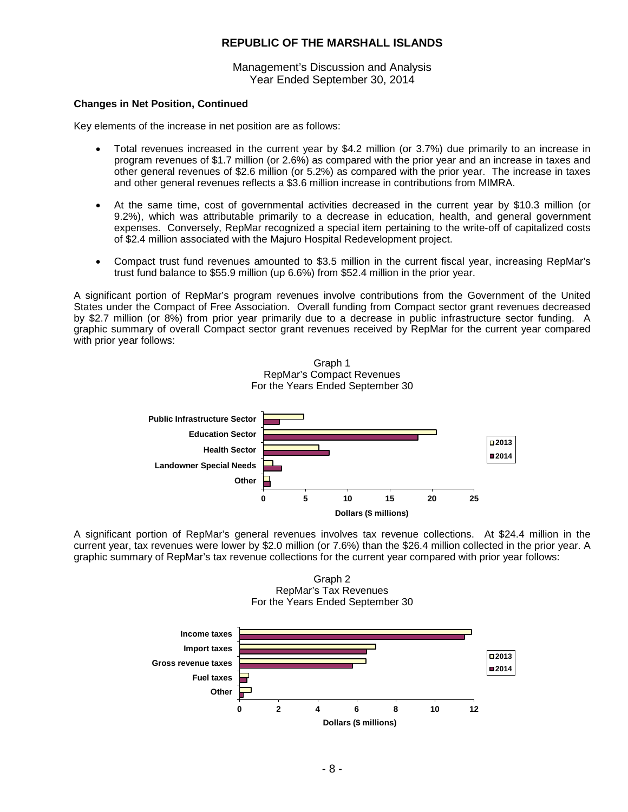Management's Discussion and Analysis Year Ended September 30, 2014

### **Changes in Net Position, Continued**

Key elements of the increase in net position are as follows:

- Total revenues increased in the current year by \$4.2 million (or 3.7%) due primarily to an increase in program revenues of \$1.7 million (or 2.6%) as compared with the prior year and an increase in taxes and other general revenues of \$2.6 million (or 5.2%) as compared with the prior year. The increase in taxes and other general revenues reflects a \$3.6 million increase in contributions from MIMRA.
- At the same time, cost of governmental activities decreased in the current year by \$10.3 million (or 9.2%), which was attributable primarily to a decrease in education, health, and general government expenses. Conversely, RepMar recognized a special item pertaining to the write-off of capitalized costs of \$2.4 million associated with the Majuro Hospital Redevelopment project.
- Compact trust fund revenues amounted to \$3.5 million in the current fiscal year, increasing RepMar's trust fund balance to \$55.9 million (up 6.6%) from \$52.4 million in the prior year.

A significant portion of RepMar's program revenues involve contributions from the Government of the United States under the Compact of Free Association. Overall funding from Compact sector grant revenues decreased by \$2.7 million (or 8%) from prior year primarily due to a decrease in public infrastructure sector funding. A graphic summary of overall Compact sector grant revenues received by RepMar for the current year compared with prior year follows:



A significant portion of RepMar's general revenues involves tax revenue collections. At \$24.4 million in the current year, tax revenues were lower by \$2.0 million (or 7.6%) than the \$26.4 million collected in the prior year. A graphic summary of RepMar's tax revenue collections for the current year compared with prior year follows:



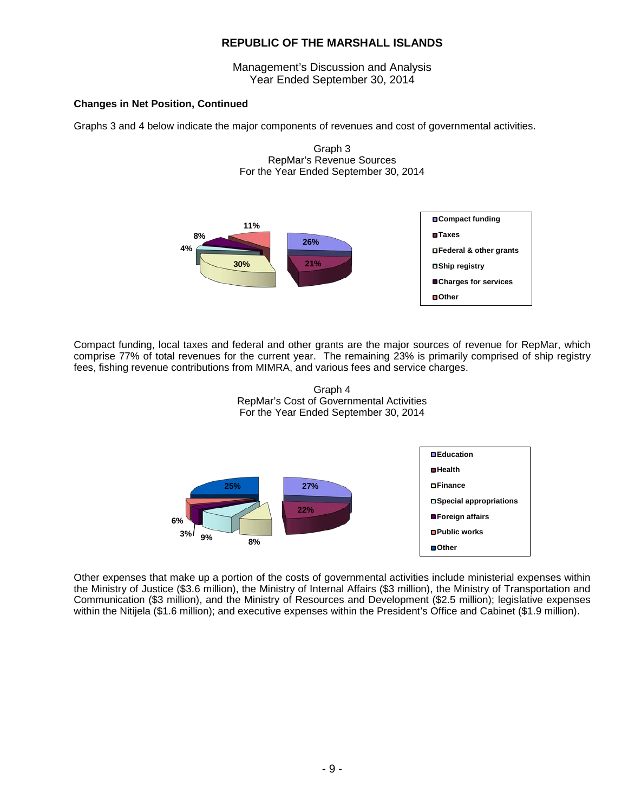Management's Discussion and Analysis Year Ended September 30, 2014

Graph 3 RepMar's Revenue Sources For the Year Ended September 30, 2014

### **Changes in Net Position, Continued**

Graphs 3 and 4 below indicate the major components of revenues and cost of governmental activities.



Compact funding, local taxes and federal and other grants are the major sources of revenue for RepMar, which comprise 77% of total revenues for the current year. The remaining 23% is primarily comprised of ship registry fees, fishing revenue contributions from MIMRA, and various fees and service charges.





Other expenses that make up a portion of the costs of governmental activities include ministerial expenses within the Ministry of Justice (\$3.6 million), the Ministry of Internal Affairs (\$3 million), the Ministry of Transportation and Communication (\$3 million), and the Ministry of Resources and Development (\$2.5 million); legislative expenses within the Nitijela (\$1.6 million); and executive expenses within the President's Office and Cabinet (\$1.9 million).

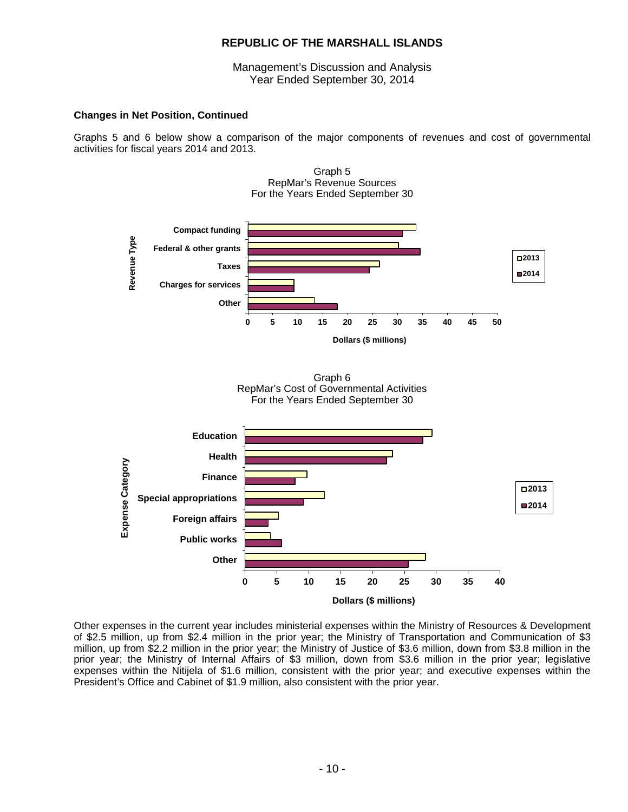Management's Discussion and Analysis Year Ended September 30, 2014

### **Changes in Net Position, Continued**

Graphs 5 and 6 below show a comparison of the major components of revenues and cost of governmental activities for fiscal years 2014 and 2013.



Graph 5 RepMar's Revenue Sources

Other expenses in the current year includes ministerial expenses within the Ministry of Resources & Development of \$2.5 million, up from \$2.4 million in the prior year; the Ministry of Transportation and Communication of \$3 million, up from \$2.2 million in the prior year; the Ministry of Justice of \$3.6 million, down from \$3.8 million in the prior year; the Ministry of Internal Affairs of \$3 million, down from \$3.6 million in the prior year; legislative expenses within the Nitijela of \$1.6 million, consistent with the prior year; and executive expenses within the President's Office and Cabinet of \$1.9 million, also consistent with the prior year.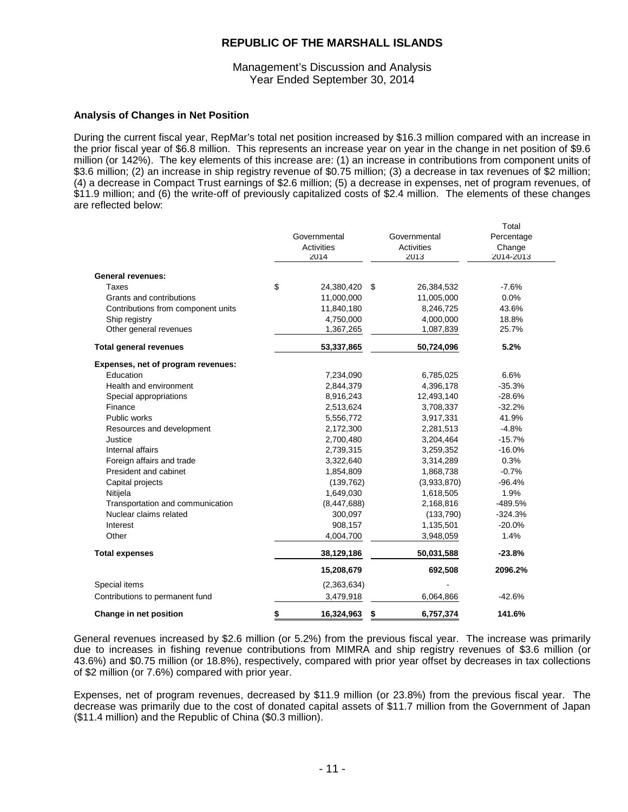### Management's Discussion and Analysis Year Ended September 30, 2014

### **Analysis of Changes in Net Position**

During the current fiscal year, RepMar's total net position increased by \$16.3 million compared with an increase in the prior fiscal year of \$6.8 million. This represents an increase year on year in the change in net position of \$9.6 million (or 142%). The key elements of this increase are: (1) an increase in contributions from component units of \$3.6 million; (2) an increase in ship registry revenue of \$0.75 million; (3) a decrease in tax revenues of \$2 million; (4) a decrease in Compact Trust earnings of \$2.6 million; (5) a decrease in expenses, net of program revenues, of  $$11.9$  million; and (6) the write-off of previously capitalized costs of \$2.4 million. The elements of these changes are reflected below:

|                                    | Governmental<br><b>Activities</b><br>2014 | Governmental<br>Activities<br>2013 | Total<br>Percentage<br>Change<br>2014-2013 |
|------------------------------------|-------------------------------------------|------------------------------------|--------------------------------------------|
| <b>General revenues:</b>           |                                           |                                    |                                            |
| Taxes                              | \$<br>24,380,420                          | \$<br>26,384,532                   | $-7.6%$                                    |
| Grants and contributions           | 11,000,000                                | 11,005,000                         | 0.0%                                       |
| Contributions from component units | 11,840,180                                | 8,246,725                          | 43.6%                                      |
| Ship registry                      | 4,750,000                                 | 4,000,000                          | 18.8%                                      |
| Other general revenues             | 1,367,265                                 | 1,087,839                          | 25.7%                                      |
| <b>Total general revenues</b>      | 53,337,865                                | 50,724,096                         | 5.2%                                       |
| Expenses, net of program revenues: |                                           |                                    |                                            |
| Education                          | 7,234,090                                 | 6,785,025                          | 6.6%                                       |
| Health and environment             | 2,844,379                                 | 4,396,178                          | $-35.3%$                                   |
| Special appropriations             | 8,916,243                                 | 12,493,140                         | $-28.6%$                                   |
| Finance                            | 2,513,624                                 | 3,708,337                          | $-32.2%$                                   |
| Public works                       | 5,556,772                                 | 3,917,331                          | 41.9%                                      |
| Resources and development          | 2,172,300                                 | 2,281,513                          | $-4.8%$                                    |
| Justice                            | 2,700,480                                 | 3,204,464                          | $-15.7%$                                   |
| Internal affairs                   | 2,739,315                                 | 3,259,352                          | $-16.0%$                                   |
| Foreign affairs and trade          | 3,322,640                                 | 3,314,289                          | 0.3%                                       |
| President and cabinet              | 1,854,809                                 | 1,868,738                          | $-0.7%$                                    |
| Capital projects                   | (139, 762)                                | (3,933,870)                        | $-96.4%$                                   |
| Nitijela                           | 1,649,030                                 | 1,618,505                          | 1.9%                                       |
| Transportation and communication   | (8,447,688)                               | 2,168,816                          | -489.5%                                    |
| Nuclear claims related             | 300,097                                   | (133,790)                          | $-324.3%$                                  |
| Interest                           | 908,157                                   | 1,135,501                          | $-20.0%$                                   |
| Other                              | 4,004,700                                 | 3,948,059                          | 1.4%                                       |
| <b>Total expenses</b>              | 38,129,186                                | 50,031,588                         | $-23.8%$                                   |
|                                    | 15,208,679                                | 692,508                            | 2096.2%                                    |
| Special items                      | (2,363,634)                               |                                    |                                            |
| Contributions to permanent fund    | 3,479,918                                 | 6,064,866                          | $-42.6%$                                   |
| Change in net position             | \$<br>16,324,963                          | \$<br>6,757,374                    | 141.6%                                     |

General revenues increased by \$2.6 million (or 5.2%) from the previous fiscal year. The increase was primarily due to increases in fishing revenue contributions from MIMRA and ship registry revenues of \$3.6 million (or 43.6%) and \$0.75 million (or 18.8%), respectively, compared with prior year offset by decreases in tax collections of \$2 million (or 7.6%) compared with prior year.

Expenses, net of program revenues, decreased by \$11.9 million (or 23.8%) from the previous fiscal year. The decrease was primarily due to the cost of donated capital assets of \$11.7 million from the Government of Japan (\$11.4 million) and the Republic of China (\$0.3 million).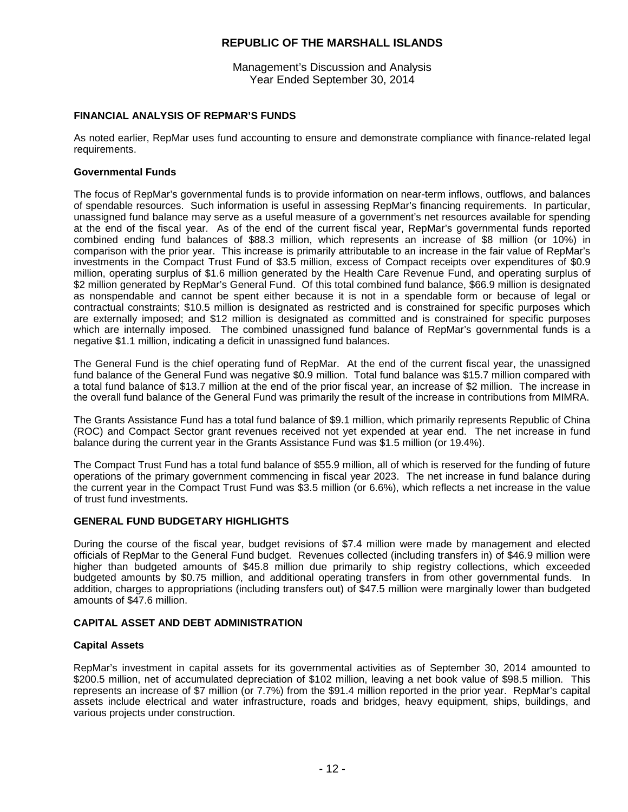Management's Discussion and Analysis Year Ended September 30, 2014

### **FINANCIAL ANALYSIS OF REPMAR'S FUNDS**

As noted earlier, RepMar uses fund accounting to ensure and demonstrate compliance with finance-related legal requirements.

### **Governmental Funds**

The focus of RepMar's governmental funds is to provide information on near-term inflows, outflows, and balances of spendable resources. Such information is useful in assessing RepMar's financing requirements. In particular, unassigned fund balance may serve as a useful measure of a government's net resources available for spending at the end of the fiscal year. As of the end of the current fiscal year, RepMar's governmental funds reported combined ending fund balances of \$88.3 million, which represents an increase of \$8 million (or 10%) in comparison with the prior year. This increase is primarily attributable to an increase in the fair value of RepMar's investments in the Compact Trust Fund of \$3.5 million, excess of Compact receipts over expenditures of \$0.9 million, operating surplus of \$1.6 million generated by the Health Care Revenue Fund, and operating surplus of \$2 million generated by RepMar's General Fund. Of this total combined fund balance, \$66.9 million is designated as nonspendable and cannot be spent either because it is not in a spendable form or because of legal or contractual constraints; \$10.5 million is designated as restricted and is constrained for specific purposes which are externally imposed; and \$12 million is designated as committed and is constrained for specific purposes which are internally imposed. The combined unassigned fund balance of RepMar's governmental funds is a negative \$1.1 million, indicating a deficit in unassigned fund balances.

The General Fund is the chief operating fund of RepMar. At the end of the current fiscal year, the unassigned fund balance of the General Fund was negative \$0.9 million. Total fund balance was \$15.7 million compared with a total fund balance of \$13.7 million at the end of the prior fiscal year, an increase of \$2 million. The increase in the overall fund balance of the General Fund was primarily the result of the increase in contributions from MIMRA.

The Grants Assistance Fund has a total fund balance of \$9.1 million, which primarily represents Republic of China (ROC) and Compact Sector grant revenues received not yet expended at year end. The net increase in fund balance during the current year in the Grants Assistance Fund was \$1.5 million (or 19.4%).

The Compact Trust Fund has a total fund balance of \$55.9 million, all of which is reserved for the funding of future operations of the primary government commencing in fiscal year 2023. The net increase in fund balance during the current year in the Compact Trust Fund was \$3.5 million (or 6.6%), which reflects a net increase in the value of trust fund investments.

# **GENERAL FUND BUDGETARY HIGHLIGHTS**

During the course of the fiscal year, budget revisions of \$7.4 million were made by management and elected officials of RepMar to the General Fund budget. Revenues collected (including transfers in) of \$46.9 million were higher than budgeted amounts of \$45.8 million due primarily to ship registry collections, which exceeded budgeted amounts by \$0.75 million, and additional operating transfers in from other governmental funds. In addition, charges to appropriations (including transfers out) of \$47.5 million were marginally lower than budgeted amounts of \$47.6 million.

# **CAPITAL ASSET AND DEBT ADMINISTRATION**

### **Capital Assets**

RepMar's investment in capital assets for its governmental activities as of September 30, 2014 amounted to \$200.5 million, net of accumulated depreciation of \$102 million, leaving a net book value of \$98.5 million. This represents an increase of \$7 million (or 7.7%) from the \$91.4 million reported in the prior year. RepMar's capital assets include electrical and water infrastructure, roads and bridges, heavy equipment, ships, buildings, and various projects under construction.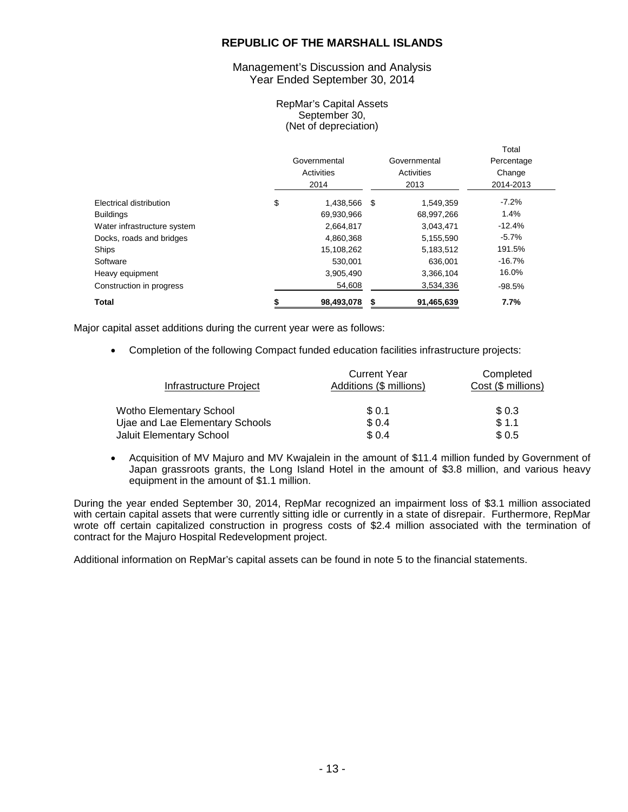### Management's Discussion and Analysis Year Ended September 30, 2014

#### RepMar's Capital Assets September 30, (Net of depreciation)

|                             |                 |      |              | Total      |  |
|-----------------------------|-----------------|------|--------------|------------|--|
|                             | Governmental    |      | Governmental | Percentage |  |
|                             | Activities      |      | Activities   | Change     |  |
|                             | 2014            |      | 2013         | 2014-2013  |  |
| Electrical distribution     | \$<br>1,438,566 | - \$ | 1,549,359    | $-7.2%$    |  |
| <b>Buildings</b>            | 69,930,966      |      | 68,997,266   | 1.4%       |  |
| Water infrastructure system | 2,664,817       |      | 3.043.471    | $-12.4%$   |  |
| Docks, roads and bridges    | 4,860,368       |      | 5,155,590    | $-5.7\%$   |  |
| Ships                       | 15,108,262      |      | 5,183,512    | 191.5%     |  |
| Software                    | 530.001         |      | 636.001      | -16.7%     |  |
| Heavy equipment             | 3,905,490       |      | 3,366,104    | 16.0%      |  |
| Construction in progress    | 54,608          |      | 3,534,336    | $-98.5%$   |  |
| <b>Total</b>                | 98,493,078      |      | 91,465,639   | 7.7%       |  |

Major capital asset additions during the current year were as follows:

• Completion of the following Compact funded education facilities infrastructure projects:

| Infrastructure Project          | <b>Current Year</b><br>Additions (\$ millions) | Completed<br>Cost (\$ millions) |
|---------------------------------|------------------------------------------------|---------------------------------|
| Wotho Elementary School         | \$0.1                                          | \$ 0.3                          |
| Ujae and Lae Elementary Schools | \$ 0.4                                         | \$1.1                           |
| Jaluit Elementary School        | \$ 0.4                                         | \$ 0.5                          |

• Acquisition of MV Majuro and MV Kwajalein in the amount of \$11.4 million funded by Government of Japan grassroots grants, the Long Island Hotel in the amount of \$3.8 million, and various heavy equipment in the amount of \$1.1 million.

During the year ended September 30, 2014, RepMar recognized an impairment loss of \$3.1 million associated with certain capital assets that were currently sitting idle or currently in a state of disrepair. Furthermore, RepMar wrote off certain capitalized construction in progress costs of \$2.4 million associated with the termination of contract for the Majuro Hospital Redevelopment project.

Additional information on RepMar's capital assets can be found in note 5 to the financial statements.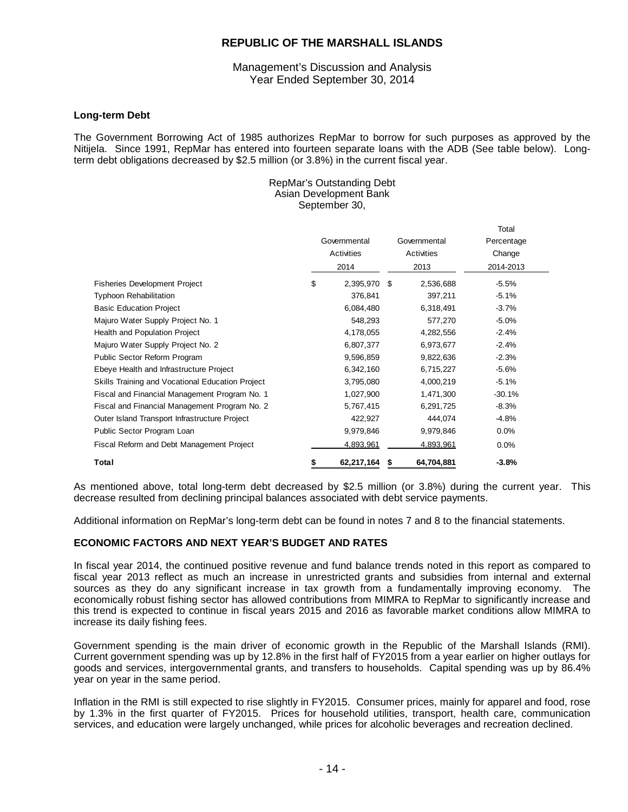### Management's Discussion and Analysis Year Ended September 30, 2014

### **Long-term Debt**

The Government Borrowing Act of 1985 authorizes RepMar to borrow for such purposes as approved by the Nitijela. Since 1991, RepMar has entered into fourteen separate loans with the ADB (See table below). Longterm debt obligations decreased by \$2.5 million (or 3.8%) in the current fiscal year.

#### RepMar's Outstanding Debt Asian Development Bank September 30,

|                                                  |                 |    |              | Total      |
|--------------------------------------------------|-----------------|----|--------------|------------|
|                                                  | Governmental    |    | Governmental | Percentage |
|                                                  | Activities      |    | Activities   | Change     |
|                                                  | 2014            |    | 2013         | 2014-2013  |
| <b>Fisheries Development Project</b>             | \$<br>2,395,970 | \$ | 2,536,688    | $-5.5%$    |
| <b>Typhoon Rehabilitation</b>                    | 376,841         |    | 397,211      | $-5.1%$    |
| <b>Basic Education Project</b>                   | 6,084,480       |    | 6,318,491    | $-3.7%$    |
| Majuro Water Supply Project No. 1                | 548,293         |    | 577,270      | $-5.0%$    |
| Health and Population Project                    | 4,178,055       |    | 4,282,556    | $-2.4%$    |
| Majuro Water Supply Project No. 2                | 6,807,377       |    | 6,973,677    | $-2.4%$    |
| Public Sector Reform Program                     | 9,596,859       |    | 9,822,636    | $-2.3%$    |
| Ebeye Health and Infrastructure Project          | 6,342,160       |    | 6,715,227    | $-5.6%$    |
| Skills Training and Vocational Education Project | 3,795,080       |    | 4,000,219    | $-5.1%$    |
| Fiscal and Financial Management Program No. 1    | 1,027,900       |    | 1,471,300    | $-30.1%$   |
| Fiscal and Financial Management Program No. 2    | 5,767,415       |    | 6,291,725    | $-8.3%$    |
| Outer Island Transport Infrastructure Project    | 422,927         |    | 444,074      | $-4.8%$    |
| Public Sector Program Loan                       | 9,979,846       |    | 9,979,846    | $0.0\%$    |
| Fiscal Reform and Debt Management Project        | 4,893,961       |    | 4,893,961    | 0.0%       |
| Total                                            | 62,217,164      |    | 64,704,881   | $-3.8%$    |

As mentioned above, total long-term debt decreased by \$2.5 million (or 3.8%) during the current year. This decrease resulted from declining principal balances associated with debt service payments.

Additional information on RepMar's long-term debt can be found in notes 7 and 8 to the financial statements.

### **ECONOMIC FACTORS AND NEXT YEAR'S BUDGET AND RATES**

In fiscal year 2014, the continued positive revenue and fund balance trends noted in this report as compared to fiscal year 2013 reflect as much an increase in unrestricted grants and subsidies from internal and external sources as they do any significant increase in tax growth from a fundamentally improving economy. The economically robust fishing sector has allowed contributions from MIMRA to RepMar to significantly increase and this trend is expected to continue in fiscal years 2015 and 2016 as favorable market conditions allow MIMRA to increase its daily fishing fees.

Government spending is the main driver of economic growth in the Republic of the Marshall Islands (RMI). Current government spending was up by 12.8% in the first half of FY2015 from a year earlier on higher outlays for goods and services, intergovernmental grants, and transfers to households. Capital spending was up by 86.4% year on year in the same period.

Inflation in the RMI is still expected to rise slightly in FY2015. Consumer prices, mainly for apparel and food, rose by 1.3% in the first quarter of FY2015. Prices for household utilities, transport, health care, communication services, and education were largely unchanged, while prices for alcoholic beverages and recreation declined.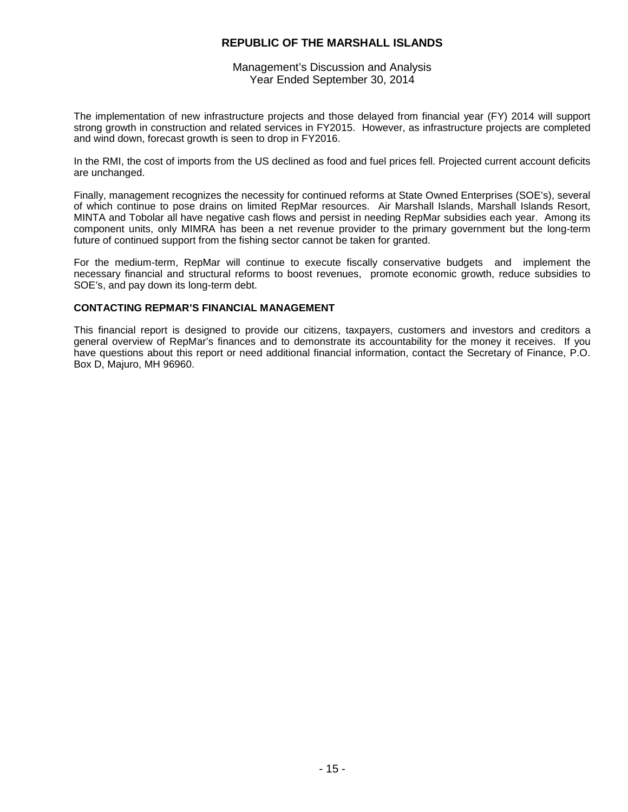Management's Discussion and Analysis Year Ended September 30, 2014

The implementation of new infrastructure projects and those delayed from financial year (FY) 2014 will support strong growth in construction and related services in FY2015. However, as infrastructure projects are completed and wind down, forecast growth is seen to drop in FY2016.

In the RMI, the cost of imports from the US declined as food and fuel prices fell. Projected current account deficits are unchanged.

Finally, management recognizes the necessity for continued reforms at State Owned Enterprises (SOE's), several of which continue to pose drains on limited RepMar resources. Air Marshall Islands, Marshall Islands Resort, MINTA and Tobolar all have negative cash flows and persist in needing RepMar subsidies each year. Among its component units, only MIMRA has been a net revenue provider to the primary government but the long-term future of continued support from the fishing sector cannot be taken for granted.

For the medium-term, RepMar will continue to execute fiscally conservative budgets and implement the necessary financial and structural reforms to boost revenues, promote economic growth, reduce subsidies to SOE's, and pay down its long-term debt.

### **CONTACTING REPMAR'S FINANCIAL MANAGEMENT**

This financial report is designed to provide our citizens, taxpayers, customers and investors and creditors a general overview of RepMar's finances and to demonstrate its accountability for the money it receives. If you have questions about this report or need additional financial information, contact the Secretary of Finance, P.O. Box D, Majuro, MH 96960.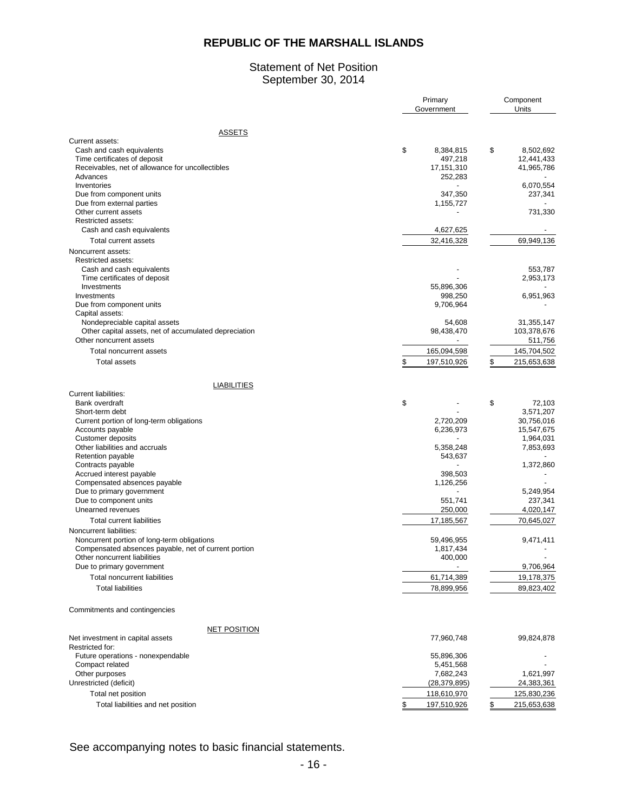# Statement of Net Position September 30, 2014

|                                                                                                                                  | Primary<br>Government                    | Component<br>Units                          |
|----------------------------------------------------------------------------------------------------------------------------------|------------------------------------------|---------------------------------------------|
| <b>ASSETS</b>                                                                                                                    |                                          |                                             |
| Current assets:<br>Cash and cash equivalents<br>Time certificates of deposit<br>Receivables, net of allowance for uncollectibles | \$<br>8,384,815<br>497,218<br>17,151,310 | \$<br>8,502,692<br>12,441,433<br>41,965,786 |
| Advances<br>Inventories<br>Due from component units<br>Due from external parties                                                 | 252,283<br>347,350<br>1,155,727          | 6,070,554<br>237,341                        |
| Other current assets<br>Restricted assets:<br>Cash and cash equivalents                                                          | 4,627,625                                | 731,330                                     |
| Total current assets<br>Noncurrent assets:                                                                                       | 32,416,328                               | 69,949,136                                  |
| Restricted assets:<br>Cash and cash equivalents<br>Time certificates of deposit<br>Investments                                   | 55,896,306                               | 553,787<br>2,953,173                        |
| Investments<br>Due from component units<br>Capital assets:                                                                       | 998,250<br>9,706,964                     | 6,951,963                                   |
| Nondepreciable capital assets<br>Other capital assets, net of accumulated depreciation<br>Other noncurrent assets                | 54,608<br>98,438,470                     | 31,355,147<br>103,378,676<br>511,756        |
| Total noncurrent assets<br><b>Total assets</b>                                                                                   | 165,094,598<br>\$<br>197,510,926         | 145,704,502<br>\$<br>215,653,638            |
| <b>LIABILITIES</b>                                                                                                               |                                          |                                             |
| <b>Current liabilities:</b><br>Bank overdraft<br>Short-term debt                                                                 | \$                                       | \$<br>72,103<br>3,571,207                   |
| Current portion of long-term obligations<br>Accounts payable                                                                     | 2,720,209<br>6,236,973                   | 30,756,016<br>15,547,675                    |
| Customer deposits<br>Other liabilities and accruals<br>Retention payable                                                         | 5,358,248<br>543,637                     | 1,964,031<br>7,853,693                      |
| Contracts payable<br>Accrued interest payable<br>Compensated absences payable<br>Due to primary government                       | 398,503<br>1,126,256                     | 1,372,860<br>5,249,954                      |
| Due to component units<br>Unearned revenues                                                                                      | 551,741<br>250,000                       | 237,341<br>4,020,147                        |
| <b>Total current liabilities</b><br>Noncurrent liabilities:<br>Noncurrent portion of long-term obligations                       | 17,185,567<br>59,496,955                 | 70,645,027<br>9,471,411                     |
| Compensated absences payable, net of current portion<br>Other noncurrent liabilities<br>Due to primary government                | 1,817,434<br>400,000                     | 9,706,964                                   |
| Total noncurrent liabilities<br><b>Total liabilities</b>                                                                         | 61,714,389<br>78,899,956                 | 19,178,375<br>89,823,402                    |
| Commitments and contingencies                                                                                                    |                                          |                                             |
| <b>NET POSITION</b>                                                                                                              |                                          |                                             |
| Net investment in capital assets<br>Restricted for:<br>Future operations - nonexpendable                                         | 77,960,748<br>55,896,306                 | 99,824,878                                  |
| Compact related<br>Other purposes<br>Unrestricted (deficit)                                                                      | 5,451,568<br>7,682,243<br>(28, 379, 895) | 1,621,997<br>24,383,361                     |
| Total net position<br>Total liabilities and net position                                                                         | 118,610,970<br>197,510,926<br>\$         | 125,830,236<br>215,653,638<br>\$            |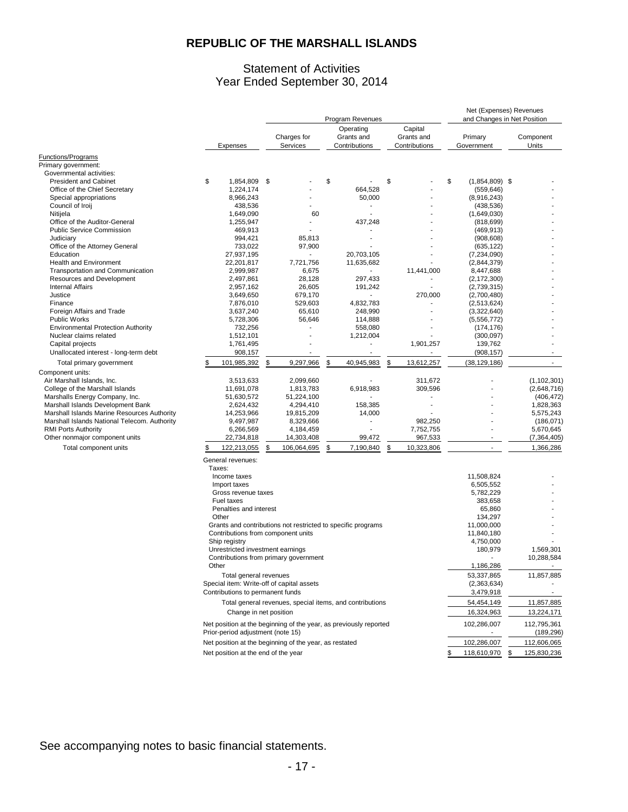# Statement of Activities Year Ended September 30, 2014

|                                                               |    |                                                     |    |                                                        | <b>Program Revenues</b>                                           |                                        | Net (Expenses) Revenues<br>and Changes in Net Position |                            |
|---------------------------------------------------------------|----|-----------------------------------------------------|----|--------------------------------------------------------|-------------------------------------------------------------------|----------------------------------------|--------------------------------------------------------|----------------------------|
|                                                               |    | Expenses                                            |    | Charges for<br>Services                                | Operating<br>Grants and<br>Contributions                          | Capital<br>Grants and<br>Contributions | Primary<br>Government                                  | Component<br>Units         |
| Functions/Programs                                            |    |                                                     |    |                                                        |                                                                   |                                        |                                                        |                            |
| Primary government:                                           |    |                                                     |    |                                                        |                                                                   |                                        |                                                        |                            |
| Governmental activities:                                      |    |                                                     |    |                                                        |                                                                   |                                        |                                                        |                            |
| <b>President and Cabinet</b>                                  | \$ | 1,854,809 \$                                        |    |                                                        | \$                                                                | \$                                     | \$<br>$(1,854,809)$ \$                                 |                            |
| Office of the Chief Secretary                                 |    | 1,224,174                                           |    |                                                        | 664,528                                                           |                                        | (559, 646)                                             |                            |
| Special appropriations                                        |    | 8,966,243                                           |    |                                                        | 50,000                                                            |                                        | (8,916,243)                                            |                            |
| Council of Iroij<br>Nitijela                                  |    | 438,536<br>1,649,090                                |    | 60                                                     |                                                                   |                                        | (438, 536)<br>(1,649,030)                              |                            |
| Office of the Auditor-General                                 |    | 1,255,947                                           |    |                                                        | 437,248                                                           |                                        | (818, 699)                                             |                            |
| <b>Public Service Commission</b>                              |    | 469,913                                             |    |                                                        |                                                                   |                                        | (469, 913)                                             |                            |
| Judiciary                                                     |    | 994,421                                             |    | 85,813                                                 |                                                                   |                                        | (908, 608)                                             |                            |
| Office of the Attorney General                                |    | 733,022                                             |    | 97,900                                                 |                                                                   |                                        | (635, 122)                                             |                            |
| Education                                                     |    | 27,937,195                                          |    |                                                        | 20,703,105                                                        |                                        | (7, 234, 090)                                          |                            |
| <b>Health and Environment</b>                                 |    | 22,201,817                                          |    | 7,721,756                                              | 11,635,682                                                        |                                        | (2,844,379)                                            |                            |
| Transportation and Communication<br>Resources and Development |    | 2,999,987<br>2,497,861                              |    | 6,675<br>28,128                                        | 297,433                                                           | 11,441,000                             | 8,447,688<br>(2, 172, 300)                             |                            |
| <b>Internal Affairs</b>                                       |    | 2,957,162                                           |    | 26,605                                                 | 191,242                                                           | $\overline{a}$                         | (2,739,315)                                            |                            |
| Justice                                                       |    | 3,649,650                                           |    | 679,170                                                |                                                                   | 270,000                                | (2,700,480)                                            |                            |
| Finance                                                       |    | 7,876,010                                           |    | 529,603                                                | 4,832,783                                                         |                                        | (2,513,624)                                            |                            |
| Foreign Affairs and Trade                                     |    | 3,637,240                                           |    | 65,610                                                 | 248,990                                                           |                                        | (3,322,640)                                            |                            |
| <b>Public Works</b>                                           |    | 5,728,306                                           |    | 56,646                                                 | 114.888                                                           |                                        | (5,556,772)                                            |                            |
| <b>Environmental Protection Authority</b>                     |    | 732,256                                             |    |                                                        | 558,080                                                           |                                        | (174, 176)                                             |                            |
| Nuclear claims related<br>Capital projects                    |    | 1,512,101<br>1,761,495                              |    |                                                        | 1,212,004                                                         | 1,901,257                              | (300, 097)<br>139,762                                  |                            |
| Unallocated interest - long-term debt                         |    | 908,157                                             |    |                                                        | $\blacksquare$                                                    | $\blacksquare$                         | (908, 157)                                             |                            |
| Total primary government                                      | S  | 101,985,392                                         | \$ | 9,297,966                                              | \$<br>40,945,983                                                  | \$<br>13,612,257                       | (38, 129, 186)                                         | $\mathbf{r}$               |
| Component units:                                              |    |                                                     |    |                                                        |                                                                   |                                        |                                                        |                            |
| Air Marshall Islands, Inc.                                    |    | 3,513,633                                           |    | 2,099,660                                              |                                                                   | 311,672                                |                                                        | (1, 102, 301)              |
| College of the Marshall Islands                               |    | 11,691,078                                          |    | 1,813,783                                              | 6,918,983                                                         | 309.596                                |                                                        | (2,648,716)                |
| Marshalls Energy Company, Inc.                                |    | 51,630,572                                          |    | 51,224,100                                             |                                                                   |                                        |                                                        | (406, 472)                 |
| Marshall Islands Development Bank                             |    | 2,624,432                                           |    | 4,294,410                                              | 158,385                                                           |                                        |                                                        | 1,828,363                  |
| Marshall Islands Marine Resources Authority                   |    | 14,253,966                                          |    | 19,815,209                                             | 14,000                                                            |                                        |                                                        | 5,575,243                  |
| Marshall Islands National Telecom. Authority                  |    | 9,497,987                                           |    | 8,329,666                                              |                                                                   | 982,250                                |                                                        | (186, 071)                 |
| <b>RMI Ports Authority</b><br>Other nonmajor component units  |    | 6,266,569<br>22,734,818                             |    | 4,184,459<br>14,303,408                                | 99,472                                                            | 7,752,755<br>967,533                   | $\overline{\phantom{a}}$                               | 5,670,645<br>(7, 364, 405) |
|                                                               |    |                                                     |    |                                                        |                                                                   |                                        | ÷,                                                     |                            |
| Total component units                                         |    | 122,213,055                                         | S  | 106,064,695                                            | \$<br>7,190,840                                                   | \$<br>10,323,806                       |                                                        | 1,366,286                  |
|                                                               |    | General revenues:                                   |    |                                                        |                                                                   |                                        |                                                        |                            |
|                                                               |    | Taxes:<br>Income taxes                              |    |                                                        |                                                                   |                                        | 11,508,824                                             |                            |
|                                                               |    | Import taxes                                        |    |                                                        |                                                                   |                                        | 6,505,552                                              |                            |
|                                                               |    | Gross revenue taxes                                 |    |                                                        |                                                                   |                                        | 5,782,229                                              |                            |
|                                                               |    | Fuel taxes                                          |    |                                                        |                                                                   |                                        | 383,658                                                |                            |
|                                                               |    | Penalties and interest                              |    |                                                        |                                                                   |                                        | 65,860                                                 |                            |
|                                                               |    | Other                                               |    |                                                        |                                                                   |                                        | 134,297                                                |                            |
|                                                               |    |                                                     |    |                                                        | Grants and contributions not restricted to specific programs      |                                        | 11,000,000                                             |                            |
|                                                               |    | Contributions from component units<br>Ship registry |    |                                                        |                                                                   |                                        | 11,840,180<br>4,750,000                                |                            |
|                                                               |    | Unrestricted investment earnings                    |    |                                                        |                                                                   |                                        | 180,979                                                | 1,569,301                  |
|                                                               |    |                                                     |    | Contributions from primary government                  |                                                                   |                                        |                                                        | 10,288,584                 |
|                                                               |    | Other                                               |    |                                                        |                                                                   |                                        | 1,186,286                                              |                            |
|                                                               |    | Total general revenues                              |    |                                                        |                                                                   |                                        | 53,337,865                                             | 11,857,885                 |
|                                                               |    | Special item: Write-off of capital assets           |    |                                                        |                                                                   |                                        | (2,363,634)                                            |                            |
|                                                               |    | Contributions to permanent funds                    |    |                                                        |                                                                   |                                        | 3,479,918                                              |                            |
|                                                               |    |                                                     |    |                                                        | Total general revenues, special items, and contributions          |                                        | 54,454,149                                             | 11,857,885                 |
|                                                               |    | Change in net position                              |    |                                                        |                                                                   |                                        | 16,324,963                                             | 13,224,171                 |
|                                                               |    |                                                     |    |                                                        | Net position at the beginning of the year, as previously reported |                                        | 102,286,007                                            | 112,795,361                |
|                                                               |    | Prior-period adjustment (note 15)                   |    |                                                        |                                                                   |                                        |                                                        | (189, 296)                 |
|                                                               |    |                                                     |    | Net position at the beginning of the year, as restated |                                                                   |                                        | 102,286,007                                            | 112,606,065                |
|                                                               |    | Net position at the end of the year                 |    |                                                        |                                                                   |                                        | \$<br>118,610,970                                      | \$<br>125,830,236          |
|                                                               |    |                                                     |    |                                                        |                                                                   |                                        |                                                        |                            |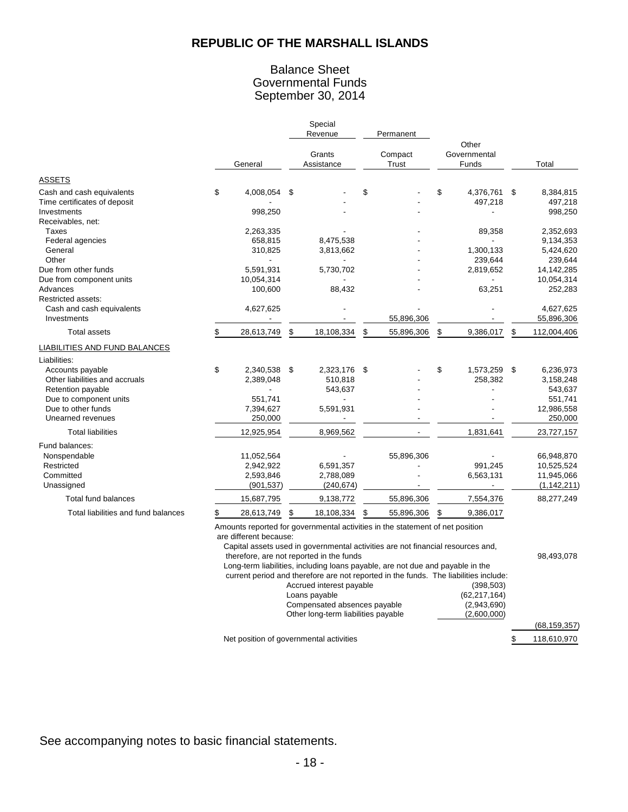# Balance Sheet Governmental Funds September 30, 2014

|                                              |                        |     | Special<br>Revenue                                                                                                                                                     | Permanent        |                       |                       |
|----------------------------------------------|------------------------|-----|------------------------------------------------------------------------------------------------------------------------------------------------------------------------|------------------|-----------------------|-----------------------|
|                                              |                        |     | Grants                                                                                                                                                                 | Compact          | Other<br>Governmental |                       |
|                                              | General                |     | Assistance                                                                                                                                                             | Trust            | Funds                 | Total                 |
| <u>ASSETS</u>                                |                        |     |                                                                                                                                                                        |                  |                       |                       |
| Cash and cash equivalents                    | \$<br>4,008,054        | -\$ |                                                                                                                                                                        | \$               | \$<br>4,376,761 \$    | 8,384,815             |
| Time certificates of deposit                 |                        |     |                                                                                                                                                                        |                  | 497,218               | 497,218               |
| Investments<br>Receivables, net:             | 998,250                |     |                                                                                                                                                                        |                  |                       | 998,250               |
| Taxes                                        | 2,263,335              |     |                                                                                                                                                                        |                  | 89,358                | 2,352,693             |
| Federal agencies                             | 658,815                |     | 8,475,538                                                                                                                                                              |                  |                       | 9,134,353             |
| General                                      | 310,825                |     | 3,813,662                                                                                                                                                              |                  | 1,300,133             | 5,424,620             |
| Other                                        |                        |     |                                                                                                                                                                        |                  | 239,644               | 239,644               |
| Due from other funds                         | 5,591,931              |     | 5,730,702                                                                                                                                                              |                  | 2,819,652             | 14,142,285            |
| Due from component units                     | 10,054,314             |     |                                                                                                                                                                        |                  |                       | 10,054,314            |
| Advances                                     | 100,600                |     | 88,432                                                                                                                                                                 |                  | 63,251                | 252,283               |
| Restricted assets:                           |                        |     |                                                                                                                                                                        |                  |                       |                       |
| Cash and cash equivalents                    | 4,627,625              |     |                                                                                                                                                                        |                  |                       | 4,627,625             |
| Investments                                  |                        |     |                                                                                                                                                                        | 55,896,306       |                       | 55,896,306            |
| <b>Total assets</b>                          | \$<br>28,613,749       | \$  | 18,108,334                                                                                                                                                             | \$<br>55,896,306 | \$<br>9,386,017       | \$<br>112,004,406     |
| LIABILITIES AND FUND BALANCES                |                        |     |                                                                                                                                                                        |                  |                       |                       |
| Liabilities:                                 |                        |     |                                                                                                                                                                        |                  |                       |                       |
| Accounts payable                             | \$<br>2,340,538        | -\$ | 2,323,176                                                                                                                                                              | \$               | \$<br>1,573,259 \$    | 6,236,973             |
| Other liabilities and accruals               | 2,389,048              |     | 510,818                                                                                                                                                                |                  | 258,382               | 3,158,248             |
| Retention payable                            |                        |     | 543,637                                                                                                                                                                |                  |                       | 543,637               |
| Due to component units<br>Due to other funds | 551,741                |     | 5,591,931                                                                                                                                                              |                  |                       | 551,741               |
| Unearned revenues                            | 7,394,627<br>250,000   |     |                                                                                                                                                                        |                  |                       | 12,986,558<br>250,000 |
| <b>Total liabilities</b>                     | 12,925,954             |     | 8,969,562                                                                                                                                                              |                  | 1,831,641             | 23,727,157            |
| Fund balances:                               |                        |     |                                                                                                                                                                        |                  |                       |                       |
| Nonspendable                                 | 11,052,564             |     |                                                                                                                                                                        | 55,896,306       |                       | 66,948,870            |
| Restricted                                   | 2,942,922              |     | 6,591,357                                                                                                                                                              |                  | 991,245               | 10,525,524            |
| Committed                                    | 2,593,846              |     | 2,788,089                                                                                                                                                              |                  | 6,563,131             | 11,945,066            |
| Unassigned                                   | (901, 537)             |     | (240, 674)                                                                                                                                                             |                  |                       | (1, 142, 211)         |
| Total fund balances                          | 15,687,795             |     | 9,138,772                                                                                                                                                              | 55,896,306       | 7,554,376             | 88,277,249            |
| Total liabilities and fund balances          | \$<br>28,613,749       | \$  | 18,108,334                                                                                                                                                             | \$<br>55,896,306 | \$<br>9,386,017       |                       |
|                                              |                        |     | Amounts reported for governmental activities in the statement of net position                                                                                          |                  |                       |                       |
|                                              | are different because: |     |                                                                                                                                                                        |                  |                       |                       |
|                                              |                        |     | Capital assets used in governmental activities are not financial resources and,                                                                                        |                  |                       |                       |
|                                              |                        |     | therefore, are not reported in the funds                                                                                                                               |                  |                       | 98,493,078            |
|                                              |                        |     | Long-term liabilities, including loans payable, are not due and payable in the<br>current period and therefore are not reported in the funds. The liabilities include: |                  |                       |                       |
|                                              |                        |     | Accrued interest payable                                                                                                                                               |                  | (398, 503)            |                       |
|                                              |                        |     | Loans payable                                                                                                                                                          |                  | (62, 217, 164)        |                       |
|                                              |                        |     | Compensated absences payable                                                                                                                                           |                  | (2,943,690)           |                       |
|                                              |                        |     | Other long-term liabilities payable                                                                                                                                    |                  | (2,600,000)           |                       |

Net position of governmental activities <br>
S
2018,610,970

(68,159,357)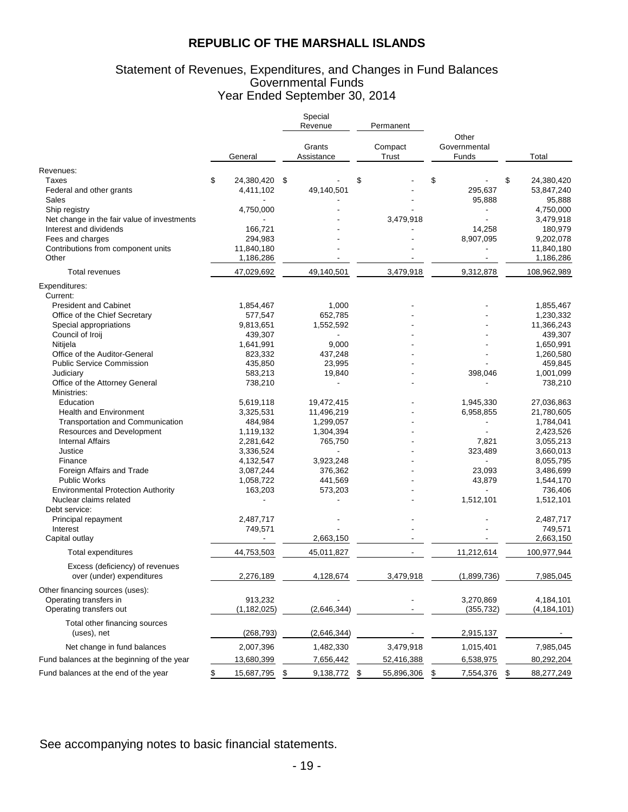# Statement of Revenues, Expenditures, and Changes in Fund Balances Governmental Funds Year Ended September 30, 2014

| Other<br>Grants<br>Compact<br>Governmental<br>General<br>Assistance<br>Trust<br>Funds<br>Total<br>Revenues:<br><b>Taxes</b><br>\$<br>24,380,420<br>\$<br>\$<br>\$<br>\$<br>295,637<br>Federal and other grants<br>4,411,102<br>49,140,501<br>Sales<br>95,888<br>95,888<br>4,750,000<br>4,750,000<br>Ship registry<br>Net change in the fair value of investments<br>3,479,918<br>3,479,918<br>Interest and dividends<br>166,721<br>180,979<br>14,258<br>Fees and charges<br>294,983<br>8,907,095<br>9,202,078<br>Contributions from component units<br>11,840,180<br>11,840,180<br>Other<br>1,186,286<br>47,029,692<br>3,479,918<br><b>Total revenues</b><br>49,140,501<br>9,312,878<br>Expenditures:<br>Current:<br><b>President and Cabinet</b><br>1,854,467<br>1,000<br>1,855,467<br>577,547<br>652,785<br>1,230,332<br>Office of the Chief Secretary<br>9,813,651<br>Special appropriations<br>1,552,592<br>11,366,243<br>Council of Iroij<br>439,307<br>439,307<br>Nitijela<br>1,641,991<br>9,000<br>Office of the Auditor-General<br>437,248<br>823,332<br><b>Public Service Commission</b><br>435,850<br>23,995<br>19,840<br>Judiciary<br>583,213<br>398,046<br>Office of the Attorney General<br>738,210<br>$\overline{\phantom{a}}$<br>Ministries:<br>Education<br>5,619,118<br>19,472,415<br>1,945,330<br><b>Health and Environment</b><br>11,496,219<br>6,958,855<br>3,325,531<br><b>Transportation and Communication</b><br>1,299,057<br>484,984<br>Resources and Development<br>1,119,132<br>1,304,394<br><b>Internal Affairs</b> |  |           | Special<br>Revenue | Permanent |       |                          |
|------------------------------------------------------------------------------------------------------------------------------------------------------------------------------------------------------------------------------------------------------------------------------------------------------------------------------------------------------------------------------------------------------------------------------------------------------------------------------------------------------------------------------------------------------------------------------------------------------------------------------------------------------------------------------------------------------------------------------------------------------------------------------------------------------------------------------------------------------------------------------------------------------------------------------------------------------------------------------------------------------------------------------------------------------------------------------------------------------------------------------------------------------------------------------------------------------------------------------------------------------------------------------------------------------------------------------------------------------------------------------------------------------------------------------------------------------------------------------------------------------------------------------------------------|--|-----------|--------------------|-----------|-------|--------------------------|
|                                                                                                                                                                                                                                                                                                                                                                                                                                                                                                                                                                                                                                                                                                                                                                                                                                                                                                                                                                                                                                                                                                                                                                                                                                                                                                                                                                                                                                                                                                                                                |  |           |                    |           |       |                          |
|                                                                                                                                                                                                                                                                                                                                                                                                                                                                                                                                                                                                                                                                                                                                                                                                                                                                                                                                                                                                                                                                                                                                                                                                                                                                                                                                                                                                                                                                                                                                                |  |           |                    |           |       |                          |
|                                                                                                                                                                                                                                                                                                                                                                                                                                                                                                                                                                                                                                                                                                                                                                                                                                                                                                                                                                                                                                                                                                                                                                                                                                                                                                                                                                                                                                                                                                                                                |  |           |                    |           |       | 24,380,420<br>53,847,240 |
|                                                                                                                                                                                                                                                                                                                                                                                                                                                                                                                                                                                                                                                                                                                                                                                                                                                                                                                                                                                                                                                                                                                                                                                                                                                                                                                                                                                                                                                                                                                                                |  |           |                    |           |       |                          |
|                                                                                                                                                                                                                                                                                                                                                                                                                                                                                                                                                                                                                                                                                                                                                                                                                                                                                                                                                                                                                                                                                                                                                                                                                                                                                                                                                                                                                                                                                                                                                |  |           |                    |           |       |                          |
|                                                                                                                                                                                                                                                                                                                                                                                                                                                                                                                                                                                                                                                                                                                                                                                                                                                                                                                                                                                                                                                                                                                                                                                                                                                                                                                                                                                                                                                                                                                                                |  |           |                    |           |       |                          |
|                                                                                                                                                                                                                                                                                                                                                                                                                                                                                                                                                                                                                                                                                                                                                                                                                                                                                                                                                                                                                                                                                                                                                                                                                                                                                                                                                                                                                                                                                                                                                |  |           |                    |           |       |                          |
|                                                                                                                                                                                                                                                                                                                                                                                                                                                                                                                                                                                                                                                                                                                                                                                                                                                                                                                                                                                                                                                                                                                                                                                                                                                                                                                                                                                                                                                                                                                                                |  |           |                    |           |       |                          |
|                                                                                                                                                                                                                                                                                                                                                                                                                                                                                                                                                                                                                                                                                                                                                                                                                                                                                                                                                                                                                                                                                                                                                                                                                                                                                                                                                                                                                                                                                                                                                |  |           |                    |           |       | 1,186,286                |
|                                                                                                                                                                                                                                                                                                                                                                                                                                                                                                                                                                                                                                                                                                                                                                                                                                                                                                                                                                                                                                                                                                                                                                                                                                                                                                                                                                                                                                                                                                                                                |  |           |                    |           |       | 108,962,989              |
|                                                                                                                                                                                                                                                                                                                                                                                                                                                                                                                                                                                                                                                                                                                                                                                                                                                                                                                                                                                                                                                                                                                                                                                                                                                                                                                                                                                                                                                                                                                                                |  |           |                    |           |       |                          |
|                                                                                                                                                                                                                                                                                                                                                                                                                                                                                                                                                                                                                                                                                                                                                                                                                                                                                                                                                                                                                                                                                                                                                                                                                                                                                                                                                                                                                                                                                                                                                |  |           |                    |           |       |                          |
|                                                                                                                                                                                                                                                                                                                                                                                                                                                                                                                                                                                                                                                                                                                                                                                                                                                                                                                                                                                                                                                                                                                                                                                                                                                                                                                                                                                                                                                                                                                                                |  |           |                    |           |       |                          |
|                                                                                                                                                                                                                                                                                                                                                                                                                                                                                                                                                                                                                                                                                                                                                                                                                                                                                                                                                                                                                                                                                                                                                                                                                                                                                                                                                                                                                                                                                                                                                |  |           |                    |           |       |                          |
|                                                                                                                                                                                                                                                                                                                                                                                                                                                                                                                                                                                                                                                                                                                                                                                                                                                                                                                                                                                                                                                                                                                                                                                                                                                                                                                                                                                                                                                                                                                                                |  |           |                    |           |       |                          |
|                                                                                                                                                                                                                                                                                                                                                                                                                                                                                                                                                                                                                                                                                                                                                                                                                                                                                                                                                                                                                                                                                                                                                                                                                                                                                                                                                                                                                                                                                                                                                |  |           |                    |           |       | 1,650,991                |
|                                                                                                                                                                                                                                                                                                                                                                                                                                                                                                                                                                                                                                                                                                                                                                                                                                                                                                                                                                                                                                                                                                                                                                                                                                                                                                                                                                                                                                                                                                                                                |  |           |                    |           |       | 1,260,580                |
|                                                                                                                                                                                                                                                                                                                                                                                                                                                                                                                                                                                                                                                                                                                                                                                                                                                                                                                                                                                                                                                                                                                                                                                                                                                                                                                                                                                                                                                                                                                                                |  |           |                    |           |       | 459,845                  |
|                                                                                                                                                                                                                                                                                                                                                                                                                                                                                                                                                                                                                                                                                                                                                                                                                                                                                                                                                                                                                                                                                                                                                                                                                                                                                                                                                                                                                                                                                                                                                |  |           |                    |           |       | 1,001,099                |
|                                                                                                                                                                                                                                                                                                                                                                                                                                                                                                                                                                                                                                                                                                                                                                                                                                                                                                                                                                                                                                                                                                                                                                                                                                                                                                                                                                                                                                                                                                                                                |  |           |                    |           |       | 738,210                  |
|                                                                                                                                                                                                                                                                                                                                                                                                                                                                                                                                                                                                                                                                                                                                                                                                                                                                                                                                                                                                                                                                                                                                                                                                                                                                                                                                                                                                                                                                                                                                                |  |           |                    |           |       | 27,036,863               |
|                                                                                                                                                                                                                                                                                                                                                                                                                                                                                                                                                                                                                                                                                                                                                                                                                                                                                                                                                                                                                                                                                                                                                                                                                                                                                                                                                                                                                                                                                                                                                |  |           |                    |           |       | 21,780,605               |
|                                                                                                                                                                                                                                                                                                                                                                                                                                                                                                                                                                                                                                                                                                                                                                                                                                                                                                                                                                                                                                                                                                                                                                                                                                                                                                                                                                                                                                                                                                                                                |  |           |                    |           |       | 1,784,041                |
|                                                                                                                                                                                                                                                                                                                                                                                                                                                                                                                                                                                                                                                                                                                                                                                                                                                                                                                                                                                                                                                                                                                                                                                                                                                                                                                                                                                                                                                                                                                                                |  |           |                    |           |       | 2,423,526                |
|                                                                                                                                                                                                                                                                                                                                                                                                                                                                                                                                                                                                                                                                                                                                                                                                                                                                                                                                                                                                                                                                                                                                                                                                                                                                                                                                                                                                                                                                                                                                                |  | 2,281,642 | 765,750            |           | 7,821 | 3,055,213                |
| 323,489<br>Justice<br>3,336,524                                                                                                                                                                                                                                                                                                                                                                                                                                                                                                                                                                                                                                                                                                                                                                                                                                                                                                                                                                                                                                                                                                                                                                                                                                                                                                                                                                                                                                                                                                                |  |           |                    |           |       | 3,660,013                |
| Finance<br>4,132,547<br>3,923,248                                                                                                                                                                                                                                                                                                                                                                                                                                                                                                                                                                                                                                                                                                                                                                                                                                                                                                                                                                                                                                                                                                                                                                                                                                                                                                                                                                                                                                                                                                              |  |           |                    |           |       | 8,055,795                |
| Foreign Affairs and Trade<br>23,093<br>3,087,244<br>376,362                                                                                                                                                                                                                                                                                                                                                                                                                                                                                                                                                                                                                                                                                                                                                                                                                                                                                                                                                                                                                                                                                                                                                                                                                                                                                                                                                                                                                                                                                    |  |           |                    |           |       | 3,486,699                |
| <b>Public Works</b><br>1,058,722<br>43,879<br>441,569                                                                                                                                                                                                                                                                                                                                                                                                                                                                                                                                                                                                                                                                                                                                                                                                                                                                                                                                                                                                                                                                                                                                                                                                                                                                                                                                                                                                                                                                                          |  |           |                    |           |       | 1,544,170                |
| <b>Environmental Protection Authority</b><br>163,203<br>573,203                                                                                                                                                                                                                                                                                                                                                                                                                                                                                                                                                                                                                                                                                                                                                                                                                                                                                                                                                                                                                                                                                                                                                                                                                                                                                                                                                                                                                                                                                |  |           |                    |           |       | 736,406                  |
| Nuclear claims related<br>1,512,101<br>Debt service:                                                                                                                                                                                                                                                                                                                                                                                                                                                                                                                                                                                                                                                                                                                                                                                                                                                                                                                                                                                                                                                                                                                                                                                                                                                                                                                                                                                                                                                                                           |  |           |                    |           |       | 1,512,101                |
| Principal repayment<br>2,487,717                                                                                                                                                                                                                                                                                                                                                                                                                                                                                                                                                                                                                                                                                                                                                                                                                                                                                                                                                                                                                                                                                                                                                                                                                                                                                                                                                                                                                                                                                                               |  |           |                    |           |       | 2,487,717                |
| Interest<br>749,571                                                                                                                                                                                                                                                                                                                                                                                                                                                                                                                                                                                                                                                                                                                                                                                                                                                                                                                                                                                                                                                                                                                                                                                                                                                                                                                                                                                                                                                                                                                            |  |           |                    |           |       | 749,571                  |
| Capital outlay<br>2,663,150                                                                                                                                                                                                                                                                                                                                                                                                                                                                                                                                                                                                                                                                                                                                                                                                                                                                                                                                                                                                                                                                                                                                                                                                                                                                                                                                                                                                                                                                                                                    |  |           |                    |           |       | 2,663,150                |
| 44,753,503<br>45,011,827<br>11,212,614<br><b>Total expenditures</b>                                                                                                                                                                                                                                                                                                                                                                                                                                                                                                                                                                                                                                                                                                                                                                                                                                                                                                                                                                                                                                                                                                                                                                                                                                                                                                                                                                                                                                                                            |  |           |                    |           |       | 100.977.944              |
| Excess (deficiency) of revenues<br>2,276,189<br>4,128,674<br>3,479,918<br>over (under) expenditures<br>(1,899,736)                                                                                                                                                                                                                                                                                                                                                                                                                                                                                                                                                                                                                                                                                                                                                                                                                                                                                                                                                                                                                                                                                                                                                                                                                                                                                                                                                                                                                             |  |           |                    |           |       | 7,985,045                |
| Other financing sources (uses):                                                                                                                                                                                                                                                                                                                                                                                                                                                                                                                                                                                                                                                                                                                                                                                                                                                                                                                                                                                                                                                                                                                                                                                                                                                                                                                                                                                                                                                                                                                |  |           |                    |           |       |                          |
| Operating transfers in<br>913,232<br>3,270,869                                                                                                                                                                                                                                                                                                                                                                                                                                                                                                                                                                                                                                                                                                                                                                                                                                                                                                                                                                                                                                                                                                                                                                                                                                                                                                                                                                                                                                                                                                 |  |           |                    |           |       | 4,184,101                |
| Operating transfers out<br>(2,646,344)<br>(1, 182, 025)<br>(355, 732)                                                                                                                                                                                                                                                                                                                                                                                                                                                                                                                                                                                                                                                                                                                                                                                                                                                                                                                                                                                                                                                                                                                                                                                                                                                                                                                                                                                                                                                                          |  |           |                    |           |       | (4, 184, 101)            |
| Total other financing sources<br>(uses), net<br>(268, 793)<br>(2,646,344)<br>2,915,137                                                                                                                                                                                                                                                                                                                                                                                                                                                                                                                                                                                                                                                                                                                                                                                                                                                                                                                                                                                                                                                                                                                                                                                                                                                                                                                                                                                                                                                         |  |           |                    |           |       |                          |
| Net change in fund balances<br>2,007,396<br>1,482,330<br>3,479,918<br>1,015,401                                                                                                                                                                                                                                                                                                                                                                                                                                                                                                                                                                                                                                                                                                                                                                                                                                                                                                                                                                                                                                                                                                                                                                                                                                                                                                                                                                                                                                                                |  |           |                    |           |       | 7,985,045                |
| Fund balances at the beginning of the year<br>13,680,399<br>7,656,442<br>52,416,388<br>6,538,975                                                                                                                                                                                                                                                                                                                                                                                                                                                                                                                                                                                                                                                                                                                                                                                                                                                                                                                                                                                                                                                                                                                                                                                                                                                                                                                                                                                                                                               |  |           |                    |           |       | 80,292,204               |
| Fund balances at the end of the year<br>\$<br>15,687,795<br>\$<br>9,138,772<br>\$<br>55,896,306<br>\$<br>7,554,376<br>\$                                                                                                                                                                                                                                                                                                                                                                                                                                                                                                                                                                                                                                                                                                                                                                                                                                                                                                                                                                                                                                                                                                                                                                                                                                                                                                                                                                                                                       |  |           |                    |           |       | 88,277,249               |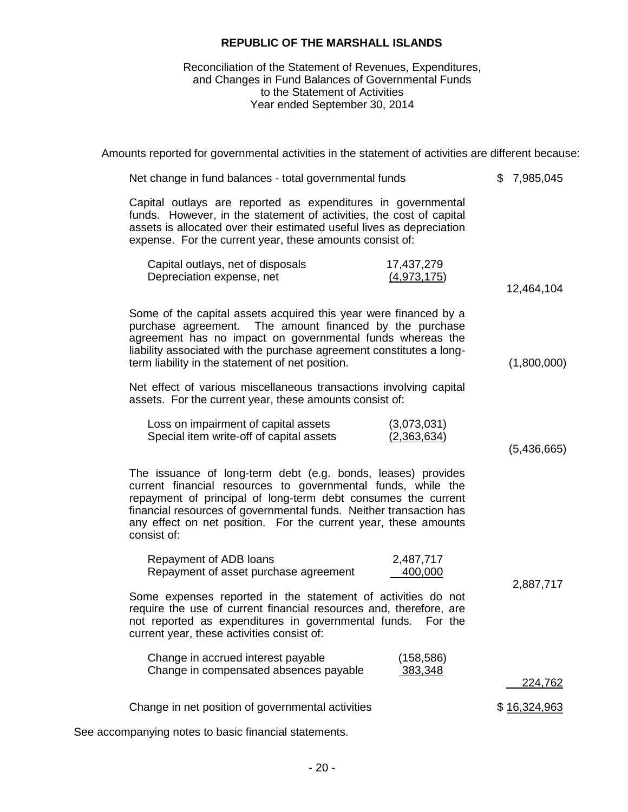### Reconciliation of the Statement of Revenues, Expenditures, and Changes in Fund Balances of Governmental Funds to the Statement of Activities Year ended September 30, 2014

Amounts reported for governmental activities in the statement of activities are different because:

| Net change in fund balances - total governmental funds                                                                                                                                                                                                                                                                                                | 7,985,045    |
|-------------------------------------------------------------------------------------------------------------------------------------------------------------------------------------------------------------------------------------------------------------------------------------------------------------------------------------------------------|--------------|
| Capital outlays are reported as expenditures in governmental<br>funds. However, in the statement of activities, the cost of capital<br>assets is allocated over their estimated useful lives as depreciation<br>expense. For the current year, these amounts consist of:                                                                              |              |
| Capital outlays, net of disposals<br>17,437,279<br>Depreciation expense, net<br>(4,973,175)                                                                                                                                                                                                                                                           | 12,464,104   |
| Some of the capital assets acquired this year were financed by a<br>purchase agreement. The amount financed by the purchase<br>agreement has no impact on governmental funds whereas the<br>liability associated with the purchase agreement constitutes a long-<br>term liability in the statement of net position.                                  | (1,800,000)  |
| Net effect of various miscellaneous transactions involving capital<br>assets. For the current year, these amounts consist of:                                                                                                                                                                                                                         |              |
| Loss on impairment of capital assets<br>(3,073,031)<br>Special item write-off of capital assets<br>(2,363,634)                                                                                                                                                                                                                                        | (5,436,665)  |
| The issuance of long-term debt (e.g. bonds, leases) provides<br>current financial resources to governmental funds, while the<br>repayment of principal of long-term debt consumes the current<br>financial resources of governmental funds. Neither transaction has<br>any effect on net position. For the current year, these amounts<br>consist of: |              |
| Repayment of ADB loans<br>2,487,717<br>Repayment of asset purchase agreement<br>400,000                                                                                                                                                                                                                                                               | 2,887,717    |
| Some expenses reported in the statement of activities do not<br>require the use of current financial resources and, therefore, are<br>not reported as expenditures in governmental funds.<br>For the<br>current year, these activities consist of:                                                                                                    |              |
| Change in accrued interest payable<br>(158, 586)<br>Change in compensated absences payable<br>383,348                                                                                                                                                                                                                                                 | 224,762      |
| Change in net position of governmental activities                                                                                                                                                                                                                                                                                                     | \$16,324,963 |
| See accompanying notes to basic financial statements.                                                                                                                                                                                                                                                                                                 |              |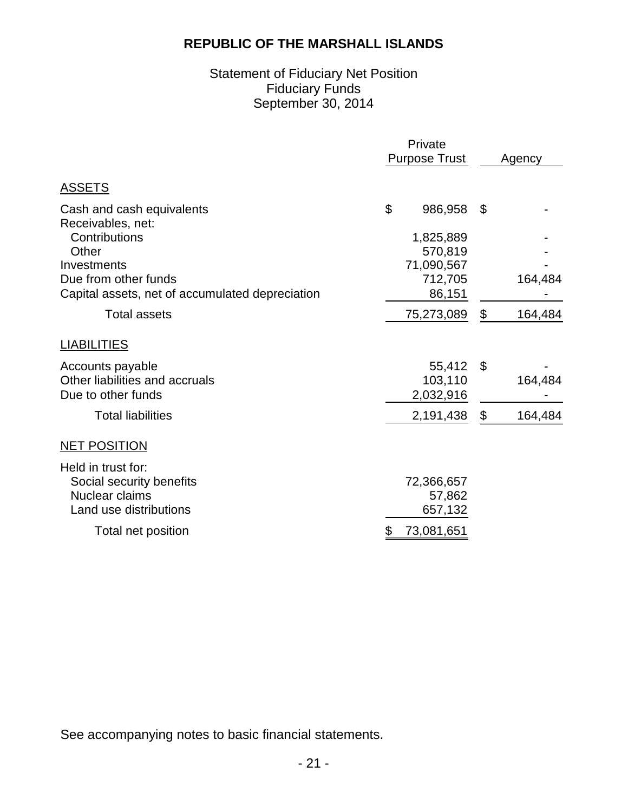# Statement of Fiduciary Net Position September 30, 2014 Fiduciary Funds

|                                                                                                                 | Private<br><b>Purpose Trust</b>                                | Agency        |  |
|-----------------------------------------------------------------------------------------------------------------|----------------------------------------------------------------|---------------|--|
| <u>ASSETS</u>                                                                                                   |                                                                |               |  |
| Cash and cash equivalents<br>Receivables, net:<br>Contributions<br>Other<br>Investments<br>Due from other funds | \$<br>986,958<br>1,825,889<br>570,819<br>71,090,567<br>712,705 | \$<br>164,484 |  |
| Capital assets, net of accumulated depreciation                                                                 | 86,151                                                         |               |  |
| <b>Total assets</b>                                                                                             | 75,273,089                                                     | \$<br>164,484 |  |
| <b>LIABILITIES</b>                                                                                              |                                                                |               |  |
| Accounts payable<br>Other liabilities and accruals<br>Due to other funds                                        | 55,412<br>103,110<br>2,032,916                                 | \$<br>164,484 |  |
| <b>Total liabilities</b>                                                                                        | 2,191,438                                                      | \$<br>164,484 |  |
| <b>NET POSITION</b>                                                                                             |                                                                |               |  |
| Held in trust for:<br>Social security benefits<br>Nuclear claims<br>Land use distributions                      | 72,366,657<br>57,862<br>657,132                                |               |  |
| Total net position                                                                                              | \$<br>73,081,651                                               |               |  |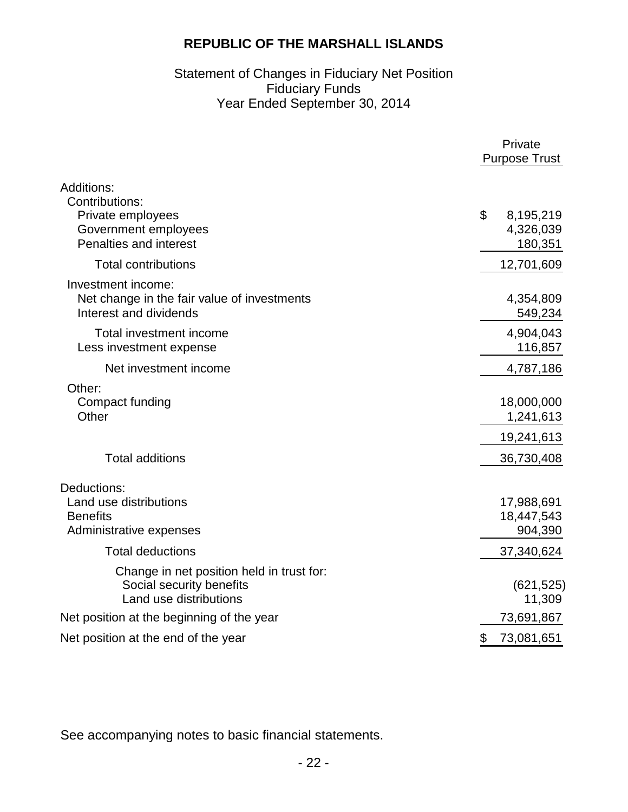# Statement of Changes in Fiduciary Net Position Fiduciary Funds Year Ended September 30, 2014

|                                             | Private<br><b>Purpose Trust</b> |
|---------------------------------------------|---------------------------------|
| <b>Additions:</b><br>Contributions:         |                                 |
| Private employees                           | \$<br>8,195,219                 |
| Government employees                        | 4,326,039                       |
| Penalties and interest                      | 180,351                         |
| <b>Total contributions</b>                  | 12,701,609                      |
| Investment income:                          |                                 |
| Net change in the fair value of investments | 4,354,809                       |
| Interest and dividends                      | 549,234                         |
| Total investment income                     | 4,904,043                       |
| Less investment expense                     | 116,857                         |
| Net investment income                       | 4,787,186                       |
| Other:                                      |                                 |
| Compact funding                             | 18,000,000                      |
| Other                                       | 1,241,613                       |
|                                             | 19,241,613                      |
| <b>Total additions</b>                      | 36,730,408                      |
| Deductions:                                 |                                 |
| Land use distributions                      | 17,988,691                      |
| <b>Benefits</b>                             | 18,447,543                      |
| Administrative expenses                     | 904,390                         |
| <b>Total deductions</b>                     | 37,340,624                      |
| Change in net position held in trust for:   |                                 |
| Social security benefits                    | (621, 525)                      |
| Land use distributions                      | 11,309                          |
| Net position at the beginning of the year   | 73,691,867                      |
| Net position at the end of the year         | \$<br>73,081,651                |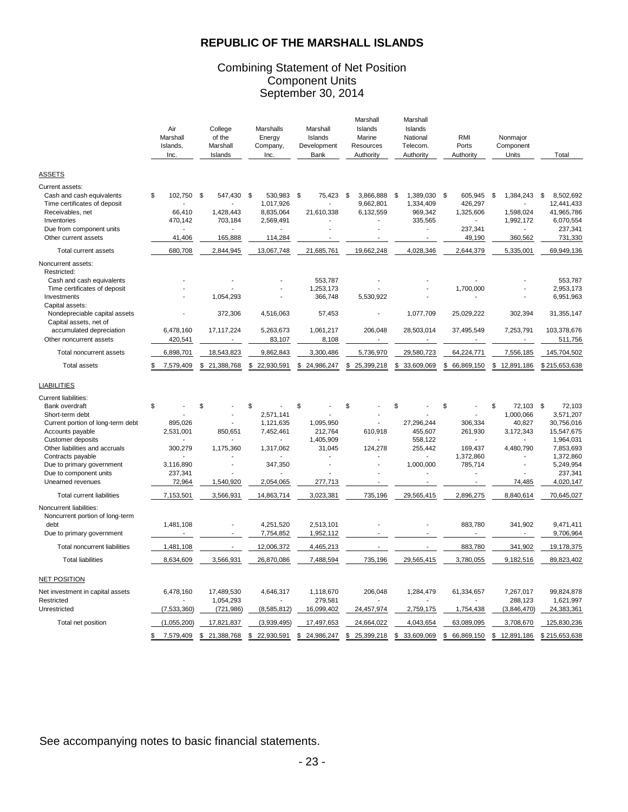# Combining Statement of Net Position Component Units September 30, 2014

|                                                                                                                                                                                                                                    | Air<br>Marshall<br>Islands,<br>Inc.                | College<br>of the<br>Marshall<br>Islands | Marshall<br>Marshall<br>Marshalls<br>Marshall<br>Islands<br>Islands<br>RMI<br>Energy<br>Islands<br>Marine<br>National<br>Nonmajor<br>Company,<br>Development<br>Telecom.<br>Ports<br>Component<br>Resources<br>Units<br>Inc.<br>Bank<br>Authority<br>Authority<br>Authority |                                                             |                                                                               | Total                                     |                                                                                  |                                                                              |    |                                                            |                                                                                                     |
|------------------------------------------------------------------------------------------------------------------------------------------------------------------------------------------------------------------------------------|----------------------------------------------------|------------------------------------------|-----------------------------------------------------------------------------------------------------------------------------------------------------------------------------------------------------------------------------------------------------------------------------|-------------------------------------------------------------|-------------------------------------------------------------------------------|-------------------------------------------|----------------------------------------------------------------------------------|------------------------------------------------------------------------------|----|------------------------------------------------------------|-----------------------------------------------------------------------------------------------------|
| <b>ASSETS</b>                                                                                                                                                                                                                      |                                                    |                                          |                                                                                                                                                                                                                                                                             |                                                             |                                                                               |                                           |                                                                                  |                                                                              |    |                                                            |                                                                                                     |
| Current assets:<br>Cash and cash equivalents<br>Time certificates of deposit<br>Receivables, net<br>Inventories<br>Due from component units                                                                                        | \$<br>102,750<br>66,410<br>470,142                 | \$<br>547,430<br>1,428,443<br>703,184    | - \$                                                                                                                                                                                                                                                                        | 530,983<br>1,017,926<br>8,835,064<br>2,569,491              | \$<br>75,423<br>21,610,338                                                    | \$<br>3,866,888<br>9,662,801<br>6,132,559 | \$<br>1,389,030<br>1,334,409<br>969,342<br>335,565                               | \$<br>605,945<br>426,297<br>1,325,606<br>$\overline{\phantom{a}}$<br>237,341 | \$ | 1,384,243<br>1,598,024<br>1,992,172                        | \$<br>8,502,692<br>12,441,433<br>41,965,786<br>6,070,554<br>237,341                                 |
| Other current assets                                                                                                                                                                                                               | 41,406                                             | 165,888                                  |                                                                                                                                                                                                                                                                             | 114,284                                                     |                                                                               |                                           | $\overline{\phantom{a}}$                                                         | 49,190                                                                       |    | 360,562                                                    | 731,330                                                                                             |
| Total current assets                                                                                                                                                                                                               | 680,708                                            | 2,844,945                                |                                                                                                                                                                                                                                                                             | 13,067,748                                                  | 21,685,761                                                                    | 19,662,248                                | 4,028,346                                                                        | 2,644,379                                                                    |    | 5,335,001                                                  | 69,949,136                                                                                          |
| Noncurrent assets:<br>Restricted:<br>Cash and cash equivalents<br>Time certificates of deposit<br>Investments<br>Capital assets:                                                                                                   |                                                    | 1,054,293                                |                                                                                                                                                                                                                                                                             |                                                             | 553.787<br>1,253,173<br>366,748                                               | 5,530,922                                 |                                                                                  | 1,700,000                                                                    |    |                                                            | 553.787<br>2,953,173<br>6,951,963                                                                   |
| Nondepreciable capital assets<br>Capital assets, net of<br>accumulated depreciation                                                                                                                                                | 6,478,160                                          | 372,306<br>17, 117, 224                  |                                                                                                                                                                                                                                                                             | 4,516,063<br>5,263,673                                      | 57,453<br>1,061,217                                                           | 206,048                                   | 1,077,709<br>28,503,014                                                          | 25,029,222<br>37,495,549                                                     |    | 302,394<br>7,253,791                                       | 31,355,147<br>103,378,676                                                                           |
| Other noncurrent assets                                                                                                                                                                                                            | 420,541                                            |                                          |                                                                                                                                                                                                                                                                             | 83,107                                                      | 8,108                                                                         |                                           |                                                                                  |                                                                              |    |                                                            | 511,756                                                                                             |
| Total noncurrent assets                                                                                                                                                                                                            | 6,898,701                                          | 18,543,823                               |                                                                                                                                                                                                                                                                             | 9,862,843                                                   | 3,300,486                                                                     | 5,736,970                                 | 29,580,723                                                                       | 64,224,771                                                                   |    | 7,556,185                                                  | 145,704,502                                                                                         |
| Total assets                                                                                                                                                                                                                       | \$<br>7,579,409                                    | \$21,388,768                             |                                                                                                                                                                                                                                                                             | \$22,930,591                                                | \$24,986,247                                                                  | \$25,399,218                              | \$ 33,609,069                                                                    | \$<br>66,869,150                                                             |    | \$12,891,186                                               | \$215,653,638                                                                                       |
| <b>LIABILITIES</b>                                                                                                                                                                                                                 |                                                    |                                          |                                                                                                                                                                                                                                                                             |                                                             |                                                                               |                                           |                                                                                  |                                                                              |    |                                                            |                                                                                                     |
| <b>Current liabilities:</b><br>Bank overdraft<br>Short-term debt<br>Current portion of long-term debt<br>Accounts payable<br>Customer deposits<br>Other liabilities and accruals<br>Contracts payable<br>Due to primary government | \$<br>895,026<br>2,531,001<br>300,279<br>3,116,890 | \$<br>850,651<br>1,175,360               | \$                                                                                                                                                                                                                                                                          | 2,571,141<br>1,121,635<br>7,452,461<br>1,317,062<br>347,350 | \$<br>1,095,950<br>212,764<br>1,405,909<br>31,045<br>$\overline{\phantom{a}}$ | \$<br>610,918<br>124,278                  | \$<br>27,296,244<br>455,607<br>558,122<br>255,442<br>$\overline{a}$<br>1,000,000 | \$<br>306,334<br>261,930<br>169,437<br>1,372,860<br>785,714                  | \$ | 72,103 \$<br>1,000,066<br>40,827<br>3,172,343<br>4,480,790 | 72,103<br>3,571,207<br>30,756,016<br>15,547,675<br>1,964,031<br>7,853,693<br>1,372,860<br>5,249,954 |
| Due to component units                                                                                                                                                                                                             | 237,341                                            |                                          |                                                                                                                                                                                                                                                                             |                                                             |                                                                               |                                           |                                                                                  |                                                                              |    |                                                            | 237,341                                                                                             |
| Unearned revenues                                                                                                                                                                                                                  | 72,964                                             | 1,540,920                                |                                                                                                                                                                                                                                                                             | 2,054,065                                                   | 277,713                                                                       |                                           |                                                                                  |                                                                              |    | 74,485                                                     | 4,020,147                                                                                           |
| Total current liabilities<br>Noncurrent liabilities:<br>Noncurrent portion of long-term<br>debt                                                                                                                                    | 7,153,501<br>1,481,108                             | 3,566,931                                |                                                                                                                                                                                                                                                                             | 14,863,714<br>4,251,520                                     | 3,023,381<br>2,513,101                                                        | 735,196                                   | 29,565,415                                                                       | 2,896,275<br>883,780                                                         |    | 8,840,614<br>341,902                                       | 70,645,027<br>9,471,411                                                                             |
| Due to primary government                                                                                                                                                                                                          |                                                    | ÷,                                       |                                                                                                                                                                                                                                                                             | 7,754,852                                                   | 1,952,112                                                                     |                                           |                                                                                  | $\overline{\phantom{a}}$                                                     |    | $\overline{\phantom{a}}$                                   | 9,706,964                                                                                           |
| <b>Total noncurrent liabilities</b>                                                                                                                                                                                                | 1,481,108                                          | $\blacksquare$                           |                                                                                                                                                                                                                                                                             | 12,006,372                                                  | 4,465,213                                                                     | $\overline{\phantom{a}}$                  | $\blacksquare$                                                                   | 883,780                                                                      |    | 341,902                                                    | 19,178,375                                                                                          |
| <b>Total liabilities</b>                                                                                                                                                                                                           | 8,634,609                                          | 3,566,931                                |                                                                                                                                                                                                                                                                             | 26,870,086                                                  | 7,488,594                                                                     | 735,196                                   | 29,565,415                                                                       | 3,780,055                                                                    |    | 9,182,516                                                  | 89,823,402                                                                                          |
| <b>NET POSITION</b>                                                                                                                                                                                                                |                                                    |                                          |                                                                                                                                                                                                                                                                             |                                                             |                                                                               |                                           |                                                                                  |                                                                              |    |                                                            |                                                                                                     |
| Net investment in capital assets<br>Restricted<br>Unrestricted                                                                                                                                                                     | 6,478,160<br>(7,533,360)                           | 17,489,530<br>1,054,293<br>(721, 986)    |                                                                                                                                                                                                                                                                             | 4,646,317<br>(8, 585, 812)                                  | 1,118,670<br>279,581<br>16,099,402                                            | 206,048<br>24,457,974                     | 1,284,479<br>2,759,175                                                           | 61,334,657<br>1,754,438                                                      |    | 7,267,017<br>288,123<br>(3,846,470)                        | 99,824,878<br>1,621,997<br>24,383,361                                                               |
| Total net position                                                                                                                                                                                                                 | (1,055,200)                                        | 17,821,837                               |                                                                                                                                                                                                                                                                             | (3,939,495)                                                 | 17,497,653                                                                    | 24,664,022                                | 4,043,654                                                                        | 63,089,095                                                                   |    | 3,708,670                                                  | 125,830,236                                                                                         |
|                                                                                                                                                                                                                                    | \$<br>7,579,409                                    | \$<br>21,388,768                         | \$                                                                                                                                                                                                                                                                          | 22,930,591                                                  | \$<br>24,986,247                                                              | \$<br>25,399,218                          | \$<br>33,609,069                                                                 | \$<br>66,869,150                                                             | \$ | 12,891,186                                                 | \$215,653,638                                                                                       |
|                                                                                                                                                                                                                                    |                                                    |                                          |                                                                                                                                                                                                                                                                             |                                                             |                                                                               |                                           |                                                                                  |                                                                              |    |                                                            |                                                                                                     |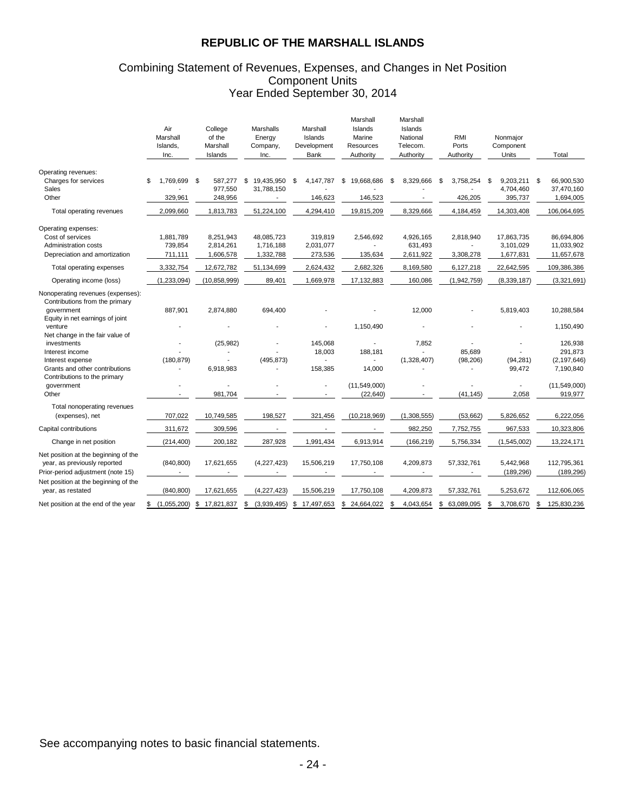# Combining Statement of Revenues, Expenses, and Changes in Net Position Component Units Year Ended September 30, 2014

|                                                                                                                                                                        | Air<br>Marshall<br>Islands,<br>Inc. | College<br>of the<br>Marshall<br>Islands | Marshalls<br>Energy<br>Company,<br>Inc.                    | Marshall<br>Islands<br>Development<br><b>Bank</b> | Marshall<br>Islands<br>Marine<br>Resources<br>Authority | Marshall<br>Islands<br>National<br>Telecom.<br>Authority | RMI<br>Ports<br>Authority        | Nonmajor<br>Component<br>Units          | Total                                                                       |
|------------------------------------------------------------------------------------------------------------------------------------------------------------------------|-------------------------------------|------------------------------------------|------------------------------------------------------------|---------------------------------------------------|---------------------------------------------------------|----------------------------------------------------------|----------------------------------|-----------------------------------------|-----------------------------------------------------------------------------|
| Operating revenues:<br>Charges for services<br>Sales<br>Other                                                                                                          | 1,769,699<br>\$<br>329,961          | 587,277<br>- \$<br>977,550<br>248,956    | \$<br>19,435,950<br>31,788,150<br>$\overline{\phantom{a}}$ | \$<br>4,147,787<br>146,623                        | S<br>19,668,686<br>146,523                              | 8,329,666<br>\$.<br>$\overline{\phantom{a}}$             | 3,758,254<br>\$<br>426,205       | 9,203,211<br>\$<br>4,704,460<br>395,737 | 66,900,530<br>- \$<br>37,470,160<br>1,694,005                               |
| Total operating revenues                                                                                                                                               | 2,099,660                           | 1,813,783                                | 51,224,100                                                 | 4,294,410                                         | 19,815,209                                              | 8,329,666                                                | 4,184,459                        | 14,303,408                              | 106,064,695                                                                 |
| Operating expenses:<br>Cost of services<br>Administration costs<br>Depreciation and amortization                                                                       | 1,881,789<br>739.854<br>711,111     | 8,251,943<br>2,814,261<br>1,606,578      | 48,085,723<br>1,716,188<br>1,332,788                       | 319,819<br>2,031,077<br>273,536                   | 2,546,692<br>135,634                                    | 4,926,165<br>631,493<br>2,611,922                        | 2,818,940<br>3,308,278           | 17,863,735<br>3,101,029<br>1,677,831    | 86,694,806<br>11,033,902<br>11,657,678                                      |
| Total operating expenses                                                                                                                                               | 3,332,754                           | 12,672,782                               | 51,134,699                                                 | 2,624,432                                         | 2,682,326                                               | 8,169,580                                                | 6,127,218                        | 22,642,595                              | 109,386,386                                                                 |
| Operating income (loss)                                                                                                                                                | (1, 233, 094)                       | (10, 858, 999)                           | 89,401                                                     | 1,669,978                                         | 17,132,883                                              | 160,086                                                  | (1,942,759)                      | (8,339,187)                             | (3,321,691)                                                                 |
| Nonoperating revenues (expenses):<br>Contributions from the primary<br>qovernment<br>Equity in net earnings of joint<br>venture<br>Net change in the fair value of     | 887,901                             | 2,874,880                                | 694,400                                                    |                                                   | 1,150,490                                               | 12,000                                                   |                                  | 5,819,403                               | 10,288,584<br>1,150,490                                                     |
| investments<br>Interest income<br>Interest expense<br>Grants and other contributions<br>Contributions to the primary<br>government<br>Other                            | (180, 879)                          | (25, 982)<br>6,918,983<br>981,704        | (495, 873)                                                 | 145,068<br>18,003<br>$\overline{a}$<br>158,385    | 188,181<br>14,000<br>(11,549,000)<br>(22, 640)          | 7,852<br>(1,328,407)                                     | 85,689<br>(98, 206)<br>(41, 145) | (94, 281)<br>99,472<br>2,058            | 126,938<br>291,873<br>(2, 197, 646)<br>7,190,840<br>(11,549,000)<br>919,977 |
| Total nonoperating revenues<br>(expenses), net                                                                                                                         | 707,022                             | 10,749,585                               | 198,527                                                    | 321,456                                           | (10, 218, 969)                                          | (1,308,555)                                              | (53, 662)                        | 5,826,652                               | 6,222,056                                                                   |
| Capital contributions                                                                                                                                                  | 311,672                             | 309,596                                  |                                                            |                                                   |                                                         | 982,250                                                  | 7,752,755                        | 967,533                                 | 10,323,806                                                                  |
| Change in net position                                                                                                                                                 | (214, 400)                          | 200,182                                  | 287,928                                                    | 1,991,434                                         | 6,913,914                                               | (166, 219)                                               | 5,756,334                        | (1,545,002)                             | 13,224,171                                                                  |
| Net position at the beginning of the<br>year, as previously reported<br>Prior-period adjustment (note 15)<br>Net position at the beginning of the<br>year, as restated | (840, 800)<br>(840, 800)            | 17,621,655<br>17,621,655                 | (4,227,423)<br>(4,227,423)                                 | 15,506,219<br>15,506,219                          | 17,750,108<br>17,750,108                                | 4,209,873<br>$\overline{\phantom{a}}$<br>4,209,873       | 57,332,761<br>57,332,761         | 5,442,968<br>(189, 296)<br>5,253,672    | 112,795,361<br>(189, 296)<br>112,606,065                                    |
| Net position at the end of the year                                                                                                                                    | (1,055,200)<br>\$                   | \$17,821,837                             | (3,939,495)<br>\$                                          | \$17,497,653                                      | \$<br>24,664,022                                        | 4,043,654<br>\$                                          | \$ 63,089,095                    | 3,708,670<br>\$                         | 125,830,236<br>S                                                            |
|                                                                                                                                                                        |                                     |                                          |                                                            |                                                   |                                                         |                                                          |                                  |                                         |                                                                             |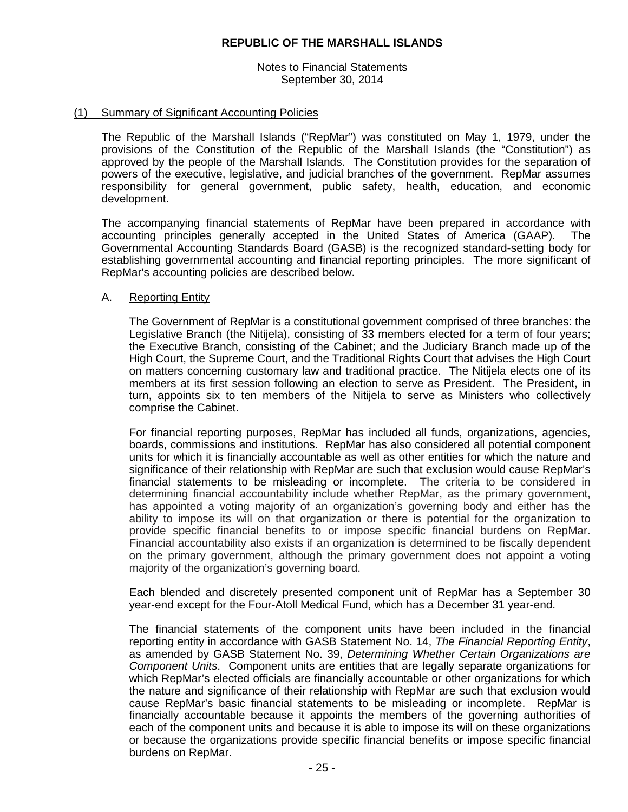Notes to Financial Statements September 30, 2014

### (1) Summary of Significant Accounting Policies

The Republic of the Marshall Islands ("RepMar") was constituted on May 1, 1979, under the provisions of the Constitution of the Republic of the Marshall Islands (the "Constitution") as approved by the people of the Marshall Islands. The Constitution provides for the separation of powers of the executive, legislative, and judicial branches of the government. RepMar assumes responsibility for general government, public safety, health, education, and economic development.

The accompanying financial statements of RepMar have been prepared in accordance with accounting principles generally accepted in the United States of America (GAAP). The Governmental Accounting Standards Board (GASB) is the recognized standard-setting body for establishing governmental accounting and financial reporting principles. The more significant of RepMar's accounting policies are described below.

### A. Reporting Entity

The Government of RepMar is a constitutional government comprised of three branches: the Legislative Branch (the Nitijela), consisting of 33 members elected for a term of four years; the Executive Branch, consisting of the Cabinet; and the Judiciary Branch made up of the High Court, the Supreme Court, and the Traditional Rights Court that advises the High Court on matters concerning customary law and traditional practice. The Nitijela elects one of its members at its first session following an election to serve as President. The President, in turn, appoints six to ten members of the Nitijela to serve as Ministers who collectively comprise the Cabinet.

For financial reporting purposes, RepMar has included all funds, organizations, agencies, boards, commissions and institutions. RepMar has also considered all potential component units for which it is financially accountable as well as other entities for which the nature and significance of their relationship with RepMar are such that exclusion would cause RepMar's financial statements to be misleading or incomplete. The criteria to be considered in determining financial accountability include whether RepMar, as the primary government, has appointed a voting majority of an organization's governing body and either has the ability to impose its will on that organization or there is potential for the organization to provide specific financial benefits to or impose specific financial burdens on RepMar. Financial accountability also exists if an organization is determined to be fiscally dependent on the primary government, although the primary government does not appoint a voting majority of the organization's governing board.

Each blended and discretely presented component unit of RepMar has a September 30 year-end except for the Four-Atoll Medical Fund, which has a December 31 year-end.

The financial statements of the component units have been included in the financial reporting entity in accordance with GASB Statement No. 14, *The Financial Reporting Entity*, as amended by GASB Statement No. 39, *Determining Whether Certain Organizations are Component Units*. Component units are entities that are legally separate organizations for which RepMar's elected officials are financially accountable or other organizations for which the nature and significance of their relationship with RepMar are such that exclusion would cause RepMar's basic financial statements to be misleading or incomplete. RepMar is financially accountable because it appoints the members of the governing authorities of each of the component units and because it is able to impose its will on these organizations or because the organizations provide specific financial benefits or impose specific financial burdens on RepMar.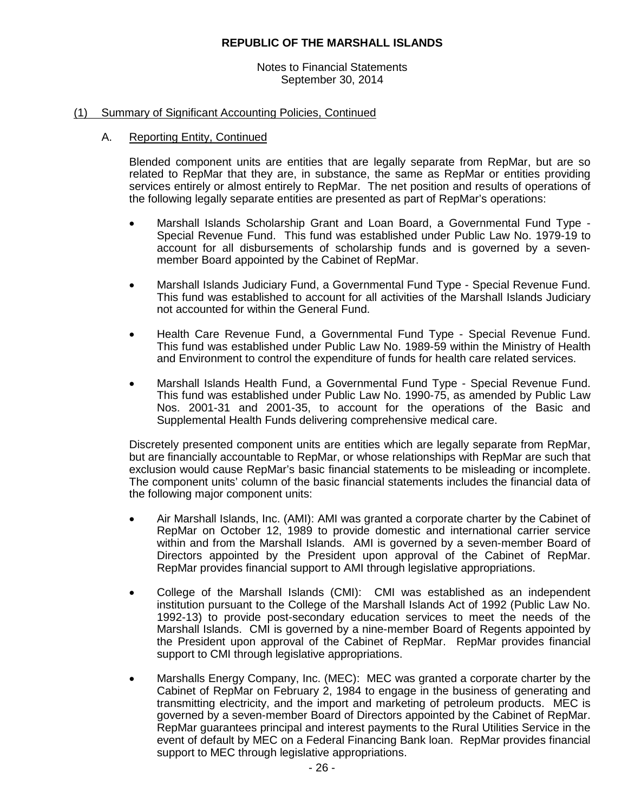Notes to Financial Statements September 30, 2014

### (1) Summary of Significant Accounting Policies, Continued

### A. Reporting Entity, Continued

Blended component units are entities that are legally separate from RepMar, but are so related to RepMar that they are, in substance, the same as RepMar or entities providing services entirely or almost entirely to RepMar. The net position and results of operations of the following legally separate entities are presented as part of RepMar's operations:

- Marshall Islands Scholarship Grant and Loan Board, a Governmental Fund Type Special Revenue Fund. This fund was established under Public Law No. 1979-19 to account for all disbursements of scholarship funds and is governed by a sevenmember Board appointed by the Cabinet of RepMar.
- Marshall Islands Judiciary Fund, a Governmental Fund Type Special Revenue Fund. This fund was established to account for all activities of the Marshall Islands Judiciary not accounted for within the General Fund.
- Health Care Revenue Fund, a Governmental Fund Type Special Revenue Fund. This fund was established under Public Law No. 1989-59 within the Ministry of Health and Environment to control the expenditure of funds for health care related services.
- Marshall Islands Health Fund, a Governmental Fund Type Special Revenue Fund. This fund was established under Public Law No. 1990-75, as amended by Public Law Nos. 2001-31 and 2001-35, to account for the operations of the Basic and Supplemental Health Funds delivering comprehensive medical care.

Discretely presented component units are entities which are legally separate from RepMar, but are financially accountable to RepMar, or whose relationships with RepMar are such that exclusion would cause RepMar's basic financial statements to be misleading or incomplete. The component units' column of the basic financial statements includes the financial data of the following major component units:

- Air Marshall Islands, Inc. (AMI): AMI was granted a corporate charter by the Cabinet of RepMar on October 12, 1989 to provide domestic and international carrier service within and from the Marshall Islands. AMI is governed by a seven-member Board of Directors appointed by the President upon approval of the Cabinet of RepMar. RepMar provides financial support to AMI through legislative appropriations.
- College of the Marshall Islands (CMI): CMI was established as an independent institution pursuant to the College of the Marshall Islands Act of 1992 (Public Law No. 1992-13) to provide post-secondary education services to meet the needs of the Marshall Islands. CMI is governed by a nine-member Board of Regents appointed by the President upon approval of the Cabinet of RepMar. RepMar provides financial support to CMI through legislative appropriations.
- Marshalls Energy Company, Inc. (MEC): MEC was granted a corporate charter by the Cabinet of RepMar on February 2, 1984 to engage in the business of generating and transmitting electricity, and the import and marketing of petroleum products. MEC is governed by a seven-member Board of Directors appointed by the Cabinet of RepMar. RepMar guarantees principal and interest payments to the Rural Utilities Service in the event of default by MEC on a Federal Financing Bank loan. RepMar provides financial support to MEC through legislative appropriations.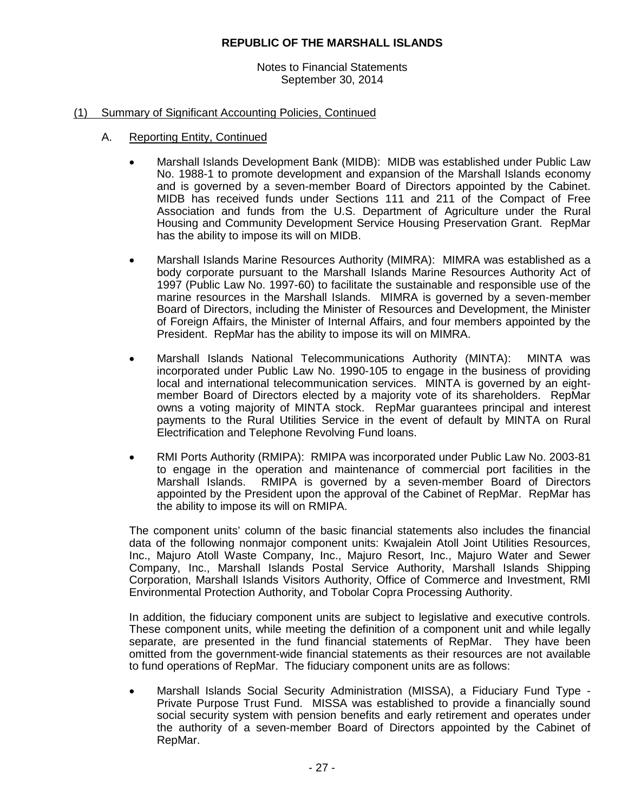Notes to Financial Statements September 30, 2014

### (1) Summary of Significant Accounting Policies, Continued

- A. Reporting Entity, Continued
	- Marshall Islands Development Bank (MIDB): MIDB was established under Public Law No. 1988-1 to promote development and expansion of the Marshall Islands economy and is governed by a seven-member Board of Directors appointed by the Cabinet. MIDB has received funds under Sections 111 and 211 of the Compact of Free Association and funds from the U.S. Department of Agriculture under the Rural Housing and Community Development Service Housing Preservation Grant. RepMar has the ability to impose its will on MIDB.
	- Marshall Islands Marine Resources Authority (MIMRA): MIMRA was established as a body corporate pursuant to the Marshall Islands Marine Resources Authority Act of 1997 (Public Law No. 1997-60) to facilitate the sustainable and responsible use of the marine resources in the Marshall Islands. MIMRA is governed by a seven-member Board of Directors, including the Minister of Resources and Development, the Minister of Foreign Affairs, the Minister of Internal Affairs, and four members appointed by the President. RepMar has the ability to impose its will on MIMRA.
	- Marshall Islands National Telecommunications Authority (MINTA): MINTA was incorporated under Public Law No. 1990-105 to engage in the business of providing local and international telecommunication services. MINTA is governed by an eightmember Board of Directors elected by a majority vote of its shareholders. RepMar owns a voting majority of MINTA stock. RepMar guarantees principal and interest payments to the Rural Utilities Service in the event of default by MINTA on Rural Electrification and Telephone Revolving Fund loans.
	- RMI Ports Authority (RMIPA): RMIPA was incorporated under Public Law No. 2003-81 to engage in the operation and maintenance of commercial port facilities in the Marshall Islands. RMIPA is governed by a seven-member Board of Directors appointed by the President upon the approval of the Cabinet of RepMar. RepMar has the ability to impose its will on RMIPA.

The component units' column of the basic financial statements also includes the financial data of the following nonmajor component units: Kwajalein Atoll Joint Utilities Resources, Inc., Majuro Atoll Waste Company, Inc., Majuro Resort, Inc., Majuro Water and Sewer Company, Inc., Marshall Islands Postal Service Authority, Marshall Islands Shipping Corporation, Marshall Islands Visitors Authority, Office of Commerce and Investment, RMI Environmental Protection Authority, and Tobolar Copra Processing Authority.

In addition, the fiduciary component units are subject to legislative and executive controls. These component units, while meeting the definition of a component unit and while legally separate, are presented in the fund financial statements of RepMar. They have been omitted from the government-wide financial statements as their resources are not available to fund operations of RepMar. The fiduciary component units are as follows:

• Marshall Islands Social Security Administration (MISSA), a Fiduciary Fund Type - Private Purpose Trust Fund. MISSA was established to provide a financially sound social security system with pension benefits and early retirement and operates under the authority of a seven-member Board of Directors appointed by the Cabinet of RepMar.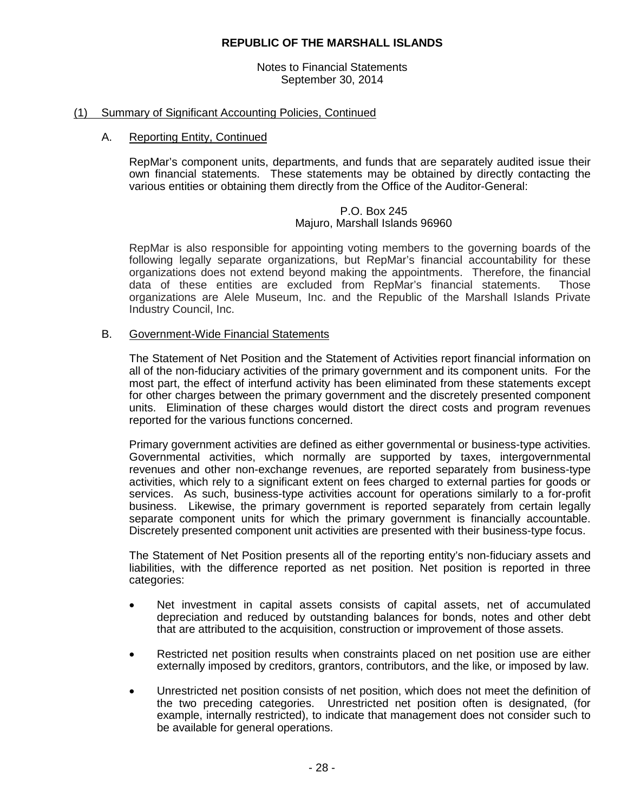Notes to Financial Statements September 30, 2014

### (1) Summary of Significant Accounting Policies, Continued

### A. Reporting Entity, Continued

RepMar's component units, departments, and funds that are separately audited issue their own financial statements. These statements may be obtained by directly contacting the various entities or obtaining them directly from the Office of the Auditor-General:

### P.O. Box 245 Majuro, Marshall Islands 96960

RepMar is also responsible for appointing voting members to the governing boards of the following legally separate organizations, but RepMar's financial accountability for these organizations does not extend beyond making the appointments. Therefore, the financial data of these entities are excluded from RepMar's financial statements. Those organizations are Alele Museum, Inc. and the Republic of the Marshall Islands Private Industry Council, Inc.

# B. Government-Wide Financial Statements

The Statement of Net Position and the Statement of Activities report financial information on all of the non-fiduciary activities of the primary government and its component units. For the most part, the effect of interfund activity has been eliminated from these statements except for other charges between the primary government and the discretely presented component units. Elimination of these charges would distort the direct costs and program revenues reported for the various functions concerned.

Primary government activities are defined as either governmental or business-type activities. Governmental activities, which normally are supported by taxes, intergovernmental revenues and other non-exchange revenues, are reported separately from business-type activities, which rely to a significant extent on fees charged to external parties for goods or services. As such, business-type activities account for operations similarly to a for-profit business. Likewise, the primary government is reported separately from certain legally separate component units for which the primary government is financially accountable. Discretely presented component unit activities are presented with their business-type focus.

The Statement of Net Position presents all of the reporting entity's non-fiduciary assets and liabilities, with the difference reported as net position. Net position is reported in three categories:

- Net investment in capital assets consists of capital assets, net of accumulated depreciation and reduced by outstanding balances for bonds, notes and other debt that are attributed to the acquisition, construction or improvement of those assets.
- Restricted net position results when constraints placed on net position use are either externally imposed by creditors, grantors, contributors, and the like, or imposed by law.
- Unrestricted net position consists of net position, which does not meet the definition of the two preceding categories. Unrestricted net position often is designated, (for example, internally restricted), to indicate that management does not consider such to be available for general operations.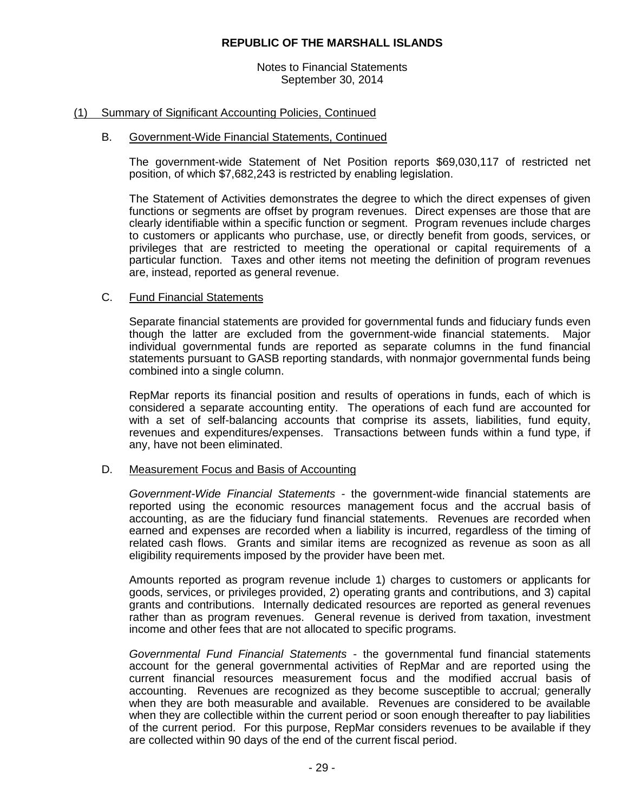Notes to Financial Statements September 30, 2014

### (1) Summary of Significant Accounting Policies, Continued

### B. Government-Wide Financial Statements, Continued

The government-wide Statement of Net Position reports \$69,030,117 of restricted net position, of which \$7,682,243 is restricted by enabling legislation.

The Statement of Activities demonstrates the degree to which the direct expenses of given functions or segments are offset by program revenues. Direct expenses are those that are clearly identifiable within a specific function or segment. Program revenues include charges to customers or applicants who purchase, use, or directly benefit from goods, services, or privileges that are restricted to meeting the operational or capital requirements of a particular function. Taxes and other items not meeting the definition of program revenues are, instead, reported as general revenue.

### C. Fund Financial Statements

Separate financial statements are provided for governmental funds and fiduciary funds even though the latter are excluded from the government-wide financial statements. Major individual governmental funds are reported as separate columns in the fund financial statements pursuant to GASB reporting standards, with nonmajor governmental funds being combined into a single column.

RepMar reports its financial position and results of operations in funds, each of which is considered a separate accounting entity. The operations of each fund are accounted for with a set of self-balancing accounts that comprise its assets, liabilities, fund equity, revenues and expenditures/expenses. Transactions between funds within a fund type, if any, have not been eliminated.

# D. Measurement Focus and Basis of Accounting

*Government-Wide Financial Statements -* the government-wide financial statements are reported using the economic resources management focus and the accrual basis of accounting, as are the fiduciary fund financial statements. Revenues are recorded when earned and expenses are recorded when a liability is incurred, regardless of the timing of related cash flows. Grants and similar items are recognized as revenue as soon as all eligibility requirements imposed by the provider have been met.

Amounts reported as program revenue include 1) charges to customers or applicants for goods, services, or privileges provided, 2) operating grants and contributions, and 3) capital grants and contributions. Internally dedicated resources are reported as general revenues rather than as program revenues. General revenue is derived from taxation, investment income and other fees that are not allocated to specific programs.

*Governmental Fund Financial Statements* - the governmental fund financial statements account for the general governmental activities of RepMar and are reported using the current financial resources measurement focus and the modified accrual basis of accounting. Revenues are recognized as they become susceptible to accrual*;* generally when they are both measurable and available. Revenues are considered to be available when they are collectible within the current period or soon enough thereafter to pay liabilities of the current period. For this purpose, RepMar considers revenues to be available if they are collected within 90 days of the end of the current fiscal period.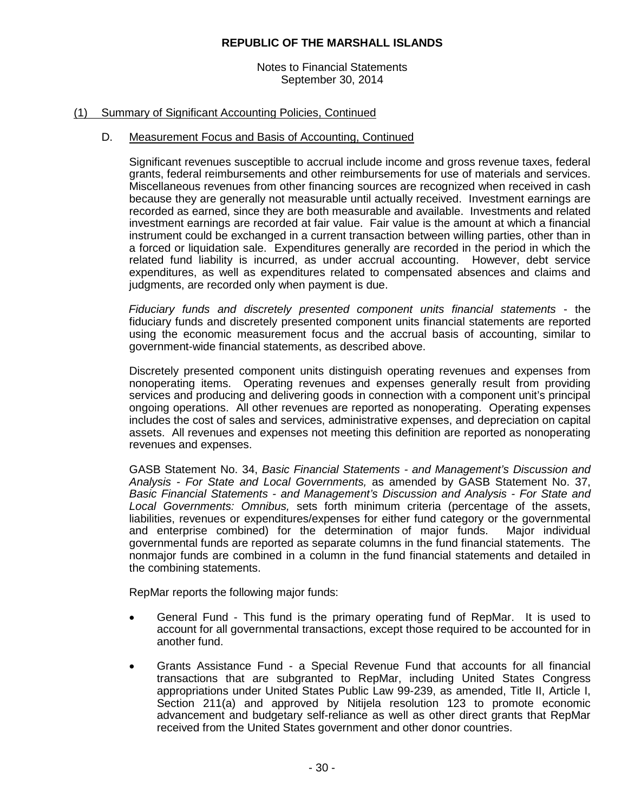Notes to Financial Statements September 30, 2014

# (1) Summary of Significant Accounting Policies, Continued

# D. Measurement Focus and Basis of Accounting, Continued

Significant revenues susceptible to accrual include income and gross revenue taxes, federal grants, federal reimbursements and other reimbursements for use of materials and services. Miscellaneous revenues from other financing sources are recognized when received in cash because they are generally not measurable until actually received. Investment earnings are recorded as earned, since they are both measurable and available. Investments and related investment earnings are recorded at fair value. Fair value is the amount at which a financial instrument could be exchanged in a current transaction between willing parties, other than in a forced or liquidation sale. Expenditures generally are recorded in the period in which the related fund liability is incurred, as under accrual accounting. However, debt service expenditures, as well as expenditures related to compensated absences and claims and judgments, are recorded only when payment is due.

*Fiduciary funds and discretely presented component units financial statements* - the fiduciary funds and discretely presented component units financial statements are reported using the economic measurement focus and the accrual basis of accounting, similar to government-wide financial statements, as described above.

Discretely presented component units distinguish operating revenues and expenses from nonoperating items. Operating revenues and expenses generally result from providing services and producing and delivering goods in connection with a component unit's principal ongoing operations. All other revenues are reported as nonoperating. Operating expenses includes the cost of sales and services, administrative expenses, and depreciation on capital assets. All revenues and expenses not meeting this definition are reported as nonoperating revenues and expenses.

GASB Statement No. 34, *Basic Financial Statements - and Management's Discussion and Analysis - For State and Local Governments,* as amended by GASB Statement No. 37, *Basic Financial Statements - and Management's Discussion and Analysis - For State and Local Governments: Omnibus,* sets forth minimum criteria (percentage of the assets, liabilities, revenues or expenditures/expenses for either fund category or the governmental and enterprise combined) for the determination of major funds. Major individual governmental funds are reported as separate columns in the fund financial statements. The nonmajor funds are combined in a column in the fund financial statements and detailed in the combining statements.

RepMar reports the following major funds:

- General Fund This fund is the primary operating fund of RepMar. It is used to account for all governmental transactions, except those required to be accounted for in another fund.
- Grants Assistance Fund a Special Revenue Fund that accounts for all financial transactions that are subgranted to RepMar, including United States Congress appropriations under United States Public Law 99-239, as amended, Title II, Article I, Section 211(a) and approved by Nitijela resolution 123 to promote economic advancement and budgetary self-reliance as well as other direct grants that RepMar received from the United States government and other donor countries.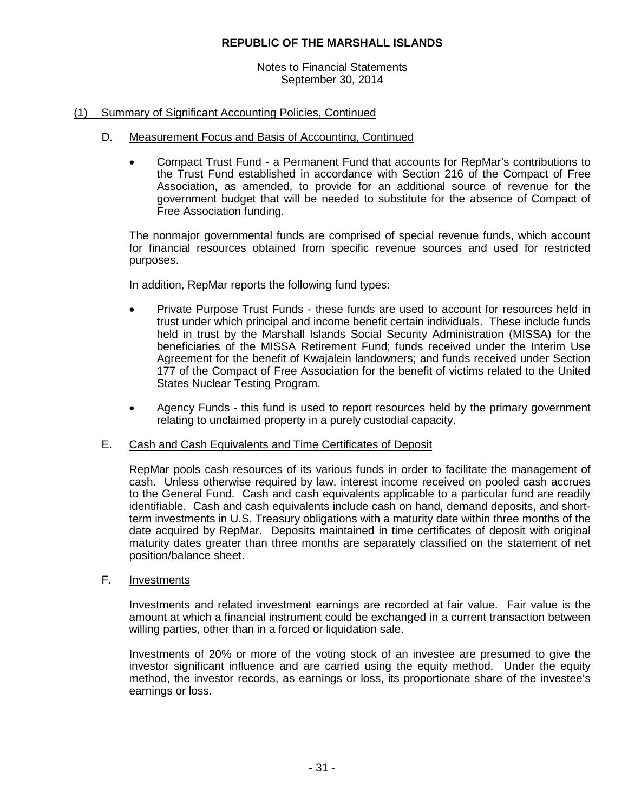Notes to Financial Statements September 30, 2014

### (1) Summary of Significant Accounting Policies, Continued

- D. Measurement Focus and Basis of Accounting, Continued
	- Compact Trust Fund a Permanent Fund that accounts for RepMar's contributions to the Trust Fund established in accordance with Section 216 of the Compact of Free Association, as amended, to provide for an additional source of revenue for the government budget that will be needed to substitute for the absence of Compact of Free Association funding.

The nonmajor governmental funds are comprised of special revenue funds, which account for financial resources obtained from specific revenue sources and used for restricted purposes.

In addition, RepMar reports the following fund types:

- Private Purpose Trust Funds these funds are used to account for resources held in trust under which principal and income benefit certain individuals. These include funds held in trust by the Marshall Islands Social Security Administration (MISSA) for the beneficiaries of the MISSA Retirement Fund; funds received under the Interim Use Agreement for the benefit of Kwajalein landowners; and funds received under Section 177 of the Compact of Free Association for the benefit of victims related to the United States Nuclear Testing Program.
- Agency Funds this fund is used to report resources held by the primary government relating to unclaimed property in a purely custodial capacity.

### E. Cash and Cash Equivalents and Time Certificates of Deposit

RepMar pools cash resources of its various funds in order to facilitate the management of cash. Unless otherwise required by law, interest income received on pooled cash accrues to the General Fund. Cash and cash equivalents applicable to a particular fund are readily identifiable. Cash and cash equivalents include cash on hand, demand deposits, and shortterm investments in U.S. Treasury obligations with a maturity date within three months of the date acquired by RepMar. Deposits maintained in time certificates of deposit with original maturity dates greater than three months are separately classified on the statement of net position/balance sheet.

### F. Investments

Investments and related investment earnings are recorded at fair value. Fair value is the amount at which a financial instrument could be exchanged in a current transaction between willing parties, other than in a forced or liquidation sale.

Investments of 20% or more of the voting stock of an investee are presumed to give the investor significant influence and are carried using the equity method. Under the equity method, the investor records, as earnings or loss, its proportionate share of the investee's earnings or loss.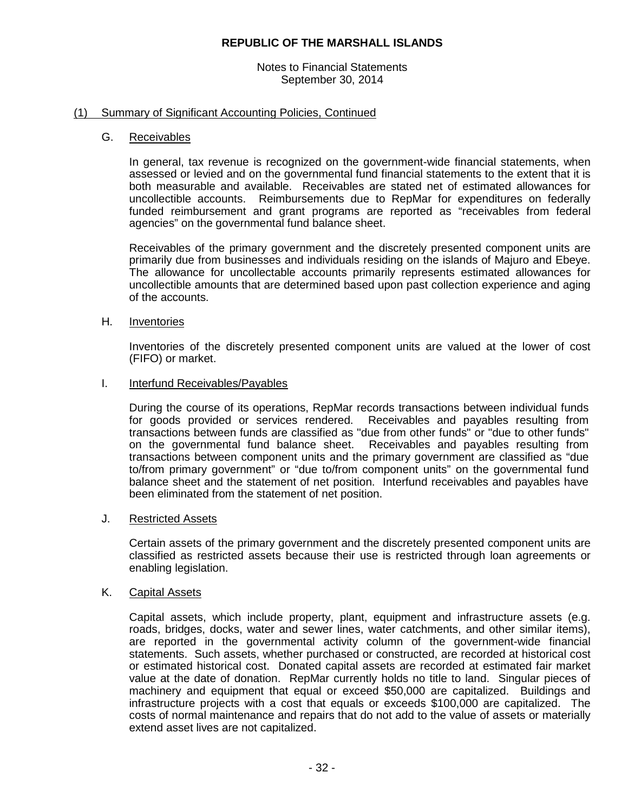Notes to Financial Statements September 30, 2014

### (1) Summary of Significant Accounting Policies, Continued

### G. Receivables

In general, tax revenue is recognized on the government-wide financial statements, when assessed or levied and on the governmental fund financial statements to the extent that it is both measurable and available. Receivables are stated net of estimated allowances for uncollectible accounts. Reimbursements due to RepMar for expenditures on federally funded reimbursement and grant programs are reported as "receivables from federal agencies" on the governmental fund balance sheet.

Receivables of the primary government and the discretely presented component units are primarily due from businesses and individuals residing on the islands of Majuro and Ebeye. The allowance for uncollectable accounts primarily represents estimated allowances for uncollectible amounts that are determined based upon past collection experience and aging of the accounts.

### H. Inventories

Inventories of the discretely presented component units are valued at the lower of cost (FIFO) or market.

## I. Interfund Receivables/Payables

During the course of its operations, RepMar records transactions between individual funds for goods provided or services rendered. Receivables and payables resulting from transactions between funds are classified as "due from other funds" or "due to other funds"<br>on the governmental fund balance sheet. Receivables and payables resulting from on the governmental fund balance sheet. transactions between component units and the primary government are classified as "due to/from primary government" or "due to/from component units" on the governmental fund balance sheet and the statement of net position. Interfund receivables and payables have been eliminated from the statement of net position.

### J. Restricted Assets

Certain assets of the primary government and the discretely presented component units are classified as restricted assets because their use is restricted through loan agreements or enabling legislation.

### K. Capital Assets

Capital assets, which include property, plant, equipment and infrastructure assets (e.g. roads, bridges, docks, water and sewer lines, water catchments, and other similar items), are reported in the governmental activity column of the government-wide financial statements. Such assets, whether purchased or constructed, are recorded at historical cost or estimated historical cost. Donated capital assets are recorded at estimated fair market value at the date of donation. RepMar currently holds no title to land. Singular pieces of machinery and equipment that equal or exceed \$50,000 are capitalized. Buildings and infrastructure projects with a cost that equals or exceeds \$100,000 are capitalized. The costs of normal maintenance and repairs that do not add to the value of assets or materially extend asset lives are not capitalized.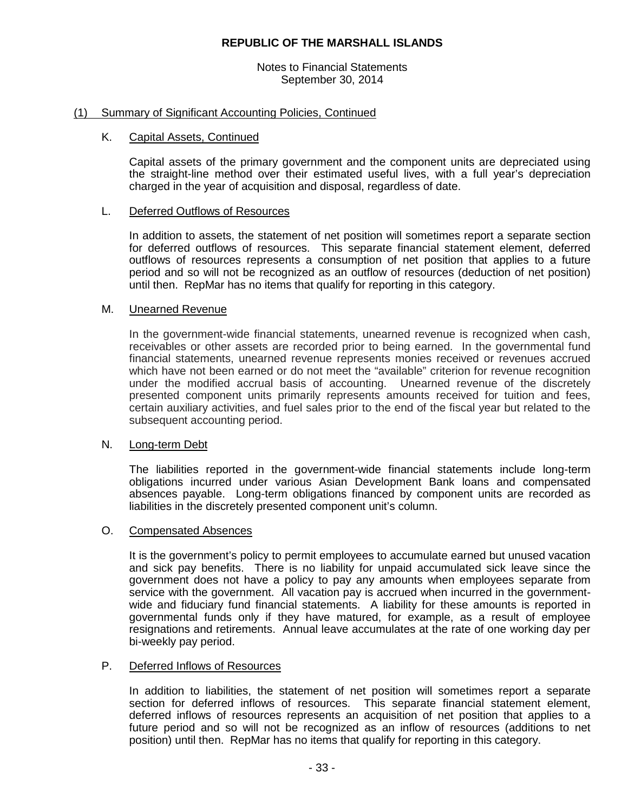Notes to Financial Statements September 30, 2014

### (1) Summary of Significant Accounting Policies, Continued

### K. Capital Assets, Continued

Capital assets of the primary government and the component units are depreciated using the straight-line method over their estimated useful lives, with a full year's depreciation charged in the year of acquisition and disposal, regardless of date.

### L. Deferred Outflows of Resources

In addition to assets, the statement of net position will sometimes report a separate section for deferred outflows of resources. This separate financial statement element, deferred outflows of resources represents a consumption of net position that applies to a future period and so will not be recognized as an outflow of resources (deduction of net position) until then. RepMar has no items that qualify for reporting in this category.

### M. Unearned Revenue

In the government-wide financial statements, unearned revenue is recognized when cash, receivables or other assets are recorded prior to being earned. In the governmental fund financial statements, unearned revenue represents monies received or revenues accrued which have not been earned or do not meet the "available" criterion for revenue recognition under the modified accrual basis of accounting. Unearned revenue of the discretely presented component units primarily represents amounts received for tuition and fees, certain auxiliary activities, and fuel sales prior to the end of the fiscal year but related to the subsequent accounting period.

# N. Long-term Debt

The liabilities reported in the government-wide financial statements include long-term obligations incurred under various Asian Development Bank loans and compensated absences payable. Long-term obligations financed by component units are recorded as liabilities in the discretely presented component unit's column.

### O. Compensated Absences

It is the government's policy to permit employees to accumulate earned but unused vacation and sick pay benefits. There is no liability for unpaid accumulated sick leave since the government does not have a policy to pay any amounts when employees separate from service with the government. All vacation pay is accrued when incurred in the governmentwide and fiduciary fund financial statements. A liability for these amounts is reported in governmental funds only if they have matured, for example, as a result of employee resignations and retirements. Annual leave accumulates at the rate of one working day per bi-weekly pay period.

### P. Deferred Inflows of Resources

In addition to liabilities, the statement of net position will sometimes report a separate section for deferred inflows of resources. This separate financial statement element, deferred inflows of resources represents an acquisition of net position that applies to a future period and so will not be recognized as an inflow of resources (additions to net position) until then. RepMar has no items that qualify for reporting in this category.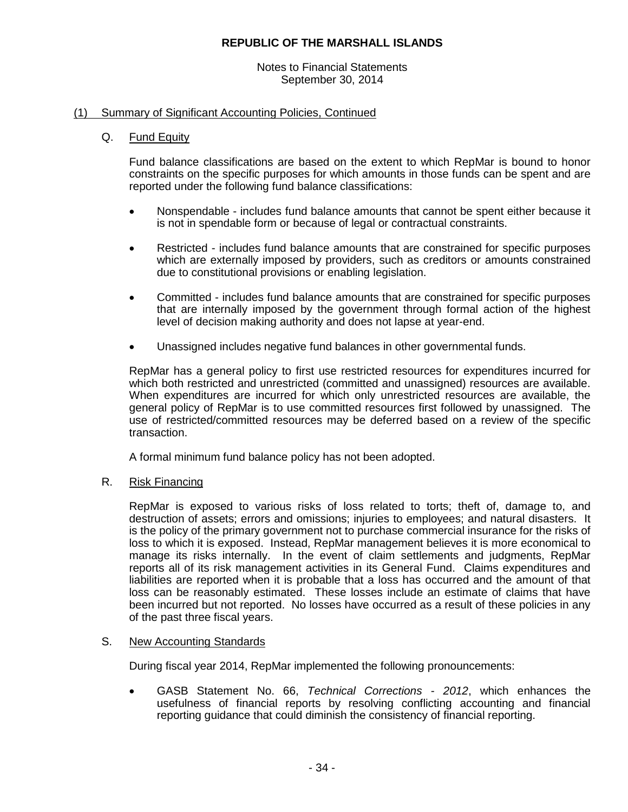#### Notes to Financial Statements September 30, 2014

# (1) Summary of Significant Accounting Policies, Continued

# Q. Fund Equity

Fund balance classifications are based on the extent to which RepMar is bound to honor constraints on the specific purposes for which amounts in those funds can be spent and are reported under the following fund balance classifications:

- Nonspendable includes fund balance amounts that cannot be spent either because it is not in spendable form or because of legal or contractual constraints.
- Restricted includes fund balance amounts that are constrained for specific purposes which are externally imposed by providers, such as creditors or amounts constrained due to constitutional provisions or enabling legislation.
- Committed includes fund balance amounts that are constrained for specific purposes that are internally imposed by the government through formal action of the highest level of decision making authority and does not lapse at year-end.
- Unassigned includes negative fund balances in other governmental funds.

RepMar has a general policy to first use restricted resources for expenditures incurred for which both restricted and unrestricted (committed and unassigned) resources are available. When expenditures are incurred for which only unrestricted resources are available, the general policy of RepMar is to use committed resources first followed by unassigned. The use of restricted/committed resources may be deferred based on a review of the specific transaction.

A formal minimum fund balance policy has not been adopted.

# R. Risk Financing

RepMar is exposed to various risks of loss related to torts; theft of, damage to, and destruction of assets; errors and omissions; injuries to employees; and natural disasters. It is the policy of the primary government not to purchase commercial insurance for the risks of loss to which it is exposed. Instead, RepMar management believes it is more economical to manage its risks internally. In the event of claim settlements and judgments, RepMar reports all of its risk management activities in its General Fund. Claims expenditures and liabilities are reported when it is probable that a loss has occurred and the amount of that loss can be reasonably estimated. These losses include an estimate of claims that have been incurred but not reported. No losses have occurred as a result of these policies in any of the past three fiscal years.

# S. New Accounting Standards

During fiscal year 2014, RepMar implemented the following pronouncements:

• GASB Statement No. 66, *Technical Corrections - 2012*, which enhances the usefulness of financial reports by resolving conflicting accounting and financial reporting guidance that could diminish the consistency of financial reporting.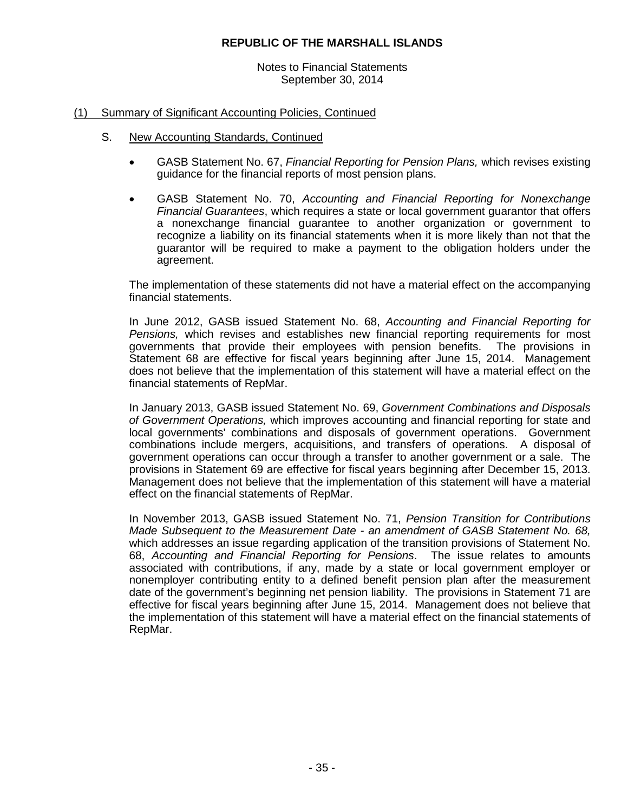Notes to Financial Statements September 30, 2014

### (1) Summary of Significant Accounting Policies, Continued

- S. New Accounting Standards, Continued
	- GASB Statement No. 67, *Financial Reporting for Pension Plans,* which revises existing guidance for the financial reports of most pension plans.
	- GASB Statement No. 70, *Accounting and Financial Reporting for Nonexchange Financial Guarantees*, which requires a state or local government guarantor that offers a nonexchange financial guarantee to another organization or government to recognize a liability on its financial statements when it is more likely than not that the guarantor will be required to make a payment to the obligation holders under the agreement.

The implementation of these statements did not have a material effect on the accompanying financial statements.

In June 2012, GASB issued Statement No. 68, *Accounting and Financial Reporting for Pensions,* which revises and establishes new financial reporting requirements for most governments that provide their employees with pension benefits. The provisions in Statement 68 are effective for fiscal years beginning after June 15, 2014. Management does not believe that the implementation of this statement will have a material effect on the financial statements of RepMar.

In January 2013, GASB issued Statement No. 69, *Government Combinations and Disposals of Government Operations,* which improves accounting and financial reporting for state and local governments' combinations and disposals of government operations. Government combinations include mergers, acquisitions, and transfers of operations. A disposal of government operations can occur through a transfer to another government or a sale. The provisions in Statement 69 are effective for fiscal years beginning after December 15, 2013. Management does not believe that the implementation of this statement will have a material effect on the financial statements of RepMar.

In November 2013, GASB issued Statement No. 71, *Pension Transition for Contributions Made Subsequent to the Measurement Date - an amendment of GASB Statement No. 68,*  which addresses an issue regarding application of the transition provisions of Statement No. 68, *Accounting and Financial Reporting for Pensions*. The issue relates to amounts associated with contributions, if any, made by a state or local government employer or nonemployer contributing entity to a defined benefit pension plan after the measurement date of the government's beginning net pension liability. The provisions in Statement 71 are effective for fiscal years beginning after June 15, 2014. Management does not believe that the implementation of this statement will have a material effect on the financial statements of RepMar.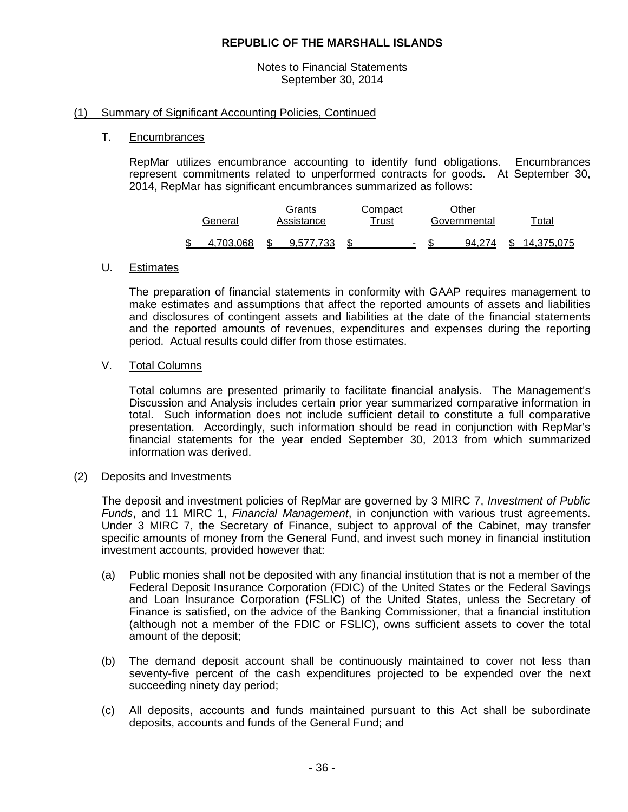Notes to Financial Statements September 30, 2014

#### (1) Summary of Significant Accounting Policies, Continued

### T. Encumbrances

RepMar utilizes encumbrance accounting to identify fund obligations. Encumbrances represent commitments related to unperformed contracts for goods. At September 30, 2014, RepMar has significant encumbrances summarized as follows:

| General   | Grants<br>Assistance | Compact<br>Trust |   |  | Other<br>Governmental | $\tau$ otal |
|-----------|----------------------|------------------|---|--|-----------------------|-------------|
| 4.703.068 | 9.577.733            |                  | ۰ |  | 94.274                | 14.375.075  |

#### U. Estimates

The preparation of financial statements in conformity with GAAP requires management to make estimates and assumptions that affect the reported amounts of assets and liabilities and disclosures of contingent assets and liabilities at the date of the financial statements and the reported amounts of revenues, expenditures and expenses during the reporting period. Actual results could differ from those estimates.

#### V. Total Columns

Total columns are presented primarily to facilitate financial analysis. The Management's Discussion and Analysis includes certain prior year summarized comparative information in total. Such information does not include sufficient detail to constitute a full comparative presentation. Accordingly, such information should be read in conjunction with RepMar's financial statements for the year ended September 30, 2013 from which summarized information was derived.

#### (2) Deposits and Investments

The deposit and investment policies of RepMar are governed by 3 MIRC 7, *Investment of Public Funds*, and 11 MIRC 1, *Financial Management*, in conjunction with various trust agreements. Under 3 MIRC 7, the Secretary of Finance, subject to approval of the Cabinet, may transfer specific amounts of money from the General Fund, and invest such money in financial institution investment accounts, provided however that:

- (a) Public monies shall not be deposited with any financial institution that is not a member of the Federal Deposit Insurance Corporation (FDIC) of the United States or the Federal Savings and Loan Insurance Corporation (FSLIC) of the United States, unless the Secretary of Finance is satisfied, on the advice of the Banking Commissioner, that a financial institution (although not a member of the FDIC or FSLIC), owns sufficient assets to cover the total amount of the deposit;
- (b) The demand deposit account shall be continuously maintained to cover not less than seventy-five percent of the cash expenditures projected to be expended over the next succeeding ninety day period;
- (c) All deposits, accounts and funds maintained pursuant to this Act shall be subordinate deposits, accounts and funds of the General Fund; and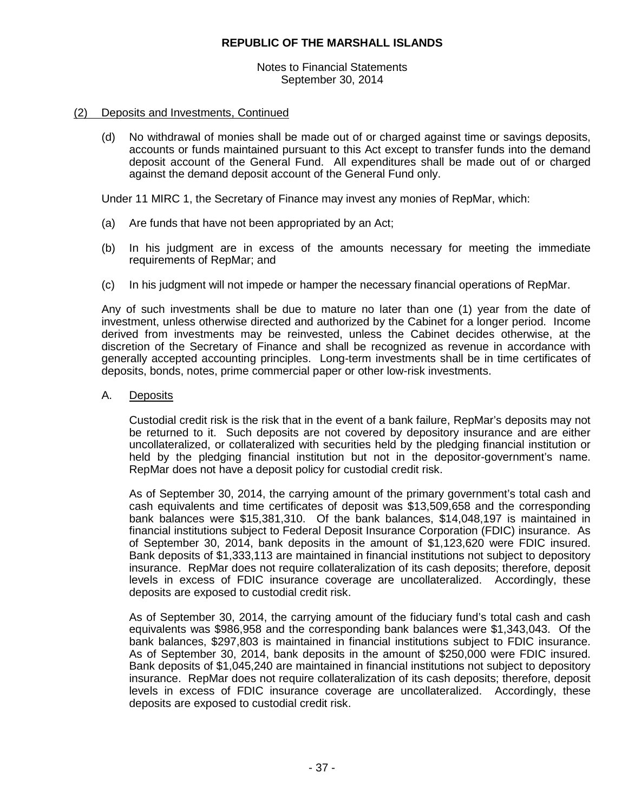#### Notes to Financial Statements September 30, 2014

### (2) Deposits and Investments, Continued

(d) No withdrawal of monies shall be made out of or charged against time or savings deposits, accounts or funds maintained pursuant to this Act except to transfer funds into the demand deposit account of the General Fund. All expenditures shall be made out of or charged against the demand deposit account of the General Fund only.

Under 11 MIRC 1, the Secretary of Finance may invest any monies of RepMar, which:

- (a) Are funds that have not been appropriated by an Act;
- (b) In his judgment are in excess of the amounts necessary for meeting the immediate requirements of RepMar; and
- (c) In his judgment will not impede or hamper the necessary financial operations of RepMar.

Any of such investments shall be due to mature no later than one (1) year from the date of investment, unless otherwise directed and authorized by the Cabinet for a longer period. Income derived from investments may be reinvested, unless the Cabinet decides otherwise, at the discretion of the Secretary of Finance and shall be recognized as revenue in accordance with generally accepted accounting principles. Long-term investments shall be in time certificates of deposits, bonds, notes, prime commercial paper or other low-risk investments.

#### A. Deposits

Custodial credit risk is the risk that in the event of a bank failure, RepMar's deposits may not be returned to it. Such deposits are not covered by depository insurance and are either uncollateralized, or collateralized with securities held by the pledging financial institution or held by the pledging financial institution but not in the depositor-government's name. RepMar does not have a deposit policy for custodial credit risk.

As of September 30, 2014, the carrying amount of the primary government's total cash and cash equivalents and time certificates of deposit was \$13,509,658 and the corresponding bank balances were \$15,381,310. Of the bank balances, \$14,048,197 is maintained in financial institutions subject to Federal Deposit Insurance Corporation (FDIC) insurance. As of September 30, 2014, bank deposits in the amount of \$1,123,620 were FDIC insured. Bank deposits of \$1,333,113 are maintained in financial institutions not subject to depository insurance. RepMar does not require collateralization of its cash deposits; therefore, deposit levels in excess of FDIC insurance coverage are uncollateralized. Accordingly, these deposits are exposed to custodial credit risk.

As of September 30, 2014, the carrying amount of the fiduciary fund's total cash and cash equivalents was \$986,958 and the corresponding bank balances were \$1,343,043. Of the bank balances, \$297,803 is maintained in financial institutions subject to FDIC insurance. As of September 30, 2014, bank deposits in the amount of \$250,000 were FDIC insured. Bank deposits of \$1,045,240 are maintained in financial institutions not subject to depository insurance. RepMar does not require collateralization of its cash deposits; therefore, deposit levels in excess of FDIC insurance coverage are uncollateralized. Accordingly, these deposits are exposed to custodial credit risk.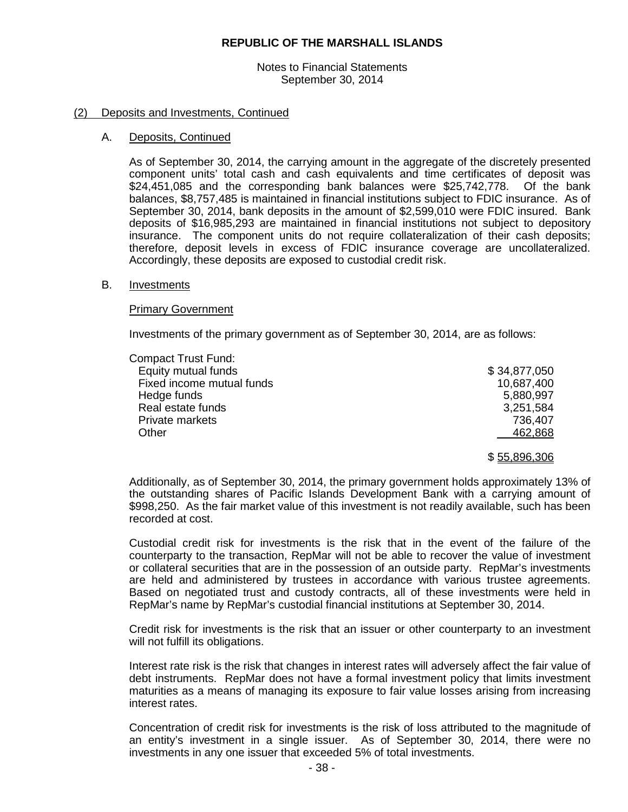Notes to Financial Statements September 30, 2014

#### (2) Deposits and Investments, Continued

#### A. Deposits, Continued

As of September 30, 2014, the carrying amount in the aggregate of the discretely presented component units' total cash and cash equivalents and time certificates of deposit was \$24,451,085 and the corresponding bank balances were \$25,742,778. Of the bank balances, \$8,757,485 is maintained in financial institutions subject to FDIC insurance. As of September 30, 2014, bank deposits in the amount of \$2,599,010 were FDIC insured. Bank deposits of \$16,985,293 are maintained in financial institutions not subject to depository insurance. The component units do not require collateralization of their cash deposits; therefore, deposit levels in excess of FDIC insurance coverage are uncollateralized. Accordingly, these deposits are exposed to custodial credit risk.

#### B. Investments

#### Primary Government

Investments of the primary government as of September 30, 2014, are as follows:

| Compact Trust Fund:       |              |
|---------------------------|--------------|
| Equity mutual funds       | \$34,877,050 |
| Fixed income mutual funds | 10,687,400   |
| Hedge funds               | 5,880,997    |
| Real estate funds         | 3,251,584    |
| Private markets           | 736.407      |
| Other                     | 462,868      |
|                           |              |

#### \$ 55,896,306

Additionally, as of September 30, 2014, the primary government holds approximately 13% of the outstanding shares of Pacific Islands Development Bank with a carrying amount of \$998,250. As the fair market value of this investment is not readily available, such has been recorded at cost.

Custodial credit risk for investments is the risk that in the event of the failure of the counterparty to the transaction, RepMar will not be able to recover the value of investment or collateral securities that are in the possession of an outside party. RepMar's investments are held and administered by trustees in accordance with various trustee agreements. Based on negotiated trust and custody contracts, all of these investments were held in RepMar's name by RepMar's custodial financial institutions at September 30, 2014.

Credit risk for investments is the risk that an issuer or other counterparty to an investment will not fulfill its obligations.

Interest rate risk is the risk that changes in interest rates will adversely affect the fair value of debt instruments. RepMar does not have a formal investment policy that limits investment maturities as a means of managing its exposure to fair value losses arising from increasing interest rates.

Concentration of credit risk for investments is the risk of loss attributed to the magnitude of an entity's investment in a single issuer. As of September 30, 2014, there were no investments in any one issuer that exceeded 5% of total investments.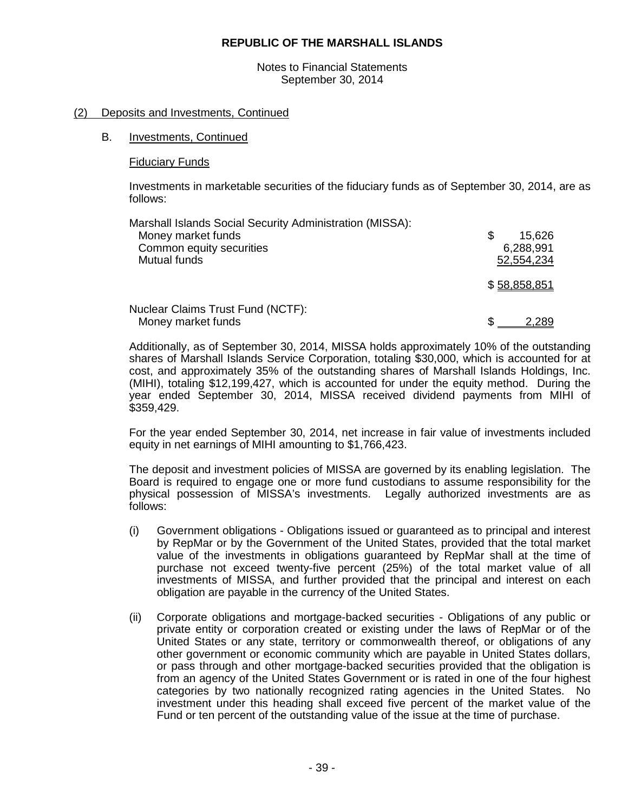Notes to Financial Statements September 30, 2014

### (2) Deposits and Investments, Continued

### B. Investments, Continued

### Fiduciary Funds

Investments in marketable securities of the fiduciary funds as of September 30, 2014, are as follows:

| Marshall Islands Social Security Administration (MISSA):<br>Money market funds<br>Common equity securities<br>Mutual funds | \$<br>15,626<br>6,288,991<br>52,554,234 |
|----------------------------------------------------------------------------------------------------------------------------|-----------------------------------------|
|                                                                                                                            | \$58,858,851                            |
| Nuclear Claims Trust Fund (NCTF):<br>Money market funds                                                                    |                                         |

Additionally, as of September 30, 2014, MISSA holds approximately 10% of the outstanding shares of Marshall Islands Service Corporation, totaling \$30,000, which is accounted for at cost, and approximately 35% of the outstanding shares of Marshall Islands Holdings, Inc. (MIHI), totaling \$12,199,427, which is accounted for under the equity method. During the year ended September 30, 2014, MISSA received dividend payments from MIHI of \$359,429.

For the year ended September 30, 2014, net increase in fair value of investments included equity in net earnings of MIHI amounting to \$1,766,423.

The deposit and investment policies of MISSA are governed by its enabling legislation. The Board is required to engage one or more fund custodians to assume responsibility for the physical possession of MISSA's investments. Legally authorized investments are as follows:

- (i) Government obligations Obligations issued or guaranteed as to principal and interest by RepMar or by the Government of the United States, provided that the total market value of the investments in obligations guaranteed by RepMar shall at the time of purchase not exceed twenty-five percent (25%) of the total market value of all investments of MISSA, and further provided that the principal and interest on each obligation are payable in the currency of the United States.
- (ii) Corporate obligations and mortgage-backed securities Obligations of any public or private entity or corporation created or existing under the laws of RepMar or of the United States or any state, territory or commonwealth thereof, or obligations of any other government or economic community which are payable in United States dollars, or pass through and other mortgage-backed securities provided that the obligation is from an agency of the United States Government or is rated in one of the four highest categories by two nationally recognized rating agencies in the United States. No investment under this heading shall exceed five percent of the market value of the Fund or ten percent of the outstanding value of the issue at the time of purchase.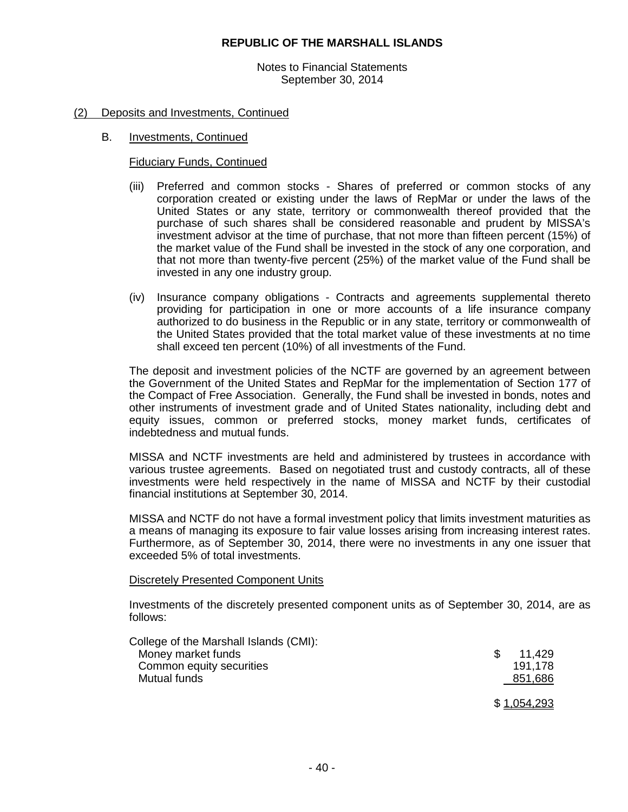Notes to Financial Statements September 30, 2014

#### (2) Deposits and Investments, Continued

### B. Investments, Continued

#### Fiduciary Funds, Continued

- (iii) Preferred and common stocks Shares of preferred or common stocks of any corporation created or existing under the laws of RepMar or under the laws of the United States or any state, territory or commonwealth thereof provided that the purchase of such shares shall be considered reasonable and prudent by MISSA's investment advisor at the time of purchase, that not more than fifteen percent (15%) of the market value of the Fund shall be invested in the stock of any one corporation, and that not more than twenty-five percent (25%) of the market value of the Fund shall be invested in any one industry group.
- (iv) Insurance company obligations Contracts and agreements supplemental thereto providing for participation in one or more accounts of a life insurance company authorized to do business in the Republic or in any state, territory or commonwealth of the United States provided that the total market value of these investments at no time shall exceed ten percent (10%) of all investments of the Fund.

The deposit and investment policies of the NCTF are governed by an agreement between the Government of the United States and RepMar for the implementation of Section 177 of the Compact of Free Association. Generally, the Fund shall be invested in bonds, notes and other instruments of investment grade and of United States nationality, including debt and equity issues, common or preferred stocks, money market funds, certificates of indebtedness and mutual funds.

MISSA and NCTF investments are held and administered by trustees in accordance with various trustee agreements. Based on negotiated trust and custody contracts, all of these investments were held respectively in the name of MISSA and NCTF by their custodial financial institutions at September 30, 2014.

MISSA and NCTF do not have a formal investment policy that limits investment maturities as a means of managing its exposure to fair value losses arising from increasing interest rates. Furthermore, as of September 30, 2014, there were no investments in any one issuer that exceeded 5% of total investments.

#### Discretely Presented Component Units

Investments of the discretely presented component units as of September 30, 2014, are as follows:

| College of the Marshall Islands (CMI): |             |
|----------------------------------------|-------------|
| Money market funds                     | 11.429      |
| Common equity securities               | 191,178     |
| Mutual funds                           | 851,686     |
|                                        | \$1,054,293 |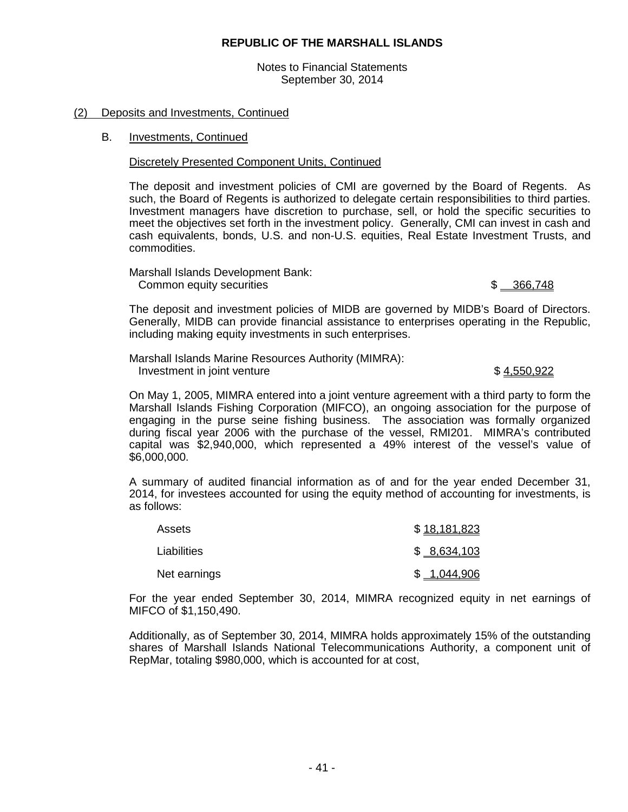- 41 -

# **REPUBLIC OF THE MARSHALL ISLANDS**

Notes to Financial Statements September 30, 2014

### (2) Deposits and Investments, Continued

### B. Investments, Continued

### Discretely Presented Component Units, Continued

The deposit and investment policies of CMI are governed by the Board of Regents. As such, the Board of Regents is authorized to delegate certain responsibilities to third parties. Investment managers have discretion to purchase, sell, or hold the specific securities to meet the objectives set forth in the investment policy. Generally, CMI can invest in cash and cash equivalents, bonds, U.S. and non-U.S. equities, Real Estate Investment Trusts, and commodities.

Marshall Islands Development Bank: Common equity securities  $$366,748$ 

The deposit and investment policies of MIDB are governed by MIDB's Board of Directors. Generally, MIDB can provide financial assistance to enterprises operating in the Republic, including making equity investments in such enterprises.

### Marshall Islands Marine Resources Authority (MIMRA): Investment in joint venture **\$ 4,550,922**

On May 1, 2005, MIMRA entered into a joint venture agreement with a third party to form the Marshall Islands Fishing Corporation (MIFCO), an ongoing association for the purpose of engaging in the purse seine fishing business. The association was formally organized during fiscal year 2006 with the purchase of the vessel, RMI201. MIMRA's contributed capital was \$2,940,000, which represented a 49% interest of the vessel's value of \$6,000,000.

A summary of audited financial information as of and for the year ended December 31, 2014, for investees accounted for using the equity method of accounting for investments, is as follows:

| Assets       | \$18.181.823 |
|--------------|--------------|
| Liabilities  | \$0.634,103  |
| Net earnings | \$1,044,906  |

For the year ended September 30, 2014, MIMRA recognized equity in net earnings of MIFCO of \$1,150,490.

Additionally, as of September 30, 2014, MIMRA holds approximately 15% of the outstanding shares of Marshall Islands National Telecommunications Authority, a component unit of RepMar, totaling \$980,000, which is accounted for at cost,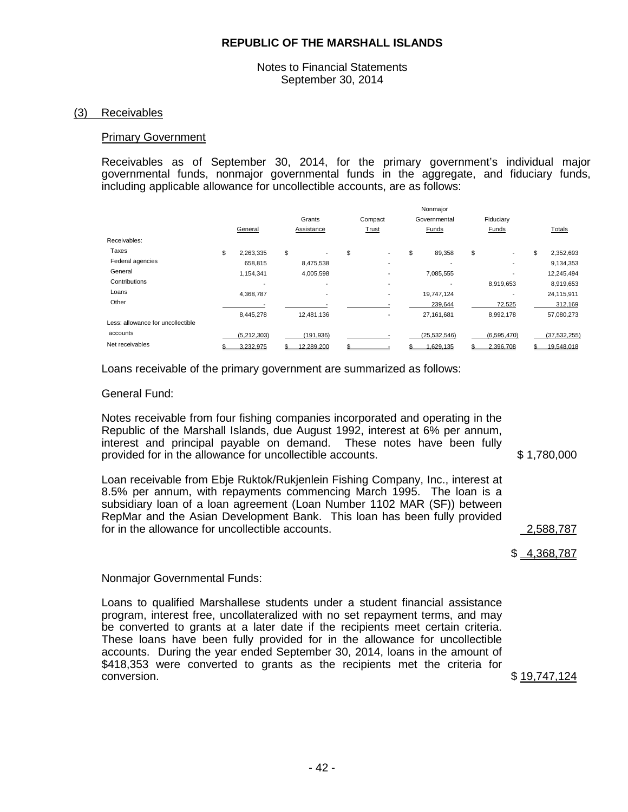Notes to Financial Statements September 30, 2014

#### (3) Receivables

#### Primary Government

Receivables as of September 30, 2014, for the primary government's individual major governmental funds, nonmajor governmental funds in the aggregate, and fiduciary funds, including applicable allowance for uncollectible accounts, are as follows:

|                                   |                          |            |                          |         |                          |       | Nonmajor                 |                    |                          |                 |
|-----------------------------------|--------------------------|------------|--------------------------|---------|--------------------------|-------|--------------------------|--------------------|--------------------------|-----------------|
|                                   |                          | Grants     |                          | Compact |                          |       | Governmental             | Fiduciary<br>Funds |                          |                 |
|                                   | General                  | Assistance |                          | Trust   |                          | Funds |                          |                    |                          | Totals          |
| Receivables:                      |                          |            |                          |         |                          |       |                          |                    |                          |                 |
| Taxes                             | \$<br>2,263,335          | \$         | $\overline{a}$           | \$      | $\blacksquare$           | \$    | 89,358                   | \$                 | $\overline{\phantom{a}}$ | \$<br>2,352,693 |
| Federal agencies                  | 658.815                  |            | 8.475.538                |         |                          |       | $\overline{\phantom{a}}$ |                    |                          | 9,134,353       |
| General                           | 1,154,341                |            | 4,005,598                |         | $\overline{\phantom{a}}$ |       | 7,085,555                |                    | $\overline{\phantom{a}}$ | 12,245,494      |
| Contributions                     | $\overline{\phantom{a}}$ |            | $\overline{\phantom{a}}$ |         | $\overline{\phantom{a}}$ |       | $\overline{\phantom{a}}$ |                    | 8,919,653                | 8,919,653       |
| Loans                             | 4,368,787                |            |                          |         | $\overline{\phantom{a}}$ |       | 19,747,124               |                    |                          | 24,115,911      |
| Other                             |                          |            |                          |         |                          |       | 239,644                  |                    | 72,525                   | 312,169         |
|                                   | 8,445,278                |            | 12.481.136               |         | $\overline{\phantom{a}}$ |       | 27,161,681               |                    | 8,992,178                | 57,080,273      |
| Less: allowance for uncollectible |                          |            |                          |         |                          |       |                          |                    |                          |                 |
| accounts                          | (5,212,303)              |            | (191, 936)               |         |                          |       | (25, 532, 546)           |                    | (6, 595, 470)            | (37, 532, 255)  |
| Net receivables                   | 3.232.975                |            | 12.289.200               |         |                          |       | 1.629.135                |                    | 2.396.708                | 19.548.018      |

Loans receivable of the primary government are summarized as follows:

#### General Fund:

Notes receivable from four fishing companies incorporated and operating in the Republic of the Marshall Islands, due August 1992, interest at 6% per annum, interest and principal payable on demand. These notes have been fully provided for in the allowance for uncollectible accounts. \$ 1,780,000

Loan receivable from Ebje Ruktok/Rukjenlein Fishing Company, Inc., interest at 8.5% per annum, with repayments commencing March 1995. The loan is a subsidiary loan of a loan agreement (Loan Number 1102 MAR (SF)) between RepMar and the Asian Development Bank. This loan has been fully provided for in the allowance for uncollectible accounts. 2,588,787

#### \$ 4,368,787

#### Nonmajor Governmental Funds:

Loans to qualified Marshallese students under a student financial assistance program, interest free, uncollateralized with no set repayment terms, and may be converted to grants at a later date if the recipients meet certain criteria. These loans have been fully provided for in the allowance for uncollectible accounts. During the year ended September 30, 2014, loans in the amount of \$418,353 were converted to grants as the recipients met the criteria for conversion.

conversion. \$ 19,747,124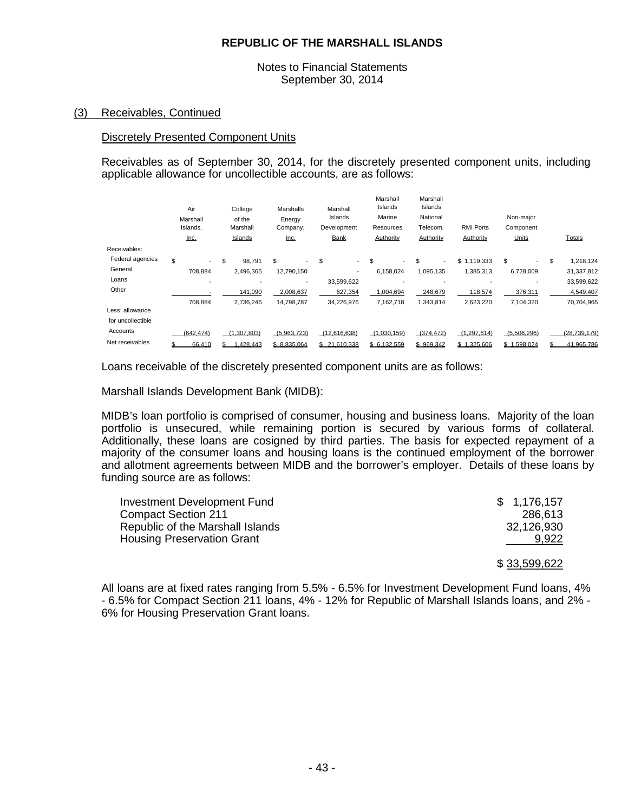Notes to Financial Statements September 30, 2014

#### (3) Receivables, Continued

#### Discretely Presented Component Units

Receivables as of September 30, 2014, for the discretely presented component units, including applicable allowance for uncollectible accounts, are as follows:

| <b>Bank</b><br>Authority<br>Units<br>Inc.<br>Islands<br>Authority<br>Authority<br>Inc.<br>Receivables:<br>Federal agencies<br>\$<br>\$<br>\$<br>\$<br>\$1,119,333<br>\$<br>\$<br>\$<br>98.791<br>\$<br>$\overline{\phantom{a}}$<br>$\overline{a}$<br>$\overline{\phantom{a}}$<br>$\overline{\phantom{a}}$<br>$\overline{\phantom{a}}$<br>$\overline{\phantom{a}}$<br>General<br>708,884<br>2,496,365<br>12,790,150<br>6,158,024<br>1,095,135<br>1,385,313<br>6,728,009<br>$\overline{\phantom{a}}$<br>Loans<br>33,599,622<br>$\overline{\phantom{a}}$<br>Other<br>141,090<br>2,008,637<br>627,354<br>1,004,694<br>248,679<br>118,574<br>376,311<br>708,884<br>7,162,718<br>2,623,220<br>2,736,246<br>14,798,787<br>34,226,976<br>1,343,814<br>7,104,320<br>Less: allowance<br>for uncollectible<br>Accounts<br>(642, 474)<br>(1,030,159)<br>(1,307,803)<br>(5,963,723)<br>(12,616,638)<br>(374, 472)<br>(1, 297, 614)<br>(5,506,296)<br>Net receivables<br>,428,443<br>\$1.325.606<br>\$1.598.024<br>\$8.835.064<br>\$21.610.338<br>\$6.132.559<br>\$969,342<br>66.410 | Air<br>Marshall<br>Islands, |  | College<br>of the<br>Marshall | Marshalls<br>Energy<br>Company, | Marshall<br>Islands<br>Development |  | Marshall<br>Islands<br>Marine<br>Resources | Marshall<br>Islands<br>National<br>Telecom. |  | <b>RMI Ports</b> | Non-major<br>Component |                |
|------------------------------------------------------------------------------------------------------------------------------------------------------------------------------------------------------------------------------------------------------------------------------------------------------------------------------------------------------------------------------------------------------------------------------------------------------------------------------------------------------------------------------------------------------------------------------------------------------------------------------------------------------------------------------------------------------------------------------------------------------------------------------------------------------------------------------------------------------------------------------------------------------------------------------------------------------------------------------------------------------------------------------------------------------------------------|-----------------------------|--|-------------------------------|---------------------------------|------------------------------------|--|--------------------------------------------|---------------------------------------------|--|------------------|------------------------|----------------|
|                                                                                                                                                                                                                                                                                                                                                                                                                                                                                                                                                                                                                                                                                                                                                                                                                                                                                                                                                                                                                                                                        |                             |  |                               |                                 |                                    |  |                                            |                                             |  |                  |                        | Totals         |
|                                                                                                                                                                                                                                                                                                                                                                                                                                                                                                                                                                                                                                                                                                                                                                                                                                                                                                                                                                                                                                                                        |                             |  |                               |                                 |                                    |  |                                            |                                             |  |                  |                        |                |
|                                                                                                                                                                                                                                                                                                                                                                                                                                                                                                                                                                                                                                                                                                                                                                                                                                                                                                                                                                                                                                                                        |                             |  |                               |                                 |                                    |  |                                            |                                             |  |                  |                        | 1,218,124      |
|                                                                                                                                                                                                                                                                                                                                                                                                                                                                                                                                                                                                                                                                                                                                                                                                                                                                                                                                                                                                                                                                        |                             |  |                               |                                 |                                    |  |                                            |                                             |  |                  |                        | 31,337,812     |
|                                                                                                                                                                                                                                                                                                                                                                                                                                                                                                                                                                                                                                                                                                                                                                                                                                                                                                                                                                                                                                                                        |                             |  |                               |                                 |                                    |  |                                            |                                             |  |                  |                        | 33,599,622     |
|                                                                                                                                                                                                                                                                                                                                                                                                                                                                                                                                                                                                                                                                                                                                                                                                                                                                                                                                                                                                                                                                        |                             |  |                               |                                 |                                    |  |                                            |                                             |  |                  |                        | 4,549,407      |
|                                                                                                                                                                                                                                                                                                                                                                                                                                                                                                                                                                                                                                                                                                                                                                                                                                                                                                                                                                                                                                                                        |                             |  |                               |                                 |                                    |  |                                            |                                             |  |                  |                        | 70,704,965     |
|                                                                                                                                                                                                                                                                                                                                                                                                                                                                                                                                                                                                                                                                                                                                                                                                                                                                                                                                                                                                                                                                        |                             |  |                               |                                 |                                    |  |                                            |                                             |  |                  |                        |                |
|                                                                                                                                                                                                                                                                                                                                                                                                                                                                                                                                                                                                                                                                                                                                                                                                                                                                                                                                                                                                                                                                        |                             |  |                               |                                 |                                    |  |                                            |                                             |  |                  |                        |                |
|                                                                                                                                                                                                                                                                                                                                                                                                                                                                                                                                                                                                                                                                                                                                                                                                                                                                                                                                                                                                                                                                        |                             |  |                               |                                 |                                    |  |                                            |                                             |  |                  |                        | (28, 739, 179) |
|                                                                                                                                                                                                                                                                                                                                                                                                                                                                                                                                                                                                                                                                                                                                                                                                                                                                                                                                                                                                                                                                        |                             |  |                               |                                 |                                    |  |                                            |                                             |  |                  |                        | 41.965.786     |

Loans receivable of the discretely presented component units are as follows:

Marshall Islands Development Bank (MIDB):

MIDB's loan portfolio is comprised of consumer, housing and business loans. Majority of the loan portfolio is unsecured, while remaining portion is secured by various forms of collateral. Additionally, these loans are cosigned by third parties. The basis for expected repayment of a majority of the consumer loans and housing loans is the continued employment of the borrower and allotment agreements between MIDB and the borrower's employer. Details of these loans by funding source are as follows:

| Investment Development Fund       | \$1,176,157  |
|-----------------------------------|--------------|
| <b>Compact Section 211</b>        | 286.613      |
| Republic of the Marshall Islands  | 32,126,930   |
| <b>Housing Preservation Grant</b> | 9.922        |
|                                   |              |
|                                   | \$33,599,622 |

All loans are at fixed rates ranging from 5.5% - 6.5% for Investment Development Fund loans, 4% - 6.5% for Compact Section 211 loans, 4% - 12% for Republic of Marshall Islands loans, and 2% - 6% for Housing Preservation Grant loans.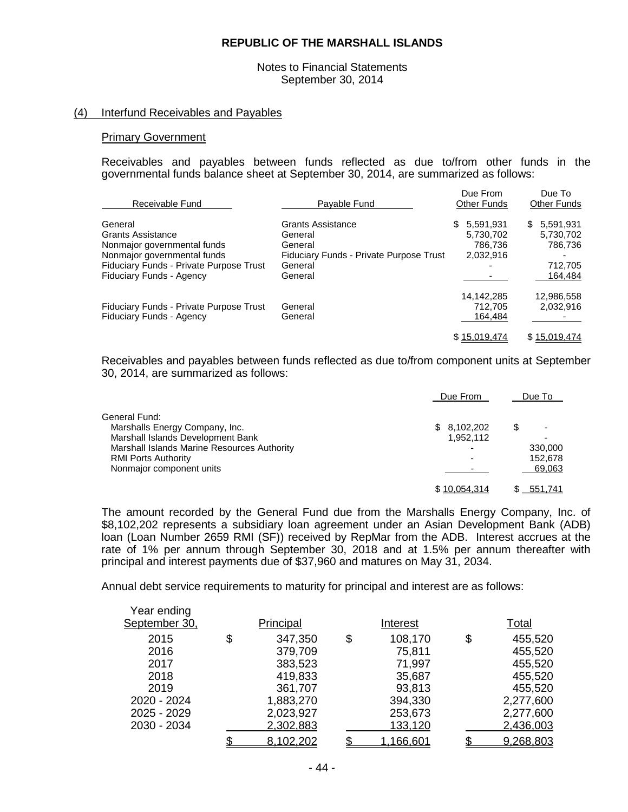#### Notes to Financial Statements September 30, 2014

#### (4) Interfund Receivables and Payables

#### Primary Government

Receivables and payables between funds reflected as due to/from other funds in the governmental funds balance sheet at September 30, 2014, are summarized as follows:

| Receivable Fund                                | Payable Fund                            | Due From<br><b>Other Funds</b> | Due To<br>Other Funds |
|------------------------------------------------|-----------------------------------------|--------------------------------|-----------------------|
| General                                        | <b>Grants Assistance</b>                | 5,591,931<br>SS.               | 5.591.931<br>S        |
| <b>Grants Assistance</b>                       | General                                 | 5.730.702                      | 5,730,702             |
| Nonmajor governmental funds                    | General                                 | 786.736                        | 786.736               |
| Nonmajor governmental funds                    | Fiduciary Funds - Private Purpose Trust | 2,032,916                      |                       |
| <b>Fiduciary Funds - Private Purpose Trust</b> | General                                 |                                | 712,705               |
| Fiduciary Funds - Agency                       | General                                 |                                | 164.484               |
|                                                |                                         | 14,142,285                     | 12,986,558            |
| Fiduciary Funds - Private Purpose Trust        | General                                 | 712.705                        | 2,032,916             |
| Fiduciary Funds - Agency                       | General                                 | 164,484                        |                       |
|                                                |                                         | \$15,019,474                   | \$15,019,474          |

Receivables and payables between funds reflected as due to/from component units at September 30, 2014, are summarized as follows:

| Marshalls Energy Company, Inc.<br>Marshall Islands Development Bank<br>Marshall Islands Marine Resources Authority<br><b>RMI Ports Authority</b> | Due From     | Due To  |
|--------------------------------------------------------------------------------------------------------------------------------------------------|--------------|---------|
| General Fund:                                                                                                                                    |              |         |
|                                                                                                                                                  | \$ 8.102.202 | \$      |
|                                                                                                                                                  | 1.952.112    |         |
|                                                                                                                                                  |              | 330,000 |
|                                                                                                                                                  |              | 152.678 |
| Nonmajor component units                                                                                                                         |              | 69,063  |
|                                                                                                                                                  | \$10,054,314 | 551,741 |

The amount recorded by the General Fund due from the Marshalls Energy Company, Inc. of \$8,102,202 represents a subsidiary loan agreement under an Asian Development Bank (ADB) loan (Loan Number 2659 RMI (SF)) received by RepMar from the ADB. Interest accrues at the rate of 1% per annum through September 30, 2018 and at 1.5% per annum thereafter with principal and interest payments due of \$37,960 and matures on May 31, 2034.

Annual debt service requirements to maturity for principal and interest are as follows:

| Year ending<br>September 30, | Principal     | Interest         | Total         |
|------------------------------|---------------|------------------|---------------|
| 2015                         | \$<br>347,350 | \$<br>108,170    | \$<br>455,520 |
| 2016                         | 379,709       | 75,811           | 455,520       |
| 2017                         | 383,523       | 71,997           | 455,520       |
| 2018                         | 419,833       | 35,687           | 455,520       |
| 2019                         | 361,707       | 93,813           | 455,520       |
| 2020 - 2024                  | 1,883,270     | 394,330          | 2,277,600     |
| 2025 - 2029                  | 2,023,927     | 253,673          | 2,277,600     |
| 2030 - 2034                  | 2,302,883     | 133,120          | 2,436,003     |
|                              | 8,102,202     | <u>1,166,601</u> | 9,268,803     |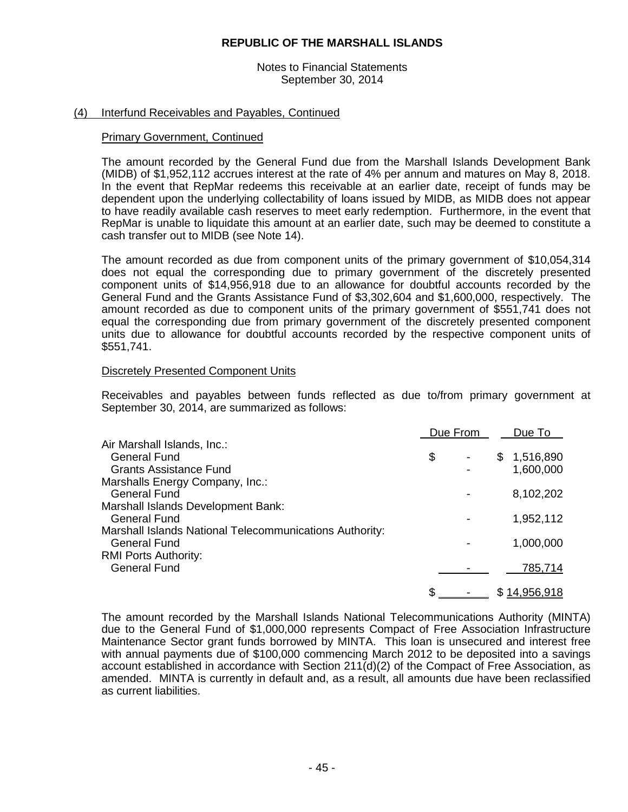Notes to Financial Statements September 30, 2014

#### (4) Interfund Receivables and Payables, Continued

#### Primary Government, Continued

The amount recorded by the General Fund due from the Marshall Islands Development Bank (MIDB) of \$1,952,112 accrues interest at the rate of 4% per annum and matures on May 8, 2018. In the event that RepMar redeems this receivable at an earlier date, receipt of funds may be dependent upon the underlying collectability of loans issued by MIDB, as MIDB does not appear to have readily available cash reserves to meet early redemption. Furthermore, in the event that RepMar is unable to liquidate this amount at an earlier date, such may be deemed to constitute a cash transfer out to MIDB (see Note 14).

The amount recorded as due from component units of the primary government of \$10,054,314 does not equal the corresponding due to primary government of the discretely presented component units of \$14,956,918 due to an allowance for doubtful accounts recorded by the General Fund and the Grants Assistance Fund of \$3,302,604 and \$1,600,000, respectively. The amount recorded as due to component units of the primary government of \$551,741 does not equal the corresponding due from primary government of the discretely presented component units due to allowance for doubtful accounts recorded by the respective component units of \$551,741.

#### Discretely Presented Component Units

Receivables and payables between funds reflected as due to/from primary government at September 30, 2014, are summarized as follows:

|                                                                                                        | Due From |    | Due To                 |
|--------------------------------------------------------------------------------------------------------|----------|----|------------------------|
| Air Marshall Islands, Inc.:<br><b>General Fund</b><br><b>Grants Assistance Fund</b>                    | \$       | S. | 1,516,890<br>1,600,000 |
| Marshalls Energy Company, Inc.:<br><b>General Fund</b>                                                 |          |    | 8,102,202              |
| Marshall Islands Development Bank:<br><b>General Fund</b>                                              |          |    | 1,952,112              |
| Marshall Islands National Telecommunications Authority:<br>General Fund<br><b>RMI Ports Authority:</b> |          |    | 1,000,000              |
| <b>General Fund</b>                                                                                    |          |    | 785,714                |
|                                                                                                        |          |    | \$14,956,918           |

The amount recorded by the Marshall Islands National Telecommunications Authority (MINTA) due to the General Fund of \$1,000,000 represents Compact of Free Association Infrastructure Maintenance Sector grant funds borrowed by MINTA. This loan is unsecured and interest free with annual payments due of \$100,000 commencing March 2012 to be deposited into a savings account established in accordance with Section 211(d)(2) of the Compact of Free Association, as amended. MINTA is currently in default and, as a result, all amounts due have been reclassified as current liabilities.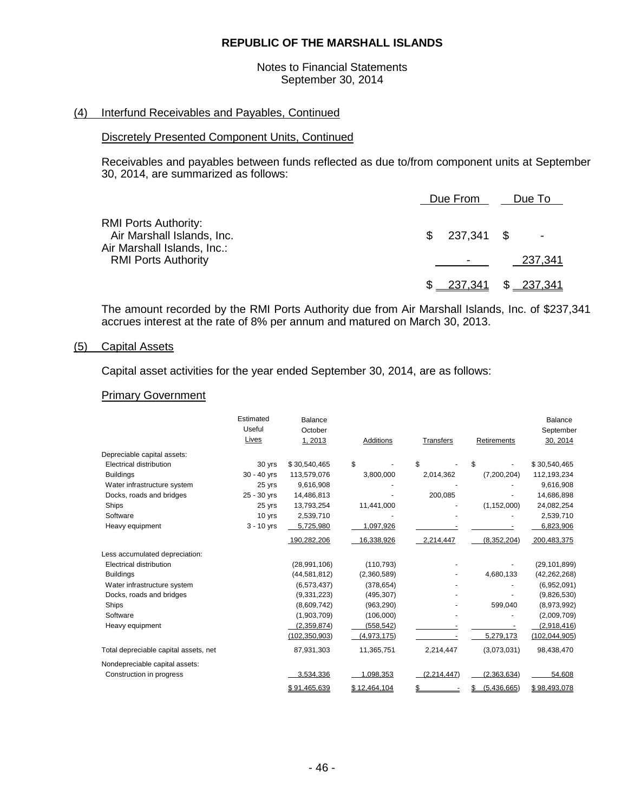Notes to Financial Statements September 30, 2014

### (4) Interfund Receivables and Payables, Continued

#### Discretely Presented Component Units, Continued

Receivables and payables between funds reflected as due to/from component units at September 30, 2014, are summarized as follows:

|                                                                                          |     | Due From       |  |            |
|------------------------------------------------------------------------------------------|-----|----------------|--|------------|
| <b>RMI Ports Authority:</b><br>Air Marshall Islands, Inc.<br>Air Marshall Islands, Inc.: | \$. | 237,341 \$     |  |            |
| <b>RMI Ports Authority</b>                                                               |     |                |  | 237,341    |
|                                                                                          |     | <u>237,341</u> |  | \$ 237,341 |

The amount recorded by the RMI Ports Authority due from Air Marshall Islands, Inc. of \$237,341 accrues interest at the rate of 8% per annum and matured on March 30, 2013.

#### (5) Capital Assets

Capital asset activities for the year ended September 30, 2014, are as follows:

#### **Primary Government**

|                                       | Estimated<br>Useful | Balance<br>October |              |               |                   | Balance<br>September |
|---------------------------------------|---------------------|--------------------|--------------|---------------|-------------------|----------------------|
|                                       | Lives               | 1, 2013            | Additions    | Transfers     | Retirements       | 30, 2014             |
| Depreciable capital assets:           |                     |                    |              |               |                   |                      |
| Electrical distribution               | 30 yrs              | \$30,540,465       | \$           | \$            | \$                | \$30,540,465         |
| <b>Buildings</b>                      | $30 - 40$ vrs       | 113,579,076        | 3,800,000    | 2,014,362     | (7,200,204)       | 112,193,234          |
| Water infrastructure system           | 25 yrs              | 9,616,908          |              |               |                   | 9,616,908            |
| Docks, roads and bridges              | 25 - 30 yrs         | 14,486,813         |              | 200,085       |                   | 14,686,898           |
| Ships                                 | 25 yrs              | 13,793,254         | 11,441,000   |               | (1, 152, 000)     | 24,082,254           |
| Software                              | 10 yrs              | 2,539,710          |              |               |                   | 2,539,710            |
| Heavy equipment                       | $3 - 10$ yrs        | 5,725,980          | 1,097,926    |               |                   | 6,823,906            |
|                                       |                     | 190,282,206        | 16,338,926   | 2,214,447     | (8,352,204)       | 200,483,375          |
| Less accumulated depreciation:        |                     |                    |              |               |                   |                      |
| Electrical distribution               |                     | (28,991,106)       | (110, 793)   |               |                   | (29, 101, 899)       |
| <b>Buildings</b>                      |                     | (44, 581, 812)     | (2,360,589)  |               | 4,680,133         | (42, 262, 268)       |
| Water infrastructure system           |                     | (6, 573, 437)      | (378, 654)   |               |                   | (6,952,091)          |
| Docks, roads and bridges              |                     | (9,331,223)        | (495, 307)   |               |                   | (9,826,530)          |
| Ships                                 |                     | (8,609,742)        | (963, 290)   |               | 599,040           | (8,973,992)          |
| Software                              |                     | (1,903,709)        | (106,000)    |               |                   | (2,009,709)          |
| Heavy equipment                       |                     | (2,359,874)        | (558, 542)   |               |                   | (2,918,416)          |
|                                       |                     | (102, 350, 903)    | (4,973,175)  |               | 5,279,173         | (102, 044, 905)      |
| Total depreciable capital assets, net |                     | 87,931,303         | 11,365,751   | 2,214,447     | (3,073,031)       | 98,438,470           |
| Nondepreciable capital assets:        |                     |                    |              |               |                   |                      |
| Construction in progress              |                     | 3,534,336          | 1,098,353    | (2, 214, 447) | (2,363,634)       | 54,608               |
|                                       |                     | \$91,465,639       | \$12,464,104 | \$            | (5,436,665)<br>\$ | \$98,493,078         |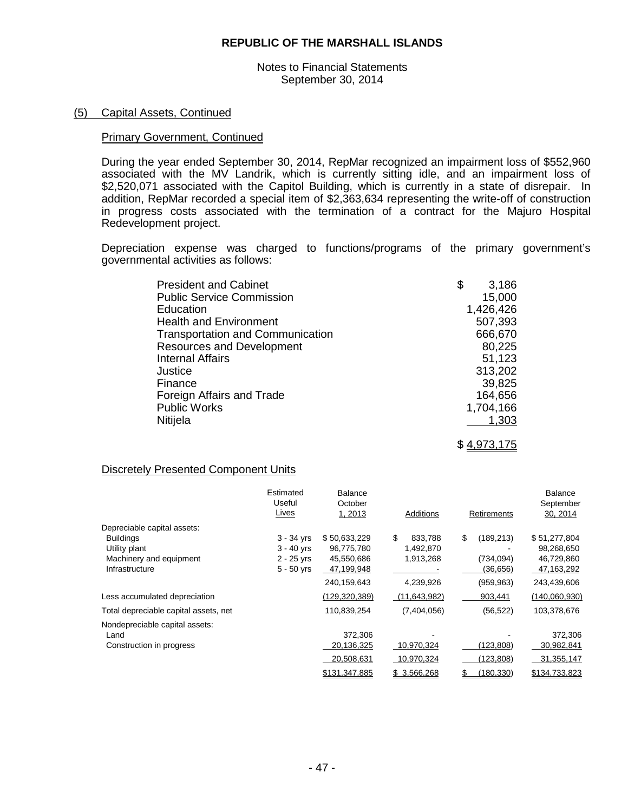Notes to Financial Statements September 30, 2014

#### (5) Capital Assets, Continued

#### Primary Government, Continued

During the year ended September 30, 2014, RepMar recognized an impairment loss of \$552,960 associated with the MV Landrik, which is currently sitting idle, and an impairment loss of \$2,520,071 associated with the Capitol Building, which is currently in a state of disrepair. In addition, RepMar recorded a special item of \$2,363,634 representing the write-off of construction in progress costs associated with the termination of a contract for the Majuro Hospital Redevelopment project.

Depreciation expense was charged to functions/programs of the primary government's governmental activities as follows:

| <b>President and Cabinet</b>            | \$<br>3,186 |
|-----------------------------------------|-------------|
| <b>Public Service Commission</b>        | 15,000      |
| Education                               | 1,426,426   |
| <b>Health and Environment</b>           | 507,393     |
| <b>Transportation and Communication</b> | 666,670     |
| <b>Resources and Development</b>        | 80,225      |
| <b>Internal Affairs</b>                 | 51,123      |
| Justice                                 | 313,202     |
| Finance                                 | 39,825      |
| Foreign Affairs and Trade               | 164,656     |
| <b>Public Works</b>                     | 1,704,166   |
| Nitijela                                | 1,303       |
|                                         |             |

\$ 4,973,175

# Discretely Presented Component Units

|                                       | Estimated<br>Useful<br>Lives | Balance<br>October<br>1, 2013 | Additions     | Retirements      | Balance<br>September<br>30, 2014 |
|---------------------------------------|------------------------------|-------------------------------|---------------|------------------|----------------------------------|
| Depreciable capital assets:           |                              |                               |               |                  |                                  |
| <b>Buildings</b>                      | $3 - 34$ yrs                 | \$50,633,229                  | \$<br>833,788 | \$<br>(189, 213) | \$51,277,804                     |
| Utility plant                         | $3 - 40$ yrs                 | 96,775,780                    | 1,492,870     |                  | 98,268,650                       |
| Machinery and equipment               | $2 - 25$ yrs                 | 45,550,686                    | 1,913,268     | (734, 094)       | 46,729,860                       |
| Infrastructure                        | $5 - 50$ yrs                 | 47,199,948                    |               | (36, 656)        | 47, 163, 292                     |
|                                       |                              | 240,159,643                   | 4,239,926     | (959, 963)       | 243,439,606                      |
| Less accumulated depreciation         |                              | (129, 320, 389)               | (11,643,982)  | 903,441          | (140,060,930)                    |
| Total depreciable capital assets, net |                              | 110,839,254                   | (7,404,056)   | (56, 522)        | 103,378,676                      |
| Nondepreciable capital assets:        |                              |                               |               |                  |                                  |
| Land                                  |                              | 372,306                       |               |                  | 372,306                          |
| Construction in progress              |                              | 20,136,325                    | 10,970,324    | (123, 808)       | 30,982,841                       |
|                                       |                              | 20,508,631                    | 10,970,324    | (123, 808)       | 31,355,147                       |
|                                       |                              | \$131,347,885                 | \$3,566,268   | (180,330)        | \$134,733,823                    |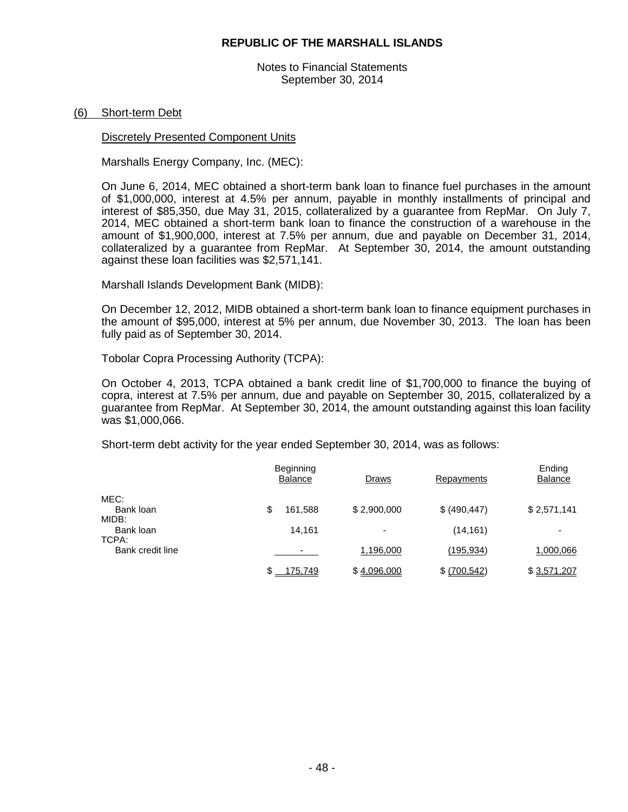Notes to Financial Statements September 30, 2014

#### (6) Short-term Debt

# Discretely Presented Component Units

Marshalls Energy Company, Inc. (MEC):

On June 6, 2014, MEC obtained a short-term bank loan to finance fuel purchases in the amount of \$1,000,000, interest at 4.5% per annum, payable in monthly installments of principal and interest of \$85,350, due May 31, 2015, collateralized by a guarantee from RepMar. On July 7, 2014, MEC obtained a short-term bank loan to finance the construction of a warehouse in the amount of \$1,900,000, interest at 7.5% per annum, due and payable on December 31, 2014, collateralized by a guarantee from RepMar. At September 30, 2014, the amount outstanding against these loan facilities was \$2,571,141.

Marshall Islands Development Bank (MIDB):

On December 12, 2012, MIDB obtained a short-term bank loan to finance equipment purchases in the amount of \$95,000, interest at 5% per annum, due November 30, 2013. The loan has been fully paid as of September 30, 2014.

Tobolar Copra Processing Authority (TCPA):

On October 4, 2013, TCPA obtained a bank credit line of \$1,700,000 to finance the buying of copra, interest at 7.5% per annum, due and payable on September 30, 2015, collateralized by a guarantee from RepMar. At September 30, 2014, the amount outstanding against this loan facility was \$1,000,066.

Short-term debt activity for the year ended September 30, 2014, was as follows:

|                  | Beginning<br><b>Balance</b> | Draws       | Repayments    | Ending<br><b>Balance</b> |
|------------------|-----------------------------|-------------|---------------|--------------------------|
| MEC:             |                             |             |               |                          |
| Bank loan        | \$<br>161,588               | \$2,900,000 | \$ (490, 447) | \$2,571,141              |
| MIDB:            |                             |             |               |                          |
| Bank loan        | 14.161                      | -           | (14, 161)     |                          |
| TCPA:            |                             |             |               |                          |
| Bank credit line |                             | 1,196,000   | (195, 934)    | 1,000,066                |
|                  | 175,749                     | \$4,096,000 | \$ (700, 542) | \$3,571,207              |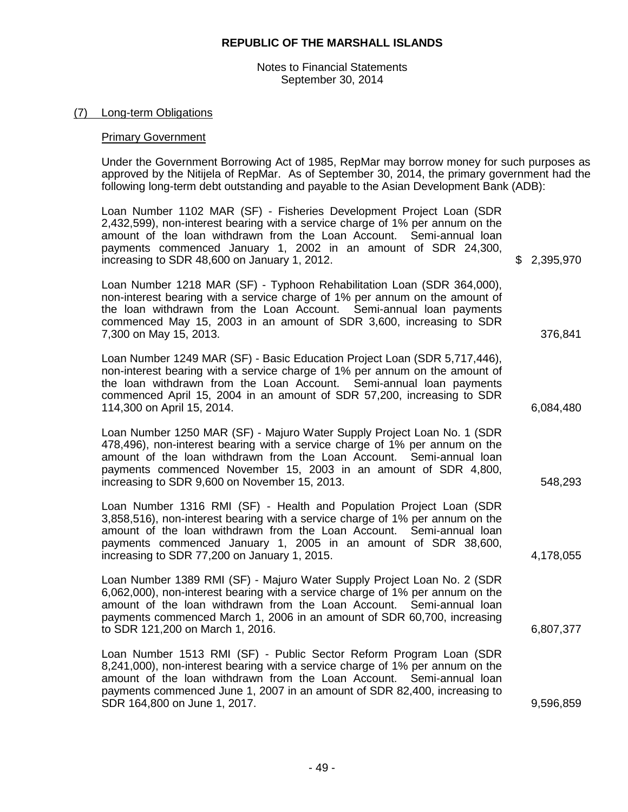Notes to Financial Statements September 30, 2014

#### (7) Long-term Obligations

### **Primary Government**

Under the Government Borrowing Act of 1985, RepMar may borrow money for such purposes as approved by the Nitijela of RepMar. As of September 30, 2014, the primary government had the following long-term debt outstanding and payable to the Asian Development Bank (ADB):

| $\mathfrak{L}$<br>2,395,970 | Loan Number 1102 MAR (SF) - Fisheries Development Project Loan (SDR<br>2,432,599), non-interest bearing with a service charge of 1% per annum on the<br>amount of the loan withdrawn from the Loan Account. Semi-annual loan<br>payments commenced January 1, 2002 in an amount of SDR 24,300,<br>increasing to SDR 48,600 on January 1, 2012.     |  |
|-----------------------------|----------------------------------------------------------------------------------------------------------------------------------------------------------------------------------------------------------------------------------------------------------------------------------------------------------------------------------------------------|--|
| 376,841                     | Loan Number 1218 MAR (SF) - Typhoon Rehabilitation Loan (SDR 364,000),<br>non-interest bearing with a service charge of 1% per annum on the amount of<br>the loan withdrawn from the Loan Account. Semi-annual loan payments<br>commenced May 15, 2003 in an amount of SDR 3,600, increasing to SDR<br>7,300 on May 15, 2013.                      |  |
| 6,084,480                   | Loan Number 1249 MAR (SF) - Basic Education Project Loan (SDR 5,717,446),<br>non-interest bearing with a service charge of 1% per annum on the amount of<br>the loan withdrawn from the Loan Account. Semi-annual loan payments<br>commenced April 15, 2004 in an amount of SDR 57,200, increasing to SDR<br>114,300 on April 15, 2014.            |  |
| 548,293                     | Loan Number 1250 MAR (SF) - Majuro Water Supply Project Loan No. 1 (SDR<br>478,496), non-interest bearing with a service charge of 1% per annum on the<br>amount of the loan withdrawn from the Loan Account. Semi-annual loan<br>payments commenced November 15, 2003 in an amount of SDR 4,800,<br>increasing to SDR 9,600 on November 15, 2013. |  |
| 4,178,055                   | Loan Number 1316 RMI (SF) - Health and Population Project Loan (SDR<br>3,858,516), non-interest bearing with a service charge of 1% per annum on the<br>amount of the loan withdrawn from the Loan Account. Semi-annual loan<br>payments commenced January 1, 2005 in an amount of SDR 38,600,<br>increasing to SDR 77,200 on January 1, 2015.     |  |
| 6,807,377                   | Loan Number 1389 RMI (SF) - Majuro Water Supply Project Loan No. 2 (SDR<br>6,062,000), non-interest bearing with a service charge of 1% per annum on the<br>amount of the loan withdrawn from the Loan Account. Semi-annual loan<br>payments commenced March 1, 2006 in an amount of SDR 60,700, increasing<br>to SDR 121,200 on March 1, 2016.    |  |
| 9,596,859                   | Loan Number 1513 RMI (SF) - Public Sector Reform Program Loan (SDR<br>8,241,000), non-interest bearing with a service charge of 1% per annum on the<br>amount of the loan withdrawn from the Loan Account. Semi-annual loan<br>payments commenced June 1, 2007 in an amount of SDR 82,400, increasing to<br>SDR 164,800 on June 1, 2017.           |  |
|                             |                                                                                                                                                                                                                                                                                                                                                    |  |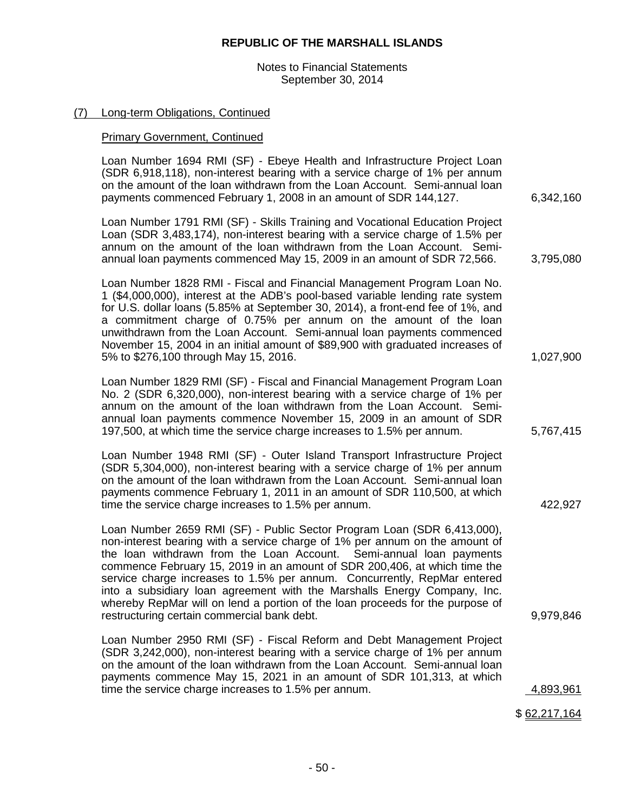Notes to Financial Statements September 30, 2014

#### (7) Long-term Obligations, Continued

#### Primary Government, Continued

Loan Number 1694 RMI (SF) - Ebeye Health and Infrastructure Project Loan (SDR 6,918,118), non-interest bearing with a service charge of 1% per annum on the amount of the loan withdrawn from the Loan Account. Semi-annual loan payments commenced February 1, 2008 in an amount of SDR 144,127. 6,342,160 Loan Number 1791 RMI (SF) - Skills Training and Vocational Education Project Loan (SDR 3,483,174), non-interest bearing with a service charge of 1.5% per annum on the amount of the loan withdrawn from the Loan Account. Semiannual loan payments commenced May 15, 2009 in an amount of SDR 72,566. 3,795,080 Loan Number 1828 RMI - Fiscal and Financial Management Program Loan No. 1 (\$4,000,000), interest at the ADB's pool-based variable lending rate system for U.S. dollar loans (5.85% at September 30, 2014), a front-end fee of 1%, and a commitment charge of 0.75% per annum on the amount of the loan unwithdrawn from the Loan Account. Semi-annual loan payments commenced November 15, 2004 in an initial amount of \$89,900 with graduated increases of 5% to \$276,100 through May 15, 2016. 1,027,900 Loan Number 1829 RMI (SF) - Fiscal and Financial Management Program Loan No. 2 (SDR 6,320,000), non-interest bearing with a service charge of 1% per annum on the amount of the loan withdrawn from the Loan Account. Semiannual loan payments commence November 15, 2009 in an amount of SDR 197,500, at which time the service charge increases to 1.5% per annum. 5,767,415 Loan Number 1948 RMI (SF) - Outer Island Transport Infrastructure Project (SDR 5,304,000), non-interest bearing with a service charge of 1% per annum on the amount of the loan withdrawn from the Loan Account. Semi-annual loan payments commence February 1, 2011 in an amount of SDR 110,500, at which time the service charge increases to 1.5% per annum. 422,927 Loan Number 2659 RMI (SF) - Public Sector Program Loan (SDR 6,413,000), non-interest bearing with a service charge of 1% per annum on the amount of the loan withdrawn from the Loan Account. Semi-annual loan payments commence February 15, 2019 in an amount of SDR 200,406, at which time the service charge increases to 1.5% per annum. Concurrently, RepMar entered into a subsidiary loan agreement with the Marshalls Energy Company, Inc. whereby RepMar will on lend a portion of the loan proceeds for the purpose of restructuring certain commercial bank debt. 9,979,846 Loan Number 2950 RMI (SF) - Fiscal Reform and Debt Management Project (SDR 3,242,000), non-interest bearing with a service charge of 1% per annum on the amount of the loan withdrawn from the Loan Account. Semi-annual loan payments commence May 15, 2021 in an amount of SDR 101,313, at which time the service charge increases to 1.5% per annum. 4,893,961 \$ 62,217,164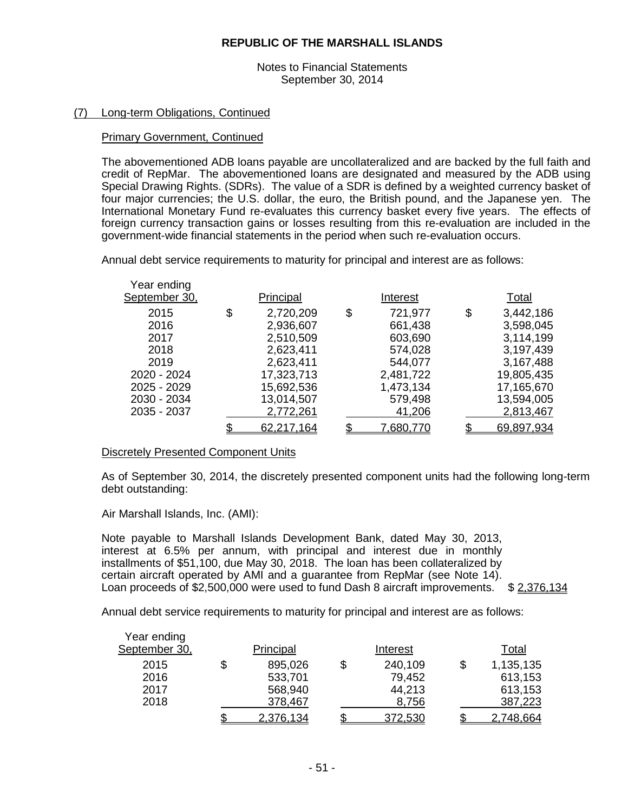Notes to Financial Statements September 30, 2014

#### (7) Long-term Obligations, Continued

#### Primary Government, Continued

The abovementioned ADB loans payable are uncollateralized and are backed by the full faith and credit of RepMar. The abovementioned loans are designated and measured by the ADB using Special Drawing Rights. (SDRs). The value of a SDR is defined by a weighted currency basket of four major currencies; the U.S. dollar, the euro, the British pound, and the Japanese yen. The International Monetary Fund re-evaluates this currency basket every five years. The effects of foreign currency transaction gains or losses resulting from this re-evaluation are included in the government-wide financial statements in the period when such re-evaluation occurs.

Annual debt service requirements to maturity for principal and interest are as follows:

| Year ending<br>September 30,                        | Principal                                                                         | Interest                                                               | Total                                                                             |
|-----------------------------------------------------|-----------------------------------------------------------------------------------|------------------------------------------------------------------------|-----------------------------------------------------------------------------------|
| 2015<br>2016<br>2017<br>2018<br>2019<br>2020 - 2024 | \$<br>2,720,209<br>2,936,607<br>2,510,509<br>2,623,411<br>2,623,411<br>17,323,713 | \$<br>721,977<br>661,438<br>603,690<br>574,028<br>544,077<br>2,481,722 | \$<br>3,442,186<br>3,598,045<br>3,114,199<br>3,197,439<br>3,167,488<br>19,805,435 |
| 2025 - 2029<br>2030 - 2034<br>2035 - 2037           | 15,692,536<br>13,014,507<br>2,772,261<br>62,217,164                               | 1,473,134<br>579,498<br>41,206<br>7,680,770                            | 17,165,670<br>13,594,005<br>2,813,467<br>69,897,934                               |

#### Discretely Presented Component Units

As of September 30, 2014, the discretely presented component units had the following long-term debt outstanding:

Air Marshall Islands, Inc. (AMI):

Note payable to Marshall Islands Development Bank, dated May 30, 2013, interest at 6.5% per annum, with principal and interest due in monthly installments of \$51,100, due May 30, 2018. The loan has been collateralized by certain aircraft operated by AMI and a guarantee from RepMar (see Note 14). Loan proceeds of \$2,500,000 were used to fund Dash 8 aircraft improvements. \$ 2,376,134

Annual debt service requirements to maturity for principal and interest are as follows:

| Year ending   |               |               |                 |
|---------------|---------------|---------------|-----------------|
| September 30, | Principal     | Interest      | Total           |
| 2015          | \$<br>895,026 | \$<br>240,109 | \$<br>1,135,135 |
| 2016          | 533,701       | 79,452        | 613,153         |
| 2017          | 568,940       | 44,213        | 613,153         |
| 2018          | 378,467       | 8,756         | 387,223         |
|               | 2,376,134     | 372,530       | 2,748,664       |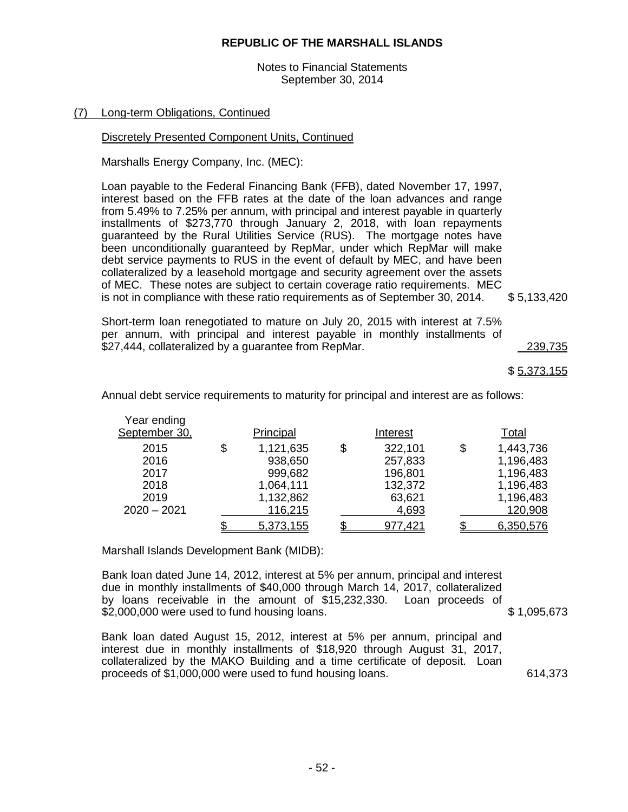Notes to Financial Statements September 30, 2014

#### (7) Long-term Obligations, Continued

#### Discretely Presented Component Units, Continued

Marshalls Energy Company, Inc. (MEC):

Loan payable to the Federal Financing Bank (FFB), dated November 17, 1997, interest based on the FFB rates at the date of the loan advances and range from 5.49% to 7.25% per annum, with principal and interest payable in quarterly installments of \$273,770 through January 2, 2018, with loan repayments guaranteed by the Rural Utilities Service (RUS). The mortgage notes have been unconditionally guaranteed by RepMar, under which RepMar will make debt service payments to RUS in the event of default by MEC, and have been collateralized by a leasehold mortgage and security agreement over the assets of MEC. These notes are subject to certain coverage ratio requirements. MEC is not in compliance with these ratio requirements as of September 30, 2014. \$5,133,420

Short-term loan renegotiated to mature on July 20, 2015 with interest at 7.5% per annum, with principal and interest payable in monthly installments of \$27,444, collateralized by a guarantee from RepMar. 239,735

\$ 5,373,155

| Year ending<br>September 30, | Principal       | Interest      | Total           |
|------------------------------|-----------------|---------------|-----------------|
| 2015                         | \$<br>1,121,635 | \$<br>322,101 | \$<br>1,443,736 |
| 2016                         | 938,650         | 257,833       | 1,196,483       |
| 2017                         | 999,682         | 196,801       | 1,196,483       |
| 2018                         | 1,064,111       | 132,372       | 1,196,483       |
| 2019                         | 1,132,862       | 63,621        | 1,196,483       |
| $2020 - 2021$                | 116,215         | 4,693         | 120,908         |
|                              | 5,373,155       | 977,421       | 6,350,576       |

Annual debt service requirements to maturity for principal and interest are as follows:

Marshall Islands Development Bank (MIDB):

Bank loan dated June 14, 2012, interest at 5% per annum, principal and interest due in monthly installments of \$40,000 through March 14, 2017, collateralized by loans receivable in the amount of \$15,232,330. Loan proceeds of \$2,000,000 were used to fund housing loans. \$ 1,095,673

Bank loan dated August 15, 2012, interest at 5% per annum, principal and interest due in monthly installments of \$18,920 through August 31, 2017, collateralized by the MAKO Building and a time certificate of deposit. Loan proceeds of \$1,000,000 were used to fund housing loans. 614,373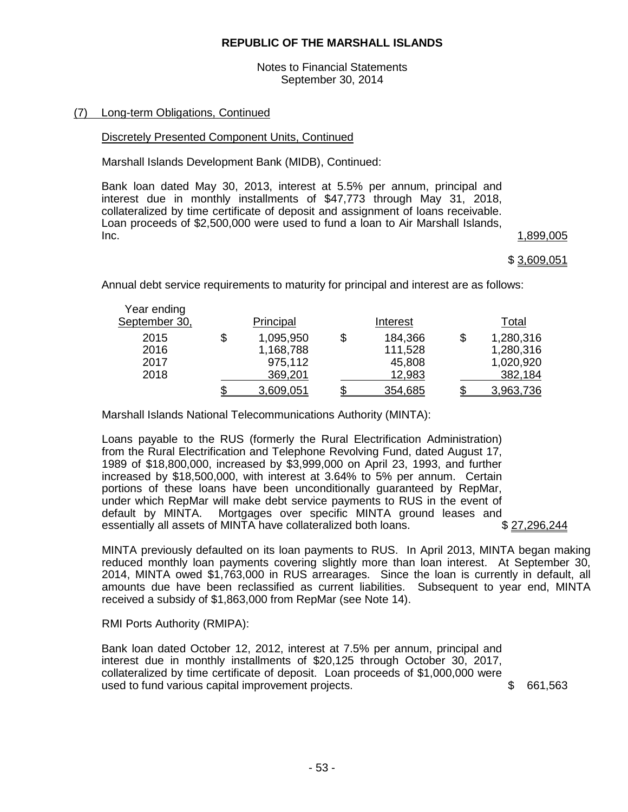Notes to Financial Statements September 30, 2014

#### (7) Long-term Obligations, Continued

#### Discretely Presented Component Units, Continued

Marshall Islands Development Bank (MIDB), Continued:

Bank loan dated May 30, 2013, interest at 5.5% per annum, principal and interest due in monthly installments of \$47,773 through May 31, 2018, collateralized by time certificate of deposit and assignment of loans receivable. Loan proceeds of \$2,500,000 were used to fund a loan to Air Marshall Islands,  $1,899,005$ 

#### \$ 3,609,051

Annual debt service requirements to maturity for principal and interest are as follows:

| Year ending<br>September 30, |    | Principal            | Interest          | Total                  |
|------------------------------|----|----------------------|-------------------|------------------------|
| 2015                         | \$ | 1,095,950            | \$<br>184,366     | 1,280,316              |
| 2016<br>2017                 |    | 1,168,788<br>975,112 | 111,528<br>45,808 | 1,280,316<br>1,020,920 |
| 2018                         |    | 369,201              | 12,983            | 382,184                |
|                              | ሮ  | 3,609,051            | 354,685           | 3,963,736              |

Marshall Islands National Telecommunications Authority (MINTA):

Loans payable to the RUS (formerly the Rural Electrification Administration) from the Rural Electrification and Telephone Revolving Fund, dated August 17, 1989 of \$18,800,000, increased by \$3,999,000 on April 23, 1993, and further increased by \$18,500,000, with interest at 3.64% to 5% per annum. Certain portions of these loans have been unconditionally guaranteed by RepMar, under which RepMar will make debt service payments to RUS in the event of default by MINTA. Mortgages over specific MINTA ground leases and essentially all assets of MINTA have collateralized both loans. \$ 27,296,244

MINTA previously defaulted on its loan payments to RUS. In April 2013, MINTA began making reduced monthly loan payments covering slightly more than loan interest. At September 30, 2014, MINTA owed \$1,763,000 in RUS arrearages. Since the loan is currently in default, all amounts due have been reclassified as current liabilities. Subsequent to year end, MINTA received a subsidy of \$1,863,000 from RepMar (see Note 14).

# RMI Ports Authority (RMIPA):

Bank loan dated October 12, 2012, interest at 7.5% per annum, principal and interest due in monthly installments of \$20,125 through October 30, 2017, collateralized by time certificate of deposit. Loan proceeds of \$1,000,000 were used to fund various capital improvement projects. \$ 661,563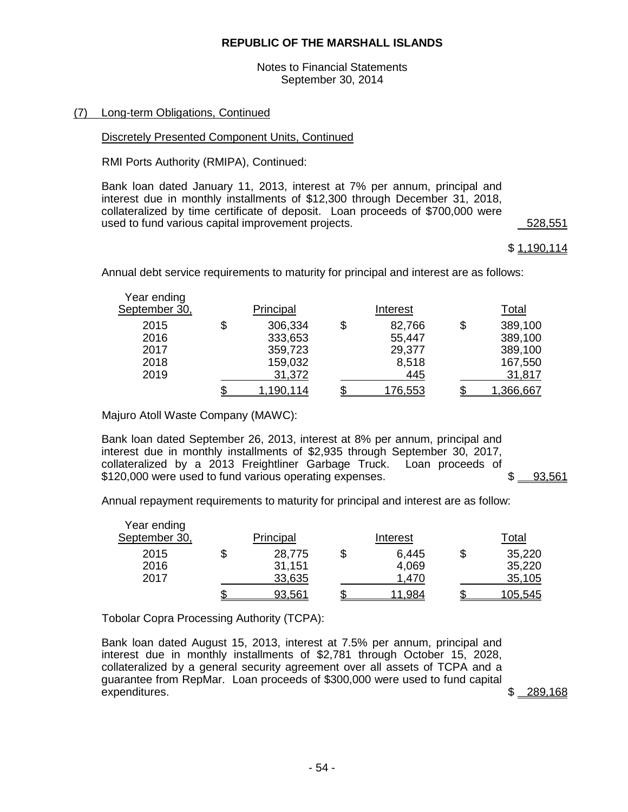Notes to Financial Statements September 30, 2014

### (7) Long-term Obligations, Continued

#### Discretely Presented Component Units, Continued

RMI Ports Authority (RMIPA), Continued:

Bank loan dated January 11, 2013, interest at 7% per annum, principal and interest due in monthly installments of \$12,300 through December 31, 2018, collateralized by time certificate of deposit. Loan proceeds of \$700,000 were used to fund various capital improvement projects. 528,551

#### \$ 1,190,114

Annual debt service requirements to maturity for principal and interest are as follows:

| Year ending<br>September 30, | Principal     | Interest     | Total         |
|------------------------------|---------------|--------------|---------------|
| 2015                         | \$<br>306,334 | \$<br>82,766 | \$<br>389,100 |
| 2016                         | 333,653       | 55,447       | 389,100       |
| 2017                         | 359,723       | 29,377       | 389,100       |
| 2018                         | 159,032       | 8,518        | 167,550       |
| 2019                         | 31,372        | 445          | 31,817        |
|                              | Ⅰ.190.114     | 176,553      | 1,366,667     |

Majuro Atoll Waste Company (MAWC):

Bank loan dated September 26, 2013, interest at 8% per annum, principal and interest due in monthly installments of \$2,935 through September 30, 2017, collateralized by a 2013 Freightliner Garbage Truck. Loan proceeds of \$120,000 were used to fund various operating expenses. \$ \$ 93,561

Annual repayment requirements to maturity for principal and interest are as follow:

| Year ending<br>September 30, | Principal                        |   | Interest                | <u>Total</u>                     |
|------------------------------|----------------------------------|---|-------------------------|----------------------------------|
| 2015<br>2016<br>2017         | \$<br>28,775<br>31,151<br>33,635 | S | 6,445<br>4,069<br>1.470 | \$<br>35,220<br>35,220<br>35,105 |
|                              | 93,561                           |   | 11.984                  | <u>105,545</u>                   |

Tobolar Copra Processing Authority (TCPA):

Bank loan dated August 15, 2013, interest at 7.5% per annum, principal and interest due in monthly installments of \$2,781 through October 15, 2028, collateralized by a general security agreement over all assets of TCPA and a guarantee from RepMar. Loan proceeds of \$300,000 were used to fund capital expenditures. Supervisors of the set of the set of the set of the set of the set of the set of the set of the set of the set of the set of the set of the set of the set of the set of the set of the set of the set of the se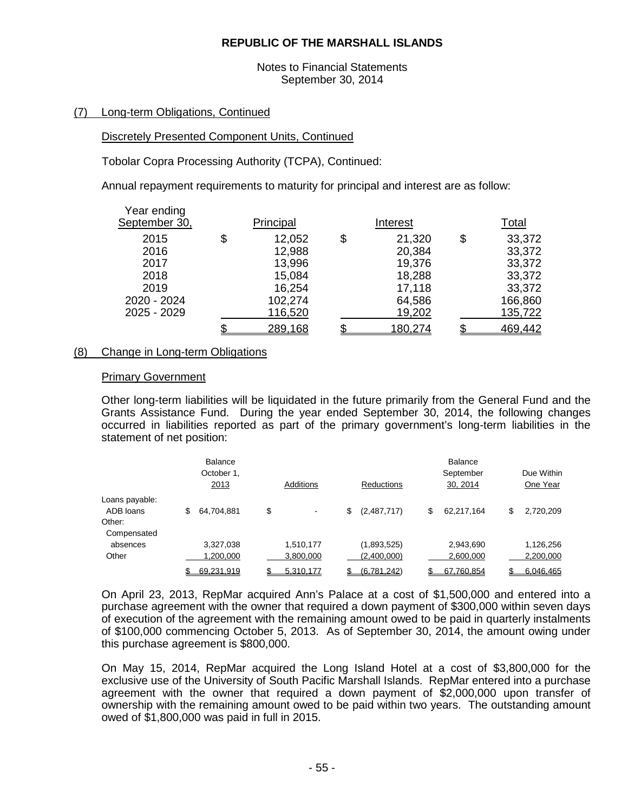Notes to Financial Statements September 30, 2014

# (7) Long-term Obligations, Continued

#### Discretely Presented Component Units, Continued

Tobolar Copra Processing Authority (TCPA), Continued:

Annual repayment requirements to maturity for principal and interest are as follow:

| Year ending<br>September 30, | Principal    | Interest     | Total        |
|------------------------------|--------------|--------------|--------------|
| 2015                         | \$<br>12,052 | \$<br>21,320 | \$<br>33,372 |
| 2016                         | 12,988       | 20,384       | 33,372       |
| 2017                         | 13,996       | 19,376       | 33,372       |
| 2018                         | 15,084       | 18,288       | 33,372       |
| 2019                         | 16,254       | 17,118       | 33,372       |
| 2020 - 2024                  | 102,274      | 64,586       | 166,860      |
| 2025 - 2029                  | 116,520      | 19,202       | 135,722      |
|                              | 289,168      | 180,274      | 469,442      |

# (8) Change in Long-term Obligations

#### Primary Government

Other long-term liabilities will be liquidated in the future primarily from the General Fund and the Grants Assistance Fund. During the year ended September 30, 2014, the following changes occurred in liabilities reported as part of the primary government's long-term liabilities in the statement of net position:

|                                                      | Balance<br>October 1,<br>2013        | Additions                           | <b>Reductions</b>                         | <b>Balance</b><br>September<br>30, 2014 |    | Due Within<br>One Year              |
|------------------------------------------------------|--------------------------------------|-------------------------------------|-------------------------------------------|-----------------------------------------|----|-------------------------------------|
| Loans payable:<br>ADB loans<br>Other:<br>Compensated | \$<br>64,704,881                     | \$<br>-                             | \$<br>(2,487,717)                         | \$<br>62,217,164                        | \$ | 2,720,209                           |
| absences<br>Other                                    | 3,327,038<br>1,200,000<br>69,231,919 | 1,510,177<br>3,800,000<br>5,310,177 | (1,893,525)<br>(2,400,000)<br>(6,781,242) | 2,943,690<br>2,600,000<br>67,760,854    | S  | 1,126,256<br>2,200,000<br>6,046,465 |

On April 23, 2013, RepMar acquired Ann's Palace at a cost of \$1,500,000 and entered into a purchase agreement with the owner that required a down payment of \$300,000 within seven days of execution of the agreement with the remaining amount owed to be paid in quarterly instalments of \$100,000 commencing October 5, 2013. As of September 30, 2014, the amount owing under this purchase agreement is \$800,000.

On May 15, 2014, RepMar acquired the Long Island Hotel at a cost of \$3,800,000 for the exclusive use of the University of South Pacific Marshall Islands. RepMar entered into a purchase agreement with the owner that required a down payment of \$2,000,000 upon transfer of ownership with the remaining amount owed to be paid within two years. The outstanding amount owed of \$1,800,000 was paid in full in 2015.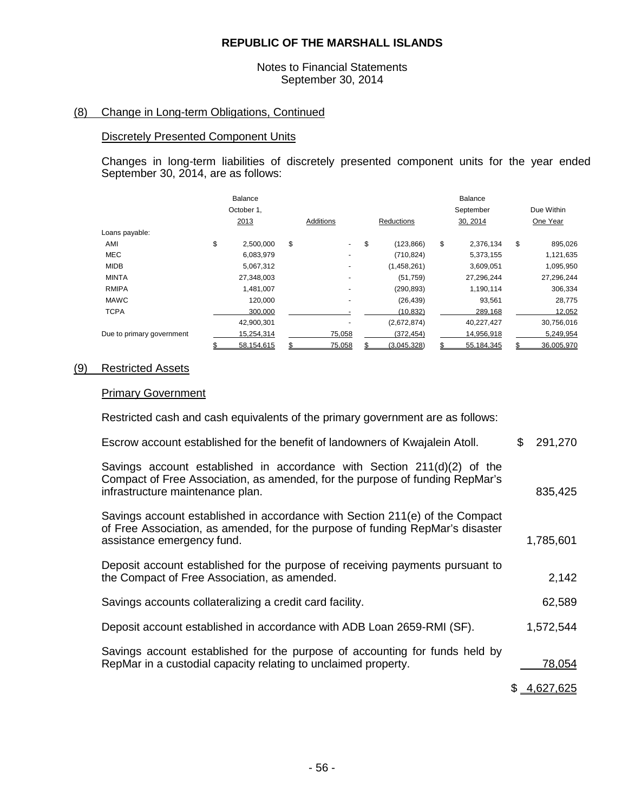#### Notes to Financial Statements September 30, 2014

### (8) Change in Long-term Obligations, Continued

#### Discretely Presented Component Units

Changes in long-term liabilities of discretely presented component units for the year ended September 30, 2014, are as follows:

|                           | <b>Balance</b><br>October 1,<br>2013 | Additions    | Reductions       | <b>Balance</b><br>September<br>30, 2014 | Due Within<br>One Year |
|---------------------------|--------------------------------------|--------------|------------------|-----------------------------------------|------------------------|
| Loans payable:            |                                      |              |                  |                                         |                        |
| AMI                       | \$<br>2.500.000                      | \$<br>$\sim$ | \$<br>(123, 866) | \$<br>2.376.134                         | \$<br>895,026          |
| <b>MEC</b>                | 6,083,979                            |              | (710, 824)       | 5,373,155                               | 1,121,635              |
| <b>MIDB</b>               | 5,067,312                            |              | (1,458,261)      | 3,609,051                               | 1,095,950              |
| <b>MINTA</b>              | 27,348,003                           |              | (51,759)         | 27,296,244                              | 27,296,244             |
| <b>RMIPA</b>              | 1,481,007                            |              | (290, 893)       | 1,190,114                               | 306,334                |
| <b>MAWC</b>               | 120,000                              |              | (26, 439)        | 93,561                                  | 28,775                 |
| <b>TCPA</b>               | 300,000                              |              | (10, 832)        | 289,168                                 | 12,052                 |
|                           | 42,900,301                           |              | (2,672,874)      | 40,227,427                              | 30,756,016             |
| Due to primary government | 15,254,314                           | 75,058       | (372, 454)       | 14,956,918                              | 5,249,954              |
|                           | 58.154.615                           | 75.058       | (3.045.328)      | 55.184.345                              | 36.005.970             |

# (9) Restricted Assets

#### **Primary Government**

Restricted cash and cash equivalents of the primary government are as follows:

| Escrow account established for the benefit of landowners of Kwajalein Atoll.                                                                                                                  | \$<br>291,270 |
|-----------------------------------------------------------------------------------------------------------------------------------------------------------------------------------------------|---------------|
| Savings account established in accordance with Section $211(d)(2)$ of the<br>Compact of Free Association, as amended, for the purpose of funding RepMar's<br>infrastructure maintenance plan. | 835,425       |
| Savings account established in accordance with Section 211(e) of the Compact<br>of Free Association, as amended, for the purpose of funding RepMar's disaster<br>assistance emergency fund.   | 1,785,601     |
| Deposit account established for the purpose of receiving payments pursuant to<br>the Compact of Free Association, as amended.                                                                 | 2,142         |
| Savings accounts collateralizing a credit card facility.                                                                                                                                      | 62,589        |
| Deposit account established in accordance with ADB Loan 2659-RMI (SF).                                                                                                                        | 1,572,544     |
| Savings account established for the purpose of accounting for funds held by<br>RepMar in a custodial capacity relating to unclaimed property.                                                 | 78,054        |
|                                                                                                                                                                                               | \$4,627,625   |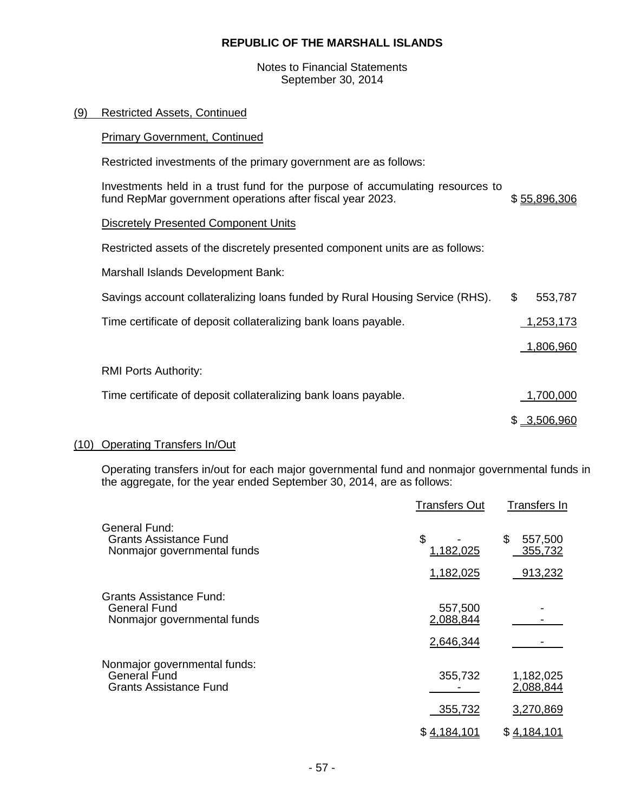Notes to Financial Statements September 30, 2014

| (9) | <b>Restricted Assets, Continued</b>                                                                                                        |                  |
|-----|--------------------------------------------------------------------------------------------------------------------------------------------|------------------|
|     | <b>Primary Government, Continued</b>                                                                                                       |                  |
|     | Restricted investments of the primary government are as follows:                                                                           |                  |
|     | Investments held in a trust fund for the purpose of accumulating resources to<br>fund RepMar government operations after fiscal year 2023. | \$55,896,306     |
|     | Discretely Presented Component Units                                                                                                       |                  |
|     | Restricted assets of the discretely presented component units are as follows:                                                              |                  |
|     | Marshall Islands Development Bank:                                                                                                         |                  |
|     | Savings account collateralizing loans funded by Rural Housing Service (RHS).                                                               | \$<br>553,787    |
|     | Time certificate of deposit collateralizing bank loans payable.                                                                            | <u>1,253,173</u> |
|     |                                                                                                                                            | 1,806,960        |
|     | <b>RMI Ports Authority:</b>                                                                                                                |                  |
|     | Time certificate of deposit collateralizing bank loans payable.                                                                            | 1,700,000        |
|     |                                                                                                                                            | \$ 3,506,960     |

# (10) Operating Transfers In/Out

Operating transfers in/out for each major governmental fund and nonmajor governmental funds in the aggregate, for the year ended September 30, 2014, are as follows:

|                                                                               | <b>Transfers Out</b>              | <b>Transfers In</b>      |
|-------------------------------------------------------------------------------|-----------------------------------|--------------------------|
| General Fund:<br><b>Grants Assistance Fund</b><br>Nonmajor governmental funds | \$<br>1,182,025                   | \$<br>557,500<br>355,732 |
|                                                                               | 1,182,025                         | 913,232                  |
| Grants Assistance Fund:<br><b>General Fund</b><br>Nonmajor governmental funds | 557,500<br>2,088,844<br>2,646,344 |                          |
| Nonmajor governmental funds:<br>General Fund<br><b>Grants Assistance Fund</b> | 355,732                           | 1,182,025<br>2,088,844   |
|                                                                               | 355,732                           | 3,270,869                |
|                                                                               | \$4,184,101                       | \$4,184,101              |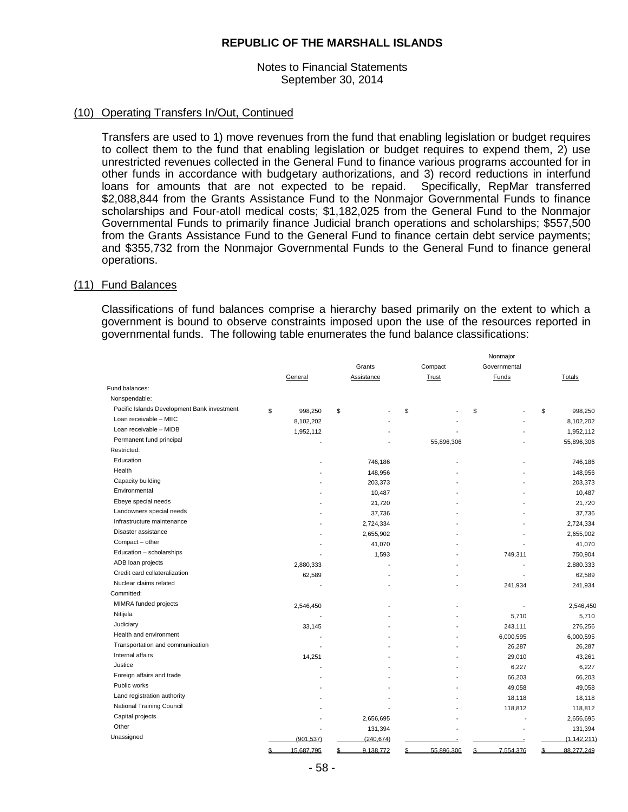#### Notes to Financial Statements September 30, 2014

### (10) Operating Transfers In/Out, Continued

Transfers are used to 1) move revenues from the fund that enabling legislation or budget requires to collect them to the fund that enabling legislation or budget requires to expend them, 2) use unrestricted revenues collected in the General Fund to finance various programs accounted for in other funds in accordance with budgetary authorizations, and 3) record reductions in interfund loans for amounts that are not expected to be repaid. Specifically, RepMar transferred \$2,088,844 from the Grants Assistance Fund to the Nonmajor Governmental Funds to finance scholarships and Four-atoll medical costs; \$1,182,025 from the General Fund to the Nonmajor Governmental Funds to primarily finance Judicial branch operations and scholarships; \$557,500 from the Grants Assistance Fund to the General Fund to finance certain debt service payments; and \$355,732 from the Nonmajor Governmental Funds to the General Fund to finance general operations.

#### (11) Fund Balances

Classifications of fund balances comprise a hierarchy based primarily on the extent to which a government is bound to observe constraints imposed upon the use of the resources reported in governmental funds. The following table enumerates the fund balance classifications:

Nonmajor

|                                             |    |            | Grants            | Compact |            | Governmental    |                  |
|---------------------------------------------|----|------------|-------------------|---------|------------|-----------------|------------------|
|                                             |    | General    | <b>Assistance</b> | Trust   |            | <b>Funds</b>    | <b>Totals</b>    |
| Fund balances:                              |    |            |                   |         |            |                 |                  |
| Nonspendable:                               |    |            |                   |         |            |                 |                  |
| Pacific Islands Development Bank investment | \$ | 998,250    | \$                | \$      |            | \$              | \$<br>998,250    |
| Loan receivable - MEC                       |    | 8,102,202  |                   |         |            |                 | 8,102,202        |
| Loan receivable - MIDB                      |    | 1,952,112  |                   |         |            |                 | 1,952,112        |
| Permanent fund principal                    |    |            |                   |         | 55,896,306 |                 | 55,896,306       |
| Restricted:                                 |    |            |                   |         |            |                 |                  |
| Education                                   |    |            | 746,186           |         |            |                 | 746,186          |
| Health                                      |    |            | 148,956           |         |            |                 | 148,956          |
| Capacity building                           |    |            | 203,373           |         |            |                 | 203,373          |
| Environmental                               |    |            | 10,487            |         |            |                 | 10,487           |
| Ebeye special needs                         |    |            | 21,720            |         |            |                 | 21,720           |
| Landowners special needs                    |    |            | 37,736            |         |            |                 | 37,736           |
| Infrastructure maintenance                  |    |            | 2,724,334         |         |            |                 | 2,724,334        |
| Disaster assistance                         |    |            | 2,655,902         |         |            |                 | 2,655,902        |
| Compact - other                             |    |            | 41,070            |         |            |                 | 41,070           |
| Education - scholarships                    |    |            | 1,593             |         |            | 749,311         | 750,904          |
| ADB loan projects                           |    | 2,880,333  |                   |         |            |                 | 2.880.333        |
| Credit card collateralization               |    | 62,589     |                   |         |            |                 | 62,589           |
| Nuclear claims related                      |    |            |                   |         |            | 241,934         | 241,934          |
| Committed:                                  |    |            |                   |         |            |                 |                  |
| MIMRA funded projects                       |    | 2,546,450  |                   |         |            |                 | 2,546,450        |
| Nitijela                                    |    |            |                   |         |            | 5,710           | 5,710            |
| Judiciary                                   |    | 33,145     |                   |         |            | 243,111         | 276,256          |
| Health and environment                      |    |            |                   |         |            | 6,000,595       | 6,000,595        |
| Transportation and communication            |    |            |                   |         |            | 26,287          | 26,287           |
| Internal affairs                            |    | 14,251     |                   |         |            | 29,010          | 43,261           |
| Justice                                     |    |            |                   |         |            | 6,227           | 6,227            |
| Foreign affairs and trade                   |    |            |                   |         |            | 66,203          | 66,203           |
| Public works                                |    |            |                   |         |            | 49,058          | 49,058           |
| Land registration authority                 |    |            |                   |         |            | 18,118          | 18,118           |
| National Training Council                   |    |            |                   |         |            | 118,812         | 118,812          |
| Capital projects                            |    |            | 2,656,695         |         |            |                 | 2,656,695        |
| Other                                       |    |            | 131,394           |         |            |                 | 131,394          |
| Unassigned                                  |    | (901, 537) | (240, 674)        |         |            |                 | (1, 142, 211)    |
|                                             | \$ | 15,687,795 | \$<br>9,138,772   | \$      | 55.896.306 | \$<br>7.554.376 | \$<br>88,277,249 |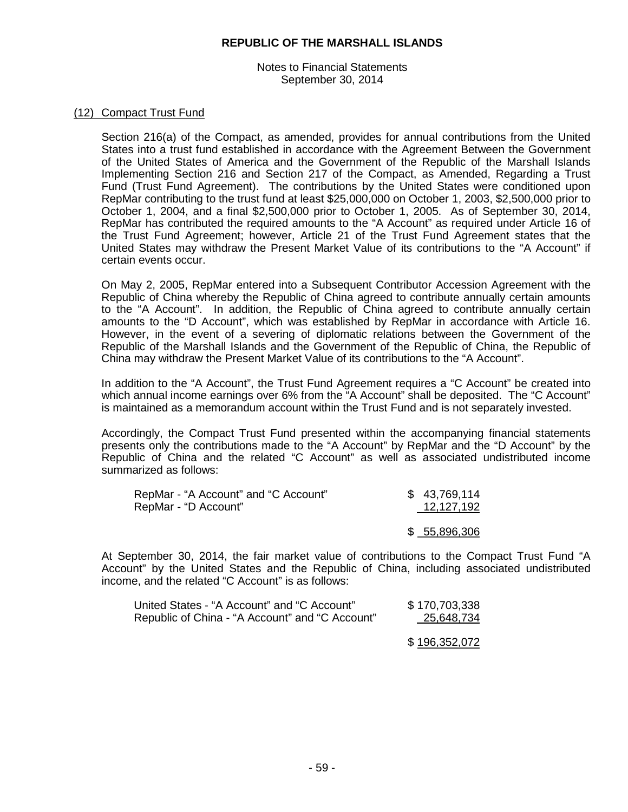Notes to Financial Statements September 30, 2014

#### (12) Compact Trust Fund

Section 216(a) of the Compact, as amended, provides for annual contributions from the United States into a trust fund established in accordance with the Agreement Between the Government of the United States of America and the Government of the Republic of the Marshall Islands Implementing Section 216 and Section 217 of the Compact, as Amended, Regarding a Trust Fund (Trust Fund Agreement). The contributions by the United States were conditioned upon RepMar contributing to the trust fund at least \$25,000,000 on October 1, 2003, \$2,500,000 prior to October 1, 2004, and a final \$2,500,000 prior to October 1, 2005. As of September 30, 2014, RepMar has contributed the required amounts to the "A Account" as required under Article 16 of the Trust Fund Agreement; however, Article 21 of the Trust Fund Agreement states that the United States may withdraw the Present Market Value of its contributions to the "A Account" if certain events occur.

On May 2, 2005, RepMar entered into a Subsequent Contributor Accession Agreement with the Republic of China whereby the Republic of China agreed to contribute annually certain amounts to the "A Account". In addition, the Republic of China agreed to contribute annually certain amounts to the "D Account", which was established by RepMar in accordance with Article 16. However, in the event of a severing of diplomatic relations between the Government of the Republic of the Marshall Islands and the Government of the Republic of China, the Republic of China may withdraw the Present Market Value of its contributions to the "A Account".

In addition to the "A Account", the Trust Fund Agreement requires a "C Account" be created into which annual income earnings over 6% from the "A Account" shall be deposited. The "C Account" is maintained as a memorandum account within the Trust Fund and is not separately invested.

Accordingly, the Compact Trust Fund presented within the accompanying financial statements presents only the contributions made to the "A Account" by RepMar and the "D Account" by the Republic of China and the related "C Account" as well as associated undistributed income summarized as follows:

| RepMar - "A Account" and "C Account"<br>RepMar - "D Account" | \$43,769,114<br>12,127,192 |
|--------------------------------------------------------------|----------------------------|
|                                                              | \$ 55,896,306              |

At September 30, 2014, the fair market value of contributions to the Compact Trust Fund "A Account" by the United States and the Republic of China, including associated undistributed income, and the related "C Account" is as follows:

| United States - "A Account" and "C Account"     | \$170,703,338 |
|-------------------------------------------------|---------------|
| Republic of China - "A Account" and "C Account" | 25,648,734    |
|                                                 | \$196,352,072 |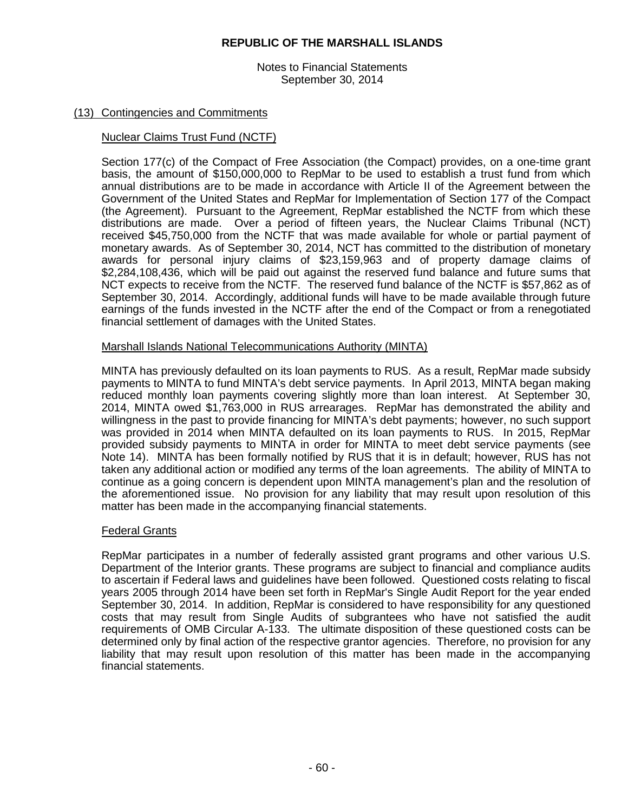Notes to Financial Statements September 30, 2014

### (13) Contingencies and Commitments

### Nuclear Claims Trust Fund (NCTF)

Section 177(c) of the Compact of Free Association (the Compact) provides, on a one-time grant basis, the amount of \$150,000,000 to RepMar to be used to establish a trust fund from which annual distributions are to be made in accordance with Article II of the Agreement between the Government of the United States and RepMar for Implementation of Section 177 of the Compact (the Agreement). Pursuant to the Agreement, RepMar established the NCTF from which these distributions are made. Over a period of fifteen years, the Nuclear Claims Tribunal (NCT) received \$45,750,000 from the NCTF that was made available for whole or partial payment of monetary awards. As of September 30, 2014, NCT has committed to the distribution of monetary awards for personal injury claims of \$23,159,963 and of property damage claims of \$2,284,108,436, which will be paid out against the reserved fund balance and future sums that NCT expects to receive from the NCTF. The reserved fund balance of the NCTF is \$57,862 as of September 30, 2014. Accordingly, additional funds will have to be made available through future earnings of the funds invested in the NCTF after the end of the Compact or from a renegotiated financial settlement of damages with the United States.

# Marshall Islands National Telecommunications Authority (MINTA)

MINTA has previously defaulted on its loan payments to RUS. As a result, RepMar made subsidy payments to MINTA to fund MINTA's debt service payments. In April 2013, MINTA began making reduced monthly loan payments covering slightly more than loan interest. At September 30, 2014, MINTA owed \$1,763,000 in RUS arrearages. RepMar has demonstrated the ability and willingness in the past to provide financing for MINTA's debt payments; however, no such support was provided in 2014 when MINTA defaulted on its loan payments to RUS. In 2015, RepMar provided subsidy payments to MINTA in order for MINTA to meet debt service payments (see Note 14). MINTA has been formally notified by RUS that it is in default; however, RUS has not taken any additional action or modified any terms of the loan agreements. The ability of MINTA to continue as a going concern is dependent upon MINTA management's plan and the resolution of the aforementioned issue. No provision for any liability that may result upon resolution of this matter has been made in the accompanying financial statements.

#### Federal Grants

RepMar participates in a number of federally assisted grant programs and other various U.S. Department of the Interior grants. These programs are subject to financial and compliance audits to ascertain if Federal laws and guidelines have been followed. Questioned costs relating to fiscal years 2005 through 2014 have been set forth in RepMar's Single Audit Report for the year ended September 30, 2014. In addition, RepMar is considered to have responsibility for any questioned costs that may result from Single Audits of subgrantees who have not satisfied the audit requirements of OMB Circular A-133. The ultimate disposition of these questioned costs can be determined only by final action of the respective grantor agencies. Therefore, no provision for any liability that may result upon resolution of this matter has been made in the accompanying financial statements.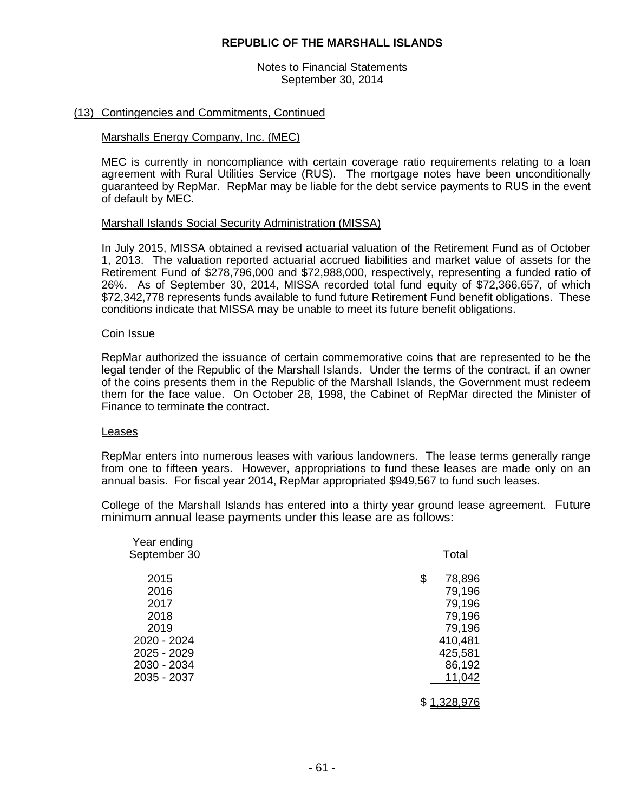Notes to Financial Statements September 30, 2014

#### (13) Contingencies and Commitments, Continued

#### Marshalls Energy Company, Inc. (MEC)

MEC is currently in noncompliance with certain coverage ratio requirements relating to a loan agreement with Rural Utilities Service (RUS). The mortgage notes have been unconditionally guaranteed by RepMar. RepMar may be liable for the debt service payments to RUS in the event of default by MEC.

#### Marshall Islands Social Security Administration (MISSA)

In July 2015, MISSA obtained a revised actuarial valuation of the Retirement Fund as of October 1, 2013. The valuation reported actuarial accrued liabilities and market value of assets for the Retirement Fund of \$278,796,000 and \$72,988,000, respectively, representing a funded ratio of 26%. As of September 30, 2014, MISSA recorded total fund equity of \$72,366,657, of which \$72,342,778 represents funds available to fund future Retirement Fund benefit obligations. These conditions indicate that MISSA may be unable to meet its future benefit obligations.

#### Coin Issue

RepMar authorized the issuance of certain commemorative coins that are represented to be the legal tender of the Republic of the Marshall Islands. Under the terms of the contract, if an owner of the coins presents them in the Republic of the Marshall Islands, the Government must redeem them for the face value. On October 28, 1998, the Cabinet of RepMar directed the Minister of Finance to terminate the contract.

#### Leases

RepMar enters into numerous leases with various landowners. The lease terms generally range from one to fifteen years. However, appropriations to fund these leases are made only on an annual basis. For fiscal year 2014, RepMar appropriated \$949,567 to fund such leases.

College of the Marshall Islands has entered into a thirty year ground lease agreement. Future minimum annual lease payments under this lease are as follows:

| Year ending<br>September 30 | Total        |
|-----------------------------|--------------|
| 2015                        | \$<br>78,896 |
| 2016                        | 79,196       |
| 2017                        | 79,196       |
| 2018                        | 79,196       |
| 2019                        | 79,196       |
| 2020 - 2024                 | 410,481      |
| 2025 - 2029                 | 425,581      |
| 2030 - 2034                 | 86,192       |
| 2035 - 2037                 | 11,042       |
|                             | \$1,328,976  |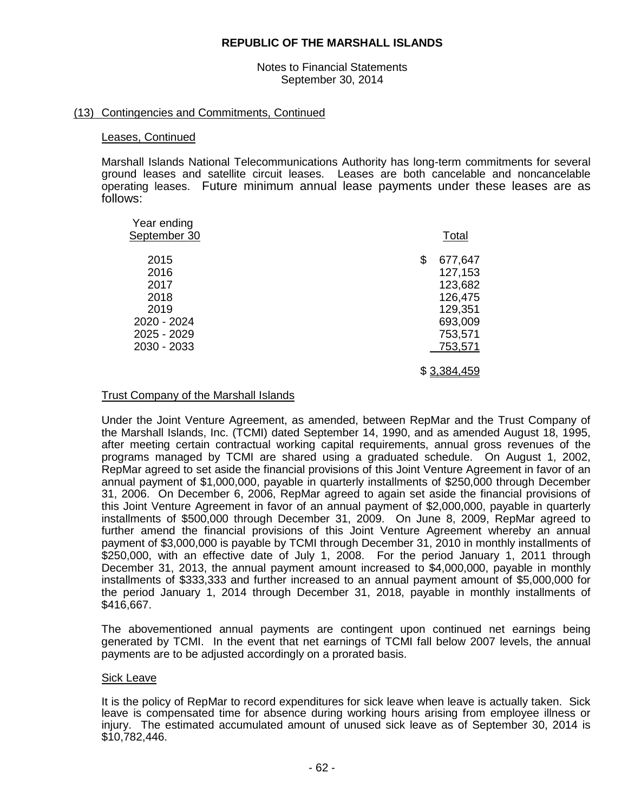Notes to Financial Statements September 30, 2014

#### (13) Contingencies and Commitments, Continued

#### Leases, Continued

Marshall Islands National Telecommunications Authority has long-term commitments for several ground leases and satellite circuit leases. Leases are both cancelable and noncancelable operating leases. Future minimum annual lease payments under these leases are as follows:

| Year ending<br>September 30 | Total                    |
|-----------------------------|--------------------------|
| 2015<br>2016                | \$<br>677,647<br>127,153 |
| 2017                        | 123,682                  |
| 2018                        | 126,475                  |
| 2019                        | 129,351                  |
| 2020 - 2024                 | 693,009                  |
| 2025 - 2029                 | 753,571                  |
| 2030 - 2033                 | 753,571                  |
|                             | \$3,384,459              |

#### Trust Company of the Marshall Islands

Under the Joint Venture Agreement, as amended, between RepMar and the Trust Company of the Marshall Islands, Inc. (TCMI) dated September 14, 1990, and as amended August 18, 1995, after meeting certain contractual working capital requirements, annual gross revenues of the programs managed by TCMI are shared using a graduated schedule. On August 1, 2002, RepMar agreed to set aside the financial provisions of this Joint Venture Agreement in favor of an annual payment of \$1,000,000, payable in quarterly installments of \$250,000 through December 31, 2006. On December 6, 2006, RepMar agreed to again set aside the financial provisions of this Joint Venture Agreement in favor of an annual payment of \$2,000,000, payable in quarterly installments of \$500,000 through December 31, 2009. On June 8, 2009, RepMar agreed to further amend the financial provisions of this Joint Venture Agreement whereby an annual payment of \$3,000,000 is payable by TCMI through December 31, 2010 in monthly installments of \$250,000, with an effective date of July 1, 2008. For the period January 1, 2011 through December 31, 2013, the annual payment amount increased to \$4,000,000, payable in monthly installments of \$333,333 and further increased to an annual payment amount of \$5,000,000 for the period January 1, 2014 through December 31, 2018, payable in monthly installments of \$416,667.

The abovementioned annual payments are contingent upon continued net earnings being generated by TCMI. In the event that net earnings of TCMI fall below 2007 levels, the annual payments are to be adjusted accordingly on a prorated basis.

#### Sick Leave

It is the policy of RepMar to record expenditures for sick leave when leave is actually taken. Sick leave is compensated time for absence during working hours arising from employee illness or injury. The estimated accumulated amount of unused sick leave as of September 30, 2014 is \$10,782,446.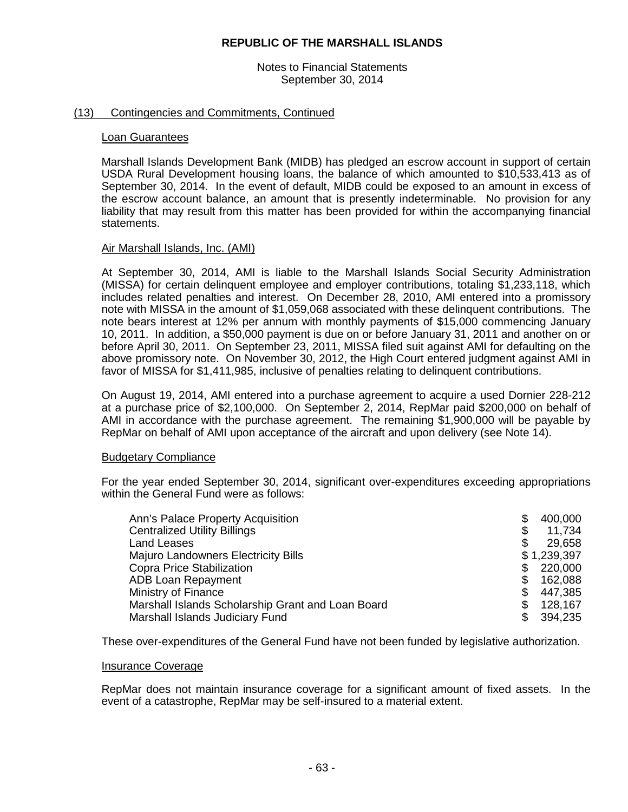Notes to Financial Statements September 30, 2014

#### (13) Contingencies and Commitments, Continued

#### Loan Guarantees

Marshall Islands Development Bank (MIDB) has pledged an escrow account in support of certain USDA Rural Development housing loans, the balance of which amounted to \$10,533,413 as of September 30, 2014. In the event of default, MIDB could be exposed to an amount in excess of the escrow account balance, an amount that is presently indeterminable. No provision for any liability that may result from this matter has been provided for within the accompanying financial statements.

#### Air Marshall Islands, Inc. (AMI)

At September 30, 2014, AMI is liable to the Marshall Islands Social Security Administration (MISSA) for certain delinquent employee and employer contributions, totaling \$1,233,118, which includes related penalties and interest. On December 28, 2010, AMI entered into a promissory note with MISSA in the amount of \$1,059,068 associated with these delinquent contributions. The note bears interest at 12% per annum with monthly payments of \$15,000 commencing January 10, 2011. In addition, a \$50,000 payment is due on or before January 31, 2011 and another on or before April 30, 2011. On September 23, 2011, MISSA filed suit against AMI for defaulting on the above promissory note. On November 30, 2012, the High Court entered judgment against AMI in favor of MISSA for \$1,411,985, inclusive of penalties relating to delinquent contributions.

On August 19, 2014, AMI entered into a purchase agreement to acquire a used Dornier 228-212 at a purchase price of \$2,100,000. On September 2, 2014, RepMar paid \$200,000 on behalf of AMI in accordance with the purchase agreement. The remaining \$1,900,000 will be payable by RepMar on behalf of AMI upon acceptance of the aircraft and upon delivery (see Note 14).

#### Budgetary Compliance

For the year ended September 30, 2014, significant over-expenditures exceeding appropriations within the General Fund were as follows:

| Ann's Palace Property Acquisition                 | 400,000     |
|---------------------------------------------------|-------------|
| <b>Centralized Utility Billings</b>               | 11,734      |
| <b>Land Leases</b>                                | 29,658      |
| <b>Majuro Landowners Electricity Bills</b>        | \$1,239,397 |
| Copra Price Stabilization                         | 220,000     |
| ADB Loan Repayment                                | 162,088     |
| Ministry of Finance                               | 447,385     |
| Marshall Islands Scholarship Grant and Loan Board | 128,167     |
| Marshall Islands Judiciary Fund                   | 394,235     |

These over-expenditures of the General Fund have not been funded by legislative authorization.

#### Insurance Coverage

RepMar does not maintain insurance coverage for a significant amount of fixed assets. In the event of a catastrophe, RepMar may be self-insured to a material extent.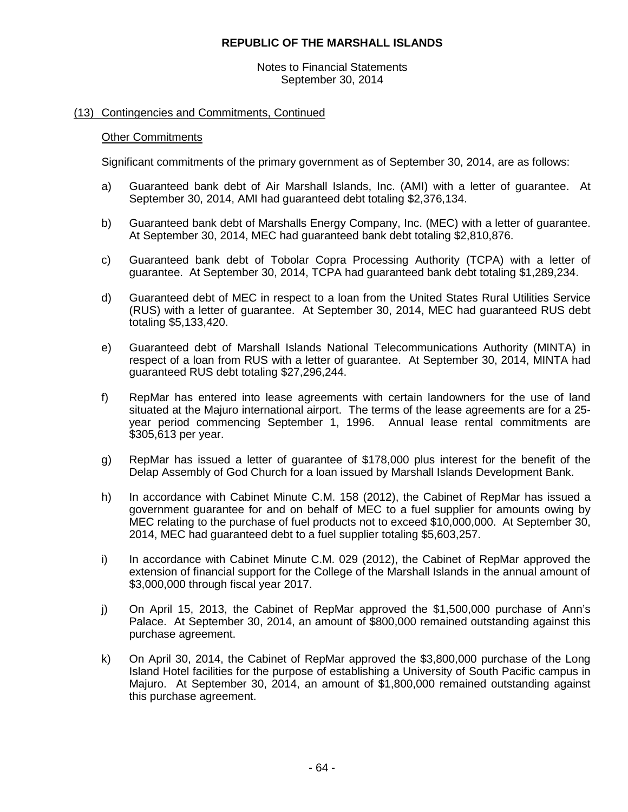Notes to Financial Statements September 30, 2014

### (13) Contingencies and Commitments, Continued

#### Other Commitments

Significant commitments of the primary government as of September 30, 2014, are as follows:

- a) Guaranteed bank debt of Air Marshall Islands, Inc. (AMI) with a letter of guarantee. At September 30, 2014, AMI had guaranteed debt totaling \$2,376,134.
- b) Guaranteed bank debt of Marshalls Energy Company, Inc. (MEC) with a letter of guarantee. At September 30, 2014, MEC had guaranteed bank debt totaling \$2,810,876.
- c) Guaranteed bank debt of Tobolar Copra Processing Authority (TCPA) with a letter of guarantee. At September 30, 2014, TCPA had guaranteed bank debt totaling \$1,289,234.
- d) Guaranteed debt of MEC in respect to a loan from the United States Rural Utilities Service (RUS) with a letter of guarantee. At September 30, 2014, MEC had guaranteed RUS debt totaling \$5,133,420.
- e) Guaranteed debt of Marshall Islands National Telecommunications Authority (MINTA) in respect of a loan from RUS with a letter of guarantee. At September 30, 2014, MINTA had guaranteed RUS debt totaling \$27,296,244.
- f) RepMar has entered into lease agreements with certain landowners for the use of land situated at the Majuro international airport. The terms of the lease agreements are for a 25 year period commencing September 1, 1996. Annual lease rental commitments are \$305,613 per year.
- g) RepMar has issued a letter of guarantee of \$178,000 plus interest for the benefit of the Delap Assembly of God Church for a loan issued by Marshall Islands Development Bank.
- h) In accordance with Cabinet Minute C.M. 158 (2012), the Cabinet of RepMar has issued a government guarantee for and on behalf of MEC to a fuel supplier for amounts owing by MEC relating to the purchase of fuel products not to exceed \$10,000,000. At September 30, 2014, MEC had guaranteed debt to a fuel supplier totaling \$5,603,257.
- i) In accordance with Cabinet Minute C.M. 029 (2012), the Cabinet of RepMar approved the extension of financial support for the College of the Marshall Islands in the annual amount of \$3,000,000 through fiscal year 2017.
- j) On April 15, 2013, the Cabinet of RepMar approved the \$1,500,000 purchase of Ann's Palace. At September 30, 2014, an amount of \$800,000 remained outstanding against this purchase agreement.
- k) On April 30, 2014, the Cabinet of RepMar approved the \$3,800,000 purchase of the Long Island Hotel facilities for the purpose of establishing a University of South Pacific campus in Majuro. At September 30, 2014, an amount of \$1,800,000 remained outstanding against this purchase agreement.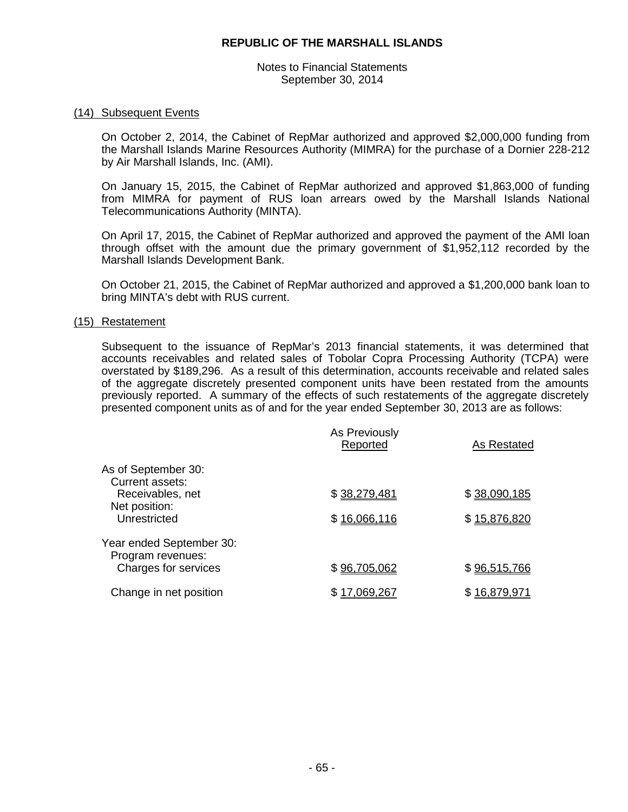Notes to Financial Statements September 30, 2014

#### (14) Subsequent Events

On October 2, 2014, the Cabinet of RepMar authorized and approved \$2,000,000 funding from the Marshall Islands Marine Resources Authority (MIMRA) for the purchase of a Dornier 228-212 by Air Marshall Islands, Inc. (AMI).

On January 15, 2015, the Cabinet of RepMar authorized and approved \$1,863,000 of funding from MIMRA for payment of RUS loan arrears owed by the Marshall Islands National Telecommunications Authority (MINTA).

On April 17, 2015, the Cabinet of RepMar authorized and approved the payment of the AMI loan through offset with the amount due the primary government of \$1,952,112 recorded by the Marshall Islands Development Bank.

On October 21, 2015, the Cabinet of RepMar authorized and approved a \$1,200,000 bank loan to bring MINTA's debt with RUS current.

#### (15) Restatement

Subsequent to the issuance of RepMar's 2013 financial statements, it was determined that accounts receivables and related sales of Tobolar Copra Processing Authority (TCPA) were overstated by \$189,296. As a result of this determination, accounts receivable and related sales of the aggregate discretely presented component units have been restated from the amounts previously reported. A summary of the effects of such restatements of the aggregate discretely presented component units as of and for the year ended September 30, 2013 are as follows:

|                                               | As Previously<br>Reported | As Restated  |  |  |
|-----------------------------------------------|---------------------------|--------------|--|--|
| As of September 30:<br>Current assets:        |                           |              |  |  |
| Receivables, net                              | \$38,279,481              | \$38,090,185 |  |  |
| Net position:<br>Unrestricted                 | \$16,066,116              | \$15,876,820 |  |  |
| Year ended September 30:<br>Program revenues: |                           |              |  |  |
| Charges for services                          | \$96,705,062              | \$96,515,766 |  |  |
| Change in net position                        | 17,069,267                | \$16,879,971 |  |  |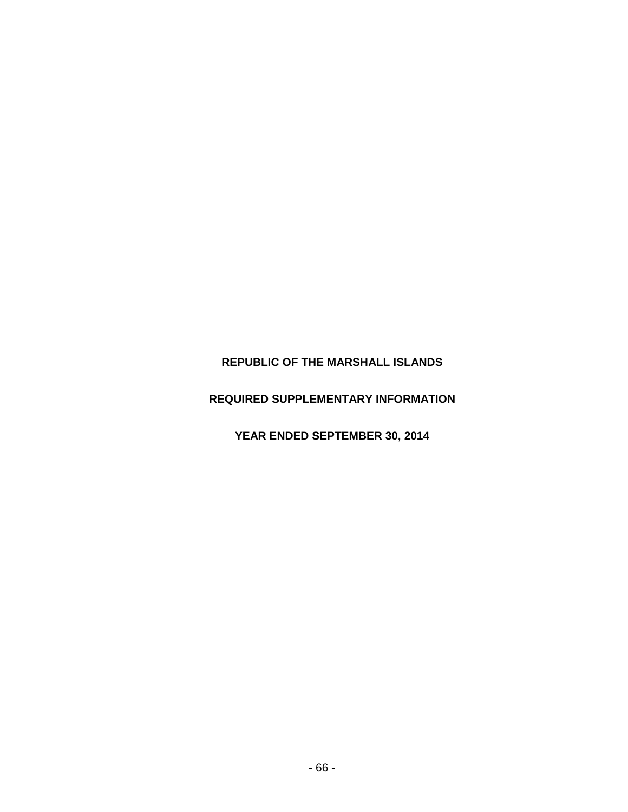# **REQUIRED SUPPLEMENTARY INFORMATION**

**YEAR ENDED SEPTEMBER 30, 2014**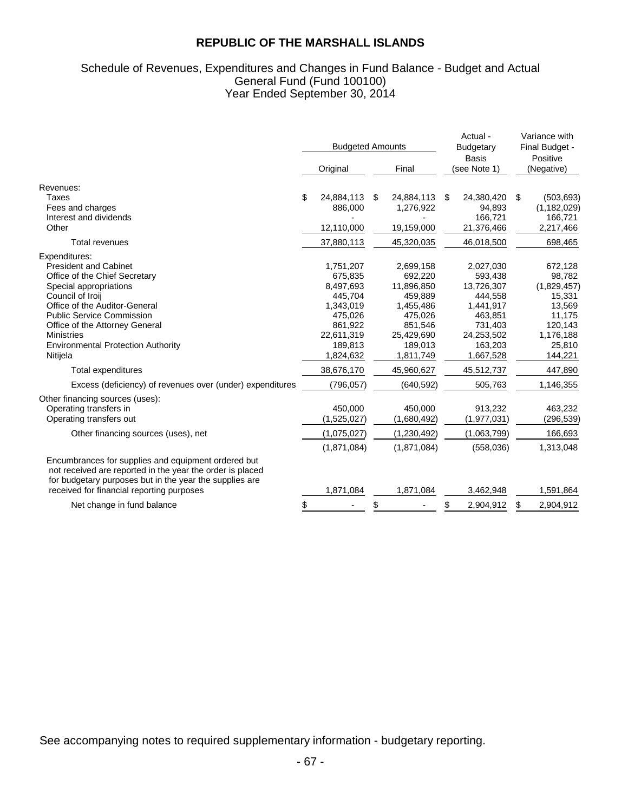# Schedule of Revenues, Expenditures and Changes in Fund Balance - Budget and Actual General Fund (Fund 100100) Year Ended September 30, 2014

|                                                                                                                                                                                                                                                                                                                   | <b>Budgeted Amounts</b> |                                                                                                                       | Actual -<br><b>Budgetary</b><br><b>Basis</b> |                                                                                                                        | Variance with<br>Final Budget -<br>Positive         |                                                                                                                        |            |                                                                                                             |
|-------------------------------------------------------------------------------------------------------------------------------------------------------------------------------------------------------------------------------------------------------------------------------------------------------------------|-------------------------|-----------------------------------------------------------------------------------------------------------------------|----------------------------------------------|------------------------------------------------------------------------------------------------------------------------|-----------------------------------------------------|------------------------------------------------------------------------------------------------------------------------|------------|-------------------------------------------------------------------------------------------------------------|
|                                                                                                                                                                                                                                                                                                                   |                         | Original                                                                                                              | Final                                        |                                                                                                                        | (see Note 1)                                        |                                                                                                                        | (Negative) |                                                                                                             |
| Revenues:<br>Taxes<br>Fees and charges<br>Interest and dividends<br>Other                                                                                                                                                                                                                                         |                         | 24,884,113<br>886,000<br>12,110,000                                                                                   | \$                                           | 24,884,113<br>1,276,922<br>19,159,000                                                                                  | 24,380,420<br>-S<br>94,893<br>166,721<br>21,376,466 |                                                                                                                        | S          | (503, 693)<br>(1, 182, 029)<br>166,721<br>2,217,466                                                         |
| <b>Total revenues</b>                                                                                                                                                                                                                                                                                             |                         | 37,880,113                                                                                                            |                                              | 45,320,035                                                                                                             |                                                     | 46,018,500                                                                                                             |            | 698,465                                                                                                     |
| Expenditures:<br><b>President and Cabinet</b><br>Office of the Chief Secretary<br>Special appropriations<br>Council of Iroii<br>Office of the Auditor-General<br><b>Public Service Commission</b><br>Office of the Attorney General<br><b>Ministries</b><br><b>Environmental Protection Authority</b><br>Nitijela |                         | 1,751,207<br>675,835<br>8,497,693<br>445,704<br>1,343,019<br>475,026<br>861,922<br>22,611,319<br>189,813<br>1,824,632 |                                              | 2,699,158<br>692,220<br>11,896,850<br>459,889<br>1,455,486<br>475,026<br>851,546<br>25,429,690<br>189,013<br>1,811,749 |                                                     | 2,027,030<br>593,438<br>13,726,307<br>444,558<br>1,441,917<br>463,851<br>731,403<br>24,253,502<br>163,203<br>1,667,528 |            | 672,128<br>98,782<br>(1,829,457)<br>15,331<br>13,569<br>11,175<br>120,143<br>1,176,188<br>25,810<br>144,221 |
| <b>Total expenditures</b><br>Excess (deficiency) of revenues over (under) expenditures                                                                                                                                                                                                                            |                         | 38,676,170<br>(796, 057)                                                                                              |                                              | 45,960,627<br>(640,592)                                                                                                |                                                     | 45,512,737<br>505,763                                                                                                  |            | 447,890<br>1,146,355                                                                                        |
| Other financing sources (uses):<br>Operating transfers in<br>Operating transfers out<br>Other financing sources (uses), net                                                                                                                                                                                       |                         | 450.000<br>(1,525,027)<br>(1,075,027)                                                                                 |                                              | 450.000<br>(1,680,492)<br>(1,230,492)                                                                                  |                                                     | 913,232<br>(1,977,031)<br>(1,063,799)                                                                                  |            | 463,232<br>(296, 539)<br>166,693                                                                            |
| Encumbrances for supplies and equipment ordered but<br>not received are reported in the year the order is placed<br>for budgetary purposes but in the year the supplies are<br>received for financial reporting purposes                                                                                          |                         | (1,871,084)<br>1,871,084                                                                                              |                                              | (1,871,084)<br>1,871,084                                                                                               |                                                     | (558,036)<br>3,462,948                                                                                                 |            | 1,313,048<br>1,591,864                                                                                      |
| Net change in fund balance                                                                                                                                                                                                                                                                                        | \$                      |                                                                                                                       | \$                                           |                                                                                                                        | \$                                                  | 2,904,912                                                                                                              | S          | 2,904,912                                                                                                   |

See accompanying notes to required supplementary information - budgetary reporting.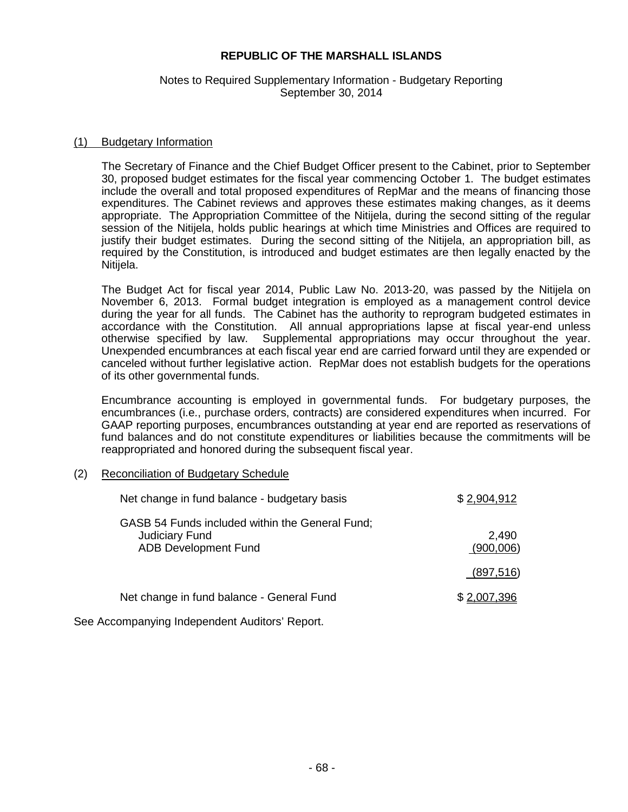### Notes to Required Supplementary Information - Budgetary Reporting September 30, 2014

#### (1) Budgetary Information

The Secretary of Finance and the Chief Budget Officer present to the Cabinet, prior to September 30, proposed budget estimates for the fiscal year commencing October 1. The budget estimates include the overall and total proposed expenditures of RepMar and the means of financing those expenditures. The Cabinet reviews and approves these estimates making changes, as it deems appropriate. The Appropriation Committee of the Nitijela, during the second sitting of the regular session of the Nitijela, holds public hearings at which time Ministries and Offices are required to justify their budget estimates. During the second sitting of the Nitijela, an appropriation bill, as required by the Constitution, is introduced and budget estimates are then legally enacted by the Nitijela.

The Budget Act for fiscal year 2014, Public Law No. 2013-20, was passed by the Nitijela on November 6, 2013. Formal budget integration is employed as a management control device during the year for all funds. The Cabinet has the authority to reprogram budgeted estimates in accordance with the Constitution. All annual appropriations lapse at fiscal year-end unless otherwise specified by law. Supplemental appropriations may occur throughout the year. Unexpended encumbrances at each fiscal year end are carried forward until they are expended or canceled without further legislative action. RepMar does not establish budgets for the operations of its other governmental funds.

Encumbrance accounting is employed in governmental funds. For budgetary purposes, the encumbrances (i.e., purchase orders, contracts) are considered expenditures when incurred. For GAAP reporting purposes, encumbrances outstanding at year end are reported as reservations of fund balances and do not constitute expenditures or liabilities because the commitments will be reappropriated and honored during the subsequent fiscal year.

#### (2) Reconciliation of Budgetary Schedule

| Net change in fund balance - budgetary basis                                                            | \$2,904,912        |
|---------------------------------------------------------------------------------------------------------|--------------------|
| GASB 54 Funds included within the General Fund;<br><b>Judiciary Fund</b><br><b>ADB Development Fund</b> | 2,490<br>(900,006) |
|                                                                                                         | (897,516)          |
| Net change in fund balance - General Fund                                                               | \$2,007,396        |
|                                                                                                         |                    |

See Accompanying Independent Auditors' Report.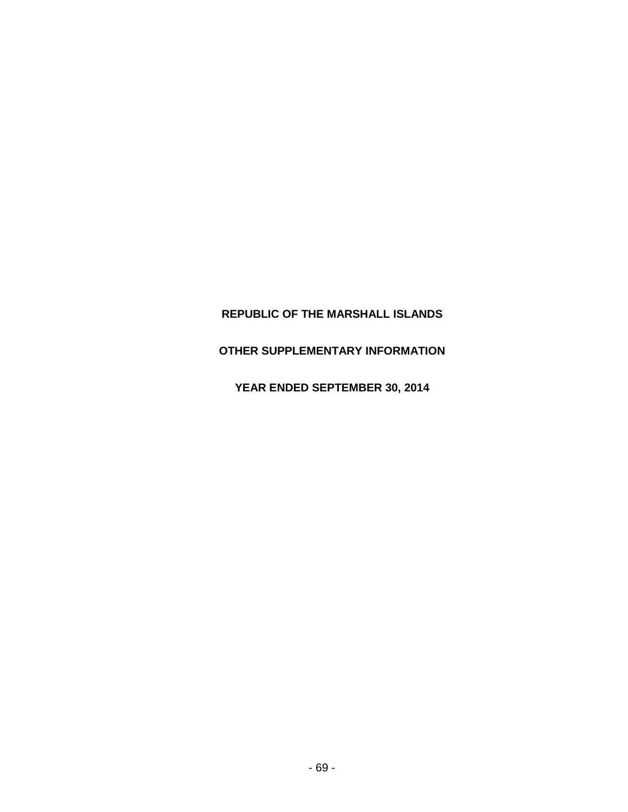# **OTHER SUPPLEMENTARY INFORMATION**

**YEAR ENDED SEPTEMBER 30, 2014**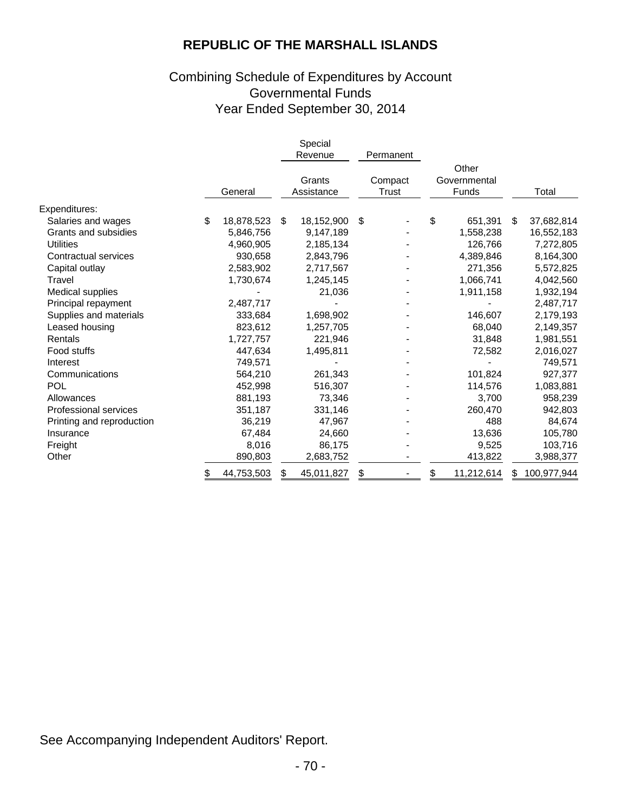# Combining Schedule of Expenditures by Account Governmental Funds Year Ended September 30, 2014

|                              |                  |    | Special              |    |                  |    |                                |    |             |
|------------------------------|------------------|----|----------------------|----|------------------|----|--------------------------------|----|-------------|
|                              |                  |    | Revenue              |    | Permanent        |    |                                |    |             |
|                              | General          |    | Grants<br>Assistance |    | Compact<br>Trust |    | Other<br>Governmental<br>Funds |    | Total       |
| Expenditures:                |                  |    |                      |    |                  |    |                                |    |             |
| Salaries and wages           | \$<br>18,878,523 | \$ | 18,152,900           | \$ |                  | \$ | 651,391                        | \$ | 37,682,814  |
| Grants and subsidies         | 5,846,756        |    | 9,147,189            |    |                  |    | 1,558,238                      |    | 16,552,183  |
| <b>Utilities</b>             | 4,960,905        |    | 2,185,134            |    |                  |    | 126,766                        |    | 7,272,805   |
| Contractual services         | 930,658          |    | 2,843,796            |    |                  |    | 4,389,846                      |    | 8,164,300   |
| Capital outlay               | 2,583,902        |    | 2,717,567            |    |                  |    | 271,356                        |    | 5,572,825   |
| Travel                       | 1,730,674        |    | 1,245,145            |    |                  |    | 1,066,741                      |    | 4,042,560   |
| <b>Medical supplies</b>      |                  |    | 21,036               |    |                  |    | 1,911,158                      |    | 1,932,194   |
| Principal repayment          | 2,487,717        |    |                      |    |                  |    |                                |    | 2,487,717   |
| Supplies and materials       | 333,684          |    | 1,698,902            |    |                  |    | 146,607                        |    | 2,179,193   |
| Leased housing               | 823,612          |    | 1,257,705            |    |                  |    | 68,040                         |    | 2,149,357   |
| Rentals                      | 1,727,757        |    | 221,946              |    |                  |    | 31,848                         |    | 1,981,551   |
| Food stuffs                  | 447,634          |    | 1,495,811            |    |                  |    | 72,582                         |    | 2,016,027   |
| Interest                     | 749,571          |    |                      |    |                  |    |                                |    | 749,571     |
| Communications               | 564,210          |    | 261,343              |    |                  |    | 101,824                        |    | 927,377     |
| <b>POL</b>                   | 452,998          |    | 516,307              |    |                  |    | 114,576                        |    | 1,083,881   |
| Allowances                   | 881,193          |    | 73,346               |    |                  |    | 3,700                          |    | 958,239     |
| <b>Professional services</b> | 351,187          |    | 331,146              |    |                  |    | 260,470                        |    | 942,803     |
| Printing and reproduction    | 36,219           |    | 47,967               |    |                  |    | 488                            |    | 84,674      |
| Insurance                    | 67,484           |    | 24,660               |    |                  |    | 13,636                         |    | 105,780     |
| Freight                      | 8,016            |    | 86,175               |    |                  |    | 9,525                          |    | 103,716     |
| Other                        | 890,803          |    | 2,683,752            |    |                  |    | 413,822                        |    | 3,988,377   |
|                              | \$<br>44,753,503 | S  | 45,011,827           | \$ |                  | \$ | 11,212,614                     |    | 100,977,944 |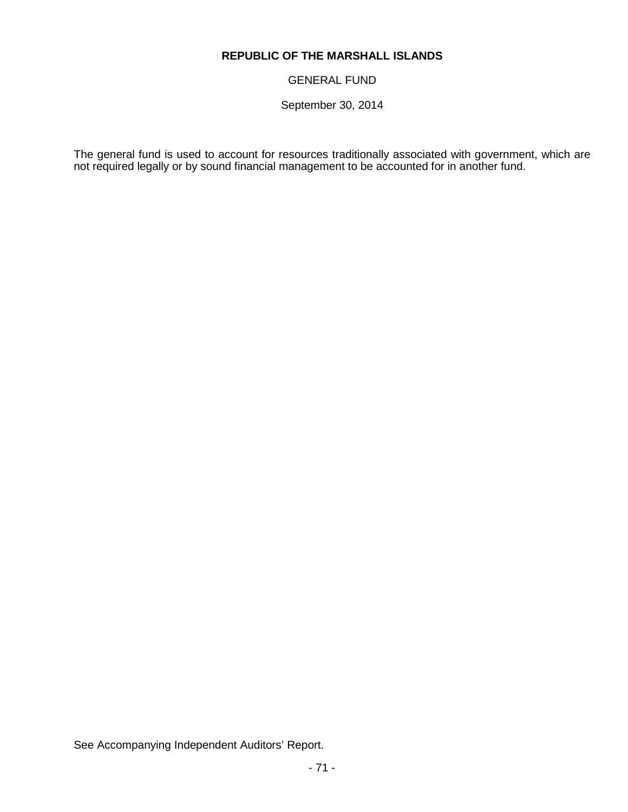GENERAL FUND

September 30, 2014

The general fund is used to account for resources traditionally associated with government, which are not required legally or by sound financial management to be accounted for in another fund.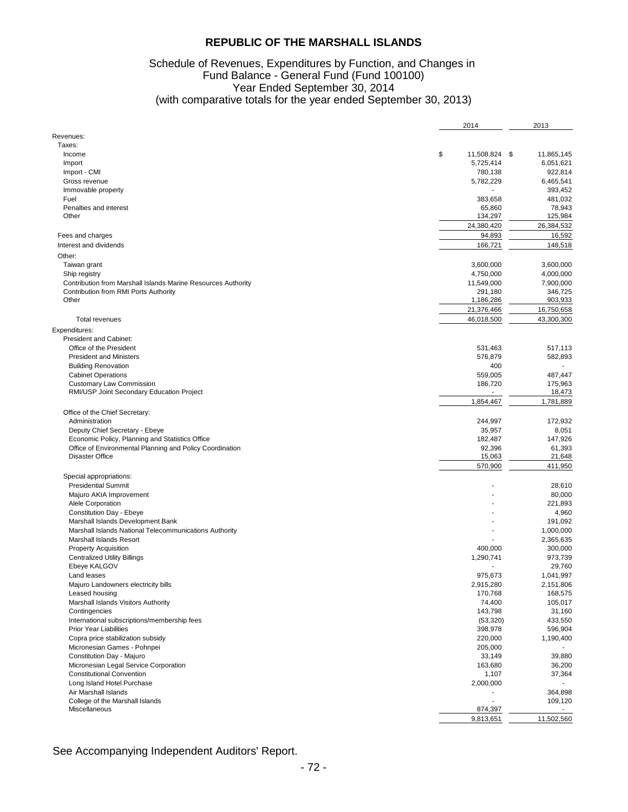#### Schedule of Revenues, Expenditures by Function, and Changes in Fund Balance - General Fund (Fund 100100) Year Ended September 30, 2014 (with comparative totals for the year ended September 30, 2013)

|                                                               | 2014                | 2013               |
|---------------------------------------------------------------|---------------------|--------------------|
| Revenues:                                                     |                     |                    |
| Taxes:                                                        |                     |                    |
| Income                                                        | \$<br>11,508,824 \$ | 11,865,145         |
| Import                                                        | 5,725,414           | 6,051,621          |
| Import - CMI                                                  | 780,138             | 922,814            |
| Gross revenue                                                 | 5,782,229           | 6,465,541          |
| Immovable property                                            |                     | 393,452            |
| Fuel                                                          | 383,658             | 481,032            |
| Penalties and interest                                        | 65,860              | 78,943             |
| Other                                                         | 134,297             | 125,984            |
|                                                               | 24,380,420          | 26,384,532         |
| Fees and charges                                              | 94,893              | 16,592             |
| Interest and dividends                                        | 166,721             | 148,518            |
| Other:                                                        |                     |                    |
| Taiwan grant                                                  | 3,600,000           | 3,600,000          |
| Ship registry                                                 | 4,750,000           | 4,000,000          |
| Contribution from Marshall Islands Marine Resources Authority | 11,549,000          | 7,900,000          |
|                                                               | 291,180             |                    |
| Contribution from RMI Ports Authority<br>Other                | 1,186,286           | 346,725<br>903,933 |
|                                                               |                     |                    |
|                                                               | 21,376,466          | 16,750,658         |
| <b>Total revenues</b>                                         | 46,018,500          | 43,300,300         |
| Expenditures:                                                 |                     |                    |
| <b>President and Cabinet:</b>                                 |                     |                    |
| Office of the President                                       | 531,463             | 517,113            |
| <b>President and Ministers</b>                                | 576,879             | 582,893            |
| <b>Building Renovation</b>                                    | 400                 |                    |
| <b>Cabinet Operations</b>                                     | 559,005             | 487,447            |
| <b>Customary Law Commission</b>                               | 186,720             | 175,963            |
| RMI/USP Joint Secondary Education Project                     | $\overline{a}$      | 18,473             |
|                                                               | 1,854,467           | 1,781,889          |
| Office of the Chief Secretary:                                |                     |                    |
| Administration                                                | 244,997             | 172,932            |
| Deputy Chief Secretary - Ebeye                                | 35,957              | 8,051              |
| Economic Policy, Planning and Statistics Office               | 182,487             | 147,926            |
| Office of Environmental Planning and Policy Coordination      | 92,396              | 61,393             |
| <b>Disaster Office</b>                                        | 15,063              | 21,648             |
|                                                               | 570,900             | 411,950            |
|                                                               |                     |                    |
| Special appropriations:                                       |                     |                    |
| <b>Presidential Summit</b>                                    |                     | 28,610             |
| Majuro AKIA Improvement                                       |                     | 80,000             |
| Alele Corporation                                             |                     | 221,893            |
| Constitution Day - Ebeye                                      |                     | 4,960              |
| Marshall Islands Development Bank                             |                     | 191,092            |
| Marshall Islands National Telecommunications Authority        |                     | 1,000,000          |
| <b>Marshall Islands Resort</b>                                |                     | 2,365,635          |
| <b>Property Acquisition</b>                                   | 400,000             | 300,000            |
| <b>Centralized Utility Billings</b>                           | 1,290,741           | 973,739            |
| Ebeye KALGOV                                                  |                     | 29,760             |
| Land leases                                                   | 975,673             | 1,041,997          |
| Majuro Landowners electricity bills                           | 2,915,280           | 2,151,806          |
| Leased housing                                                | 170,768             | 168,575            |
| Marshall Islands Visitors Authority                           | 74,400              | 105,017            |
| Contingencies                                                 | 143,798             | 31,160             |
| International subscriptions/membership fees                   | (53, 320)           | 433,550            |
| <b>Prior Year Liabilities</b>                                 | 398,978             | 596,904            |
| Copra price stabilization subsidy                             | 220,000             | 1,190,400          |
| Micronesian Games - Pohnpei                                   | 205,000             |                    |
| Constitution Day - Majuro                                     | 33,149              | 39,880             |
| Micronesian Legal Service Corporation                         | 163,680             | 36,200             |
| <b>Constitutional Convention</b>                              | 1,107               | 37,364             |
| Long Island Hotel Purchase                                    | 2,000,000           |                    |
| Air Marshall Islands                                          | $\overline{a}$      | 364,898            |
| College of the Marshall Islands                               |                     | 109,120            |
| Miscellaneous                                                 | 874,397             |                    |
|                                                               | 9,813,651           | 11,502,560         |
|                                                               |                     |                    |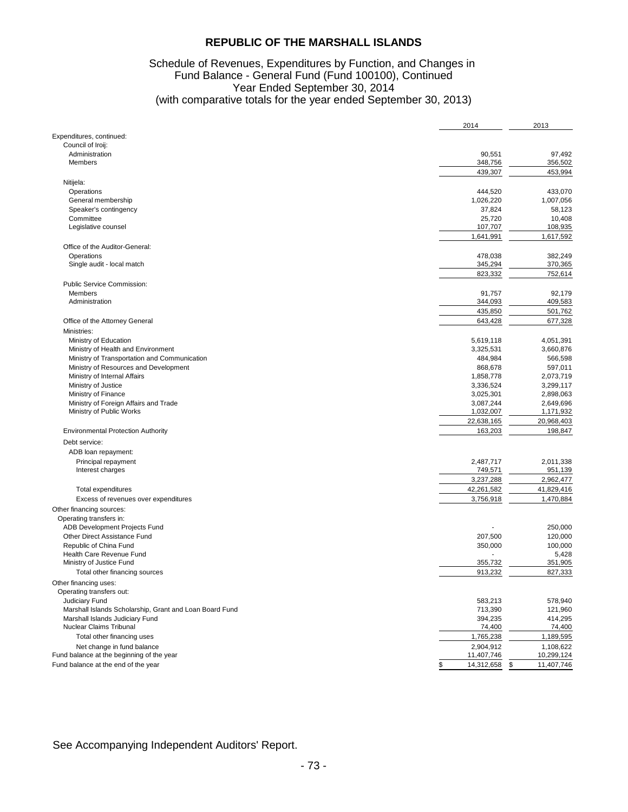#### Schedule of Revenues, Expenditures by Function, and Changes in Fund Balance - General Fund (Fund 100100), Continued Year Ended September 30, 2014 (with comparative totals for the year ended September 30, 2013)

|                                                         | 2014                | 2013       |
|---------------------------------------------------------|---------------------|------------|
| Expenditures, continued:                                |                     |            |
| Council of Iroij:                                       |                     |            |
| Administration                                          | 90,551              | 97,492     |
| Members                                                 | 348,756             | 356,502    |
|                                                         | 439,307             | 453,994    |
| Nitijela:                                               |                     |            |
| Operations                                              | 444,520             | 433.070    |
| General membership                                      | 1,026,220           | 1,007,056  |
| Speaker's contingency                                   | 37,824              | 58,123     |
| Committee                                               | 25,720              | 10,408     |
| Legislative counsel                                     | 107,707             | 108,935    |
|                                                         | 1,641,991           | 1,617,592  |
| Office of the Auditor-General:                          |                     |            |
| Operations                                              | 478.038             | 382,249    |
| Single audit - local match                              | 345,294             | 370,365    |
|                                                         | 823,332             | 752,614    |
| Public Service Commission:                              |                     |            |
| Members                                                 | 91,757              | 92,179     |
| Administration                                          | 344,093             | 409,583    |
|                                                         | 435,850             | 501,762    |
| Office of the Attorney General                          | 643,428             | 677,328    |
|                                                         |                     |            |
| Ministries:                                             |                     |            |
| Ministry of Education                                   | 5,619,118           | 4,051,391  |
| Ministry of Health and Environment                      | 3,325,531           | 3,660,876  |
| Ministry of Transportation and Communication            | 484,984             | 566,598    |
| Ministry of Resources and Development                   | 868,678             | 597,011    |
| Ministry of Internal Affairs                            | 1,858,778           | 2,073,719  |
| Ministry of Justice                                     | 3,336,524           | 3,299,117  |
| Ministry of Finance                                     | 3,025,301           | 2,898,063  |
| Ministry of Foreign Affairs and Trade                   | 3,087,244           | 2,649,696  |
| Ministry of Public Works                                | 1,032,007           | 1,171,932  |
|                                                         | 22,638,165          | 20,968,403 |
| <b>Environmental Protection Authority</b>               | 163,203             | 198,847    |
| Debt service:                                           |                     |            |
| ADB loan repayment:                                     |                     |            |
| Principal repayment                                     | 2,487,717           | 2,011,338  |
| Interest charges                                        | 749,571             | 951,139    |
|                                                         | 3,237,288           | 2,962,477  |
| Total expenditures                                      | 42,261,582          | 41,829,416 |
| Excess of revenues over expenditures                    | 3,756,918           | 1,470,884  |
| Other financing sources:                                |                     |            |
| Operating transfers in:                                 |                     |            |
| ADB Development Projects Fund                           |                     | 250,000    |
| Other Direct Assistance Fund                            | 207,500             | 120,000    |
| Republic of China Fund                                  | 350,000             | 100,000    |
| Health Care Revenue Fund                                |                     | 5,428      |
| Ministry of Justice Fund                                | 355,732             | 351,905    |
| Total other financing sources                           | 913,232             | 827,333    |
|                                                         |                     |            |
| Other financing uses:                                   |                     |            |
| Operating transfers out:                                |                     |            |
| Judiciary Fund                                          | 583,213             | 578,940    |
| Marshall Islands Scholarship, Grant and Loan Board Fund | 713,390             | 121,960    |
| Marshall Islands Judiciary Fund                         | 394,235             | 414,295    |
| Nuclear Claims Tribunal                                 | 74,400              | 74,400     |
| Total other financing uses                              | 1,765,238           | 1,189,595  |
| Net change in fund balance                              | 2,904,912           | 1,108,622  |
| Fund balance at the beginning of the year               | 11,407,746          | 10,299,124 |
| Fund balance at the end of the year                     | \$<br>14,312,658 \$ | 11,407,746 |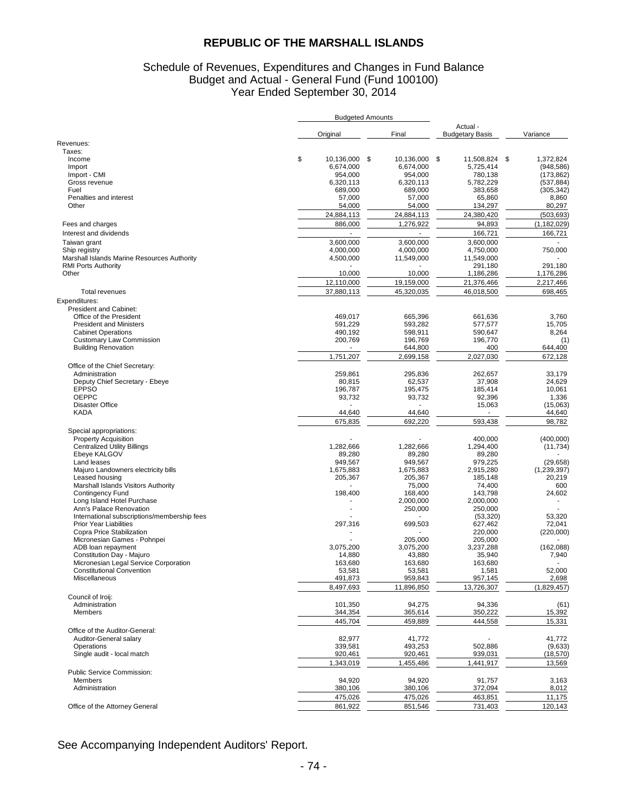## Schedule of Revenues, Expenditures and Changes in Fund Balance Budget and Actual - General Fund (Fund 100100) Year Ended September 30, 2014

|                                                       |                      | <b>Budgeted Amounts</b> |                                    |                         |
|-------------------------------------------------------|----------------------|-------------------------|------------------------------------|-------------------------|
|                                                       | Original             | Final                   | Actual -<br><b>Budgetary Basis</b> | Variance                |
| Revenues:                                             |                      |                         |                                    |                         |
| Taxes:                                                |                      |                         |                                    |                         |
| Income                                                | \$<br>10,136,000 \$  | 10,136,000 \$           | 11,508,824 \$                      | 1,372,824               |
| Import<br>Import - CMI                                | 6,674,000<br>954,000 | 6,674,000<br>954,000    | 5,725,414<br>780,138               | (948, 586)<br>(173.862) |
| Gross revenue                                         | 6,320,113            | 6,320,113               | 5,782,229                          | (537, 884)              |
| Fuel                                                  | 689,000              | 689.000                 | 383,658                            | (305, 342)              |
| Penalties and interest                                | 57,000               | 57,000                  | 65,860                             | 8,860                   |
| Other                                                 | 54,000               | 54,000                  | 134,297                            | 80,297                  |
|                                                       | 24,884,113           | 24,884,113              | 24,380,420                         | (503, 693)              |
| Fees and charges                                      | 886,000              | 1,276,922               | 94,893                             | (1, 182, 029)           |
| Interest and dividends                                |                      |                         | 166,721                            | 166,721                 |
| Taiwan grant                                          | 3,600,000            | 3,600,000               | 3,600,000                          |                         |
| Ship registry                                         | 4,000,000            | 4,000,000               | 4,750,000                          | 750,000                 |
| Marshall Islands Marine Resources Authority           | 4,500,000            | 11,549,000              | 11,549,000                         |                         |
| <b>RMI Ports Authority</b><br>Other                   | 10,000               | 10,000                  | 291,180                            | 291,180                 |
|                                                       |                      |                         | 1,186,286                          | 1,176,286               |
|                                                       | 12,110,000           | 19,159,000              | 21,376,466                         | 2,217,466               |
| <b>Total revenues</b>                                 | 37,880,113           | 45,320,035              | 46,018,500                         | 698,465                 |
| Expenditures:<br><b>President and Cabinet:</b>        |                      |                         |                                    |                         |
| Office of the President                               | 469,017              | 665,396                 | 661,636                            | 3,760                   |
| <b>President and Ministers</b>                        | 591,229              | 593,282                 | 577,577                            | 15,705                  |
| <b>Cabinet Operations</b>                             | 490,192              | 598,911                 | 590,647                            | 8,264                   |
| Customary Law Commission                              | 200,769              | 196,769                 | 196,770                            | (1)                     |
| <b>Building Renovation</b>                            |                      | 644,800                 | 400                                | 644,400                 |
|                                                       | 1,751,207            | 2,699,158               | 2,027,030                          | 672,128                 |
| Office of the Chief Secretary:                        |                      |                         |                                    |                         |
| Administration                                        | 259.861              | 295,836                 | 262.657                            | 33,179                  |
| Deputy Chief Secretary - Ebeye                        | 80,815               | 62,537                  | 37,908                             | 24,629                  |
| <b>EPPSO</b><br><b>OEPPC</b>                          | 196,787<br>93,732    | 195,475<br>93,732       | 185,414<br>92,396                  | 10,061<br>1,336         |
| <b>Disaster Office</b>                                |                      |                         | 15,063                             | (15,063)                |
| <b>KADA</b>                                           | 44,640               | 44,640                  | $\blacksquare$                     | 44,640                  |
|                                                       | 675,835              | 692,220                 | 593,438                            | 98,782                  |
| Special appropriations:                               |                      |                         |                                    |                         |
| <b>Property Acquisition</b>                           |                      |                         | 400,000                            | (400,000)               |
| <b>Centralized Utility Billings</b>                   | 1,282,666            | 1,282,666               | 1,294,400                          | (11, 734)               |
| Ebeye KALGOV                                          | 89,280               | 89,280                  | 89,280                             |                         |
| Land leases                                           | 949,567              | 949,567                 | 979,225                            | (29, 658)               |
| Majuro Landowners electricity bills<br>Leased housing | 1,675,883            | 1,675,883               | 2,915,280                          | (1, 239, 397)           |
| Marshall Islands Visitors Authority                   | 205,367              | 205,367<br>75,000       | 185,148<br>74,400                  | 20,219<br>600           |
| <b>Contingency Fund</b>                               | 198,400              | 168,400                 | 143,798                            | 24,602                  |
| Long Island Hotel Purchase                            |                      | 2,000,000               | 2,000,000                          |                         |
| Ann's Palace Renovation                               |                      | 250,000                 | 250,000                            |                         |
| International subscriptions/membership fees           |                      |                         | (53, 320)                          | 53,320                  |
| <b>Prior Year Liabilities</b>                         | 297,316              | 699,503                 | 627,462                            | 72,041                  |
| Copra Price Stabilization                             |                      |                         | 220,000                            | (220,000)               |
| Micronesian Games - Pohnpei<br>ADB loan repayment     | 3,075,200            | 205,000<br>3,075,200    | 205,000<br>3,237,288               | (162,088)               |
| Constitution Day - Majuro                             | 14,880               | 43,880                  | 35,940                             | 7,940                   |
| Micronesian Legal Service Corporation                 | 163,680              | 163,680                 | 163,680                            |                         |
| <b>Constitutional Convention</b>                      | 53,581               | 53,581                  | 1,581                              | 52,000                  |
| Miscellaneous                                         | 491,873              | 959,843                 | 957,145                            | 2,698                   |
|                                                       | 8,497,693            | 11,896,850              | 13,726,307                         | (1,829,457)             |
| Council of Iroij:                                     |                      |                         |                                    |                         |
| Administration                                        | 101,350              | 94,275                  | 94,336                             | (61)                    |
| Members                                               | 344,354              | 365,614                 | 350,222                            | 15,392                  |
|                                                       | 445,704              | 459,889                 | 444,558                            | 15,331                  |
| Office of the Auditor-General:                        |                      |                         |                                    |                         |
| Auditor-General salary                                | 82,977               | 41,772                  |                                    | 41,772                  |
| Operations                                            | 339,581              | 493,253                 | 502,886                            | (9,633)                 |
| Single audit - local match                            | 920,461              | 920,461                 | 939,031                            | (18, 570)               |
|                                                       | 1,343,019            | 1,455,486               | 1,441,917                          | 13,569                  |
| Public Service Commission:                            |                      |                         |                                    |                         |
| Members                                               | 94,920<br>380,106    | 94.920                  | 91,757                             | 3,163                   |
| Administration                                        |                      | 380,106                 | 372,094                            | 8,012                   |
|                                                       | 475,026              | 475,026                 | 463,851                            | 11,175                  |
| Office of the Attorney General                        | 861,922              | 851,546                 | 731,403                            | 120,143                 |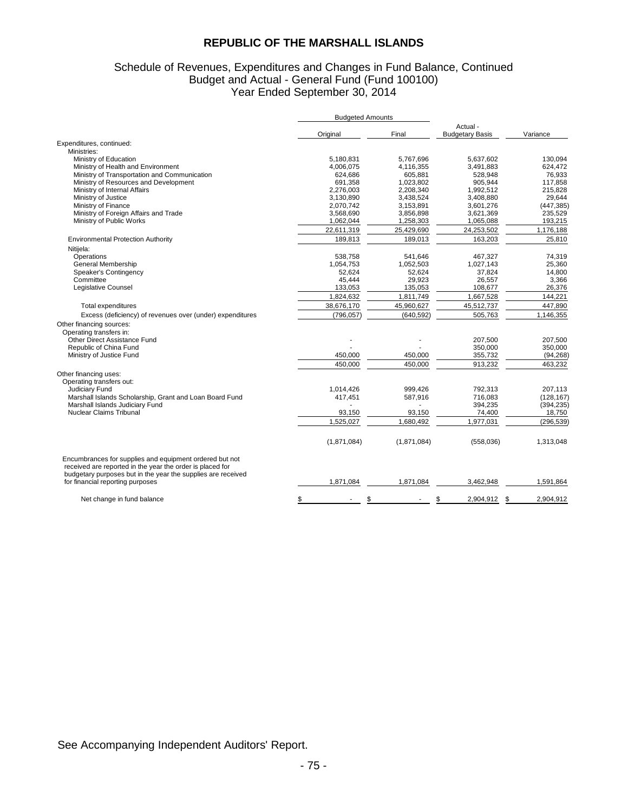### Schedule of Revenues, Expenditures and Changes in Fund Balance, Continued Budget and Actual - General Fund (Fund 100100) Year Ended September 30, 2014

|                                                                                                                      | <b>Budgeted Amounts</b> |             |                                    |            |
|----------------------------------------------------------------------------------------------------------------------|-------------------------|-------------|------------------------------------|------------|
|                                                                                                                      | Original                | Final       | Actual -<br><b>Budgetary Basis</b> | Variance   |
| Expenditures, continued:                                                                                             |                         |             |                                    |            |
| Ministries:                                                                                                          |                         |             |                                    |            |
| Ministry of Education                                                                                                | 5,180,831               | 5,767,696   | 5.637.602                          | 130,094    |
| Ministry of Health and Environment                                                                                   | 4,006,075               | 4,116,355   | 3,491,883                          | 624.472    |
| Ministry of Transportation and Communication                                                                         | 624,686                 | 605,881     | 528,948                            | 76,933     |
| Ministry of Resources and Development                                                                                | 691,358                 | 1,023,802   | 905.944                            | 117.858    |
| Ministry of Internal Affairs                                                                                         | 2,276,003               | 2,208,340   | 1,992,512                          | 215,828    |
| Ministry of Justice                                                                                                  | 3,130,890               | 3,438,524   | 3,408,880                          | 29.644     |
| Ministry of Finance                                                                                                  | 2,070,742               | 3,153,891   | 3,601,276                          | (447, 385) |
| Ministry of Foreign Affairs and Trade                                                                                | 3,568,690               | 3,856,898   | 3,621,369                          | 235.529    |
| Ministry of Public Works                                                                                             | 1,062,044               | 1,258,303   | 1,065,088                          | 193,215    |
|                                                                                                                      | 22,611,319              | 25,429,690  | 24,253,502                         | 1,176,188  |
| <b>Environmental Protection Authority</b>                                                                            | 189,813                 | 189,013     | 163,203                            | 25,810     |
| Nitijela:                                                                                                            |                         |             |                                    |            |
| Operations                                                                                                           | 538.758                 | 541.646     | 467.327                            | 74.319     |
| General Membership                                                                                                   | 1,054,753               | 1,052,503   | 1,027,143                          | 25,360     |
| Speaker's Contingency                                                                                                | 52.624                  | 52,624      | 37,824                             | 14.800     |
| Committee                                                                                                            | 45,444                  | 29,923      | 26,557                             | 3,366      |
| Legislative Counsel                                                                                                  | 133,053                 | 135,053     | 108,677                            | 26,376     |
|                                                                                                                      | 1,824,632               | 1,811,749   | 1,667,528                          | 144,221    |
| <b>Total expenditures</b>                                                                                            | 38,676,170              | 45,960,627  | 45,512,737                         | 447,890    |
| Excess (deficiency) of revenues over (under) expenditures                                                            | (796, 057)              | (640, 592)  | 505,763                            | 1,146,355  |
| Other financing sources:                                                                                             |                         |             |                                    |            |
| Operating transfers in:                                                                                              |                         |             |                                    |            |
| Other Direct Assistance Fund                                                                                         |                         |             | 207,500                            | 207.500    |
| Republic of China Fund                                                                                               |                         |             | 350,000                            | 350,000    |
| Ministry of Justice Fund                                                                                             | 450.000                 | 450,000     | 355,732                            | (94, 268)  |
|                                                                                                                      | 450.000                 | 450,000     | 913,232                            | 463,232    |
| Other financing uses:                                                                                                |                         |             |                                    |            |
| Operating transfers out:                                                                                             |                         |             |                                    |            |
| Judiciary Fund                                                                                                       | 1,014,426               | 999,426     | 792,313                            | 207,113    |
| Marshall Islands Scholarship, Grant and Loan Board Fund                                                              | 417,451                 | 587,916     | 716,083                            | (128, 167) |
| Marshall Islands Judiciary Fund                                                                                      |                         |             | 394,235                            | (394, 235) |
| Nuclear Claims Tribunal                                                                                              | 93,150                  | 93,150      | 74,400                             | 18,750     |
|                                                                                                                      | 1,525,027               | 1,680,492   | 1,977,031                          | (296, 539) |
|                                                                                                                      | (1,871,084)             | (1,871,084) | (558,036)                          | 1,313,048  |
|                                                                                                                      |                         |             |                                    |            |
| Encumbrances for supplies and equipment ordered but not<br>received are reported in the year the order is placed for |                         |             |                                    |            |
|                                                                                                                      |                         |             |                                    |            |
| budgetary purposes but in the year the supplies are received<br>for financial reporting purposes                     | 1,871,084               | 1,871,084   | 3,462,948                          | 1,591,864  |
|                                                                                                                      |                         |             |                                    |            |
| Net change in fund balance                                                                                           | \$<br>\$                |             | 2,904,912<br>\$<br>- \$            | 2,904,912  |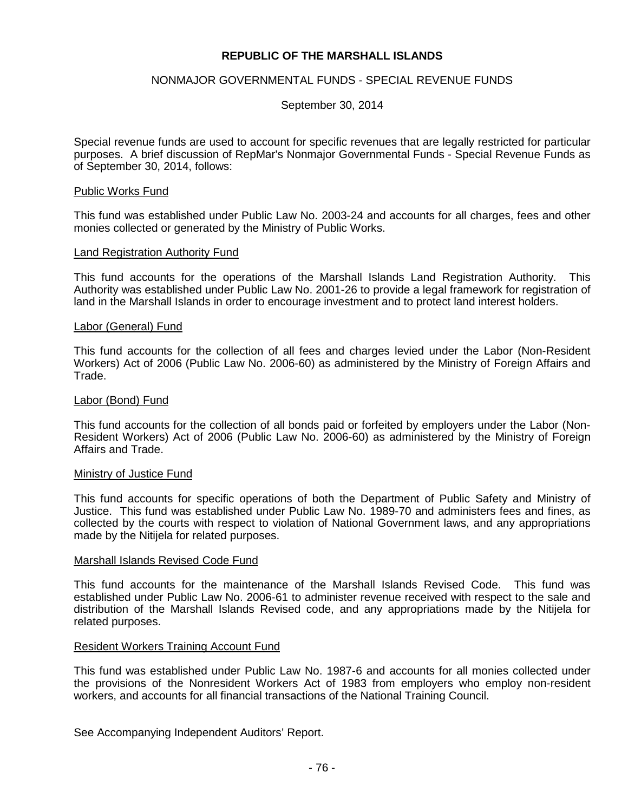## NONMAJOR GOVERNMENTAL FUNDS - SPECIAL REVENUE FUNDS

September 30, 2014

Special revenue funds are used to account for specific revenues that are legally restricted for particular purposes. A brief discussion of RepMar's Nonmajor Governmental Funds - Special Revenue Funds as of September 30, 2014, follows:

### Public Works Fund

This fund was established under Public Law No. 2003-24 and accounts for all charges, fees and other monies collected or generated by the Ministry of Public Works.

### Land Registration Authority Fund

This fund accounts for the operations of the Marshall Islands Land Registration Authority. This Authority was established under Public Law No. 2001-26 to provide a legal framework for registration of land in the Marshall Islands in order to encourage investment and to protect land interest holders.

#### Labor (General) Fund

This fund accounts for the collection of all fees and charges levied under the Labor (Non-Resident Workers) Act of 2006 (Public Law No. 2006-60) as administered by the Ministry of Foreign Affairs and Trade.

#### Labor (Bond) Fund

This fund accounts for the collection of all bonds paid or forfeited by employers under the Labor (Non-Resident Workers) Act of 2006 (Public Law No. 2006-60) as administered by the Ministry of Foreign Affairs and Trade.

#### Ministry of Justice Fund

This fund accounts for specific operations of both the Department of Public Safety and Ministry of Justice. This fund was established under Public Law No. 1989-70 and administers fees and fines, as collected by the courts with respect to violation of National Government laws, and any appropriations made by the Nitijela for related purposes.

#### Marshall Islands Revised Code Fund

This fund accounts for the maintenance of the Marshall Islands Revised Code. This fund was established under Public Law No. 2006-61 to administer revenue received with respect to the sale and distribution of the Marshall Islands Revised code, and any appropriations made by the Nitijela for related purposes.

#### Resident Workers Training Account Fund

This fund was established under Public Law No. 1987-6 and accounts for all monies collected under the provisions of the Nonresident Workers Act of 1983 from employers who employ non-resident workers, and accounts for all financial transactions of the National Training Council.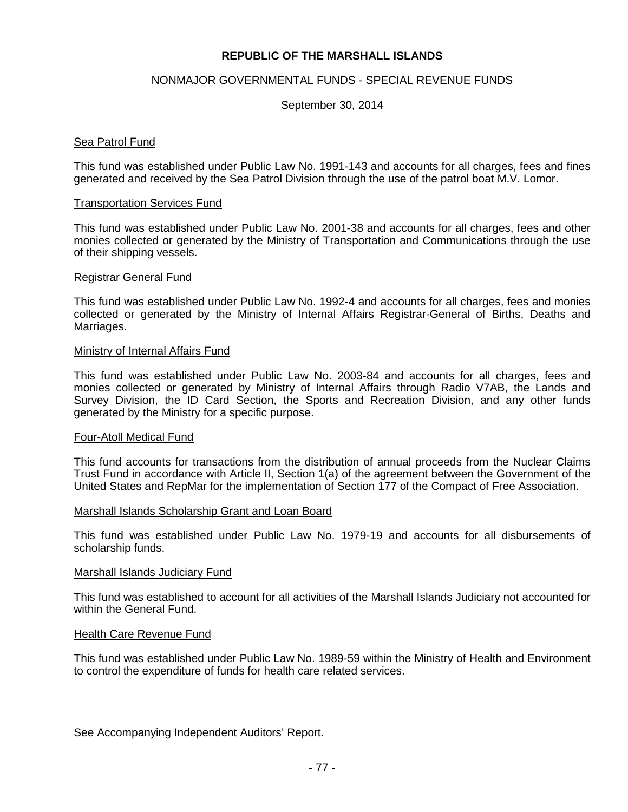## NONMAJOR GOVERNMENTAL FUNDS - SPECIAL REVENUE FUNDS

September 30, 2014

#### Sea Patrol Fund

This fund was established under Public Law No. 1991-143 and accounts for all charges, fees and fines generated and received by the Sea Patrol Division through the use of the patrol boat M.V. Lomor.

#### Transportation Services Fund

This fund was established under Public Law No. 2001-38 and accounts for all charges, fees and other monies collected or generated by the Ministry of Transportation and Communications through the use of their shipping vessels.

### Registrar General Fund

This fund was established under Public Law No. 1992-4 and accounts for all charges, fees and monies collected or generated by the Ministry of Internal Affairs Registrar-General of Births, Deaths and Marriages.

### Ministry of Internal Affairs Fund

This fund was established under Public Law No. 2003-84 and accounts for all charges, fees and monies collected or generated by Ministry of Internal Affairs through Radio V7AB, the Lands and Survey Division, the ID Card Section, the Sports and Recreation Division, and any other funds generated by the Ministry for a specific purpose.

## Four-Atoll Medical Fund

This fund accounts for transactions from the distribution of annual proceeds from the Nuclear Claims Trust Fund in accordance with Article II, Section 1(a) of the agreement between the Government of the United States and RepMar for the implementation of Section 177 of the Compact of Free Association.

#### Marshall Islands Scholarship Grant and Loan Board

This fund was established under Public Law No. 1979-19 and accounts for all disbursements of scholarship funds.

#### Marshall Islands Judiciary Fund

This fund was established to account for all activities of the Marshall Islands Judiciary not accounted for within the General Fund.

#### Health Care Revenue Fund

This fund was established under Public Law No. 1989-59 within the Ministry of Health and Environment to control the expenditure of funds for health care related services.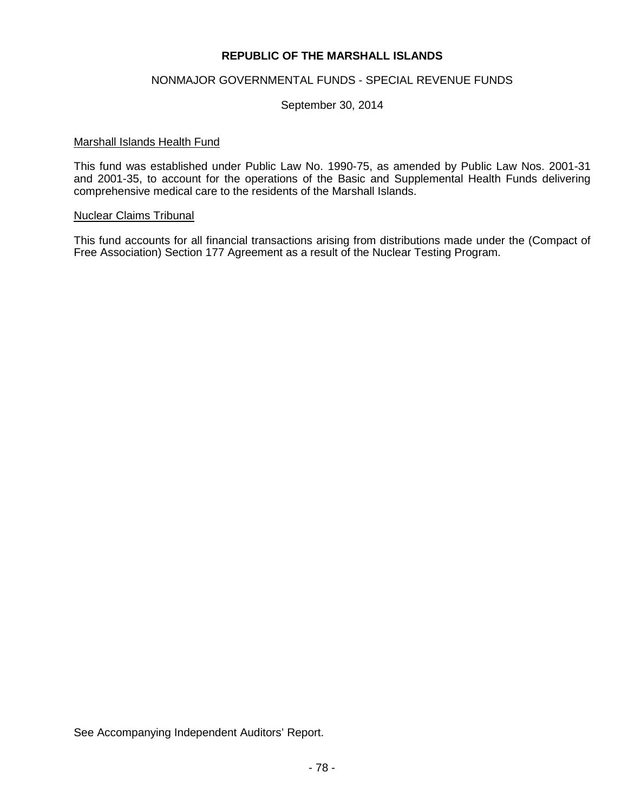## NONMAJOR GOVERNMENTAL FUNDS - SPECIAL REVENUE FUNDS

September 30, 2014

#### Marshall Islands Health Fund

This fund was established under Public Law No. 1990-75, as amended by Public Law Nos. 2001-31 and 2001-35, to account for the operations of the Basic and Supplemental Health Funds delivering comprehensive medical care to the residents of the Marshall Islands.

## Nuclear Claims Tribunal

This fund accounts for all financial transactions arising from distributions made under the (Compact of Free Association) Section 177 Agreement as a result of the Nuclear Testing Program.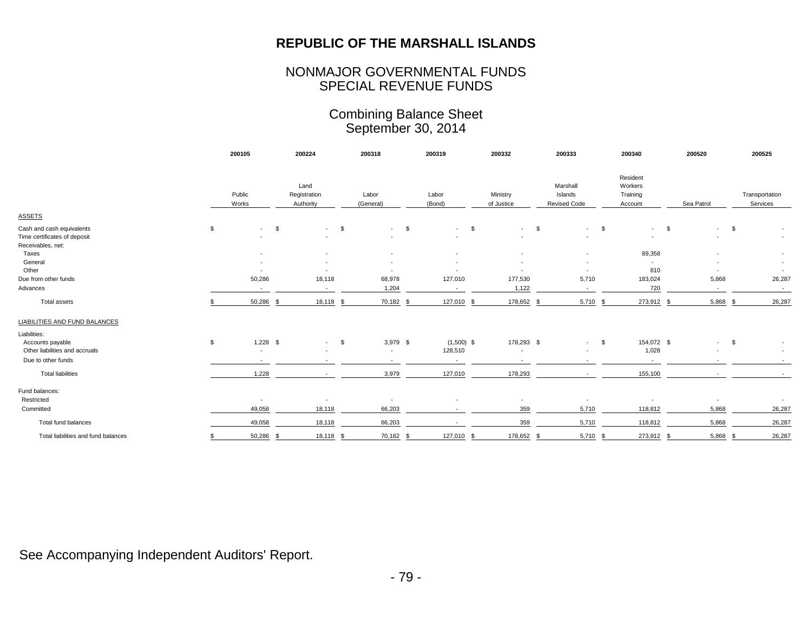# SPECIAL REVENUE FUNDS NONMAJOR GOVERNMENTAL FUNDS

# September 30, 2014 Combining Balance Sheet

|                                                                                      | 200105<br>200224                 |                                   | 200318                   | 200319                   | 200332                   | 200333                                     | 200340                                     | 200520                   | 200525                     |  |
|--------------------------------------------------------------------------------------|----------------------------------|-----------------------------------|--------------------------|--------------------------|--------------------------|--------------------------------------------|--------------------------------------------|--------------------------|----------------------------|--|
|                                                                                      | Public<br>Works                  | Land<br>Registration<br>Authority | Labor<br>(General)       | Labor<br>(Bond)          | Ministry<br>of Justice   | Marshall<br>Islands<br><b>Revised Code</b> | Resident<br>Workers<br>Training<br>Account | Sea Patrol               | Transportation<br>Services |  |
| <b>ASSETS</b>                                                                        |                                  |                                   |                          |                          |                          |                                            |                                            |                          |                            |  |
| Cash and cash equivalents<br>\$<br>Time certificates of deposit<br>Receivables, net: | $\mathbf{\hat{s}}$<br>$\sim 100$ | \$<br>$\sim$                      | $\mathbb{S}$             | $-5$                     | \$<br>$\sim 100$         | \$<br>$\sim$                               | $\mathbb{S}$<br>$\sim$                     | $\sim 100$               | - \$<br>$\overline{a}$     |  |
| Taxes                                                                                |                                  | $\overline{\phantom{a}}$          |                          | $\overline{\phantom{a}}$ | $\overline{\phantom{a}}$ | $\overline{\phantom{a}}$                   | 89,358                                     |                          | $\overline{\phantom{a}}$   |  |
| General                                                                              |                                  | $\overline{\phantom{a}}$          |                          |                          |                          | ٠                                          | $\sim$                                     |                          | $\overline{\phantom{a}}$   |  |
| Other                                                                                |                                  | $\overline{\phantom{a}}$          |                          |                          | $\blacksquare$           | $\overline{\phantom{a}}$                   | 810                                        | $\overline{\phantom{a}}$ | $\overline{\phantom{a}}$   |  |
| Due from other funds                                                                 | 50,286                           | 18,118                            | 68,978                   | 127,010                  | 177,530                  | 5,710                                      | 183,024                                    | 5,868                    | 26,287                     |  |
| Advances                                                                             | $\overline{\phantom{a}}$         | $\overline{\phantom{a}}$          | 1,204                    | $\overline{\phantom{a}}$ | 1,122                    | $\sim$                                     | 720                                        | $\sim$                   | $\sim$                     |  |
| Total assets                                                                         | 50,286 \$                        | 18,118 \$                         | 70,182<br>- \$           | 127,010 \$               | 178,652 \$               | 5,710 \$                                   | 273,912 \$                                 | 5,868<br>- 9             | 26,287                     |  |
| LIABILITIES AND FUND BALANCES                                                        |                                  |                                   |                          |                          |                          |                                            |                                            |                          |                            |  |
| Liabilities:                                                                         |                                  |                                   |                          |                          |                          |                                            |                                            |                          |                            |  |
| Accounts payable<br>\$                                                               | $1,228$ \$                       | \$<br>$\sim$                      | $3,979$ \$               | $(1,500)$ \$             | 178,293 \$               | \$<br>$\sim$                               | 154,072 \$                                 | $-$ \$                   | $\overline{\phantom{a}}$   |  |
| Other liabilities and accruals                                                       |                                  |                                   | $\sim$                   | 128,510                  | $\overline{\phantom{a}}$ | $\overline{\phantom{a}}$                   | 1,028                                      |                          |                            |  |
| Due to other funds                                                                   |                                  |                                   | $\sim$                   | $\overline{\phantom{a}}$ |                          | $\overline{\phantom{a}}$                   | $\overline{\phantom{a}}$                   |                          |                            |  |
| <b>Total liabilities</b>                                                             | 1,228                            |                                   | 3,979                    | 127,010                  | 178,293                  |                                            | 155,100                                    |                          |                            |  |
| Fund balances:                                                                       |                                  |                                   |                          |                          |                          |                                            |                                            |                          |                            |  |
| Restricted                                                                           | $\sim$                           | $\overline{\phantom{a}}$          | $\overline{\phantom{a}}$ |                          | $\overline{\phantom{a}}$ | $\overline{\phantom{a}}$                   | $\blacksquare$                             |                          | $\sim$                     |  |
| Committed                                                                            | 49,058                           | 18,118                            | 66,203                   |                          | 359                      | 5,710                                      | 118,812                                    | 5,868                    | 26,287                     |  |
| Total fund balances                                                                  | 49,058                           | 18,118                            | 66,203                   |                          | 359                      | 5,710                                      | 118,812                                    | 5,868                    | 26,287                     |  |
| Total liabilities and fund balances                                                  | 50,286<br>- \$                   | 18,118 \$                         | 70,182                   | 127,010                  | 178,652<br>- \$          | 5,710<br>- \$                              | 273,912 \$                                 | 5,868                    | 26,287                     |  |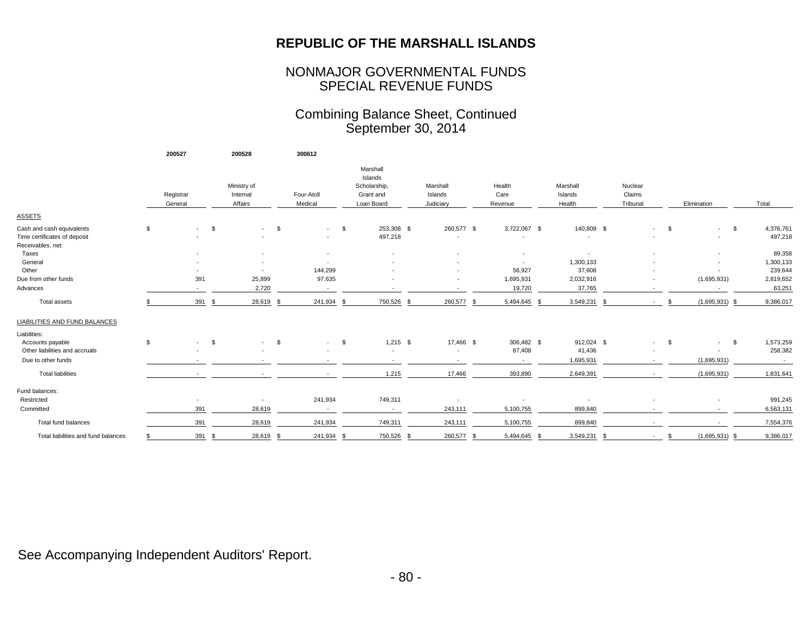# NONMAJOR GOVERNMENTAL FUNDS SPECIAL REVENUE FUNDS

# Combining Balance Sheet, Continued September 30, 2014

|                                                                                | 200527    |                          | 200528                             |     | 300612                                               |      |                                                  |                     |                          |      |                          |                   |                          |                                                      |      |                      |
|--------------------------------------------------------------------------------|-----------|--------------------------|------------------------------------|-----|------------------------------------------------------|------|--------------------------------------------------|---------------------|--------------------------|------|--------------------------|-------------------|--------------------------|------------------------------------------------------|------|----------------------|
|                                                                                | Registrar |                          | Ministry of<br>Internal            |     | Four-Atoll                                           |      | Marshall<br>Islands<br>Scholarship,<br>Grant and | Marshall<br>Islands | Health<br>Care           |      | Marshall<br>Islands      | Nuclear<br>Claims |                          |                                                      |      |                      |
|                                                                                | General   |                          | Affairs                            |     | Medical                                              |      | Loan Board                                       | Judiciary           | Revenue                  |      | Health                   | Tribunal          |                          | Elimination                                          |      | Total                |
| <b>ASSETS</b>                                                                  |           |                          |                                    |     |                                                      |      |                                                  |                     |                          |      |                          |                   |                          |                                                      |      |                      |
| Cash and cash equivalents<br>Time certificates of deposit<br>Receivables, net: | \$        | \$<br>$\sim$             | $\sim$                             | \$  | $\sim$                                               | \$   | 253,308 \$<br>497,218                            | 260,577 \$          | 3,722,067 \$             |      | 140,809 \$               |                   | \$<br>$\sim$             | $\overline{\phantom{a}}$                             | - \$ | 4,376,761<br>497,218 |
| Taxes<br>General                                                               |           |                          |                                    |     | $\overline{\phantom{a}}$<br>$\overline{\phantom{a}}$ |      |                                                  |                     | $\overline{\phantom{a}}$ |      | $\sim$<br>1,300,133      |                   | $\sim$                   | $\overline{\phantom{a}}$<br>$\overline{\phantom{a}}$ |      | 89,358<br>1,300,133  |
| Other<br>Due from other funds                                                  |           | 391                      | $\overline{\phantom{a}}$<br>25,899 |     | 144,299<br>97,635                                    |      |                                                  |                     | 56,927<br>1,695,931      |      | 37,608<br>2,032,916      |                   |                          | (1,695,931)                                          |      | 239,644<br>2,819,652 |
| Advances                                                                       |           | $\overline{\phantom{a}}$ | 2,720                              |     | $\sim$                                               |      |                                                  |                     | 19,720                   |      | 37,765                   |                   |                          |                                                      |      | 63,251               |
| Total assets                                                                   |           | 391<br>\$                | 28,619                             | -\$ | 241,934                                              | - \$ | 750,526<br>-S                                    | 260,577             | 5,494,645<br>- \$        | - \$ | 3,549,231<br>- \$        |                   | $\overline{\phantom{a}}$ | $(1,695,931)$ \$                                     |      | 9,386,017            |
| LIABILITIES AND FUND BALANCES                                                  |           |                          |                                    |     |                                                      |      |                                                  |                     |                          |      |                          |                   |                          |                                                      |      |                      |
| Liabilities:                                                                   |           |                          |                                    |     |                                                      |      |                                                  |                     |                          |      |                          |                   |                          |                                                      |      |                      |
| Accounts payable<br>Other liabilities and accruals                             | \$        | \$<br>$\sim$             | $\sim$ 10 $\pm$                    | \$  | $\sim$                                               | \$   | $1,215$ \$<br>$\overline{\phantom{a}}$           | 17,466 \$<br>$\sim$ | 306,482 \$<br>87,408     |      | 912,024 \$<br>41,436     |                   | \$<br>$\blacksquare$     | $-5$<br>$\overline{\phantom{a}}$                     |      | 1,573,259<br>258,382 |
| Due to other funds                                                             |           |                          |                                    |     |                                                      |      | $\sim$                                           |                     |                          |      | 1,695,931                |                   | $\sim$                   | (1,695,931)                                          |      | $\sim$               |
| <b>Total liabilities</b>                                                       |           |                          |                                    |     |                                                      |      | 1,215                                            | 17,466              | 393,890                  |      | 2,649,391                |                   |                          | (1,695,931)                                          |      | 1,831,641            |
| Fund balances:                                                                 |           |                          |                                    |     |                                                      |      |                                                  |                     |                          |      |                          |                   |                          |                                                      |      |                      |
| Restricted                                                                     |           | $\overline{\phantom{a}}$ | $\overline{\phantom{a}}$           |     | 241,934                                              |      | 749,311                                          |                     |                          |      | $\overline{\phantom{a}}$ |                   |                          |                                                      |      | 991,245              |
| Committed                                                                      |           | 391                      | 28,619                             |     |                                                      |      | $\sim$                                           | 243,111             | 5,100,755                |      | 899,840                  |                   |                          |                                                      |      | 6,563,131            |
| Total fund balances                                                            |           | 391                      | 28,619                             |     | 241,934                                              |      | 749,311                                          | 243,111             | 5,100,755                |      | 899,840                  |                   | $\overline{a}$           | $\sim$                                               |      | 7,554,376            |
| Total liabilities and fund balances                                            |           | 391 \$                   | 28,619 \$                          |     | 241,934 \$                                           |      | 750,526 \$                                       | 260,577 \$          | 5,494,645 \$             |      | 3,549,231 \$             |                   | - \$<br>$\sim$           | $(1,695,931)$ \$                                     |      | 9,386,017            |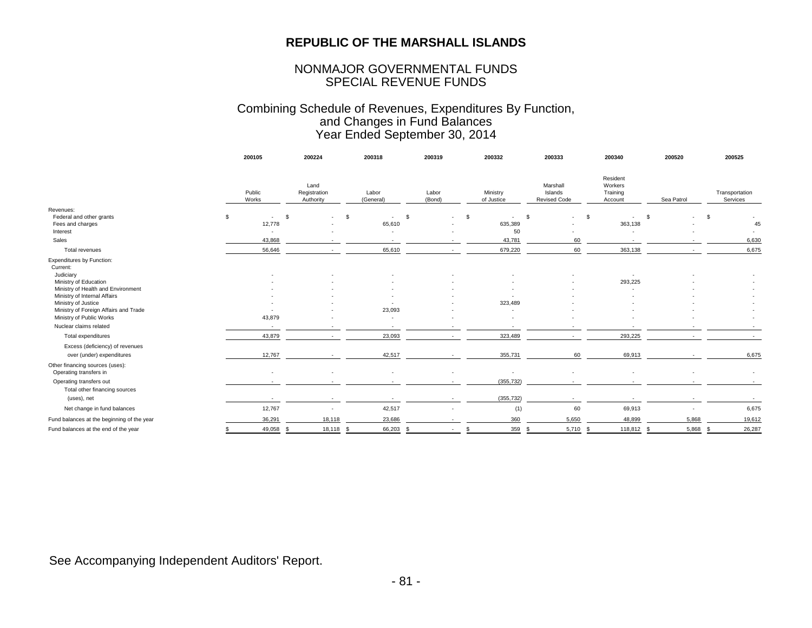# NONMAJOR GOVERNMENTAL FUNDS SPECIAL REVENUE FUNDS

# and Changes in Fund Balances Year Ended September 30, 2014 Combining Schedule of Revenues, Expenditures By Function,

|                                                             | 200105                                   | 200224                            | 200318                                             | 200319                   | 200332                            | 200333                                     | 200340                                     | 200520                   | 200525<br>Transportation<br>Services |  |
|-------------------------------------------------------------|------------------------------------------|-----------------------------------|----------------------------------------------------|--------------------------|-----------------------------------|--------------------------------------------|--------------------------------------------|--------------------------|--------------------------------------|--|
|                                                             | Public<br>Works                          | Land<br>Registration<br>Authority | Labor<br>(General)                                 | Labor<br>(Bond)          | Ministry<br>of Justice            | Marshall<br>Islands<br><b>Revised Code</b> | Resident<br>Workers<br>Training<br>Account | Sea Patrol               |                                      |  |
| Revenues:                                                   |                                          |                                   |                                                    |                          |                                   |                                            |                                            |                          |                                      |  |
| Federal and other grants<br>Fees and charges                | $\mathfrak{L}$<br>\$<br>$\sim$<br>12,778 | ÷.                                | $\mathbf{s}$<br>$\overline{\phantom{a}}$<br>65,610 | $\mathfrak{L}$<br>٠      | $\mathbf{s}$<br>$\sim$<br>635,389 | Ŝ.<br>$\sim$                               | $\mathfrak{L}$<br>٠<br>363,138             |                          | -9<br>۰.<br>45                       |  |
| Interest                                                    | $\overline{\phantom{a}}$                 |                                   | ٠                                                  |                          | 50                                |                                            |                                            |                          | ۰.                                   |  |
| Sales                                                       | 43,868                                   |                                   | $\overline{\phantom{a}}$                           |                          | 43,781                            | 60                                         | $\blacksquare$                             |                          | 6,630                                |  |
| Total revenues                                              | 56,646                                   |                                   | 65,610                                             |                          | 679,220                           | 60                                         | 363,138                                    | $\overline{\phantom{a}}$ | 6,675                                |  |
| <b>Expenditures by Function:</b><br>Current:                |                                          |                                   |                                                    |                          |                                   |                                            |                                            |                          |                                      |  |
| Judiciary                                                   |                                          |                                   |                                                    |                          |                                   |                                            | $\blacksquare$                             |                          |                                      |  |
| Ministry of Education<br>Ministry of Health and Environment |                                          |                                   |                                                    |                          |                                   |                                            | 293,225                                    |                          |                                      |  |
| Ministry of Internal Affairs                                |                                          |                                   |                                                    |                          |                                   |                                            |                                            |                          |                                      |  |
| Ministry of Justice                                         |                                          |                                   |                                                    |                          | 323,489                           |                                            |                                            |                          |                                      |  |
| Ministry of Foreign Affairs and Trade                       |                                          |                                   | 23,093                                             |                          |                                   |                                            |                                            |                          |                                      |  |
| Ministry of Public Works                                    | 43,879                                   |                                   | ٠                                                  | $\overline{\phantom{a}}$ |                                   |                                            |                                            |                          |                                      |  |
| Nuclear claims related                                      |                                          |                                   |                                                    |                          |                                   |                                            |                                            |                          |                                      |  |
| Total expenditures                                          | 43,879                                   |                                   | 23,093                                             |                          | 323,489                           |                                            | 293,225                                    |                          |                                      |  |
| Excess (deficiency) of revenues                             |                                          |                                   |                                                    |                          |                                   |                                            |                                            |                          |                                      |  |
| over (under) expenditures                                   | 12,767                                   |                                   | 42,517                                             |                          | 355,731                           | 60                                         | 69,913                                     |                          | 6,675                                |  |
| Other financing sources (uses):<br>Operating transfers in   |                                          |                                   | $\overline{\phantom{a}}$                           | $\overline{\phantom{a}}$ |                                   |                                            |                                            |                          | $\sim$                               |  |
| Operating transfers out                                     |                                          |                                   |                                                    |                          | (355, 732)                        |                                            |                                            |                          |                                      |  |
| Total other financing sources                               |                                          |                                   |                                                    |                          |                                   |                                            |                                            |                          |                                      |  |
| (uses), net                                                 | $\overline{\phantom{a}}$                 |                                   | $\overline{\phantom{a}}$                           |                          | (355, 732)                        | $\sim$                                     | . .                                        | $\overline{\phantom{a}}$ | $\sim$                               |  |
| Net change in fund balances                                 | 12,767                                   | ٠                                 | 42,517                                             |                          | (1)                               | 60                                         | 69,913                                     |                          | 6,675                                |  |
| Fund balances at the beginning of the year                  | 36,291                                   | 18,118                            | 23,686                                             |                          | 360                               | 5,650                                      | 48,899                                     | 5,868                    | 19,612                               |  |
| Fund balances at the end of the year                        | 49,058<br>- \$                           | 18,118                            | 66,203<br>- \$                                     | ٠                        | 359<br>£.                         | 5,710<br>- \$                              | 118,812<br>- \$                            | 5,868                    | 26,287                               |  |
|                                                             |                                          |                                   |                                                    |                          |                                   |                                            |                                            |                          |                                      |  |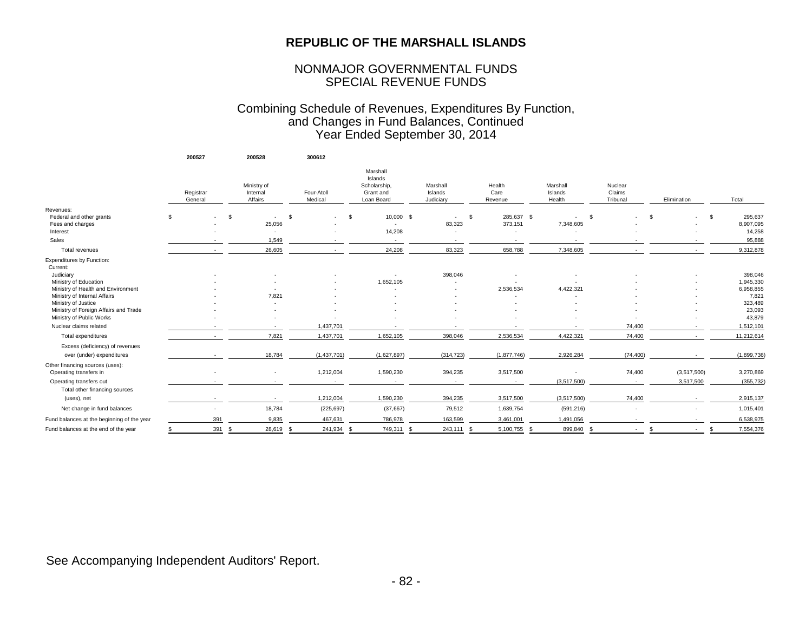# NONMAJOR GOVERNMENTAL FUNDS SPECIAL REVENUE FUNDS

# and Changes in Fund Balances, Continued Year Ended September 30, 2014 Combining Schedule of Revenues, Expenditures By Function,

|                                                              | 200527                         | 200528                             |                  | 300612                |                                                                |             |                                    |                           |    |                                       |                               |    |             |          |                     |
|--------------------------------------------------------------|--------------------------------|------------------------------------|------------------|-----------------------|----------------------------------------------------------------|-------------|------------------------------------|---------------------------|----|---------------------------------------|-------------------------------|----|-------------|----------|---------------------|
|                                                              | Registrar<br>General           | Ministry of<br>Internal<br>Affairs |                  | Four-Atoll<br>Medical | Marshall<br>Islands<br>Scholarship.<br>Grant and<br>Loan Board |             | Marshall<br>Islands<br>Judiciary   | Health<br>Care<br>Revenue |    |                                       | Nuclear<br>Claims<br>Tribunal |    | Elimination |          | Total               |
| Revenues:                                                    |                                |                                    |                  |                       |                                                                |             |                                    |                           |    |                                       |                               |    |             |          |                     |
| Federal and other grants                                     | \$<br>$\overline{\phantom{a}}$ | - \$                               | ٠                | \$                    | - \$                                                           | 10,000 \$   | $\overline{\phantom{a}}$           | 285,637 \$<br>\$          |    | - \$<br>٠                             |                               | -S |             | <b>S</b> | 295,637             |
| Fees and charges<br>Interest                                 |                                |                                    | 25,056<br>$\sim$ |                       |                                                                | 14,208      | 83,323<br>$\overline{\phantom{a}}$ | 373,151                   |    | 7,348,605<br>$\overline{\phantom{a}}$ |                               |    |             |          | 8,907,095<br>14,258 |
| Sales                                                        |                                |                                    | 1,549            |                       |                                                                | $\sim$      | $\sim$                             |                           |    |                                       |                               |    |             |          | 95,888              |
|                                                              |                                |                                    |                  |                       |                                                                |             |                                    |                           |    |                                       |                               |    |             |          |                     |
| Total revenues                                               |                                |                                    | 26,605           |                       |                                                                | 24,208      | 83,323                             | 658,788                   |    | 7,348,605                             |                               |    |             |          | 9,312,878           |
| <b>Expenditures by Function:</b><br>Current:                 |                                |                                    |                  |                       |                                                                |             |                                    |                           |    |                                       |                               |    |             |          |                     |
| Judiciary                                                    |                                |                                    |                  |                       |                                                                |             | 398,046                            |                           |    |                                       |                               |    |             |          | 398,046             |
| Ministry of Education                                        |                                |                                    |                  |                       |                                                                | 1,652,105   |                                    |                           |    |                                       |                               |    |             |          | 1,945,330           |
| Ministry of Health and Environment                           |                                |                                    |                  |                       |                                                                |             |                                    | 2,536,534                 |    | 4,422,321                             |                               |    |             |          | 6,958,855           |
| Ministry of Internal Affairs                                 |                                |                                    | 7,821            |                       |                                                                |             |                                    |                           |    |                                       |                               |    |             |          | 7,821               |
| Ministry of Justice<br>Ministry of Foreign Affairs and Trade |                                |                                    |                  |                       |                                                                |             |                                    |                           |    |                                       |                               |    |             |          | 323,489<br>23,093   |
| Ministry of Public Works                                     |                                |                                    |                  |                       |                                                                |             |                                    |                           |    |                                       |                               |    |             |          | 43,879              |
| Nuclear claims related                                       |                                |                                    |                  | 1,437,701             |                                                                |             |                                    |                           |    |                                       | 74,400                        |    |             |          | 1,512,101           |
| Total expenditures                                           |                                |                                    | 7,821            | 1,437,701             |                                                                | 1,652,105   | 398,046                            | 2,536,534                 |    | 4,422,321                             | 74,400                        |    |             |          | 11,212,614          |
| Excess (deficiency) of revenues                              |                                |                                    |                  |                       |                                                                |             |                                    |                           |    |                                       |                               |    |             |          |                     |
|                                                              |                                |                                    |                  |                       |                                                                |             |                                    |                           |    |                                       |                               |    |             |          |                     |
| over (under) expenditures                                    |                                |                                    | 18,784           | (1,437,701)           |                                                                | (1,627,897) | (314, 723)                         | (1,877,746)               |    | 2,926,284                             | (74, 400)                     |    |             |          | (1,899,736)         |
| Other financing sources (uses):<br>Operating transfers in    |                                |                                    | ٠                | 1,212,004             |                                                                | 1,590,230   | 394,235                            | 3,517,500                 |    | $\overline{\phantom{a}}$              | 74,400                        |    | (3,517,500) |          | 3,270,869           |
| Operating transfers out                                      |                                |                                    |                  |                       |                                                                |             |                                    |                           |    | (3,517,500)                           | $\sim$                        |    | 3,517,500   |          | (355, 732)          |
| Total other financing sources                                |                                |                                    |                  |                       |                                                                |             |                                    |                           |    |                                       |                               |    |             |          |                     |
| (uses), net                                                  |                                |                                    | ۰.               | 1,212,004             |                                                                | 1,590,230   | 394,235                            | 3,517,500                 |    | (3,517,500)                           | 74,400                        |    | $\sim$      |          | 2,915,137           |
| Net change in fund balances                                  | ٠                              |                                    | 18,784           | (225, 697)            |                                                                | (37,667)    | 79,512                             | 1,639,754                 |    | (591, 216)                            |                               |    | ٠           |          | 1,015,401           |
| Fund balances at the beginning of the year                   | 391                            |                                    | 9,835            | 467,631               |                                                                | 786,978     | 163,599                            | 3,461,001                 |    | 1,491,056                             |                               |    |             |          | 6,538,975           |
| Fund balances at the end of the year                         | 391                            | - \$                               | 28,619           | 241,934<br>- \$       |                                                                | 749,311     | 243,111                            | 5,100,755                 | -S | 899,840                               | $\sim$                        | £. | $\sim$      |          | 7,554,376           |
|                                                              |                                |                                    |                  |                       |                                                                |             |                                    |                           |    |                                       |                               |    |             |          |                     |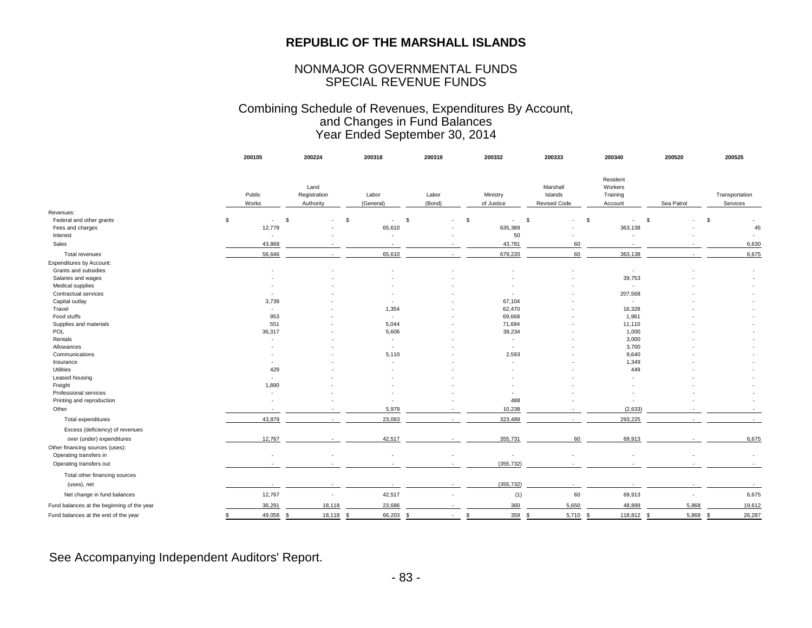# NONMAJOR GOVERNMENTAL FUNDS SPECIAL REVENUE FUNDS

# Year Ended September 30, 2014 Combining Schedule of Revenues, Expenditures By Account, and Changes in Fund Balances

|                                                           | 200105             | 200224                            | 200318                   | 200319          | 200332                 | 200333                                     | 200340                                     | 200520     | 200525                     |  |
|-----------------------------------------------------------|--------------------|-----------------------------------|--------------------------|-----------------|------------------------|--------------------------------------------|--------------------------------------------|------------|----------------------------|--|
|                                                           | Public<br>Works    | Land<br>Registration<br>Authority | Labor<br>(General)       | Labor<br>(Bond) | Ministry<br>of Justice | Marshall<br>Islands<br><b>Revised Code</b> | Resident<br>Workers<br>Training<br>Account | Sea Patrol | Transportation<br>Services |  |
| Revenues:<br>Federal and other grants                     | \$<br>\$<br>$\sim$ |                                   | S<br>$\epsilon$          | \$              | \$<br>$\sim$           | \$<br>$\mathfrak{L}$                       | $\sim$                                     | - \$       | \$                         |  |
| Fees and charges                                          | 12,778             |                                   | 65,610                   |                 | 635,389                |                                            | 363,138                                    |            | 45                         |  |
| Interest                                                  |                    |                                   | ٠                        |                 | 50                     | $\sim$                                     |                                            |            | ٠                          |  |
| Sales                                                     | 43,868             |                                   |                          |                 | 43,781                 | 60                                         |                                            |            | 6,630                      |  |
| Total revenues                                            | 56,646             |                                   | 65,610                   | ×               | 679,220                | 60                                         | 363,138                                    |            | 6,675                      |  |
| Expenditures by Account:                                  |                    |                                   |                          |                 |                        |                                            |                                            |            |                            |  |
| Grants and subsidies                                      |                    |                                   |                          |                 |                        |                                            |                                            |            |                            |  |
| Salaries and wages                                        |                    |                                   |                          |                 |                        |                                            | 39,753                                     |            |                            |  |
| Medical supplies                                          |                    |                                   |                          |                 |                        |                                            |                                            |            |                            |  |
| Contractual services                                      |                    |                                   |                          |                 |                        |                                            | 207,568                                    |            |                            |  |
| Capital outlay                                            | 3,739              |                                   | ×.                       |                 | 67,104                 |                                            | $\sim$                                     |            |                            |  |
| Travel                                                    | $\sim$             |                                   | 1,354                    |                 | 62,470                 |                                            | 16,328                                     |            |                            |  |
| Food stuffs                                               | 953                |                                   | $\sim$                   |                 | 69,668                 |                                            | 1,961                                      |            |                            |  |
| Supplies and materials                                    | 551                |                                   | 5,044                    |                 | 71,694                 |                                            | 11,110                                     |            |                            |  |
| POL                                                       | 36,317             |                                   | 5,606                    |                 | 39,234                 |                                            | 1,000                                      |            |                            |  |
| Rentals                                                   |                    |                                   | ٠                        |                 |                        |                                            | 3,000                                      |            |                            |  |
| Allowances                                                |                    |                                   | $\overline{\phantom{a}}$ |                 | $\sim$                 |                                            | 3,700                                      |            |                            |  |
| Communications                                            |                    |                                   | 5,110                    |                 | 2,593                  |                                            | 9,640                                      |            |                            |  |
| Insurance                                                 |                    |                                   |                          |                 |                        |                                            | 1,349                                      |            |                            |  |
| <b>Utilities</b>                                          | 429                |                                   |                          |                 |                        |                                            | 449                                        |            |                            |  |
| Leased housing                                            |                    |                                   |                          |                 |                        |                                            |                                            |            |                            |  |
| Freight                                                   | 1,890              |                                   |                          |                 |                        |                                            |                                            |            |                            |  |
| Professional services                                     |                    |                                   |                          |                 |                        |                                            |                                            |            |                            |  |
| Printing and reproduction                                 |                    |                                   | ٠                        |                 | 488                    |                                            |                                            |            |                            |  |
| Other                                                     |                    |                                   | 5,979                    |                 | 10,238                 |                                            | (2,633)                                    |            |                            |  |
| Total expenditures                                        | 43,879             |                                   | 23,093                   |                 | 323,489                |                                            | 293,225                                    |            |                            |  |
| Excess (deficiency) of revenues                           |                    |                                   |                          |                 |                        |                                            |                                            |            |                            |  |
| over (under) expenditures                                 | 12,767             |                                   | 42,517                   |                 | 355,731                | 60                                         | 69,913                                     |            | 6,675                      |  |
| Other financing sources (uses):<br>Operating transfers in |                    |                                   |                          |                 |                        |                                            |                                            |            | ٠                          |  |
| Operating transfers out                                   |                    |                                   | $\overline{\phantom{a}}$ |                 | (355, 732)             |                                            |                                            |            | $\overline{\phantom{a}}$   |  |
| Total other financing sources                             |                    |                                   |                          |                 |                        |                                            |                                            |            |                            |  |
|                                                           |                    |                                   | $\sim$                   |                 | (355, 732)             |                                            |                                            |            | $\sim$                     |  |
| (uses), net                                               |                    |                                   |                          |                 |                        |                                            |                                            |            |                            |  |
| Net change in fund balances                               | 12,767             | $\sim$                            | 42,517                   | ٠               | (1)                    | 60                                         | 69,913                                     |            | 6,675                      |  |
| Fund balances at the beginning of the year                | 36,291             | 18,118                            | 23,686                   |                 | 360                    | 5,650                                      | 48,899                                     | 5,868      | 19,612                     |  |
| Fund balances at the end of the year                      | 49,058<br>\$<br>-S | 18,118                            | 66,203 \$<br><b>S</b>    | ٠               | 359 \$<br>\$           | 5,710 \$                                   | 118,812 \$                                 | 5,868      | 26,287<br>- \$             |  |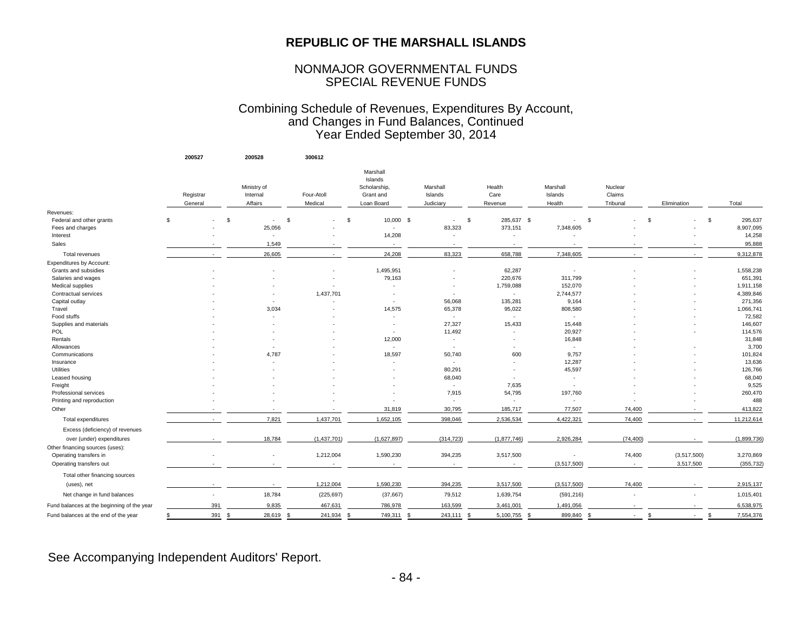# NONMAJOR GOVERNMENTAL FUNDS SPECIAL REVENUE FUNDS

# Combining Schedule of Revenues, Expenditures By Account, Year Ended September 30, 2014 and Changes in Fund Balances, Continued

|                                              | 200527               | 200528                                               | 300612                |                                                                |                                  |                             |                               |                               |             |                            |
|----------------------------------------------|----------------------|------------------------------------------------------|-----------------------|----------------------------------------------------------------|----------------------------------|-----------------------------|-------------------------------|-------------------------------|-------------|----------------------------|
|                                              | Registrar<br>General | Ministry of<br>Internal<br>Affairs                   | Four-Atoll<br>Medical | Marshall<br>Islands<br>Scholarship.<br>Grant and<br>Loan Board | Marshall<br>Islands<br>Judiciary | Health<br>Care<br>Revenue   | Marshall<br>Islands<br>Health | Nuclear<br>Claims<br>Tribunal | Elimination | Total                      |
| Revenues:                                    |                      |                                                      |                       |                                                                |                                  |                             |                               |                               |             |                            |
| Federal and other grants<br>Fees and charges | \$                   | $\mathfrak{s}$<br>$\overline{\phantom{a}}$<br>25,056 | \$                    | <b>S</b><br>10,000 \$<br>٠                                     | ٠<br>83,323                      | S,<br>285,637 \$<br>373,151 | <b>S</b><br>7,348,605         |                               | \$          | \$<br>295,637<br>8,907,095 |
| Interest                                     |                      | ٠                                                    |                       | 14,208                                                         | ٠                                |                             |                               |                               |             | 14,258                     |
|                                              |                      |                                                      |                       |                                                                |                                  |                             |                               |                               |             |                            |
| Sales                                        |                      | 1,549                                                |                       | $\sim$                                                         | ٠                                | $\overline{\phantom{a}}$    |                               |                               |             | 95,888                     |
| Total revenues                               |                      | 26,605                                               |                       | 24,208                                                         | 83,323                           | 658,788                     | 7,348,605                     |                               |             | 9,312,878                  |
| Expenditures by Account:                     |                      |                                                      |                       |                                                                |                                  |                             |                               |                               |             |                            |
| Grants and subsidies                         |                      |                                                      |                       | 1,495,951                                                      | ٠                                | 62,287                      | ٠                             |                               |             | 1,558,238                  |
| Salaries and wages                           |                      |                                                      |                       | 79,163                                                         |                                  | 220,676                     | 311,799                       |                               |             | 651,391                    |
| Medical supplies                             |                      |                                                      |                       | $\overline{\phantom{a}}$                                       | ÷                                | 1,759,088                   | 152,070                       |                               |             | 1,911,158                  |
| Contractual services                         |                      |                                                      | 1,437,701             |                                                                |                                  | $\sim$                      | 2,744,577                     |                               |             | 4,389,846                  |
| Capital outlay                               |                      |                                                      |                       | ٠                                                              | 56,068                           | 135,281                     | 9,164                         |                               |             | 271,356                    |
| Travel                                       |                      | 3,034                                                |                       | 14,575                                                         | 65,378                           | 95,022                      | 808,580                       |                               |             | 1,066,741                  |
| Food stuffs                                  |                      |                                                      |                       | $\sim$                                                         | ×                                | ÷                           | ٠                             |                               |             | 72,582                     |
| Supplies and materials                       |                      |                                                      |                       | ٠                                                              | 27,327                           | 15,433                      | 15,448                        |                               |             | 146,607                    |
| POL                                          |                      |                                                      |                       | ٠                                                              | 11,492                           |                             | 20,927                        |                               |             | 114,576                    |
| Rentals                                      |                      |                                                      |                       | 12,000                                                         | $\sim$                           |                             | 16,848                        |                               |             | 31,848                     |
| Allowances                                   |                      |                                                      |                       | $\overline{\phantom{a}}$                                       | $\sim$                           | ٠                           | ٠                             |                               |             | 3,700                      |
| Communications                               |                      | 4,787                                                |                       | 18,597                                                         | 50,740                           | 600                         | 9,757                         |                               |             | 101,824                    |
| Insurance                                    |                      |                                                      |                       |                                                                | ×                                | ä,                          | 12,287                        |                               |             | 13,636                     |
| Utilities                                    |                      |                                                      |                       |                                                                | 80,291                           |                             | 45,597                        |                               |             | 126,766                    |
| Leased housing                               |                      |                                                      |                       |                                                                | 68,040                           | ٠                           | $\sim$                        |                               |             | 68,040                     |
|                                              |                      |                                                      |                       |                                                                | $\sim$                           | 7,635                       | ٠                             |                               |             | 9,525                      |
| Freight                                      |                      |                                                      |                       |                                                                |                                  |                             |                               |                               |             |                            |
| Professional services                        |                      |                                                      |                       |                                                                | 7,915                            | 54,795                      | 197,760                       |                               |             | 260,470<br>488             |
| Printing and reproduction                    |                      |                                                      |                       |                                                                | ٠                                | ٠                           | ٠                             |                               |             |                            |
| Other                                        |                      |                                                      |                       | 31,819                                                         | 30,795                           | 185,717                     | 77,507                        | 74,400                        |             | 413,822                    |
| Total expenditures                           |                      | 7,821                                                | 1,437,701             | 1,652,105                                                      | 398,046                          | 2,536,534                   | 4,422,321                     | 74,400                        |             | 11,212,614                 |
| Excess (deficiency) of revenues              |                      |                                                      |                       |                                                                |                                  |                             |                               |                               |             |                            |
| over (under) expenditures                    |                      | 18,784                                               | (1,437,701)           | (1,627,897)                                                    | (314, 723)                       | (1,877,746)                 | 2,926,284                     | (74, 400)                     |             | (1,899,736)                |
| Other financing sources (uses):              |                      |                                                      |                       |                                                                |                                  |                             |                               |                               |             |                            |
| Operating transfers in                       |                      | $\overline{\phantom{a}}$                             | 1,212,004             | 1,590,230                                                      | 394,235                          | 3,517,500                   |                               | 74,400                        | (3,517,500) | 3,270,869                  |
| Operating transfers out                      |                      |                                                      |                       |                                                                |                                  |                             | (3,517,500)                   | $\overline{\phantom{a}}$      | 3,517,500   | (355, 732)                 |
| Total other financing sources                |                      |                                                      |                       |                                                                |                                  |                             |                               |                               |             |                            |
| (uses), net                                  |                      | ٠                                                    | 1,212,004             | 1,590,230                                                      | 394,235                          | 3,517,500                   | (3, 517, 500)                 | 74,400                        |             | 2,915,137                  |
| Net change in fund balances                  | ٠                    | 18,784                                               | (225, 697)            | (37, 667)                                                      | 79,512                           | 1,639,754                   | (591, 216)                    |                               |             | 1,015,401                  |
| Fund balances at the beginning of the year   | 391                  | 9,835                                                | 467,631               | 786,978                                                        | 163,599                          | 3,461,001                   | 1,491,056                     |                               |             | 6,538,975                  |
| Fund balances at the end of the year         | 391<br>\$            | \$<br>28,619                                         | 241,934 \$<br>- \$    | 749,311                                                        | 243,111 \$<br>- \$               | 5,100,755                   | 899,840<br>- \$<br>- S        | $\sim$                        | \$          | \$<br>7,554,376            |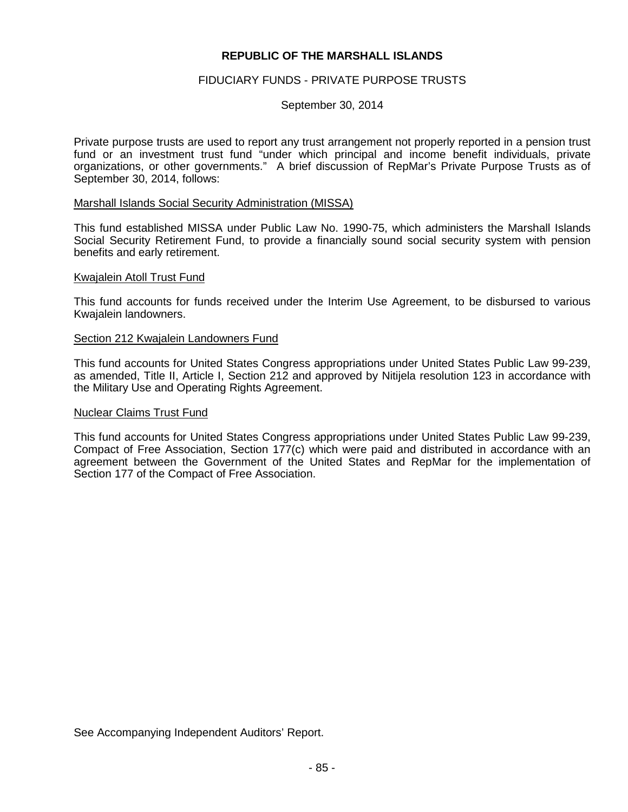# FIDUCIARY FUNDS - PRIVATE PURPOSE TRUSTS

September 30, 2014

Private purpose trusts are used to report any trust arrangement not properly reported in a pension trust fund or an investment trust fund "under which principal and income benefit individuals, private organizations, or other governments." A brief discussion of RepMar's Private Purpose Trusts as of September 30, 2014, follows:

#### Marshall Islands Social Security Administration (MISSA)

This fund established MISSA under Public Law No. 1990-75, which administers the Marshall Islands Social Security Retirement Fund, to provide a financially sound social security system with pension benefits and early retirement.

### Kwajalein Atoll Trust Fund

This fund accounts for funds received under the Interim Use Agreement, to be disbursed to various Kwajalein landowners.

### Section 212 Kwajalein Landowners Fund

This fund accounts for United States Congress appropriations under United States Public Law 99-239, as amended, Title II, Article I, Section 212 and approved by Nitijela resolution 123 in accordance with the Military Use and Operating Rights Agreement.

#### Nuclear Claims Trust Fund

This fund accounts for United States Congress appropriations under United States Public Law 99-239, Compact of Free Association, Section 177(c) which were paid and distributed in accordance with an agreement between the Government of the United States and RepMar for the implementation of Section 177 of the Compact of Free Association.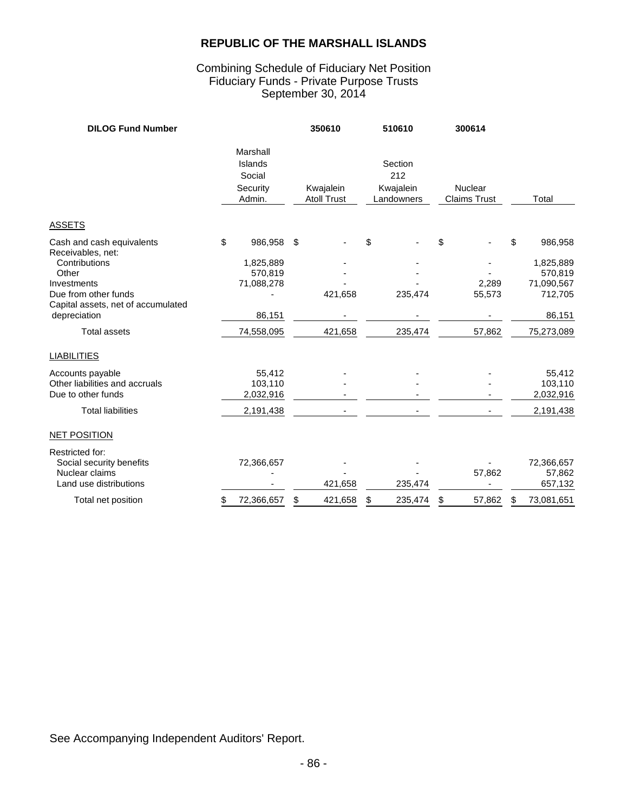# Combining Schedule of Fiduciary Net Position September 30, 2014 Fiduciary Funds - Private Purpose Trusts

| <b>DILOG Fund Number</b>                       |                                                     |    | 350610                          |    | 510610                                    |                                       | 300614 |                  |
|------------------------------------------------|-----------------------------------------------------|----|---------------------------------|----|-------------------------------------------|---------------------------------------|--------|------------------|
|                                                | Marshall<br>Islands<br>Social<br>Security<br>Admin. |    | Kwajalein<br><b>Atoll Trust</b> |    | Section<br>212<br>Kwajalein<br>Landowners | <b>Nuclear</b><br><b>Claims Trust</b> |        | Total            |
| <b>ASSETS</b>                                  |                                                     |    |                                 |    |                                           |                                       |        |                  |
| Cash and cash equivalents<br>Receivables, net: | \$<br>986,958                                       | \$ |                                 | \$ |                                           | \$                                    |        | \$<br>986,958    |
| Contributions                                  | 1,825,889                                           |    |                                 |    |                                           |                                       |        | 1,825,889        |
| Other                                          | 570,819                                             |    |                                 |    |                                           |                                       |        | 570,819          |
| Investments                                    | 71,088,278                                          |    |                                 |    |                                           |                                       | 2,289  | 71,090,567       |
| Due from other funds                           |                                                     |    | 421,658                         |    | 235,474                                   |                                       | 55,573 | 712,705          |
| Capital assets, net of accumulated             |                                                     |    |                                 |    |                                           |                                       |        |                  |
| depreciation                                   | 86,151                                              |    |                                 |    |                                           |                                       |        | 86,151           |
| <b>Total assets</b>                            | 74,558,095                                          |    | 421,658                         |    | 235,474                                   |                                       | 57,862 | 75,273,089       |
| <b>LIABILITIES</b>                             |                                                     |    |                                 |    |                                           |                                       |        |                  |
| Accounts payable                               | 55,412                                              |    |                                 |    |                                           |                                       |        | 55,412           |
| Other liabilities and accruals                 | 103,110                                             |    |                                 |    |                                           |                                       |        | 103,110          |
| Due to other funds                             | 2,032,916                                           |    |                                 |    |                                           |                                       |        | 2,032,916        |
| <b>Total liabilities</b>                       | 2,191,438                                           |    |                                 |    |                                           |                                       |        | 2,191,438        |
| <b>NET POSITION</b>                            |                                                     |    |                                 |    |                                           |                                       |        |                  |
| Restricted for:                                |                                                     |    |                                 |    |                                           |                                       |        |                  |
| Social security benefits                       | 72,366,657                                          |    |                                 |    |                                           |                                       |        | 72,366,657       |
| Nuclear claims                                 |                                                     |    |                                 |    |                                           |                                       | 57,862 | 57,862           |
| Land use distributions                         |                                                     |    | 421,658                         |    | 235,474                                   |                                       |        | 657,132          |
| Total net position                             | \$<br>72,366,657                                    | \$ | 421,658                         | \$ | 235,474                                   | \$                                    | 57,862 | \$<br>73,081,651 |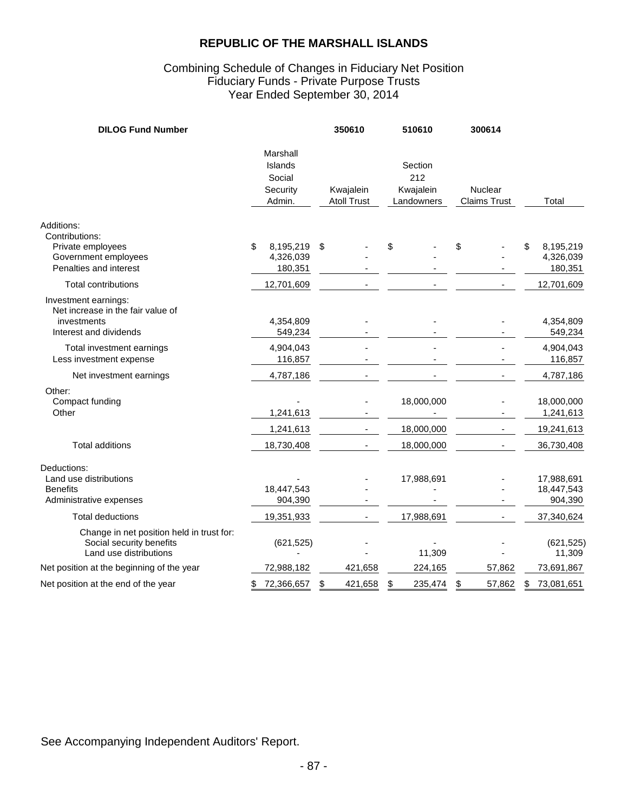# Combining Schedule of Changes in Fiduciary Net Position Fiduciary Funds - Private Purpose Trusts Year Ended September 30, 2014

| <b>DILOG Fund Number</b>                                                                                                                                   |                                                     | 350610                          | 510610                                    | 300614                                |                                              |
|------------------------------------------------------------------------------------------------------------------------------------------------------------|-----------------------------------------------------|---------------------------------|-------------------------------------------|---------------------------------------|----------------------------------------------|
|                                                                                                                                                            | Marshall<br>Islands<br>Social<br>Security<br>Admin. | Kwajalein<br><b>Atoll Trust</b> | Section<br>212<br>Kwajalein<br>Landowners | <b>Nuclear</b><br><b>Claims Trust</b> | Total                                        |
| Additions:<br>Contributions:<br>Private employees<br>Government employees<br>Penalties and interest                                                        | \$<br>8,195,219<br>4,326,039<br>180,351             | \$                              | \$                                        | \$                                    | \$<br>8,195,219<br>4,326,039<br>180,351      |
| <b>Total contributions</b>                                                                                                                                 | 12,701,609                                          |                                 |                                           |                                       | 12,701,609                                   |
| Investment earnings:<br>Net increase in the fair value of<br>investments<br>Interest and dividends<br>Total investment earnings<br>Less investment expense | 4,354,809<br>549,234<br>4,904,043<br>116,857        |                                 |                                           |                                       | 4,354,809<br>549,234<br>4,904,043<br>116,857 |
| Net investment earnings                                                                                                                                    | 4,787,186                                           |                                 |                                           |                                       | 4,787,186                                    |
| Other:<br>Compact funding<br>Other                                                                                                                         | 1,241,613<br>1,241,613                              |                                 | 18,000,000<br>18,000,000                  |                                       | 18,000,000<br>1,241,613<br>19,241,613        |
| <b>Total additions</b>                                                                                                                                     | 18,730,408                                          |                                 | 18,000,000                                |                                       | 36,730,408                                   |
| Deductions:<br>Land use distributions<br><b>Benefits</b><br>Administrative expenses                                                                        | 18,447,543<br>904,390                               |                                 | 17,988,691                                |                                       | 17,988,691<br>18,447,543<br>904,390          |
| <b>Total deductions</b>                                                                                                                                    | 19,351,933                                          |                                 | 17,988,691                                |                                       | 37,340,624                                   |
| Change in net position held in trust for:<br>Social security benefits<br>Land use distributions                                                            | (621, 525)                                          |                                 | 11,309                                    |                                       | (621, 525)<br>11,309                         |
| Net position at the beginning of the year                                                                                                                  | 72,988,182                                          | 421,658                         | 224,165                                   | 57,862                                | 73,691,867                                   |
| Net position at the end of the year                                                                                                                        | \$<br>72,366,657                                    | \$<br>421,658                   | \$<br>235,474                             | \$<br>57,862                          | \$<br>73,081,651                             |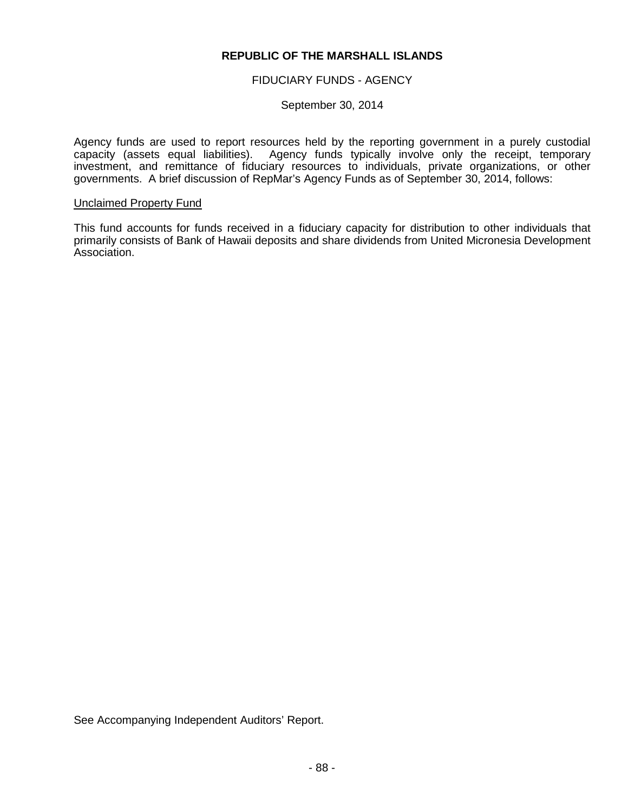## FIDUCIARY FUNDS - AGENCY

September 30, 2014

Agency funds are used to report resources held by the reporting government in a purely custodial capacity (assets equal liabilities). Agency funds typically involve only the receipt, temporary Agency funds typically involve only the receipt, temporary investment, and remittance of fiduciary resources to individuals, private organizations, or other governments. A brief discussion of RepMar's Agency Funds as of September 30, 2014, follows:

#### Unclaimed Property Fund

This fund accounts for funds received in a fiduciary capacity for distribution to other individuals that primarily consists of Bank of Hawaii deposits and share dividends from United Micronesia Development Association.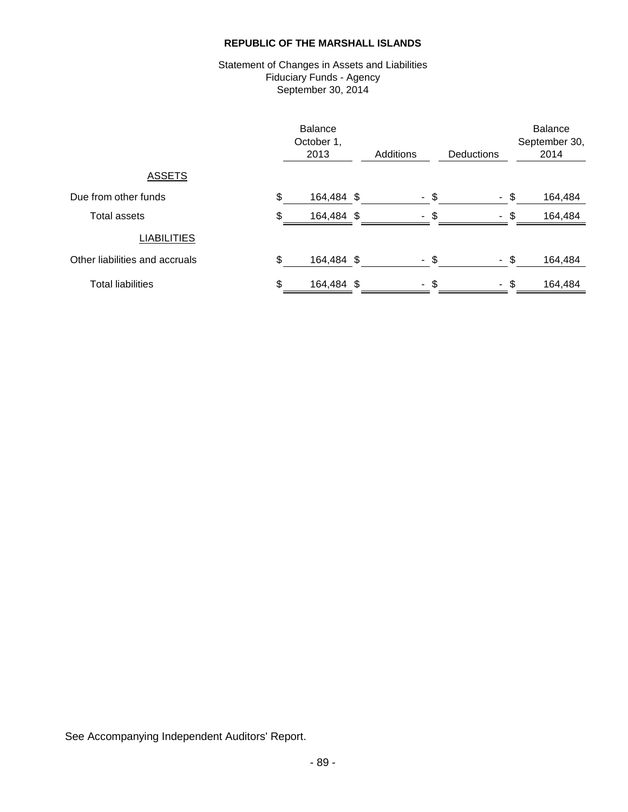# Statement of Changes in Assets and Liabilities Fiduciary Funds - Agency September 30, 2014

|                                | <b>Balance</b><br>October 1,<br>2013 | Additions | <b>Deductions</b> |        | <b>Balance</b><br>September 30,<br>2014 |
|--------------------------------|--------------------------------------|-----------|-------------------|--------|-----------------------------------------|
| <b>ASSETS</b>                  |                                      |           |                   |        |                                         |
| Due from other funds           | \$<br>164,484 \$                     | - \$      |                   | $-$ \$ | 164,484                                 |
| <b>Total assets</b>            | \$<br>164,484 \$                     | - \$      |                   | $-$ \$ | 164,484                                 |
| <b>LIABILITIES</b>             |                                      |           |                   |        |                                         |
| Other liabilities and accruals | \$<br>164,484 \$                     | - \$      |                   | $-$ \$ | 164,484                                 |
| <b>Total liabilities</b>       | \$<br>164,484 \$                     | - \$      |                   | - \$   | 164,484                                 |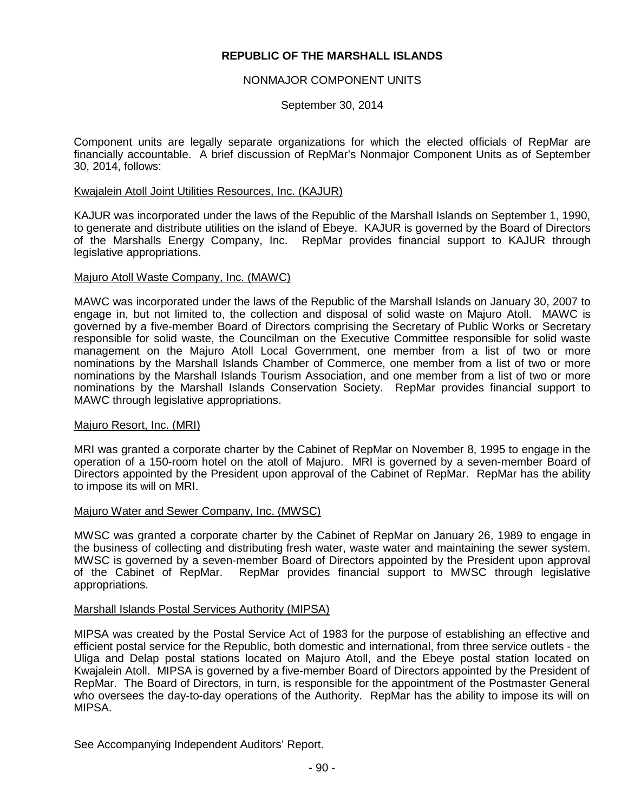# NONMAJOR COMPONENT UNITS

September 30, 2014

Component units are legally separate organizations for which the elected officials of RepMar are financially accountable. A brief discussion of RepMar's Nonmajor Component Units as of September 30, 2014, follows:

## Kwajalein Atoll Joint Utilities Resources, Inc. (KAJUR)

KAJUR was incorporated under the laws of the Republic of the Marshall Islands on September 1, 1990, to generate and distribute utilities on the island of Ebeye. KAJUR is governed by the Board of Directors of the Marshalls Energy Company, Inc. RepMar provides financial support to KAJUR through legislative appropriations.

## Majuro Atoll Waste Company, Inc. (MAWC)

MAWC was incorporated under the laws of the Republic of the Marshall Islands on January 30, 2007 to engage in, but not limited to, the collection and disposal of solid waste on Majuro Atoll. MAWC is governed by a five-member Board of Directors comprising the Secretary of Public Works or Secretary responsible for solid waste, the Councilman on the Executive Committee responsible for solid waste management on the Majuro Atoll Local Government, one member from a list of two or more nominations by the Marshall Islands Chamber of Commerce, one member from a list of two or more nominations by the Marshall Islands Tourism Association, and one member from a list of two or more nominations by the Marshall Islands Conservation Society. RepMar provides financial support to MAWC through legislative appropriations.

## Majuro Resort, Inc. (MRI)

MRI was granted a corporate charter by the Cabinet of RepMar on November 8, 1995 to engage in the operation of a 150-room hotel on the atoll of Majuro. MRI is governed by a seven-member Board of Directors appointed by the President upon approval of the Cabinet of RepMar. RepMar has the ability to impose its will on MRI.

## Majuro Water and Sewer Company, Inc. (MWSC)

MWSC was granted a corporate charter by the Cabinet of RepMar on January 26, 1989 to engage in the business of collecting and distributing fresh water, waste water and maintaining the sewer system. MWSC is governed by a seven-member Board of Directors appointed by the President upon approval of the Cabinet of RepMar. RepMar provides financial support to MWSC through legislative appropriations.

## Marshall Islands Postal Services Authority (MIPSA)

MIPSA was created by the Postal Service Act of 1983 for the purpose of establishing an effective and efficient postal service for the Republic, both domestic and international, from three service outlets - the Uliga and Delap postal stations located on Majuro Atoll, and the Ebeye postal station located on Kwajalein Atoll. MIPSA is governed by a five-member Board of Directors appointed by the President of RepMar. The Board of Directors, in turn, is responsible for the appointment of the Postmaster General who oversees the day-to-day operations of the Authority. RepMar has the ability to impose its will on MIPSA.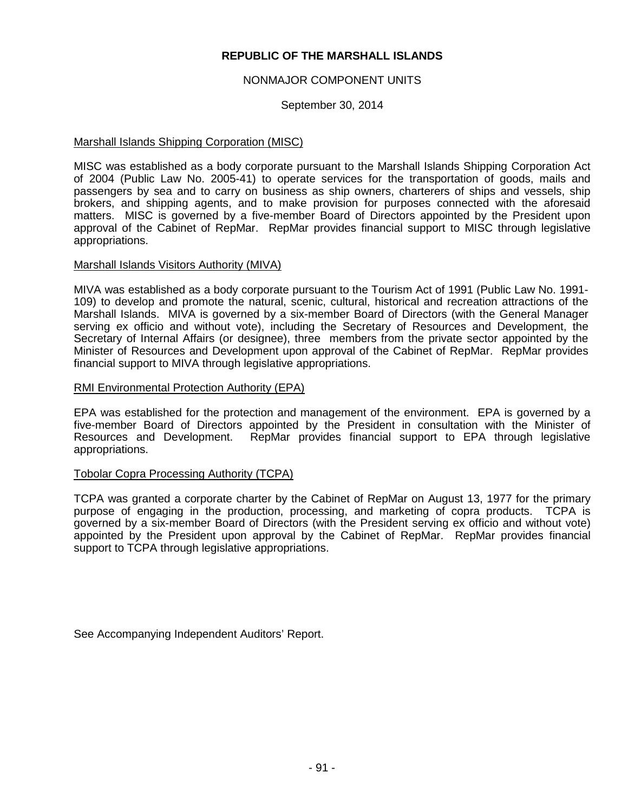# NONMAJOR COMPONENT UNITS

September 30, 2014

## Marshall Islands Shipping Corporation (MISC)

MISC was established as a body corporate pursuant to the Marshall Islands Shipping Corporation Act of 2004 (Public Law No. 2005-41) to operate services for the transportation of goods, mails and passengers by sea and to carry on business as ship owners, charterers of ships and vessels, ship brokers, and shipping agents, and to make provision for purposes connected with the aforesaid matters. MISC is governed by a five-member Board of Directors appointed by the President upon approval of the Cabinet of RepMar. RepMar provides financial support to MISC through legislative appropriations.

## Marshall Islands Visitors Authority (MIVA)

MIVA was established as a body corporate pursuant to the Tourism Act of 1991 (Public Law No. 1991- 109) to develop and promote the natural, scenic, cultural, historical and recreation attractions of the Marshall Islands. MIVA is governed by a six-member Board of Directors (with the General Manager serving ex officio and without vote), including the Secretary of Resources and Development, the Secretary of Internal Affairs (or designee), three members from the private sector appointed by the Minister of Resources and Development upon approval of the Cabinet of RepMar. RepMar provides financial support to MIVA through legislative appropriations.

### RMI Environmental Protection Authority (EPA)

EPA was established for the protection and management of the environment. EPA is governed by a five-member Board of Directors appointed by the President in consultation with the Minister of Resources and Development. RepMar provides financial support to EPA through legislative appropriations.

## Tobolar Copra Processing Authority (TCPA)

TCPA was granted a corporate charter by the Cabinet of RepMar on August 13, 1977 for the primary purpose of engaging in the production, processing, and marketing of copra products. TCPA is governed by a six-member Board of Directors (with the President serving ex officio and without vote) appointed by the President upon approval by the Cabinet of RepMar. RepMar provides financial support to TCPA through legislative appropriations.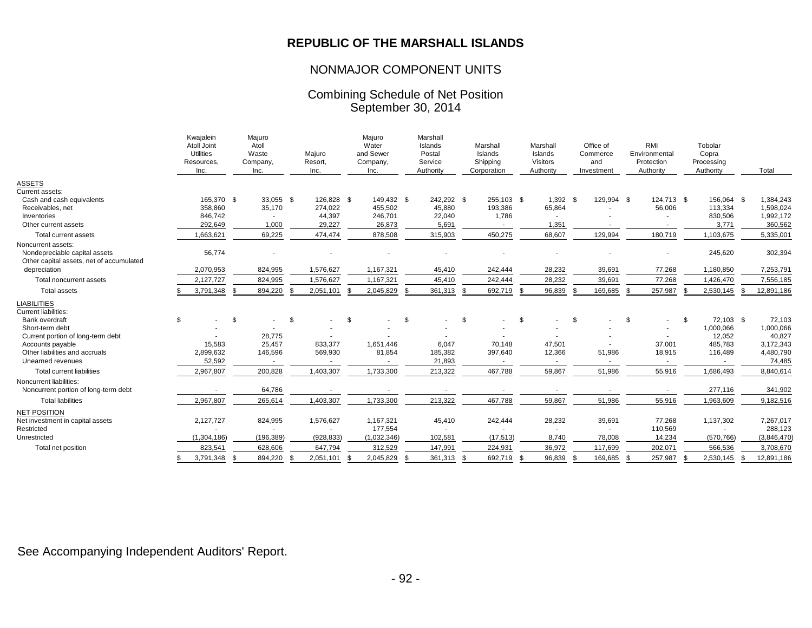# NONMAJOR COMPONENT UNITS

# Combining Schedule of Net Position September 30, 2014

|                                                                           | Kwajalein<br>Atoll Joint<br><b>Utilities</b><br>Resources,<br>Inc. | Majuro<br>Atoll<br>Waste<br>Company,<br>Inc. | Majuro<br>Resort,<br>Inc. | Majuro<br>Water<br>and Sewer<br>Company,<br>Inc. |      | Marshall<br>Islands<br>Postal<br>Service<br>Authority |      | Marshall<br>Islands<br>Shipping<br>Corporation |      | Marshall<br>Islands<br><b>Visitors</b><br>Authority |    | Office of<br>Commerce<br>and<br>Investment |    | <b>RMI</b><br>Environmental<br>Protection<br>Authority |    | Tobolar<br>Copra<br>Processing<br>Authority | Total                |
|---------------------------------------------------------------------------|--------------------------------------------------------------------|----------------------------------------------|---------------------------|--------------------------------------------------|------|-------------------------------------------------------|------|------------------------------------------------|------|-----------------------------------------------------|----|--------------------------------------------|----|--------------------------------------------------------|----|---------------------------------------------|----------------------|
| <b>ASSETS</b>                                                             |                                                                    |                                              |                           |                                                  |      |                                                       |      |                                                |      |                                                     |    |                                            |    |                                                        |    |                                             |                      |
| Current assets:                                                           |                                                                    |                                              |                           |                                                  |      |                                                       |      |                                                |      |                                                     |    |                                            |    |                                                        |    |                                             |                      |
| Cash and cash equivalents                                                 | 165,370 \$                                                         | 33,055 \$                                    | 126,828 \$                | 149,432 \$                                       |      | 242,292 \$                                            |      | 255,103 \$                                     |      | $1,392$ \$                                          |    | 129,994 \$                                 |    | 124,713 \$                                             |    | 156,064 \$                                  | 1,384,243            |
| Receivables, net                                                          | 358,860                                                            | 35,170                                       | 274,022                   | 455,502                                          |      | 45,880                                                |      | 193,386                                        |      | 65,864                                              |    |                                            |    | 56,006                                                 |    | 113,334                                     | 1,598,024            |
| Inventories                                                               | 846,742                                                            | $\sim$                                       | 44,397                    | 246,701                                          |      | 22,040                                                |      | 1,786                                          |      |                                                     |    |                                            |    |                                                        |    | 830,506                                     | 1,992,172            |
| Other current assets                                                      | 292,649                                                            | 1,000                                        | 29,227                    | 26,873                                           |      | 5,691                                                 |      |                                                |      | 1,351                                               |    |                                            |    |                                                        |    | 3,771                                       | 360,562              |
| Total current assets                                                      | 1,663,621                                                          | 69,225                                       | 474,474                   | 878,508                                          |      | 315,903                                               |      | 450,275                                        |      | 68,607                                              |    | 129,994                                    |    | 180,719                                                |    | 1,103,675                                   | 5,335,001            |
| Noncurrent assets:                                                        |                                                                    |                                              |                           |                                                  |      |                                                       |      |                                                |      |                                                     |    |                                            |    |                                                        |    |                                             |                      |
| Nondepreciable capital assets<br>Other capital assets, net of accumulated | 56,774                                                             |                                              |                           |                                                  |      |                                                       |      |                                                |      |                                                     |    |                                            |    |                                                        |    | 245,620                                     | 302,394              |
| depreciation                                                              | 2,070,953                                                          | 824,995                                      | 1,576,627                 | 1,167,321                                        |      | 45,410                                                |      | 242,444                                        |      | 28,232                                              |    | 39,691                                     |    | 77,268                                                 |    | 1,180,850                                   | 7,253,791            |
| Total noncurrent assets                                                   | 2,127,727                                                          | 824,995                                      | 1,576,627                 | 1,167,321                                        |      | 45,410                                                |      | 242,444                                        |      | 28,232                                              |    | 39,691                                     |    | 77,268                                                 |    | 1,426,470                                   | 7,556,185            |
| <b>Total assets</b>                                                       | 3,791,348                                                          | \$<br>894,220                                | 2,051,101                 | 2,045,829                                        | - 93 | 361,313                                               | - \$ | 692,719                                        | -\$  | 96,839                                              |    | 169,685                                    | -S | 257,987                                                |    | 2,530,145                                   | 12,891,186           |
| <b>LIABILITIES</b><br><b>Current liabilities:</b>                         |                                                                    |                                              |                           |                                                  |      |                                                       |      |                                                |      |                                                     |    |                                            |    |                                                        |    |                                             |                      |
| Bank overdraft                                                            | \$                                                                 | \$                                           | \$<br>٠                   | \$                                               | \$   | ٠                                                     | \$   | $\overline{\phantom{a}}$                       | -\$  |                                                     | S. |                                            | \$ |                                                        | \$ | 72,103 \$                                   | 72,103               |
| Short-term debt                                                           |                                                                    |                                              |                           |                                                  |      |                                                       |      |                                                |      |                                                     |    |                                            |    |                                                        |    | 1,000,066                                   | 1,000,066            |
| Current portion of long-term debt                                         |                                                                    | 28,775                                       |                           |                                                  |      |                                                       |      |                                                |      |                                                     |    |                                            |    |                                                        |    | 12,052                                      | 40,827               |
| Accounts payable                                                          | 15,583                                                             | 25,457                                       | 833,377                   | 1.651.446                                        |      | 6,047                                                 |      | 70.148                                         |      | 47,501                                              |    |                                            |    | 37,001                                                 |    | 485,783                                     | 3,172,343            |
| Other liabilities and accruals                                            | 2,899,632                                                          | 146,596                                      | 569,930                   | 81,854                                           |      | 185,382                                               |      | 397,640                                        |      | 12,366                                              |    | 51,986                                     |    | 18,915                                                 |    | 116,489                                     | 4,480,790            |
| Unearned revenues                                                         | 52,592                                                             |                                              | $\sim$                    |                                                  |      | 21,893                                                |      |                                                |      | $\sim$                                              |    |                                            |    |                                                        |    | $\blacksquare$                              | 74,485               |
| <b>Total current liabilities</b>                                          | 2,967,807                                                          | 200,828                                      | 1,403,307                 | 1,733,300                                        |      | 213,322                                               |      | 467,788                                        |      | 59,867                                              |    | 51,986                                     |    | 55,916                                                 |    | 1,686,493                                   | 8,840,614            |
| Noncurrent liabilities:                                                   |                                                                    |                                              |                           |                                                  |      |                                                       |      |                                                |      |                                                     |    |                                            |    |                                                        |    |                                             |                      |
| Noncurrent portion of long-term debt                                      |                                                                    | 64,786                                       |                           |                                                  |      |                                                       |      |                                                |      |                                                     |    |                                            |    |                                                        |    | 277,116                                     | 341,902              |
| <b>Total liabilities</b>                                                  | 2,967,807                                                          | 265,614                                      | 1,403,307                 | 1,733,300                                        |      | 213,322                                               |      | 467,788                                        |      | 59,867                                              |    | 51,986                                     |    | 55,916                                                 |    | 1,963,609                                   | 9,182,516            |
| <b>NET POSITION</b><br>Net investment in capital assets<br>Restricted     | 2,127,727                                                          | 824,995                                      | 1,576,627<br>۰            | 1,167,321<br>177,554                             |      | 45,410                                                |      | 242,444                                        |      | 28,232<br>$\sim$                                    |    | 39,691<br>$\blacksquare$                   |    | 77,268<br>110,569                                      |    | 1,137,302                                   | 7,267,017<br>288,123 |
| Unrestricted                                                              | (1,304,186)                                                        | (196, 389)                                   | (928, 833)                | (1,032,346)                                      |      | 102,581                                               |      | (17, 513)                                      |      | 8,740                                               |    | 78,008                                     |    | 14,234                                                 |    | (570, 766)                                  | (3,846,470)          |
| Total net position                                                        | 823,541                                                            | 628,606                                      | 647,794                   | 312,529                                          |      | 147,991                                               |      | 224,931                                        |      | 36,972                                              |    | 117,699                                    |    | 202,071                                                |    | 566,536                                     | 3,708,670            |
|                                                                           | 3,791,348                                                          | \$<br>894,220                                | 2,051,101                 | 2,045,829                                        |      | 361,313                                               | \$   | 692,719                                        | - \$ | 96,839                                              |    | 169,685                                    | \$ | 257,987                                                | £. | 2,530,145                                   | \$<br>12,891,186     |
|                                                                           |                                                                    |                                              |                           |                                                  |      |                                                       |      |                                                |      |                                                     |    |                                            |    |                                                        |    |                                             |                      |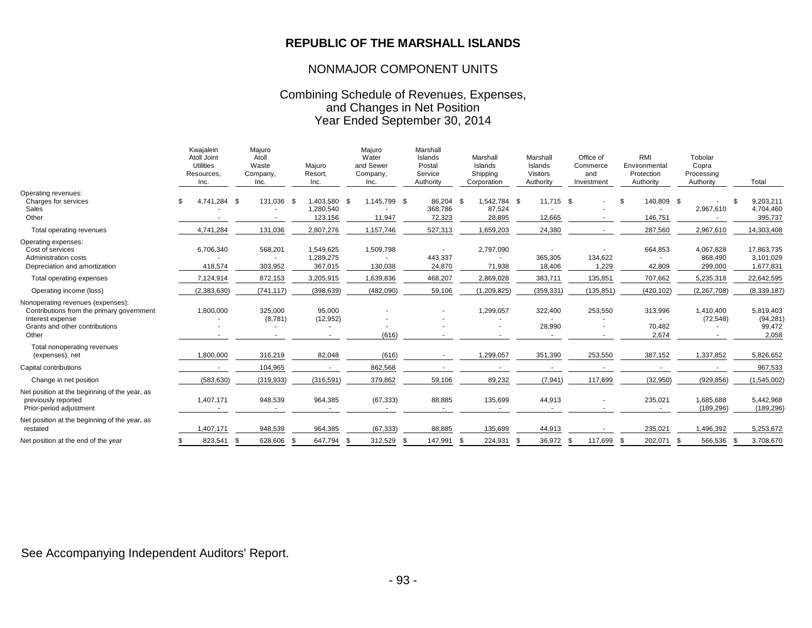# NONMAJOR COMPONENT UNITS

# Combining Schedule of Revenues, Expenses, and Changes in Net Position Year Ended September 30, 2014

|                                                                                                                                               | Kwajalein<br>Atoll Joint<br><b>Utilities</b><br>Resources,<br>Inc. |     | Majuro<br>Atoll<br>Waste<br>Company,<br>Inc. |      | Majuro<br>Resort,<br>Inc.            | Majuro<br>Water<br>and Sewer<br>Company,<br>Inc. |      | Marshall<br>Islands<br>Postal<br>Service<br>Authority |     | Marshall<br>Islands<br>Shipping<br>Corporation |    | Marshall<br>Islands<br><b>Visitors</b><br>Authority | Office of<br>Commerce<br>and<br>Investment |     | <b>RMI</b><br>Environmental<br>Protection<br>Authority |     | Tobolar<br>Copra<br>Processing<br>Authority |     | Total                                     |
|-----------------------------------------------------------------------------------------------------------------------------------------------|--------------------------------------------------------------------|-----|----------------------------------------------|------|--------------------------------------|--------------------------------------------------|------|-------------------------------------------------------|-----|------------------------------------------------|----|-----------------------------------------------------|--------------------------------------------|-----|--------------------------------------------------------|-----|---------------------------------------------|-----|-------------------------------------------|
| Operating revenues:<br>Charges for services<br>Sales<br>Other                                                                                 | \$<br>4.741.284 \$                                                 |     | 131,036 \$                                   |      | 1.403.580 \$<br>1,280,540<br>123,156 | 1,145,799 \$<br>11,947                           |      | 86,204 \$<br>368,786<br>72,323                        |     | 1.542.784 \$<br>87,524<br>28,895               |    | 11,715 \$<br>12,665                                 |                                            | \$  | 140,809 \$<br>146,751                                  |     | 2,967,610                                   | \$. | 9,203,211<br>4,704,460<br>395,737         |
| Total operating revenues                                                                                                                      | 4,741,284                                                          |     | 131,036                                      |      | 2,807,276                            | 1,157,746                                        |      | 527,313                                               |     | 1,659,203                                      |    | 24,380                                              |                                            |     | 287,560                                                |     | 2,967,610                                   |     | 14,303,408                                |
| Operating expenses:<br>Cost of services<br>Administration costs<br>Depreciation and amortization                                              | 6,706,340<br>418,574                                               |     | 568,201<br>303,952                           |      | 1,549,625<br>1,289,275<br>367,015    | 1,509,798<br>130,038                             |      | 443,337<br>24,870                                     |     | 2,797,090<br>71,938                            |    | 365,305<br>18,406                                   | 134,622<br>1,229                           |     | 664,853<br>42,809                                      |     | 4,067,828<br>868,490<br>299,000             |     | 17,863,735<br>3,101,029<br>1,677,831      |
| Total operating expenses                                                                                                                      | 7,124,914                                                          |     | 872,153                                      |      | 3,205,915                            | 1,639,836                                        |      | 468,207                                               |     | 2,869,028                                      |    | 383,711                                             | 135,851                                    |     | 707,662                                                |     | 5,235,318                                   |     | 22,642,595                                |
| Operating income (loss)                                                                                                                       | (2, 383, 630)                                                      |     | (741, 117)                                   |      | (398, 639)                           | (482,090)                                        |      | 59,106                                                |     | (1, 209, 825)                                  |    | (359, 331)                                          | (135, 851)                                 |     | (420, 102)                                             |     | (2, 267, 708)                               |     | (8, 339, 187)                             |
| Nonoperating revenues (expenses):<br>Contributions from the primary government<br>Interest expense<br>Grants and other contributions<br>Other | 1,800,000                                                          |     | 325,000<br>(8,781)                           |      | 95,000<br>(12, 952)                  | (616)                                            |      |                                                       |     | 1,299,057                                      |    | 322,400<br>28,990                                   | 253,550                                    |     | 313,996<br>70,482<br>2,674                             |     | 1.410.400<br>(72, 548)                      |     | 5,819,403<br>(94, 281)<br>99,472<br>2,058 |
| Total nonoperating revenues<br>(expenses), net                                                                                                | 1,800,000                                                          |     | 316,219                                      |      | 82,048                               | (616)                                            |      |                                                       |     | 1,299,057                                      |    | 351,390                                             | 253,550                                    |     | 387,152                                                |     | 1,337,852                                   |     | 5,826,652                                 |
| Capital contributions                                                                                                                         |                                                                    |     | 104,965                                      |      |                                      | 862,568                                          |      |                                                       |     |                                                |    |                                                     |                                            |     |                                                        |     |                                             |     | 967,533                                   |
| Change in net position                                                                                                                        | (583, 630)                                                         |     | (319, 933)                                   |      | (316, 591)                           | 379,862                                          |      | 59,106                                                |     | 89,232                                         |    | (7, 941)                                            | 117,699                                    |     | (32,950)                                               |     | (929, 856)                                  |     | (1, 545, 002)                             |
| Net position at the beginning of the year, as<br>previously reported<br>Prior-period adjustment                                               | 1,407,171                                                          |     | 948,539                                      |      | 964,385                              | (67, 333)                                        |      | 88,885                                                |     | 135,699                                        |    | 44,913                                              |                                            |     | 235,021                                                |     | 1,685,688<br>(189, 296)                     |     | 5,442,968<br>(189, 296)                   |
| Net position at the beginning of the year, as<br>restated                                                                                     | 1,407,171                                                          |     | 948,539                                      |      | 964,385                              | (67, 333)                                        |      | 88,885                                                |     | 135,699                                        |    | 44,913                                              |                                            |     | 235,021                                                |     | 1,496,392                                   |     | 5,253,672                                 |
| Net position at the end of the year                                                                                                           | 823,541                                                            | -\$ | 628,606                                      | - \$ | 647,794                              | 312,529                                          | - \$ | 147,991                                               | -\$ | 224,931                                        | S. | 36,972                                              | 117,699                                    | -\$ | 202,071                                                | -\$ | 566,536                                     | -S  | 3,708,670                                 |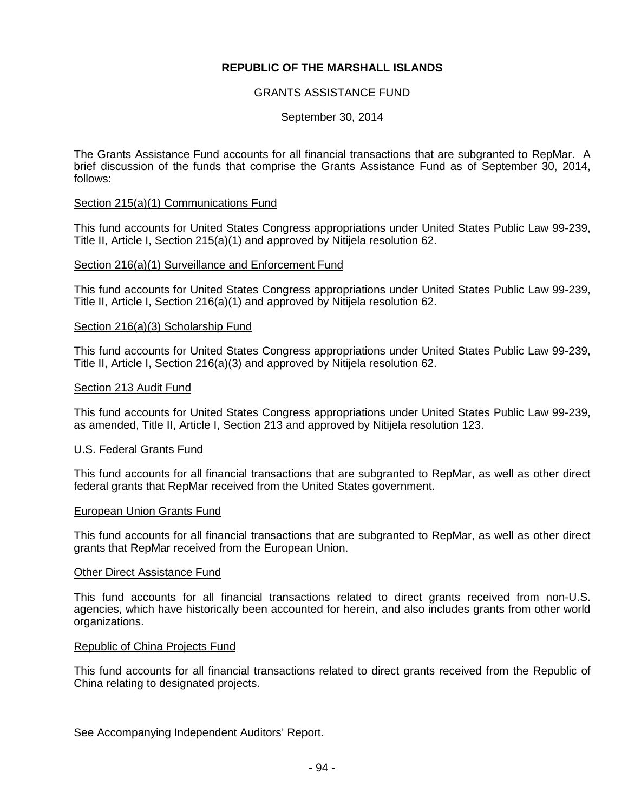### GRANTS ASSISTANCE FUND

September 30, 2014

The Grants Assistance Fund accounts for all financial transactions that are subgranted to RepMar. A brief discussion of the funds that comprise the Grants Assistance Fund as of September 30, 2014, follows:

### Section 215(a)(1) Communications Fund

This fund accounts for United States Congress appropriations under United States Public Law 99-239, Title II, Article I, Section 215(a)(1) and approved by Nitijela resolution 62.

### Section 216(a)(1) Surveillance and Enforcement Fund

This fund accounts for United States Congress appropriations under United States Public Law 99-239, Title II, Article I, Section 216(a)(1) and approved by Nitijela resolution 62.

### Section 216(a)(3) Scholarship Fund

This fund accounts for United States Congress appropriations under United States Public Law 99-239, Title II, Article I, Section 216(a)(3) and approved by Nitijela resolution 62.

### Section 213 Audit Fund

This fund accounts for United States Congress appropriations under United States Public Law 99-239, as amended, Title II, Article I, Section 213 and approved by Nitijela resolution 123.

#### U.S. Federal Grants Fund

This fund accounts for all financial transactions that are subgranted to RepMar, as well as other direct federal grants that RepMar received from the United States government.

#### European Union Grants Fund

This fund accounts for all financial transactions that are subgranted to RepMar, as well as other direct grants that RepMar received from the European Union.

### Other Direct Assistance Fund

This fund accounts for all financial transactions related to direct grants received from non-U.S. agencies, which have historically been accounted for herein, and also includes grants from other world organizations.

#### Republic of China Projects Fund

This fund accounts for all financial transactions related to direct grants received from the Republic of China relating to designated projects.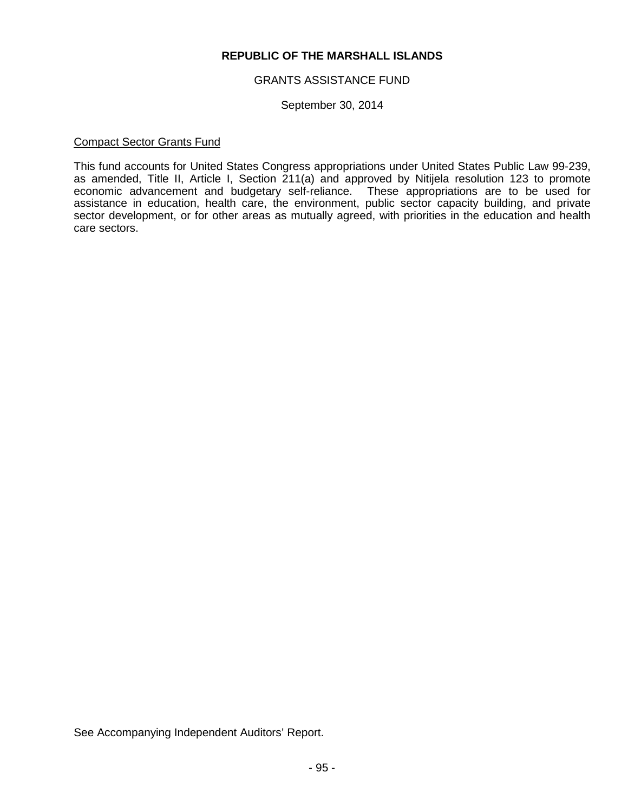## GRANTS ASSISTANCE FUND

## September 30, 2014

### Compact Sector Grants Fund

This fund accounts for United States Congress appropriations under United States Public Law 99-239, as amended, Title II, Article I, Section 211(a) and approved by Nitijela resolution 123 to promote economic advancement and budgetary self-reliance. These appropriations are to be used for assistance in education, health care, the environment, public sector capacity building, and private sector development, or for other areas as mutually agreed, with priorities in the education and health care sectors.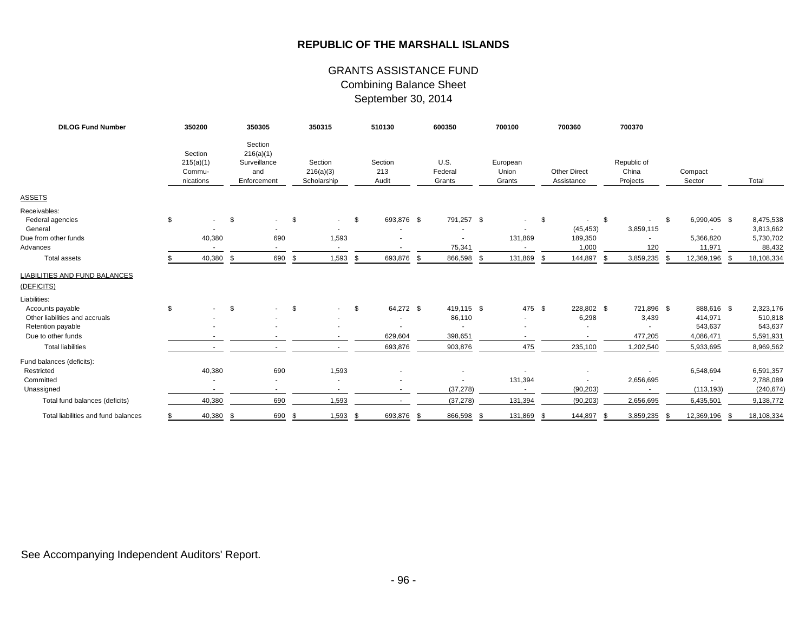# GRANTS ASSISTANCE FUND Combining Balance Sheet September 30, 2014

| <b>DILOG Fund Number</b>                                                                                      | 350200                                      |      | 350305                                                     | 350315                              |      | 510130                  |     | 600350                                 |      | 700100                      |      | 700360                            |      | 700370                           |      |                                               |      |                                              |
|---------------------------------------------------------------------------------------------------------------|---------------------------------------------|------|------------------------------------------------------------|-------------------------------------|------|-------------------------|-----|----------------------------------------|------|-----------------------------|------|-----------------------------------|------|----------------------------------|------|-----------------------------------------------|------|----------------------------------------------|
|                                                                                                               | Section<br>215(a)(1)<br>Commu-<br>nications |      | Section<br>216(a)(1)<br>Surveillance<br>and<br>Enforcement | Section<br>216(a)(3)<br>Scholarship |      | Section<br>213<br>Audit |     | <b>U.S.</b><br>Federal<br>Grants       |      | European<br>Union<br>Grants |      | <b>Other Direct</b><br>Assistance |      | Republic of<br>China<br>Projects |      | Compact<br>Sector                             |      | Total                                        |
| <b>ASSETS</b>                                                                                                 |                                             |      |                                                            |                                     |      |                         |     |                                        |      |                             |      |                                   |      |                                  |      |                                               |      |                                              |
| Receivables:<br>Federal agencies<br>General<br>Due from other funds                                           | \$<br>$\sim$<br>40,380                      | \$   | $\sim$<br>690                                              | \$<br>$\sim$<br>1,593               | \$   | 693,876 \$              |     | 791,257 \$<br>$\overline{\phantom{a}}$ |      | $\sim$<br>131,869           | \$   | ٠<br>(45, 453)<br>189,350         | - \$ | 3,859,115                        | \$   | 6,990,405 \$<br>5,366,820                     |      | 8,475,538<br>3,813,662<br>5,730,702          |
| Advances<br><b>Total assets</b>                                                                               | \$<br>40,380                                | - \$ | 690                                                        | \$<br>1,593                         | - \$ | 693,876                 | \$  | 75,341<br>866,598                      | \$   | 131,869                     | \$.  | 1,000<br>144,897                  | - \$ | 120<br>3,859,235                 | - \$ | 11,971<br>12,369,196                          |      | 88,432<br>18,108,334                         |
| LIABILITIES AND FUND BALANCES<br>(DEFICITS)                                                                   |                                             |      |                                                            |                                     |      |                         |     |                                        |      |                             |      |                                   |      |                                  |      |                                               |      |                                              |
| Liabilities:<br>Accounts payable<br>Other liabilities and accruals<br>Retention payable<br>Due to other funds | \$<br>$\sim$                                | \$   | $\sim$                                                     | \$<br>$\sim$                        | \$   | 64,272 \$<br>629,604    |     | 419,115 \$<br>86,110<br>398,651        |      | 475 \$                      |      | 228,802 \$<br>6,298<br>٠          |      | 721,896 \$<br>3,439<br>477,205   |      | 888,616 \$<br>414,971<br>543,637<br>4,086,471 |      | 2,323,176<br>510,818<br>543,637<br>5,591,931 |
| <b>Total liabilities</b>                                                                                      |                                             |      |                                                            |                                     |      | 693,876                 |     | 903,876                                |      | 475                         |      | 235,100                           |      | 1,202,540                        |      | 5,933,695                                     |      | 8,969,562                                    |
| Fund balances (deficits):<br>Restricted                                                                       | 40,380                                      |      | 690                                                        | 1,593                               |      |                         |     |                                        |      |                             |      | ٠                                 |      |                                  |      | 6,548,694                                     |      | 6,591,357                                    |
| Committed                                                                                                     |                                             |      | $\blacksquare$                                             |                                     |      |                         |     | $\blacksquare$                         |      | 131,394                     |      |                                   |      | 2,656,695                        |      | ٠                                             |      | 2,788,089                                    |
| Unassigned                                                                                                    |                                             |      | $\overline{\phantom{a}}$                                   |                                     |      |                         |     | (37, 278)                              |      |                             |      | (90, 203)                         |      |                                  |      | (113, 193)                                    |      | (240, 674)                                   |
| Total fund balances (deficits)                                                                                | 40,380                                      |      | 690                                                        | 1,593                               |      |                         |     | (37, 278)                              |      | 131,394                     |      | (90, 203)                         |      | 2,656,695                        |      | 6,435,501                                     |      | 9,138,772                                    |
| Total liabilities and fund balances                                                                           | \$<br>40,380                                | - \$ | 690                                                        | \$<br>1,593                         | \$   | 693,876                 | -\$ | 866,598                                | - \$ | 131,869                     | - \$ | 144,897                           | - \$ | 3,859,235                        | - \$ | 12,369,196                                    | - \$ | 18,108,334                                   |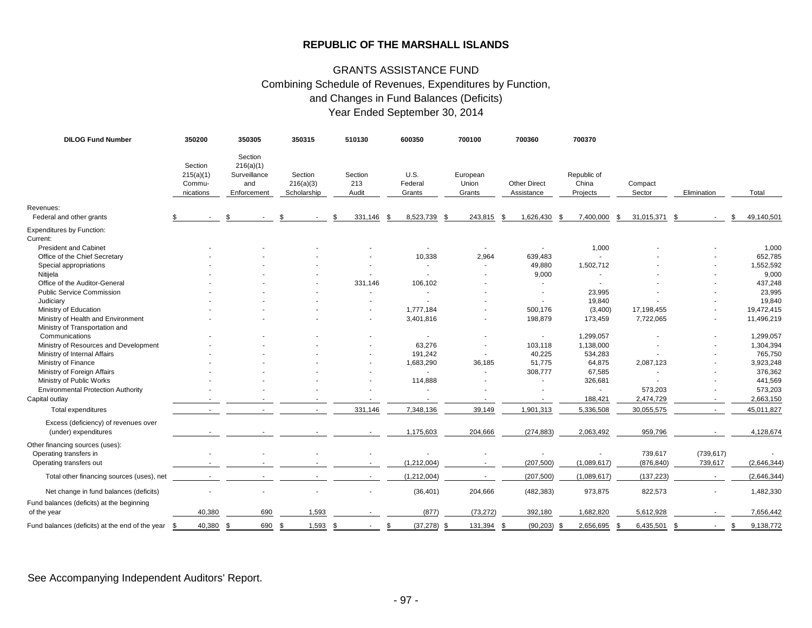# GRANTS ASSISTANCE FUND Combining Schedule of Revenues, Expenditures by Function, and Changes in Fund Balances (Deficits) Year Ended September 30, 2014

| <b>DILOG Fund Number</b>                                     | 350200                                      | 350305                                                     | 350315                              | 510130                  | 600350                    | 700100                      | 700360                            | 700370                           |                      |             |                  |
|--------------------------------------------------------------|---------------------------------------------|------------------------------------------------------------|-------------------------------------|-------------------------|---------------------------|-----------------------------|-----------------------------------|----------------------------------|----------------------|-------------|------------------|
|                                                              | Section<br>215(a)(1)<br>Commu-<br>nications | Section<br>216(a)(1)<br>Surveillance<br>and<br>Enforcement | Section<br>216(a)(3)<br>Scholarship | Section<br>213<br>Audit | U.S.<br>Federal<br>Grants | European<br>Union<br>Grants | <b>Other Direct</b><br>Assistance | Republic of<br>China<br>Projects | Compact<br>Sector    | Elimination | Total            |
| Revenues:<br>Federal and other grants                        |                                             |                                                            |                                     | 331,146                 | 8,523,739<br>S            | 243,815<br>-\$              | 1,626,430<br>- \$                 | 7,400,000<br>\$                  | S.<br>31,015,371     | - 96        | 49,140,501<br>\$ |
| <b>Expenditures by Function:</b>                             |                                             |                                                            |                                     |                         |                           |                             |                                   |                                  |                      |             |                  |
| Current:                                                     |                                             |                                                            |                                     |                         |                           |                             |                                   |                                  |                      |             |                  |
| <b>President and Cabinet</b>                                 |                                             |                                                            |                                     |                         |                           |                             | $\overline{\phantom{a}}$          | 1,000                            |                      |             | 1,000            |
| Office of the Chief Secretary                                |                                             |                                                            |                                     |                         | 10,338                    | 2,964                       | 639,483                           | ٠                                |                      |             | 652,785          |
| Special appropriations                                       |                                             |                                                            |                                     |                         | $\sim$                    | $\overline{\phantom{a}}$    | 49,880                            | 1,502,712                        |                      |             | 1,552,592        |
| Nitijela                                                     |                                             |                                                            |                                     |                         |                           |                             | 9,000                             |                                  |                      |             | 9,000            |
| Office of the Auditor-General                                |                                             |                                                            |                                     | 331,146                 | 106,102                   |                             |                                   |                                  |                      |             | 437,248          |
| <b>Public Service Commission</b>                             |                                             |                                                            |                                     |                         | ٠                         |                             | $\overline{\phantom{a}}$          | 23,995                           |                      |             | 23,995           |
| Judiciary                                                    |                                             |                                                            |                                     |                         |                           |                             | $\sim$                            | 19,840                           |                      |             | 19,840           |
| Ministry of Education                                        |                                             |                                                            |                                     |                         | 1,777,184                 |                             | 500,176                           | (3,400)                          | 17,198,455           |             | 19,472,415       |
| Ministry of Health and Environment                           |                                             |                                                            |                                     | $\blacksquare$          | 3,401,816                 |                             | 198,879                           | 173,459                          | 7,722,065            |             | 11,496,219       |
| Ministry of Transportation and                               |                                             |                                                            |                                     |                         |                           |                             |                                   |                                  |                      |             |                  |
| Communications                                               |                                             |                                                            |                                     |                         |                           |                             | $\sim$                            | 1,299,057                        |                      |             | 1,299,057        |
| Ministry of Resources and Development                        |                                             |                                                            |                                     |                         | 63,276                    |                             | 103,118                           | 1,138,000                        |                      |             | 1,304,394        |
| Ministry of Internal Affairs                                 |                                             |                                                            |                                     |                         | 191,242                   |                             | 40,225                            | 534,283                          |                      |             | 765,750          |
| Ministry of Finance                                          |                                             |                                                            |                                     |                         | 1,683,290                 | 36,185                      | 51,775                            | 64,875                           | 2,087,123            |             | 3,923,248        |
| Ministry of Foreign Affairs                                  |                                             |                                                            |                                     |                         |                           |                             | 308,777                           | 67,585                           |                      |             | 376,362          |
| Ministry of Public Works                                     |                                             |                                                            |                                     |                         | 114,888                   |                             | $\sim$                            | 326,681                          |                      |             | 441,569          |
| <b>Environmental Protection Authority</b>                    |                                             |                                                            |                                     |                         |                           |                             |                                   | $\sim$                           | 573,203              |             | 573,203          |
| Capital outlay                                               |                                             |                                                            |                                     |                         | $\blacksquare$            |                             | $\overline{\phantom{a}}$          | 188,421                          | 2,474,729            |             | 2,663,150        |
| Total expenditures                                           |                                             |                                                            |                                     | 331,146                 | 7,348,136                 | 39,149                      | 1,901,313                         | 5,336,508                        | 30,055,575           | $\sim$      | 45,011,827       |
| Excess (deficiency) of revenues over<br>(under) expenditures |                                             |                                                            |                                     |                         | 1,175,603                 | 204,666                     | (274, 883)                        | 2,063,492                        | 959,796              |             | 4,128,674        |
| Other financing sources (uses):                              |                                             |                                                            |                                     |                         |                           |                             |                                   |                                  |                      |             |                  |
| Operating transfers in                                       |                                             |                                                            |                                     |                         |                           |                             | $\overline{\phantom{a}}$          |                                  | 739,617              | (739, 617)  |                  |
| Operating transfers out                                      |                                             |                                                            |                                     |                         | (1,212,004)               |                             | (207, 500)                        | (1,089,617)                      | (876, 840)           | 739,617     | (2,646,344)      |
| Total other financing sources (uses), net                    |                                             |                                                            |                                     |                         | (1,212,004)               |                             | (207, 500)                        | (1,089,617)                      | (137, 223)           | $\sim$      | (2,646,344)      |
| Net change in fund balances (deficits)                       |                                             |                                                            |                                     |                         | (36, 401)                 | 204,666                     | (482, 383)                        | 973,875                          | 822,573              | $\sim$      | 1,482,330        |
| Fund balances (deficits) at the beginning                    |                                             |                                                            |                                     |                         |                           |                             |                                   |                                  |                      |             |                  |
| of the year                                                  | 40,380                                      | 690                                                        | 1,593                               |                         | (877)                     | (73, 272)                   | 392,180                           | 1,682,820                        | 5,612,928            |             | 7,656,442        |
| Fund balances (deficits) at the end of the year              | 40,380 \$                                   | 690                                                        | \$<br>$1,593$ \$                    |                         | $(37,278)$ \$<br>\$       | 131,394 \$                  | $(90, 203)$ \$                    | 2,656,695                        | 6,435,501 \$<br>- \$ | $\sim$      | 9,138,772<br>\$  |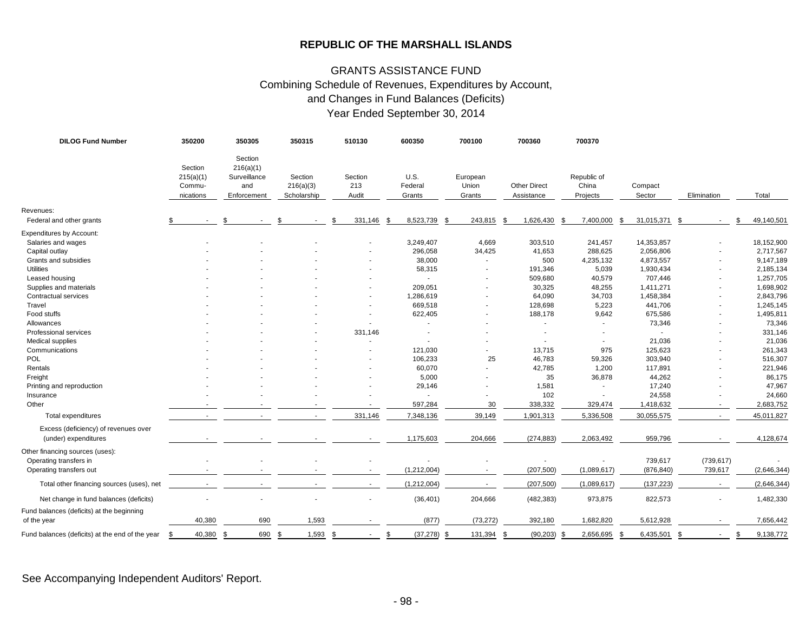# GRANTS ASSISTANCE FUND Combining Schedule of Revenues, Expenditures by Account, and Changes in Fund Balances (Deficits) Year Ended September 30, 2014

| <b>DILOG Fund Number</b>                                                            | 350200                                      | 350305                                                     | 350315                              | 510130                  | 600350                    | 700100                      | 700360                     | 700370                           |                   |             |                  |
|-------------------------------------------------------------------------------------|---------------------------------------------|------------------------------------------------------------|-------------------------------------|-------------------------|---------------------------|-----------------------------|----------------------------|----------------------------------|-------------------|-------------|------------------|
|                                                                                     | Section<br>215(a)(1)<br>Commu-<br>nications | Section<br>216(a)(1)<br>Surveillance<br>and<br>Enforcement | Section<br>216(a)(3)<br>Scholarship | Section<br>213<br>Audit | U.S.<br>Federal<br>Grants | European<br>Union<br>Grants | Other Direct<br>Assistance | Republic of<br>China<br>Projects | Compact<br>Sector | Elimination | Total            |
| Revenues:<br>Federal and other grants                                               |                                             | S                                                          |                                     | 331,146                 | 8,523,739<br>-\$          | 243,815                     | 1,626,430<br>-\$           | 7,400,000<br>- \$                | 31,015,371<br>\$  | $\sim$      | 49,140,501<br>\$ |
| Expenditures by Account:                                                            |                                             |                                                            |                                     |                         |                           |                             |                            |                                  |                   |             |                  |
| Salaries and wages                                                                  |                                             |                                                            |                                     |                         | 3,249,407                 | 4,669                       | 303,510                    | 241,457                          | 14,353,857        |             | 18,152,900       |
| Capital outlay                                                                      |                                             |                                                            |                                     |                         | 296,058                   | 34,425                      | 41,653                     | 288,625                          | 2,056,806         |             | 2,717,567        |
| Grants and subsidies                                                                |                                             |                                                            |                                     |                         | 38,000                    | $\sim$                      | 500                        | 4,235,132                        | 4,873,557         |             | 9,147,189        |
| <b>Utilities</b>                                                                    |                                             |                                                            |                                     |                         | 58,315                    |                             | 191,346                    | 5,039                            | 1,930,434         |             | 2,185,134        |
| Leased housing                                                                      |                                             |                                                            |                                     |                         |                           |                             | 509,680                    | 40,579                           | 707,446           |             | 1,257,705        |
| Supplies and materials                                                              |                                             |                                                            |                                     |                         | 209,051                   |                             | 30,325                     | 48,255                           | 1,411,271         |             | 1,698,902        |
| Contractual services                                                                |                                             |                                                            |                                     |                         | 1,286,619                 |                             | 64,090                     | 34,703                           | 1,458,384         |             | 2,843,796        |
| Travel                                                                              |                                             |                                                            |                                     |                         | 669,518                   |                             | 128,698                    | 5,223                            | 441,706           |             | 1,245,145        |
| Food stuffs                                                                         |                                             |                                                            |                                     |                         | 622,405                   |                             | 188,178                    | 9,642                            | 675,586           |             | 1,495,811        |
| Allowances                                                                          |                                             |                                                            |                                     | ٠                       |                           |                             |                            |                                  | 73,346            |             | 73,346           |
| Professional services                                                               |                                             |                                                            |                                     | 331,146                 |                           |                             |                            |                                  |                   |             | 331,146          |
| Medical supplies                                                                    |                                             |                                                            |                                     |                         |                           |                             | $\blacksquare$             |                                  | 21,036            |             | 21,036           |
| Communications                                                                      |                                             |                                                            |                                     |                         | 121,030                   |                             | 13,715                     | 975                              | 125,623           |             | 261,343          |
| POL                                                                                 |                                             |                                                            |                                     |                         | 106,233                   | 25                          | 46,783                     | 59,326                           | 303,940           |             | 516,307          |
| Rentals                                                                             |                                             |                                                            |                                     |                         | 60,070                    |                             | 42,785                     | 1,200                            | 117,891           |             | 221,946          |
| Freight                                                                             |                                             |                                                            |                                     |                         | 5,000                     |                             | 35                         | 36,878                           | 44,262            |             | 86,175           |
| Printing and reproduction                                                           |                                             |                                                            |                                     |                         | 29,146                    |                             | 1,581                      |                                  | 17,240            |             | 47,967           |
| Insurance                                                                           |                                             |                                                            |                                     |                         |                           |                             | 102                        |                                  | 24,558            |             | 24,660           |
| Other                                                                               |                                             |                                                            |                                     | ٠                       | 597,284                   | 30                          | 338,332                    | 329,474                          | 1,418,632         | $\sim$      | 2,683,752        |
| <b>Total expenditures</b>                                                           |                                             |                                                            |                                     | 331,146                 | 7,348,136                 | 39,149                      | 1,901,313                  | 5,336,508                        | 30,055,575        | $\sim$      | 45,011,827       |
| Excess (deficiency) of revenues over<br>(under) expenditures                        |                                             |                                                            |                                     |                         | 1,175,603                 | 204,666                     | (274, 883)                 | 2,063,492                        | 959,796           |             | 4,128,674        |
|                                                                                     |                                             |                                                            |                                     |                         |                           |                             |                            |                                  |                   |             |                  |
| Other financing sources (uses):<br>Operating transfers in                           |                                             |                                                            |                                     |                         |                           |                             |                            |                                  | 739,617           | (739, 617)  |                  |
| Operating transfers out                                                             |                                             |                                                            |                                     |                         | (1,212,004)               |                             | (207, 500)                 | (1,089,617)                      | (876, 840)        | 739,617     | (2,646,344)      |
| Total other financing sources (uses), net                                           |                                             |                                                            |                                     |                         | (1,212,004)               |                             | (207, 500)                 | (1,089,617)                      | (137, 223)        | $\sim$      | (2,646,344)      |
| Net change in fund balances (deficits)<br>Fund balances (deficits) at the beginning |                                             |                                                            |                                     |                         | (36, 401)                 | 204,666                     | (482, 383)                 | 973,875                          | 822,573           |             | 1,482,330        |
| of the year                                                                         | 40,380                                      | 690                                                        | 1,593                               |                         | (877)                     | (73, 272)                   | 392,180                    | 1,682,820                        | 5,612,928         |             | 7,656,442        |
| Fund balances (deficits) at the end of the year                                     | 40,380<br>-\$                               | 690<br>\$                                                  | 1,593<br>\$                         | - 96<br>$\blacksquare$  | (37, 278)<br>- \$         | 131,394<br>- \$             | (90, 203)<br>-\$           | 2,656,695<br>- \$                | 6,435,501<br>-S   |             | 9,138,772<br>S   |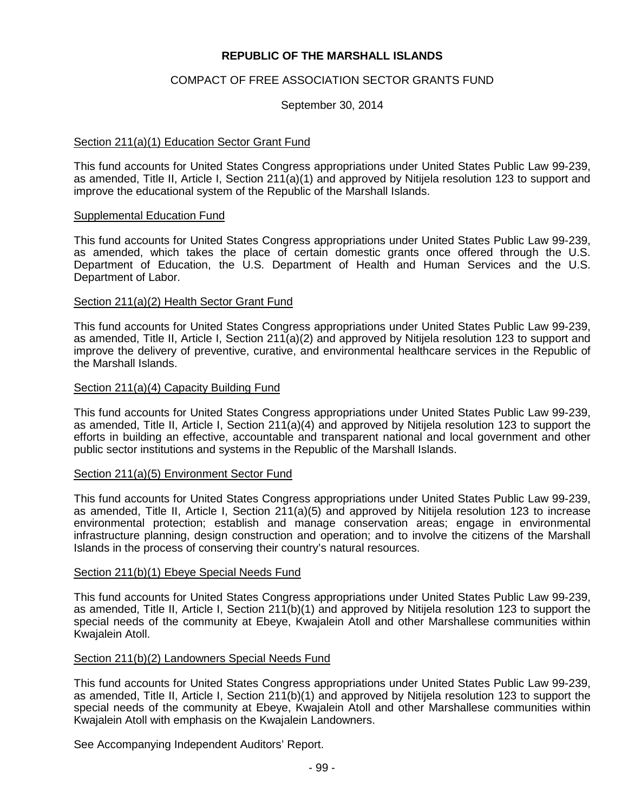## COMPACT OF FREE ASSOCIATION SECTOR GRANTS FUND

September 30, 2014

### Section 211(a)(1) Education Sector Grant Fund

This fund accounts for United States Congress appropriations under United States Public Law 99-239, as amended, Title II, Article I, Section 211(a)(1) and approved by Nitijela resolution 123 to support and improve the educational system of the Republic of the Marshall Islands.

### Supplemental Education Fund

This fund accounts for United States Congress appropriations under United States Public Law 99-239, as amended, which takes the place of certain domestic grants once offered through the U.S. Department of Education, the U.S. Department of Health and Human Services and the U.S. Department of Labor.

### Section 211(a)(2) Health Sector Grant Fund

This fund accounts for United States Congress appropriations under United States Public Law 99-239, as amended, Title II, Article I, Section 211(a)(2) and approved by Nitijela resolution 123 to support and improve the delivery of preventive, curative, and environmental healthcare services in the Republic of the Marshall Islands.

### Section 211(a)(4) Capacity Building Fund

This fund accounts for United States Congress appropriations under United States Public Law 99-239, as amended, Title II, Article I, Section 211(a)(4) and approved by Nitijela resolution 123 to support the efforts in building an effective, accountable and transparent national and local government and other public sector institutions and systems in the Republic of the Marshall Islands.

#### Section 211(a)(5) Environment Sector Fund

This fund accounts for United States Congress appropriations under United States Public Law 99-239, as amended, Title II, Article I, Section 211(a)(5) and approved by Nitijela resolution 123 to increase environmental protection; establish and manage conservation areas; engage in environmental infrastructure planning, design construction and operation; and to involve the citizens of the Marshall Islands in the process of conserving their country's natural resources.

#### Section 211(b)(1) Ebeye Special Needs Fund

This fund accounts for United States Congress appropriations under United States Public Law 99-239, as amended, Title II, Article I, Section 211(b)(1) and approved by Nitijela resolution 123 to support the special needs of the community at Ebeye, Kwajalein Atoll and other Marshallese communities within Kwajalein Atoll.

## Section 211(b)(2) Landowners Special Needs Fund

This fund accounts for United States Congress appropriations under United States Public Law 99-239, as amended, Title II, Article I, Section 211(b)(1) and approved by Nitijela resolution 123 to support the special needs of the community at Ebeye, Kwajalein Atoll and other Marshallese communities within Kwajalein Atoll with emphasis on the Kwajalein Landowners.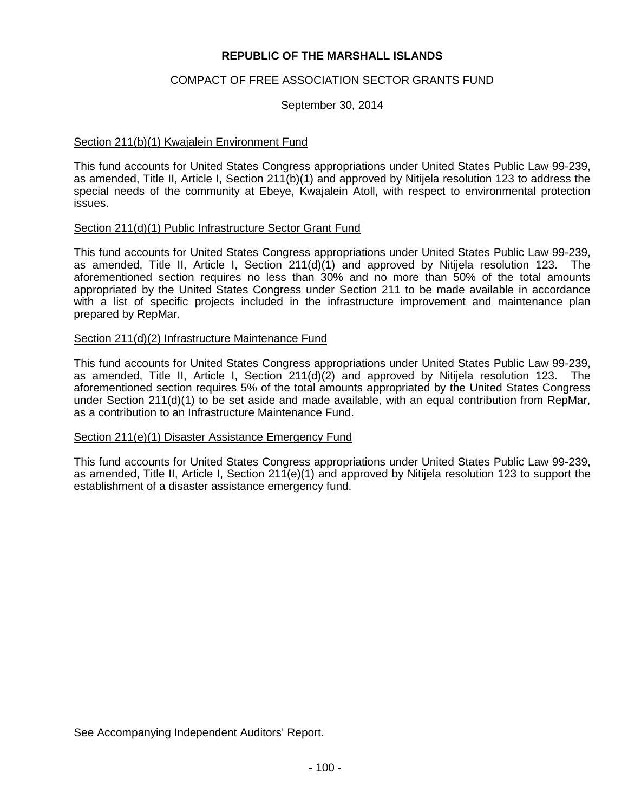## COMPACT OF FREE ASSOCIATION SECTOR GRANTS FUND

September 30, 2014

### Section 211(b)(1) Kwajalein Environment Fund

This fund accounts for United States Congress appropriations under United States Public Law 99-239, as amended, Title II, Article I, Section 211(b)(1) and approved by Nitijela resolution 123 to address the special needs of the community at Ebeye, Kwajalein Atoll, with respect to environmental protection issues.

### Section 211(d)(1) Public Infrastructure Sector Grant Fund

This fund accounts for United States Congress appropriations under United States Public Law 99-239, as amended, Title II, Article I, Section 211(d)(1) and approved by Nitijela resolution 123. The aforementioned section requires no less than 30% and no more than 50% of the total amounts appropriated by the United States Congress under Section 211 to be made available in accordance with a list of specific projects included in the infrastructure improvement and maintenance plan prepared by RepMar.

### Section 211(d)(2) Infrastructure Maintenance Fund

This fund accounts for United States Congress appropriations under United States Public Law 99-239, as amended, Title II, Article I, Section 211(d)(2) and approved by Nitijela resolution 123. The aforementioned section requires 5% of the total amounts appropriated by the United States Congress under Section 211(d)(1) to be set aside and made available, with an equal contribution from RepMar, as a contribution to an Infrastructure Maintenance Fund.

## Section 211(e)(1) Disaster Assistance Emergency Fund

This fund accounts for United States Congress appropriations under United States Public Law 99-239, as amended, Title II, Article I, Section 211(e)(1) and approved by Nitijela resolution 123 to support the establishment of a disaster assistance emergency fund.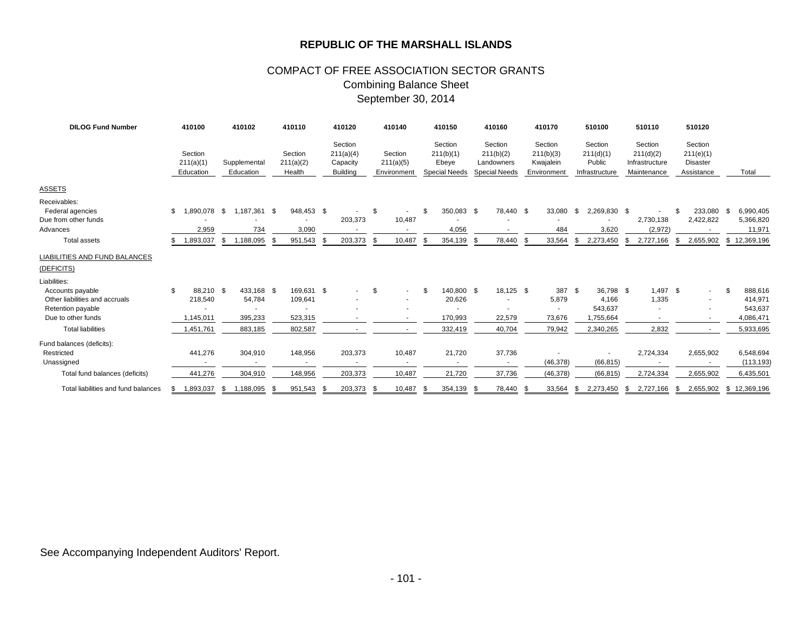# COMPACT OF FREE ASSOCIATION SECTOR GRANTS Combining Balance Sheet September 30, 2014

| <b>DILOG Fund Number</b>                                                                                                                  |    | 410100                                         |      | 410102                                     |      | 410110                                      |      | 410120                                              |      | 410140                              |      | 410150                                                |      | 410160                                                     |      | 410170                                           |          | 510100                                                 |    | 510110                                                |      | 510120                                                                                     |      |                                                         |
|-------------------------------------------------------------------------------------------------------------------------------------------|----|------------------------------------------------|------|--------------------------------------------|------|---------------------------------------------|------|-----------------------------------------------------|------|-------------------------------------|------|-------------------------------------------------------|------|------------------------------------------------------------|------|--------------------------------------------------|----------|--------------------------------------------------------|----|-------------------------------------------------------|------|--------------------------------------------------------------------------------------------|------|---------------------------------------------------------|
|                                                                                                                                           |    | Section<br>211(a)(1)<br>Education              |      | Supplemental<br>Education                  |      | Section<br>211(a)(2)<br>Health              |      | Section<br>211(a)(4)<br>Capacity<br><b>Building</b> |      | Section<br>211(a)(5)<br>Environment |      | Section<br>211(b)(1)<br>Ebeye<br><b>Special Needs</b> |      | Section<br>211(b)(2)<br>Landowners<br><b>Special Needs</b> |      | Section<br>211(b)(3)<br>Kwajalein<br>Environment |          | Section<br>211(d)(1)<br>Public<br>Infrastructure       |    | Section<br>211(d)(2)<br>Infrastructure<br>Maintenance |      | Section<br>211(e)(1)<br><b>Disaster</b><br>Assistance                                      |      | Total                                                   |
| <b>ASSETS</b>                                                                                                                             |    |                                                |      |                                            |      |                                             |      |                                                     |      |                                     |      |                                                       |      |                                                            |      |                                                  |          |                                                        |    |                                                       |      |                                                                                            |      |                                                         |
| Receivables:<br>Federal agencies<br>Due from other funds<br>Advances                                                                      | \$ | 890.078 \$<br>2,959                            |      | 1,187,361 \$<br>734                        |      | 948,453 \$<br>3,090                         |      | 203,373                                             | \$   | 10,487                              | \$   | 350,083 \$<br>4,056                                   |      | 78,440 \$                                                  |      | 33,080<br>484                                    | -S       | 2,269,830 \$<br>3,620                                  |    | 2,730,138<br>(2,972)                                  | -\$  | 233,080<br>2,422,822                                                                       | - \$ | 6,990,405<br>5,366,820<br>11,971                        |
| <b>Total assets</b>                                                                                                                       | \$ | 1,893,037                                      | S.   | 1,188,095                                  |      | 951,543                                     |      | 203,373                                             | S.   | 10,487                              | \$   | 354,139                                               | - \$ | 78,440                                                     | - \$ | 33,564                                           |          | 2,273,450                                              | S  | 2,727,166                                             | S.   | 2,655,902                                                                                  |      | \$12,369,196                                            |
| LIABILITIES AND FUND BALANCES<br>(DEFICITS)                                                                                               |    |                                                |      |                                            |      |                                             |      |                                                     |      |                                     |      |                                                       |      |                                                            |      |                                                  |          |                                                        |    |                                                       |      |                                                                                            |      |                                                         |
| Liabilities:<br>Accounts payable<br>Other liabilities and accruals<br>Retention payable<br>Due to other funds<br><b>Total liabilities</b> | \$ | 88,210 \$<br>218,540<br>,145,011<br>1,451,761  |      | 433,168 \$<br>54,784<br>395,233<br>883,185 |      | 169,631 \$<br>109,641<br>523,315<br>802,587 |      | $\sim$<br>$\sim$<br>$\overline{\phantom{a}}$        | \$   | $\sim$                              | \$   | 140,800 \$<br>20,626<br>170,993<br>332,419            |      | 18,125 \$<br>22,579<br>40,704                              |      | 387<br>5,879<br>$\sim$<br>73,676<br>79,942       | <b>S</b> | 36,798 \$<br>4,166<br>543,637<br>,755,664<br>2,340,265 |    | $1,497$ \$<br>1,335<br>$\sim$<br>2,832                |      | $\sim$<br>$\overline{\phantom{a}}$<br>$\overline{\phantom{a}}$<br>$\overline{\phantom{a}}$ |      | 888,616<br>414,971<br>543,637<br>4,086,471<br>5,933,695 |
| Fund balances (deficits):<br>Restricted<br>Unassigned<br>Total fund balances (deficits)                                                   |    | 441,276<br>$\overline{\phantom{a}}$<br>441,276 |      | 304,910<br>$\sim$<br>304,910               |      | 148,956<br>$\sim$<br>148,956                |      | 203,373<br>$\overline{\phantom{a}}$<br>203,373      |      | 10,487<br>$\sim$<br>10,487          |      | 21,720<br>$\overline{\phantom{a}}$<br>21,720          |      | 37,736<br>$\overline{\phantom{a}}$<br>37,736               |      | (46, 378)<br>(46, 378)                           |          | (66, 815)<br>(66, 815)                                 |    | 2,724,334<br>$\sim$<br>2,724,334                      |      | 2,655,902<br>$\sim$<br>2,655,902                                                           |      | 6,548,694<br>(113, 193)<br>6,435,501                    |
| Total liabilities and fund balances                                                                                                       | .ፍ | 1,893,037                                      | - \$ | 1,188,095                                  | - \$ | 951,543                                     | - \$ | 203,373                                             | - \$ | 10,487                              | - \$ | 354,139                                               | - \$ | 78,440 \$                                                  |      | 33,564                                           | \$       | 2,273,450                                              | \$ | 2,727,166                                             | - \$ | 2,655,902                                                                                  | \$   | 12,369,196                                              |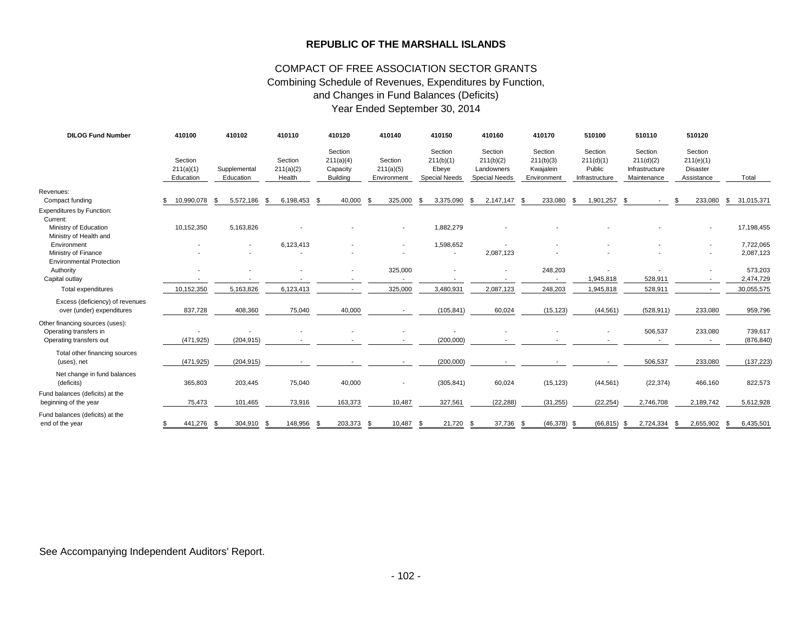## COMPACT OF FREE ASSOCIATION SECTOR GRANTS Combining Schedule of Revenues, Expenditures by Function, Year Ended September 30, 2014 and Changes in Fund Balances (Deficits)

| <b>DILOG Fund Number</b>                                                             | 410100                            | 410102                    | 410110                         | 410120                                              | 410140                              | 410150                                                | 410160                                                     | 410170                                           | 510100                                           | 510110                                                | 510120                                                |                        |
|--------------------------------------------------------------------------------------|-----------------------------------|---------------------------|--------------------------------|-----------------------------------------------------|-------------------------------------|-------------------------------------------------------|------------------------------------------------------------|--------------------------------------------------|--------------------------------------------------|-------------------------------------------------------|-------------------------------------------------------|------------------------|
|                                                                                      | Section<br>211(a)(1)<br>Education | Supplemental<br>Education | Section<br>211(a)(2)<br>Health | Section<br>211(a)(4)<br>Capacity<br><b>Building</b> | Section<br>211(a)(5)<br>Environment | Section<br>211(b)(1)<br>Ebeye<br><b>Special Needs</b> | Section<br>211(b)(2)<br>Landowners<br><b>Special Needs</b> | Section<br>211(b)(3)<br>Kwajalein<br>Environment | Section<br>211(d)(1)<br>Public<br>Infrastructure | Section<br>211(d)(2)<br>Infrastructure<br>Maintenance | Section<br>211(e)(1)<br><b>Disaster</b><br>Assistance | Total                  |
| Revenues:                                                                            |                                   |                           |                                |                                                     |                                     |                                                       |                                                            |                                                  |                                                  |                                                       |                                                       |                        |
| Compact funding                                                                      | 10,990,078                        | 5,572,186                 | 6,198,453                      | 40,000<br>-S                                        | 325,000<br>\$.                      | 3,375,090<br>\$                                       | 2,147,147<br>\$                                            | 233,080<br>-\$                                   | 1,901,257<br>.ፍ                                  |                                                       | 233,080<br>\$.                                        | 31,015,371<br>S.       |
| <b>Expenditures by Function:</b><br>Current:<br>Ministry of Education                | 10,152,350                        | 5,163,826                 |                                |                                                     |                                     | 1,882,279                                             |                                                            |                                                  |                                                  |                                                       |                                                       | 17,198,455             |
| Ministry of Health and                                                               |                                   |                           |                                |                                                     |                                     |                                                       |                                                            |                                                  |                                                  |                                                       |                                                       |                        |
| Environment<br>Ministry of Finance                                                   | $\overline{\phantom{a}}$          |                           | 6,123,413                      |                                                     | $\overline{\phantom{a}}$            | 1,598,652<br>$\overline{\phantom{a}}$                 | 2,087,123                                                  |                                                  |                                                  |                                                       | $\overline{\phantom{a}}$                              | 7,722,065<br>2,087,123 |
| <b>Environmental Protection</b><br>Authority                                         |                                   |                           |                                |                                                     | 325,000                             |                                                       |                                                            | 248,203                                          |                                                  |                                                       |                                                       | 573,203                |
| Capital outlay                                                                       |                                   |                           |                                |                                                     |                                     |                                                       |                                                            |                                                  | 1,945,818                                        | 528,911                                               |                                                       | 2,474,729              |
| Total expenditures                                                                   | 10,152,350                        | 5,163,826                 | 6,123,413                      | $\sim$                                              | 325,000                             | 3,480,931                                             | 2,087,123                                                  | 248,203                                          | 1,945,818                                        | 528,911                                               | $\sim$                                                | 30,055,575             |
| Excess (deficiency) of revenues<br>over (under) expenditures                         | 837,728                           | 408,360                   | 75,040                         | 40,000                                              |                                     | (105, 841)                                            | 60,024                                                     | (15, 123)                                        | (44, 561)                                        | (528, 911)                                            | 233,080                                               | 959,796                |
| Other financing sources (uses):<br>Operating transfers in<br>Operating transfers out | (471, 925)                        | (204, 915)                |                                |                                                     |                                     | (200,000)                                             |                                                            |                                                  |                                                  | 506,537                                               | 233,080                                               | 739,617<br>(876, 840)  |
| Total other financing sources<br>(uses), net                                         | (471, 925)                        | (204, 915)                |                                |                                                     | $\overline{\phantom{a}}$            | (200,000)                                             |                                                            |                                                  | $\overline{\phantom{a}}$                         | 506,537                                               | 233,080                                               | (137, 223)             |
| Net change in fund balances<br>(deficits)                                            | 365,803                           | 203,445                   | 75,040                         | 40,000                                              | $\blacksquare$                      | (305, 841)                                            | 60,024                                                     | (15, 123)                                        | (44, 561)                                        | (22, 374)                                             | 466,160                                               | 822,573                |
| Fund balances (deficits) at the<br>beginning of the year                             | 75,473                            | 101,465                   | 73,916                         | 163,373                                             | 10,487                              | 327,561                                               | (22, 288)                                                  | (31, 255)                                        | (22, 254)                                        | 2,746,708                                             | 2,189,742                                             | 5,612,928              |
| Fund balances (deficits) at the<br>end of the year                                   | 441,276                           | 304,910                   | 148,956<br>-SS                 | 203,373<br>-S                                       | 10,487<br>- \$                      | 21,720<br>\$                                          | 37,736<br>. ፕ                                              | (46, 378)<br>- \$                                | (66, 815)<br>- \$                                | 2,724,334                                             | 2,655,902<br>S.                                       | 6,435,501<br>-S        |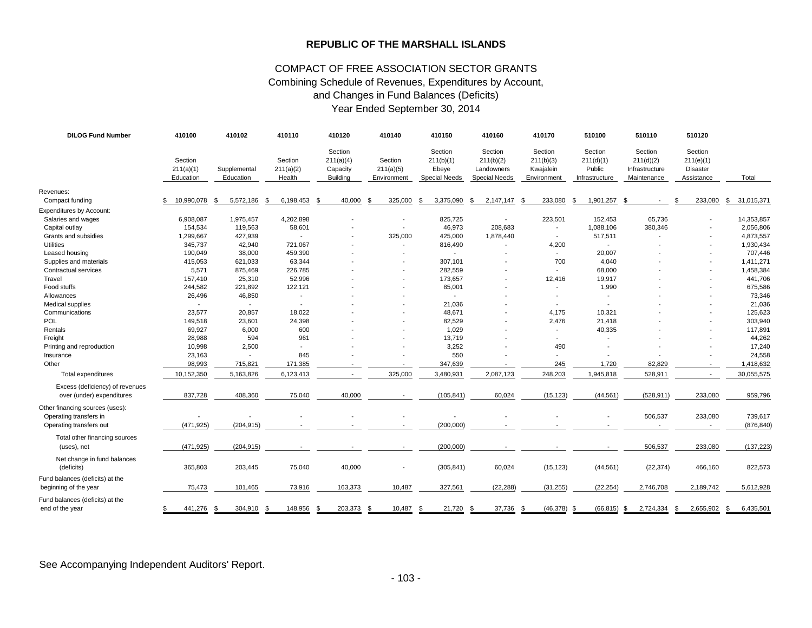## COMPACT OF FREE ASSOCIATION SECTOR GRANTS Combining Schedule of Revenues, Expenditures by Account, Year Ended September 30, 2014 and Changes in Fund Balances (Deficits)

| <b>DILOG Fund Number</b>                                     | 410100                            | 410102                    | 410110                         | 410120                                              | 410140                              | 410150                                                | 410160                                                     | 410170                                           | 510100                                           | 510110                                                | 510120                                         |                  |
|--------------------------------------------------------------|-----------------------------------|---------------------------|--------------------------------|-----------------------------------------------------|-------------------------------------|-------------------------------------------------------|------------------------------------------------------------|--------------------------------------------------|--------------------------------------------------|-------------------------------------------------------|------------------------------------------------|------------------|
|                                                              | Section<br>211(a)(1)<br>Education | Supplemental<br>Education | Section<br>211(a)(2)<br>Health | Section<br>211(a)(4)<br>Capacity<br><b>Building</b> | Section<br>211(a)(5)<br>Environment | Section<br>211(b)(1)<br>Ebeye<br><b>Special Needs</b> | Section<br>211(b)(2)<br>Landowners<br><b>Special Needs</b> | Section<br>211(b)(3)<br>Kwajalein<br>Environment | Section<br>211(d)(1)<br>Public<br>Infrastructure | Section<br>211(d)(2)<br>Infrastructure<br>Maintenance | Section<br>211(e)(1)<br>Disaster<br>Assistance | Total            |
| Revenues:                                                    |                                   |                           |                                |                                                     |                                     |                                                       |                                                            |                                                  |                                                  |                                                       |                                                |                  |
| Compact funding                                              | 10,990,078                        | 5,572,186<br>-S           | 6,198,453<br>\$                | 40,000<br>\$                                        | \$<br>325,000                       | \$<br>3,375,090                                       | \$<br>2,147,147                                            | 233,080<br>\$                                    | 1,901,257<br>£.                                  |                                                       | \$<br>233,080                                  | 31,015,371<br>\$ |
| <b>Expenditures by Account:</b>                              |                                   |                           |                                |                                                     |                                     |                                                       |                                                            |                                                  |                                                  |                                                       |                                                |                  |
| Salaries and wages                                           | 6,908,087                         | 1,975,457                 | 4,202,898                      |                                                     |                                     | 825,725                                               |                                                            | 223,501                                          | 152,453                                          | 65,736                                                |                                                | 14,353,857       |
| Capital outlay                                               | 154,534                           | 119,563                   | 58,601                         |                                                     | $\blacksquare$                      | 46,973                                                | 208,683                                                    | $\sim$                                           | 1,088,106                                        | 380,346                                               |                                                | 2,056,806        |
| Grants and subsidies                                         | 1,299,667                         | 427,939                   |                                |                                                     | 325,000                             | 425,000                                               | 1,878,440                                                  | $\sim$                                           | 517,511                                          |                                                       | $\overline{\phantom{a}}$                       | 4,873,557        |
| <b>Utilities</b>                                             | 345,737                           | 42,940                    | 721,067                        |                                                     |                                     | 816,490                                               |                                                            | 4,200                                            |                                                  |                                                       | $\overline{\phantom{a}}$                       | 1,930,434        |
| Leased housing                                               | 190,049                           | 38,000                    | 459,390                        |                                                     |                                     | $\blacksquare$                                        |                                                            | $\overline{\phantom{a}}$                         | 20,007                                           |                                                       |                                                | 707,446          |
| Supplies and materials                                       | 415,053                           | 621,033                   | 63,344                         |                                                     |                                     | 307,101                                               |                                                            | 700                                              | 4,040                                            |                                                       | $\overline{\phantom{a}}$                       | 1,411,271        |
| Contractual services                                         | 5,571                             | 875,469                   | 226,785                        |                                                     |                                     | 282,559                                               |                                                            | $\sim$                                           | 68,000                                           |                                                       |                                                | 1,458,384        |
| Travel                                                       | 157,410                           | 25,310                    | 52,996                         |                                                     |                                     | 173,657                                               |                                                            | 12,416                                           | 19,917                                           |                                                       |                                                | 441,706          |
| Food stuffs                                                  | 244,582                           | 221,892                   | 122,121                        |                                                     |                                     | 85,001                                                |                                                            | $\overline{\phantom{a}}$                         | 1,990                                            |                                                       |                                                | 675,586          |
| Allowances                                                   | 26,496                            | 46,850                    |                                |                                                     |                                     |                                                       |                                                            | $\overline{\phantom{a}}$                         |                                                  |                                                       |                                                | 73,346           |
| Medical supplies                                             |                                   |                           |                                |                                                     |                                     | 21,036                                                |                                                            | $\overline{\phantom{a}}$                         | $\overline{\phantom{a}}$                         |                                                       |                                                | 21,036           |
| Communications                                               | 23,577                            | 20,857                    | 18,022                         |                                                     |                                     | 48,671                                                |                                                            | 4,175                                            | 10,321                                           |                                                       |                                                | 125,623          |
| POL                                                          | 149,518                           | 23,601                    | 24,398                         |                                                     |                                     | 82,529                                                |                                                            | 2,476                                            | 21,418                                           |                                                       |                                                | 303,940          |
| Rentals                                                      | 69,927                            | 6,000                     | 600                            |                                                     |                                     | 1,029                                                 |                                                            | $\overline{\phantom{a}}$                         | 40,335                                           |                                                       |                                                | 117,891          |
| Freight                                                      | 28,988                            | 594                       | 961                            |                                                     |                                     | 13,719                                                |                                                            | $\overline{\phantom{0}}$                         |                                                  |                                                       |                                                | 44,262           |
| Printing and reproduction                                    | 10,998                            | 2,500                     |                                |                                                     |                                     | 3,252                                                 |                                                            | 490                                              |                                                  |                                                       |                                                | 17,240           |
| Insurance                                                    | 23,163                            |                           | 845                            |                                                     |                                     | 550                                                   |                                                            | $\overline{\phantom{0}}$                         |                                                  |                                                       |                                                | 24,558           |
| Other                                                        | 98,993                            | 715,821                   | 171,385                        | $\overline{\phantom{0}}$                            | $\overline{\phantom{a}}$            | 347,639                                               | $\overline{\phantom{a}}$                                   | 245                                              | 1,720                                            | 82,829                                                | $\overline{\phantom{a}}$                       | 1,418,632        |
| <b>Total expenditures</b>                                    | 10,152,350                        | 5,163,826                 | 6,123,413                      | $\overline{\phantom{a}}$                            | 325,000                             | 3,480,931                                             | 2,087,123                                                  | 248,203                                          | 1,945,818                                        | 528,911                                               | $\overline{\phantom{a}}$                       | 30,055,575       |
| Excess (deficiency) of revenues<br>over (under) expenditures | 837,728                           | 408,360                   | 75,040                         | 40,000                                              |                                     | (105, 841)                                            | 60,024                                                     | (15, 123)                                        | (44, 561)                                        | (528, 911)                                            | 233,080                                        | 959,796          |
| Other financing sources (uses):                              |                                   |                           |                                |                                                     |                                     |                                                       |                                                            |                                                  |                                                  |                                                       |                                                |                  |
| Operating transfers in                                       |                                   |                           |                                |                                                     |                                     |                                                       |                                                            |                                                  |                                                  | 506,537                                               | 233,080                                        | 739,617          |
| Operating transfers out                                      | (471, 925)                        | (204, 915)                |                                |                                                     |                                     | (200,000)                                             |                                                            |                                                  |                                                  |                                                       |                                                | (876, 840)       |
|                                                              |                                   |                           |                                |                                                     |                                     |                                                       |                                                            |                                                  |                                                  |                                                       | $\overline{\phantom{a}}$                       |                  |
| Total other financing sources<br>(uses), net                 | (471, 925)                        | (204, 915)                |                                |                                                     |                                     | (200,000)                                             |                                                            |                                                  |                                                  | 506,537                                               | 233,080                                        | (137, 223)       |
| Net change in fund balances<br>(deficits)                    | 365,803                           | 203,445                   | 75,040                         | 40,000                                              |                                     | (305, 841)                                            | 60,024                                                     | (15, 123)                                        | (44, 561)                                        | (22, 374)                                             | 466,160                                        | 822,573          |
| Fund balances (deficits) at the<br>beginning of the year     | 75,473                            | 101,465                   | 73,916                         | 163,373                                             | 10,487                              | 327,561                                               | (22, 288)                                                  | (31, 255)                                        | (22, 254)                                        | 2,746,708                                             | 2,189,742                                      | 5,612,928        |
| Fund balances (deficits) at the<br>end of the year           | 441,276<br>\$                     | 304,910 \$<br>- \$        | 148,956                        | 203,373 \$<br>- \$                                  | 10,487 \$                           | 21,720                                                | 37,736<br>\$                                               | (46, 378)<br>-\$                                 | (66,815)<br>-\$                                  | 2,724,334<br>\$                                       | 2,655,902<br>- \$                              | 6,435,501<br>-\$ |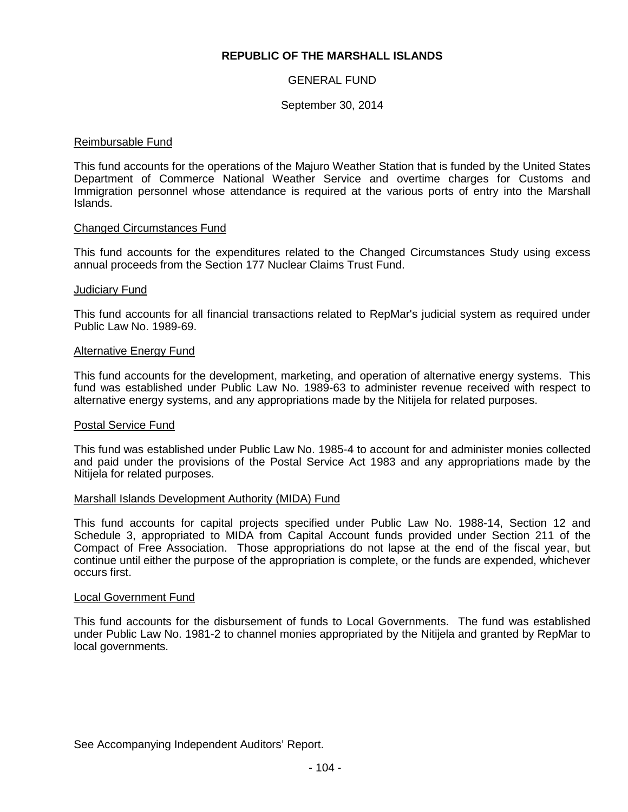## GENERAL FUND

### September 30, 2014

#### Reimbursable Fund

This fund accounts for the operations of the Majuro Weather Station that is funded by the United States Department of Commerce National Weather Service and overtime charges for Customs and Immigration personnel whose attendance is required at the various ports of entry into the Marshall Islands.

### Changed Circumstances Fund

This fund accounts for the expenditures related to the Changed Circumstances Study using excess annual proceeds from the Section 177 Nuclear Claims Trust Fund.

### Judiciary Fund

This fund accounts for all financial transactions related to RepMar's judicial system as required under Public Law No. 1989-69.

#### Alternative Energy Fund

This fund accounts for the development, marketing, and operation of alternative energy systems. This fund was established under Public Law No. 1989-63 to administer revenue received with respect to alternative energy systems, and any appropriations made by the Nitijela for related purposes.

#### Postal Service Fund

This fund was established under Public Law No. 1985-4 to account for and administer monies collected and paid under the provisions of the Postal Service Act 1983 and any appropriations made by the Nitijela for related purposes.

#### Marshall Islands Development Authority (MIDA) Fund

This fund accounts for capital projects specified under Public Law No. 1988-14, Section 12 and Schedule 3, appropriated to MIDA from Capital Account funds provided under Section 211 of the Compact of Free Association. Those appropriations do not lapse at the end of the fiscal year, but continue until either the purpose of the appropriation is complete, or the funds are expended, whichever occurs first.

#### Local Government Fund

This fund accounts for the disbursement of funds to Local Governments. The fund was established under Public Law No. 1981-2 to channel monies appropriated by the Nitijela and granted by RepMar to local governments.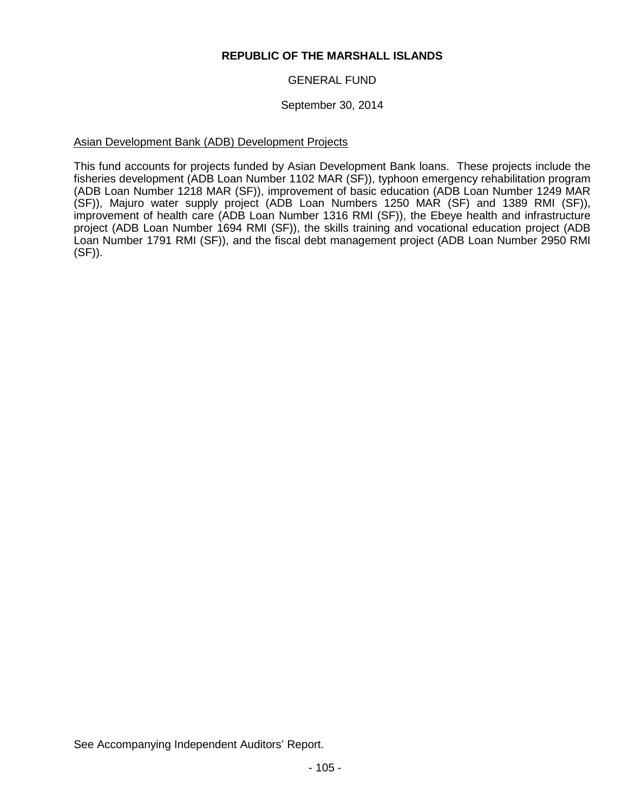# GENERAL FUND

## September 30, 2014

## Asian Development Bank (ADB) Development Projects

This fund accounts for projects funded by Asian Development Bank loans. These projects include the fisheries development (ADB Loan Number 1102 MAR (SF)), typhoon emergency rehabilitation program (ADB Loan Number 1218 MAR (SF)), improvement of basic education (ADB Loan Number 1249 MAR (SF)), Majuro water supply project (ADB Loan Numbers 1250 MAR (SF) and 1389 RMI (SF)), improvement of health care (ADB Loan Number 1316 RMI (SF)), the Ebeye health and infrastructure project (ADB Loan Number 1694 RMI (SF)), the skills training and vocational education project (ADB Loan Number 1791 RMI (SF)), and the fiscal debt management project (ADB Loan Number 2950 RMI (SF)).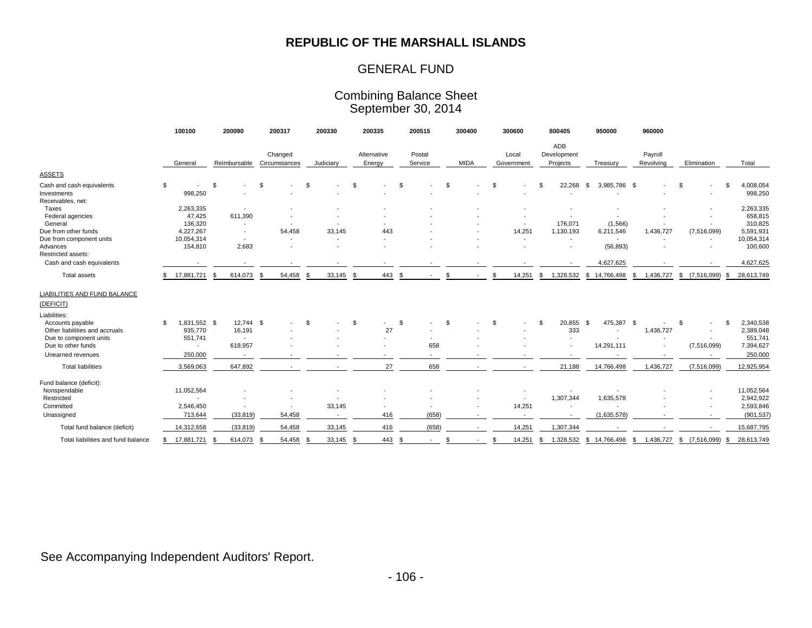# **REPUBLIC OF THE MARSHALL ISLANDS**

### GENERAL FUND

### Combining Balance Sheet September 30, 2014

|                                                                              | 100100                                   | 200090                                                                           | 200317                             | 200330                             | 200335                          | 200515                         | 300400      | 300600                             | 800405                                           | 950000                                            | 960000                   |                                         |                                         |
|------------------------------------------------------------------------------|------------------------------------------|----------------------------------------------------------------------------------|------------------------------------|------------------------------------|---------------------------------|--------------------------------|-------------|------------------------------------|--------------------------------------------------|---------------------------------------------------|--------------------------|-----------------------------------------|-----------------------------------------|
|                                                                              | General                                  | Reimbursable                                                                     | Changed<br>Circumstances           | Judiciary                          | Alternative<br>Energy           | Postal<br>Service              | <b>MIDA</b> | Local<br>Government                | ADB<br>Development<br>Projects                   | Treasury                                          | Payroll<br>Revolving     | Elimination                             | Total                                   |
| <b>ASSETS</b>                                                                |                                          |                                                                                  |                                    |                                    |                                 |                                |             |                                    |                                                  |                                                   |                          |                                         |                                         |
| Cash and cash equivalents<br>Investments<br>Receivables, net:                | \$<br>998,250                            | \$                                                                               | \$                                 | \$                                 | \$<br>$\blacksquare$            | \$.                            | \$          | \$.                                | 22,268                                           | \$<br>3,985,786 \$                                |                          | \$                                      | 4,008,054<br>998,250                    |
| Taxes<br>Federal agencies                                                    | 2,263,335<br>47,425                      | $\sim$<br>611,390                                                                |                                    |                                    |                                 |                                |             |                                    | ٠                                                | $\overline{\phantom{a}}$                          |                          | $\overline{\phantom{a}}$                | 2,263,335<br>658,815                    |
| General<br>Due from other funds<br>Due from component units                  | 136,320<br>4,227,267<br>10,054,314       | $\overline{\phantom{a}}$<br>$\overline{\phantom{a}}$<br>$\overline{\phantom{a}}$ | $\overline{\phantom{a}}$<br>54,458 | 33,145<br>$\overline{\phantom{a}}$ | 443<br>$\overline{\phantom{a}}$ |                                |             | 14,251<br>$\overline{\phantom{a}}$ | 176,071<br>1,130,193<br>$\overline{\phantom{a}}$ | (1, 566)<br>6,211,546<br>$\overline{\phantom{a}}$ | 1,436,727<br>٠           | (7,516,099)<br>$\overline{\phantom{a}}$ | 310,825<br>5,591,931<br>10,054,314      |
| Advances<br>Restricted assets:                                               | 154,810                                  | 2,683                                                                            | $\overline{\phantom{a}}$           | $\overline{a}$                     | $\overline{\phantom{a}}$        |                                |             | $\blacksquare$                     | $\overline{\phantom{a}}$                         | (56, 893)                                         | $\overline{\phantom{a}}$ | $\overline{\phantom{a}}$                | 100,600                                 |
| Cash and cash equivalents                                                    |                                          |                                                                                  |                                    |                                    |                                 |                                |             |                                    |                                                  | 4,627,625                                         |                          |                                         | 4,627,625                               |
| Total assets                                                                 | 17,881,721<br>\$                         | 614,073<br>\$                                                                    | 54,458<br>- \$                     | 33,145<br>£.                       | 443<br>- \$                     | \$<br>$\overline{\phantom{a}}$ |             | 14,251                             | 1,328,532<br>- \$                                | 14,766,498<br>S.                                  | 1,436,727<br>-96         | (7,516,099)<br>\$                       | 28,613,749<br>- 96                      |
| LIABILITIES AND FUND BALANCE                                                 |                                          |                                                                                  |                                    |                                    |                                 |                                |             |                                    |                                                  |                                                   |                          |                                         |                                         |
| (DEFICIT)                                                                    |                                          |                                                                                  |                                    |                                    |                                 |                                |             |                                    |                                                  |                                                   |                          |                                         |                                         |
| Liabilities:                                                                 |                                          |                                                                                  |                                    |                                    |                                 |                                |             |                                    |                                                  |                                                   |                          |                                         |                                         |
| Accounts payable<br>Other liabilities and accruals<br>Due to component units | 1,831,552 \$<br>\$<br>935,770<br>551,741 | 12,744 \$<br>16,191<br>$\overline{\phantom{a}}$                                  |                                    | \$                                 | \$<br>٠<br>27                   | \$<br>$\overline{\phantom{a}}$ | \$          | \$                                 | 20,855<br>-S<br>333<br>$\overline{\phantom{a}}$  | 475,387 \$<br>- \$<br>$\overline{\phantom{a}}$    | 1,436,727                | \$<br>۰                                 | 2,340,538<br>\$<br>2,389,048<br>551,741 |
| Due to other funds                                                           | $\overline{\phantom{a}}$                 | 618,957                                                                          |                                    |                                    |                                 | 658                            |             |                                    | $\overline{\phantom{a}}$                         | 14,291,111                                        |                          | (7,516,099)                             | 7,394,627                               |
| Unearned revenues                                                            | 250,000                                  | $\sim$                                                                           |                                    |                                    |                                 | $\sim$                         |             |                                    |                                                  |                                                   |                          |                                         | 250,000                                 |
| <b>Total liabilities</b>                                                     | 3,569,063                                | 647,892                                                                          |                                    |                                    | 27                              | 658                            |             |                                    | 21,188                                           | 14,766,498                                        | 1,436,727                | (7,516,099)                             | 12,925,954                              |
| Fund balance (deficit):                                                      |                                          |                                                                                  |                                    |                                    |                                 |                                |             |                                    |                                                  |                                                   |                          |                                         |                                         |
| Nonspendable<br>Restricted                                                   | 11,052,564<br>$\overline{\phantom{a}}$   |                                                                                  |                                    |                                    |                                 |                                |             | $\blacksquare$                     | 1,307,344                                        | 1,635,578                                         |                          |                                         | 11,052,564<br>2,942,922                 |
| Committed                                                                    | 2,546,450                                |                                                                                  |                                    | 33,145                             |                                 | $\overline{\phantom{a}}$       |             | 14,251                             | $\overline{\phantom{a}}$                         |                                                   |                          | $\overline{\phantom{a}}$                | 2,593,846                               |
| Unassigned                                                                   | 713,644                                  | (33, 819)                                                                        | 54,458                             | $\overline{\phantom{a}}$           | 416                             | (658)                          |             |                                    | $\overline{\phantom{a}}$                         | (1,635,578)                                       |                          |                                         | (901, 537)                              |
| Total fund balance (deficit)                                                 | 14,312,658                               | (33, 819)                                                                        | 54,458                             | 33,145                             | 416                             | (658)                          |             | 14,251                             | 1,307,344                                        |                                                   |                          |                                         | 15,687,795                              |
| Total liabilities and fund balance                                           | 17,881,721<br>\$                         | 614,073<br>-S                                                                    | 54,458<br>- \$                     | 33,145<br>\$.                      | 443<br>-9                       | -S<br>$\overline{\phantom{a}}$ |             | 14,251                             | 1,328,532<br>-S                                  | 14,766,498<br>s.                                  | 1,436,727<br>\$          | (7,516,099)<br>\$                       | 28,613,749<br>S                         |

See Accompanying Independent Auditors' Report.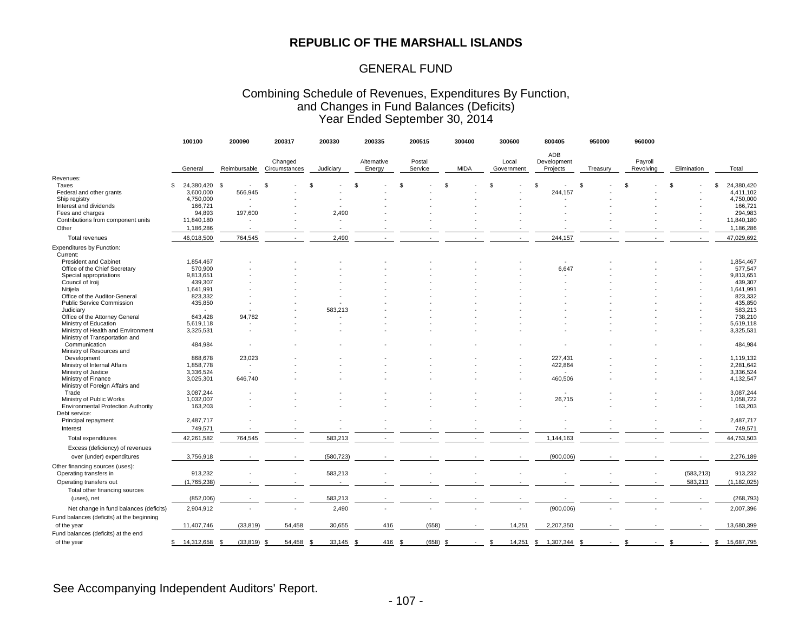### **REPUBLIC OF THE MARSHALL ISLANDS**

### GENERAL FUND

#### Year Ended September 30, 2014 Combining Schedule of Revenues, Expenditures By Function, and Changes in Fund Balances (Deficits)

|                                                             | 100100                 | 200090                   | 200317                   | 200330         | 200335                | 200515            | 300400      | 300600              | 800405                         | 950000   | 960000               |             |                        |
|-------------------------------------------------------------|------------------------|--------------------------|--------------------------|----------------|-----------------------|-------------------|-------------|---------------------|--------------------------------|----------|----------------------|-------------|------------------------|
|                                                             | General                | Reimbursable             | Changed<br>Circumstances | Judiciary      | Alternative<br>Energy | Postal<br>Service | <b>MIDA</b> | Local<br>Government | ADB<br>Development<br>Projects | Treasury | Payroll<br>Revolving | Elimination | Total                  |
| Revenues:                                                   |                        |                          |                          |                |                       |                   |             |                     |                                |          |                      |             |                        |
| Taxes                                                       | 24,380,420 \$<br>S.    | $\sim$                   | \$                       | \$             |                       | £.                | \$          | \$.                 | $\mathfrak{s}$                 | \$       | £.                   | \$.         | 24,380,420<br>\$.      |
| Federal and other grants                                    | 3.600.000              | 566,945                  |                          |                |                       |                   |             |                     | 244.157                        |          |                      |             | 4,411,102              |
| Ship registry                                               | 4,750,000              | $\sim$                   |                          |                |                       |                   |             |                     |                                |          |                      |             | 4,750,000              |
| Interest and dividends                                      | 166,721                | $\overline{\phantom{a}}$ |                          |                |                       |                   |             |                     |                                |          |                      |             | 166,721                |
| Fees and charges                                            | 94,893                 | 197,600                  |                          | 2,490          |                       |                   |             |                     |                                |          |                      |             | 294,983                |
| Contributions from component units                          | 11,840,180             | $\overline{a}$           |                          |                |                       |                   |             |                     |                                |          |                      |             | 11,840,180             |
| Other                                                       | 1,186,286              | $\overline{a}$           |                          |                |                       |                   |             |                     |                                |          |                      |             | 1,186,286              |
| <b>Total revenues</b>                                       | 46.018.500             | 764.545                  |                          | 2.490          |                       |                   |             |                     | 244.157                        |          |                      |             | 47.029.692             |
| <b>Expenditures by Function:</b><br>Current:                |                        |                          |                          |                |                       |                   |             |                     |                                |          |                      |             |                        |
| <b>President and Cabinet</b>                                | 1,854,467              |                          |                          |                |                       |                   |             |                     | $\sim$                         |          |                      |             | 1,854,467              |
| Office of the Chief Secretary                               | 570,900                |                          |                          |                |                       |                   |             |                     | 6,647                          |          |                      |             | 577,547                |
| Special appropriations                                      | 9,813,651              |                          |                          |                |                       |                   |             |                     |                                |          |                      |             | 9,813,651              |
| Council of Iroij                                            | 439,307                |                          |                          |                |                       |                   |             |                     |                                |          |                      |             | 439,307                |
| Nitijela                                                    | 1,641,991              |                          |                          |                |                       |                   |             |                     |                                |          |                      |             | 1,641,991              |
| Office of the Auditor-General                               | 823,332                |                          |                          |                |                       |                   |             |                     |                                |          |                      |             | 823,332                |
| Public Service Commission                                   | 435,850                |                          |                          |                |                       |                   |             |                     |                                |          |                      |             | 435,850                |
| Judiciary                                                   | $\sim$                 |                          |                          | 583,213        |                       |                   |             |                     |                                |          |                      |             | 583,213                |
| Office of the Attorney General                              | 643,428                | 94,782                   |                          |                |                       |                   |             |                     |                                |          |                      |             | 738,210                |
| Ministry of Education<br>Ministry of Health and Environment | 5,619,118<br>3,325,531 |                          |                          |                |                       |                   |             |                     |                                |          |                      |             | 5,619,118<br>3,325,531 |
| Ministry of Transportation and                              |                        |                          |                          |                |                       |                   |             |                     |                                |          |                      |             |                        |
| Communication                                               | 484,984                |                          |                          |                |                       |                   |             |                     |                                |          |                      |             | 484,984                |
| Ministry of Resources and                                   |                        |                          |                          |                |                       |                   |             |                     |                                |          |                      |             |                        |
| Development<br>Ministry of Internal Affairs                 | 868,678<br>1,858,778   | 23,023<br>$\sim$         |                          |                |                       |                   |             |                     | 227,431<br>422,864             |          |                      |             | 1,119,132<br>2,281,642 |
|                                                             |                        |                          |                          |                |                       |                   |             |                     |                                |          |                      |             | 3,336,524              |
| Ministry of Justice<br>Ministry of Finance                  | 3,336,524<br>3,025,301 | 646,740                  |                          |                |                       |                   |             |                     | 460,506                        |          |                      |             | 4,132,547              |
| Ministry of Foreign Affairs and                             |                        |                          |                          |                |                       |                   |             |                     |                                |          |                      |             |                        |
| Trade                                                       | 3,087,244              |                          |                          |                |                       |                   |             |                     | $\overline{\phantom{a}}$       |          |                      |             | 3,087,244              |
| Ministry of Public Works                                    | 1,032,007              |                          |                          |                |                       |                   |             |                     | 26,715                         |          |                      |             | 1,058,722              |
| <b>Environmental Protection Authority</b>                   | 163,203                |                          |                          |                |                       |                   |             |                     |                                |          |                      |             | 163,203                |
| Debt service:<br>Principal repayment                        | 2,487,717              |                          |                          |                |                       |                   |             |                     |                                |          |                      |             | 2,487,717              |
|                                                             |                        |                          |                          |                |                       |                   |             |                     |                                |          |                      |             |                        |
| Interest                                                    | 749,571                |                          |                          |                |                       |                   |             |                     |                                |          |                      |             | 749,571                |
| <b>Total expenditures</b>                                   | 42,261,582             | 764,545                  |                          | 583,213        |                       |                   |             |                     | 1,144,163                      |          |                      |             | 44,753,503             |
| Excess (deficiency) of revenues                             |                        |                          |                          |                |                       |                   |             |                     |                                |          |                      |             |                        |
| over (under) expenditures                                   | 3,756,918              |                          |                          | (580, 723)     |                       |                   |             |                     | (900, 006)                     |          |                      |             | 2,276,189              |
| Other financing sources (uses):                             |                        |                          |                          |                |                       |                   |             |                     |                                |          |                      |             |                        |
| Operating transfers in                                      | 913,232                |                          |                          | 583,213        |                       |                   |             |                     |                                |          |                      | (583, 213)  | 913,232                |
| Operating transfers out                                     | (1,765,238)            |                          |                          |                |                       |                   |             |                     |                                |          |                      | 583,213     | (1, 182, 025)          |
| Total other financing sources                               |                        |                          |                          |                |                       |                   |             |                     |                                |          |                      |             |                        |
| (uses), net                                                 | (852,006)              |                          | $\overline{\phantom{a}}$ | 583,213        |                       |                   |             |                     |                                |          |                      |             | (268,793               |
| Net change in fund balances (deficits)                      | 2,904,912              |                          |                          | 2,490          |                       |                   |             |                     | (900, 006)                     |          |                      |             | 2,007,396              |
| Fund balances (deficits) at the beginning                   |                        |                          |                          |                |                       |                   |             |                     |                                |          |                      |             |                        |
| of the year                                                 | 11,407,746             | (33, 819)                | 54,458                   | 30,655         | 416                   | (658)             |             | 14,251              | 2,207,350                      |          |                      |             | 13,680,399             |
| Fund balances (deficits) at the end                         |                        |                          |                          |                |                       |                   |             |                     |                                |          |                      |             |                        |
| of the year                                                 | \$14,312,658           | (33, 819)<br>\$          | 54,458<br>-\$            | 33,145<br>- \$ | 416 \$<br>- \$        | (658)             | - \$        | 14,251<br>\$.       | $\mathbb{S}$<br>1,307,344 \$   |          |                      | S           | 15,687,795<br>\$.      |
|                                                             |                        |                          |                          |                |                       |                   |             |                     |                                |          |                      |             |                        |

See Accompanying Independent Auditors' Report.